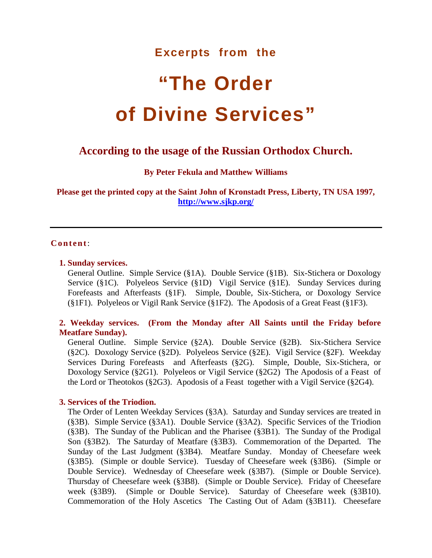# **Excerpts from the**

# **"The Order of Divine Services"**

# **According to the usage of the Russian Orthodox Church.**

**By Peter Fekula and Matthew Williams**

**Please get the printed copy at the Saint John of Kronstadt Press, Liberty, TN USA 1997, <http://www.sjkp.org/>**

#### **Content**:

#### **[1. Sunday services.](#page-2-0)**

[General Outline.](#page-2-1) [Simple Service \(§1A\).](#page-6-0) [Double Service \(§1B\).](#page-8-0) [Six-Stichera or Doxology](#page-11-0)  [Service \(§1C\).](#page-11-0) [Polyeleos Service \(§1D\)](#page-14-0) [Vigil Service \(§1E\).](#page-15-0) [Sunday Services during](#page-19-0)  [Forefeasts and Afterfeasts \(§1F\).](#page-19-0) [Simple, Double, Six-Stichera, or Doxology Service](#page-19-1)  [\(§1F1\).](#page-19-1) [Polyeleos or Vigil Rank Service \(§1F2\).](#page-23-0) [The Apodosis of a Great Feast \(§1F3\).](#page-26-0)

# **[2. Weekday services.](#page-28-0) [\(From the Monday after All Saints until the Friday before](#page-28-1)  [Meatfare Sunday\).](#page-28-1)**

[General Outline.](#page-28-2) [Simple Service \(§2A\).](#page-30-0) [Double Service \(§2B\).](#page-35-0) [Six-Stichera Service](#page-38-0)  [\(§2C\).](#page-38-0) [Doxology Service \(§2D\).](#page-40-0) [Polyeleos Service \(§2E\).](#page-42-0) [Vigil Service \(§2F\).](#page-45-0) [Weekday](#page-50-0)  [Services During Forefeasts](#page-50-0) [and Afterfeasts \(§2G\).](#page-50-1) [Simple, Double, Six-Stichera, or](#page-50-2)  [Doxology Service \(§2G1\).](#page-50-2) [Polyeleos or Vigil Service \(§2G2\)](#page-55-0) [The Apodosis of a Feast](#page-58-0) [of](#page-58-1)  [the Lord or Theotokos \(§2G3\).](#page-58-1) [Apodosis of a Feast](#page-60-0) [together with a Vigil Service \(§2G4\).](#page-60-1)

#### **[3. Services of the Triodion.](#page-63-0)**

[The Order of Lenten Weekday Services \(§3A\).](#page-63-1) [Saturday and Sunday services are treated in](#page-63-2)  [\(§3B\).](#page-63-2) [Simple Service \(§3A1\).](#page-63-3) [Double Service \(§3A2\).](#page-72-0) [Specific Services of the Triodion](#page-73-0)  [\(§3B\).](#page-73-0) [The Sunday of the Publican and the Pharisee \(§3B1\).](#page-73-1) [The Sunday of the Prodigal](#page-76-0)  [Son \(§3B2\).](#page-76-0) [The Saturday of Meatfare \(§3B3\).](#page-78-0) [Commemoration of the Departed.](#page-78-1) [The](#page-82-0)  [Sunday of the Last Judgment \(§3B4\).](#page-82-0) [Meatfare Sunday.](#page-82-1) [Monday of Cheesefare week](#page-84-0)  [\(§3B5\).](#page-84-0) [\(Simple or double Service\).](#page-84-1) [Tuesday of Cheesefare week \(§3B6\).](#page-86-0) [\(Simple or](#page-86-1)  [Double Service\).](#page-86-1) [Wednesday of Cheesefare week \(§3B7\).](#page-87-0) [\(Simple or Double Service\).](#page-87-1)  [Thursday of Cheesefare week \(§3B8\).](#page-91-0) [\(Simple or Double Service\).](#page-91-1) [Friday of Cheesefare](#page-93-0)  [week \(§3B9\).](#page-93-0) [\(Simple or Double Service\).](#page-93-1) [Saturday of Cheesefare week \(§3B10\).](#page-95-0)  [Commemoration of the Holy Ascetics](#page-95-1) [The Casting Out of Adam \(§3B11\).](#page-97-0) [Cheesefare](#page-97-1)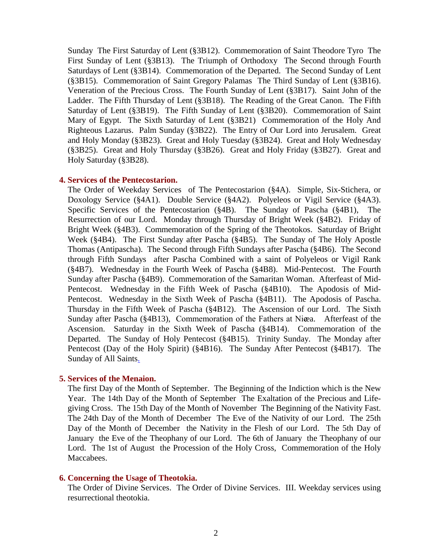Sunday [The First Saturday of Lent \(§3B12\).](#page-101-0) [Commemoration of Saint Theodore Tyro](#page-101-1) [The](#page-104-0)  [First Sunday of Lent \(§3B13\).](#page-104-0) [The Triumph of Orthodoxy](#page-104-1) [The Second through Fourth](#page-106-0)  [Saturdays of Lent \(§3B14\).](#page-106-0) [Commemoration of the Departed.](#page-106-1) [The Second Sunday of Lent](#page-109-0)  [\(§3B15\).](#page-109-0) [Commemoration of Saint Gregory Palamas](#page-109-1) [The Third Sunday of Lent \(§3B16\).](#page-113-0)  [Veneration of the Precious Cross.](#page-113-1) [The Fourth Sunday of Lent \(§3B17\).](#page-116-0) [Saint John of the](#page-116-1)  [Ladder.](#page-116-1) [The Fifth Thursday of Lent \(§3B18\).](#page-119-0) [The Reading of the Great Canon.](#page-119-1) [The Fifth](#page-122-0)  [Saturday of Lent \(§3B19\).](#page-122-0) [The Fifth Sunday of Lent \(§3B20\).](#page-124-0) [Commemoration of Saint](#page-124-1)  [Mary of Egypt.](#page-124-1) [The Sixth Saturday of Lent \(§3B21\)](#page-127-0) [Commemoration of the Holy And](#page-127-1)  [Righteous Lazarus.](#page-127-1) [Palm Sunday \(§3B22\).](#page-129-0) [The Entry of Our Lord into Jerusalem.](#page-129-1) [Great](#page-134-0)  [and Holy Monday \(§3B23\).](#page-134-0) [Great and Holy Tuesday \(§3B24\).](#page-137-0) [Great and Holy Wednesday](#page-140-0)  [\(§3B25\).](#page-140-0) [Great and Holy Thursday \(§3B26\).](#page-143-0) [Great and Holy Friday \(§3B27\).](#page-146-0) [Great and](#page-156-0)  [Holy Saturday \(§3B28\).](#page-156-0)

#### **[4. Services of the Pentecostarion.](#page-163-0)**

[The Order of Weekday Services](#page-164-0) [of The Pentecostarion \(§4A\).](#page-164-1) [Simple, Six-Stichera, or](#page-168-0)  [Doxology Service \(§4A1\).](#page-168-0) [Double Service \(§4A2\).](#page-170-0) [Polyeleos or Vigil Service \(§4A3\).](#page-172-0)  [Specific Services of the Pentecostarion \(§4B\).](#page-174-0) [The Sunday of Pascha \(§4B1\),](#page-174-1) [The](#page-174-2)  [Resurrection of our Lord.](#page-174-2) [Monday through Thursday of Bright Week \(§4B2\).](#page-179-0) [Friday of](#page-182-0)  [Bright Week \(§4B3\).](#page-182-0) [Commemoration of the Spring of the Theotokos.](#page-182-1) [Saturday of Bright](#page-182-2)  [Week \(§4B4\).](#page-182-2) [The First Sunday after Pascha \(§4B5\).](#page-183-0) [The Sunday of The Holy Apostle](#page-183-1)  [Thomas \(Antipascha\).](#page-183-1) [The Second through Fifth Sundays after Pascha \(§4B6\).](#page-185-0) [The Second](#page-187-0)  [through Fifth Sundays](#page-187-0) [after Pascha Combined with a saint of Polyeleos or Vigil Rank](#page-187-1)  [\(§4B7\).](#page-187-1) [Wednesday in the Fourth Week of Pascha \(§4B8\).](#page-189-0) [Mid-Pentecost.](#page-189-1) [The Fourth](#page-191-0)  [Sunday after Pascha \(§4B9\).](#page-191-0) [Commemoration of the Samaritan Woman.](#page-191-1) [Afterfeast of Mid-](#page-191-2)[Pentecost.](#page-191-2) [Wednesday in the Fifth Week of Pascha \(§4B10\).](#page-193-0) [The Apodosis of Mid-](#page-193-1)[Pentecost.](#page-193-1) [Wednesday in the Sixth Week of Pascha \(§4B11\).](#page-193-2) [The Apodosis of Pascha.](#page-193-3)  [Thursday in the Fifth Week of Pascha \(§4B12\).](#page-196-0) [The Ascension of our Lord.](#page-196-1) [The Sixth](#page-199-0)  [Sunday after Pascha \(§4B13\),](#page-199-0) Commemoration of the Fathers at Nicea. Afterfeast of the [Ascension.](#page-199-2) [Saturday in the Sixth Week of Pascha \(§4B14\).](#page-201-0) [Commemoration of the](#page-201-1)  [Departed.](#page-201-1) [The Sunday of Holy Pentecost \(§4B15\).](#page-202-0) Trinity [Sunday.](#page-202-1) [The Monday after](#page-205-0)  [Pentecost \(Day of the Holy Spirit\) \(§4B16\).](#page-205-0) [The Sunday After Pentecost \(§4B17\).](#page-206-0) [The](#page-206-1)  [Sunday of All Saints.](#page-206-1)

#### **[5. Services of the Menaion.](#page-208-0)**

[The first Day of the Month of September.](#page-208-1) [The Beginning of the Indiction which is the New](#page-208-2)  [Year.](#page-208-2) [The 14th Day of the Month of September](#page-210-0) [The Exaltation of the Precious and Life](#page-210-1)[giving Cross.](#page-210-1) [The 15th Day of the Month of November](#page-213-0) [The Beginning of the Nativity Fast.](#page-213-1)  [The 24th Day of the Month of December](#page-214-0) [The Eve of the Nativity of our Lord.](#page-214-1) [The 25th](#page-218-0)  [Day of the Month of December](#page-218-0) [the Nativity in the Flesh of](#page-218-1) our Lord. [The 5th Day of](#page-219-0)  [January](#page-219-0) [the Eve of the Theophany of our Lord.](#page-219-1) [The 6th of January](#page-223-0) [the Theophany of our](#page-223-1)  [Lord.](#page-223-1) [The 1st of August](#page-223-2) [the Procession of the Holy Cross,](#page-223-3) [Commemoration of the Holy](#page-223-4)  [Maccabees.](#page-223-4)

#### **[6. Concerning the Usage of Theotokia.](#page-226-0)**

[The Order of Divine Services.](#page-227-0) [The Order of Divine Services.](#page-229-0) [III. Weekday services using](#page-229-1)  [resurrectional theotokia.](#page-229-1)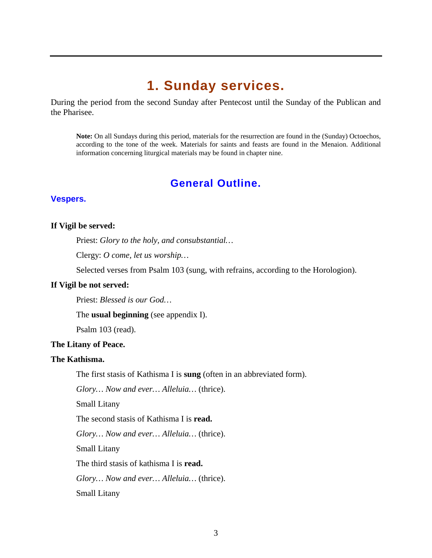# **1. Sunday services.**

<span id="page-2-0"></span>During the period from the second Sunday after Pentecost until the Sunday of the Publican and the Pharisee.

**Note:** On all Sundays during this period, materials for the resurrection are found in the (Sunday) Octoechos, according to the tone of the week. Materials for saints and feasts are found in the Menaion. Additional information concerning liturgical materials may be found in chapter nine.

# **General Outline.**

# <span id="page-2-1"></span>**Vespers.**

#### **If Vigil be served:**

Priest: *Glory to the holy, and consubstantial…*

Clergy: *O come, let us worship…*

Selected verses from Psalm 103 (sung, with refrains, according to the Horologion).

#### **If Vigil be not served:**

Priest: *Blessed is our God…*

The **usual beginning** (see appendix I).

Psalm 103 (read).

#### **The Litany of Peace.**

#### **The Kathisma.**

The first stasis of Kathisma I is **sung** (often in an abbreviated form).

*Glory… Now and ever… Alleluia…* (thrice).

Small Litany

The second stasis of Kathisma I is **read.**

*Glory… Now and ever… Alleluia…* (thrice).

Small Litany

The third stasis of kathisma I is **read.**

*Glory… Now and ever… Alleluia…* (thrice).

Small Litany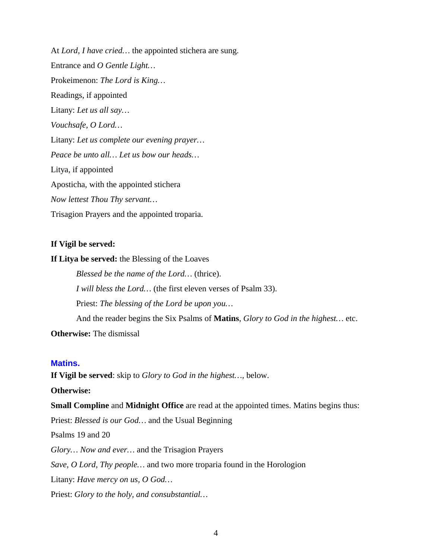At *Lord, I have cried…* the appointed stichera are sung. Entrance and *O Gentle Light…* Prokeimenon: *The Lord is King…* Readings, if appointed Litany: *Let us all say… Vouchsafe, O Lord…* Litany: *Let us complete our evening prayer… Peace be unto all… Let us bow our heads…* Litya, if appointed Aposticha, with the appointed stichera *Now lettest Thou Thy servant…* Trisagion Prayers and the appointed troparia.

#### **If Vigil be served:**

**If Litya be served:** the Blessing of the Loaves

*Blessed be the name of the Lord…* (thrice). *I will bless the Lord…* (the first eleven verses of Psalm 33). Priest: *The blessing of the Lord be upon you…* And the reader begins the Six Psalms of **Matins**, *Glory to God in the highest…* etc. **Otherwise:** The dismissal

#### **Matins.**

**If Vigil be served**: skip to *Glory to God in the highest…,* below.

**Otherwise:**

**Small Compline** and **Midnight Office** are read at the appointed times. Matins begins thus:

Priest: *Blessed is our God…* and the Usual Beginning

Psalms 19 and 20

*Glory… Now and ever…* and the Trisagion Prayers

*Save, O Lord, Thy people…* and two more troparia found in the Horologion

Litany: *Have mercy on us, O God…*

Priest: *Glory to the holy, and consubstantial…*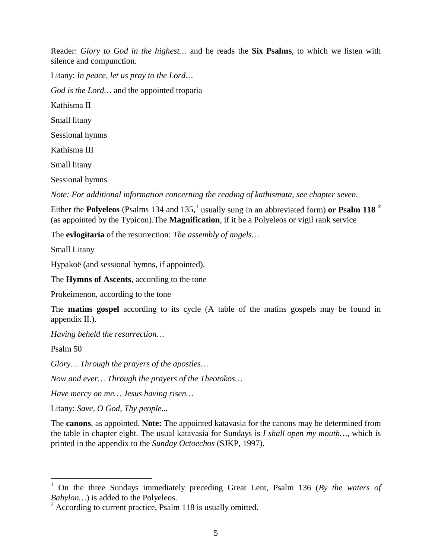Reader: *Glory to God in the highest…* and he reads the **Six Psalms**, to which we listen with silence and compunction.

Litany: *In peace, let us pray to the Lord… God is the Lord…* and the appointed troparia Kathisma II Small litany Sessional hymns Kathisma III Small litany

Sessional hymns

*Note: For additional information concerning the reading of kathismata, see chapter seven.*

Either the **Polyeleos** (Psalms [1](#page-4-0)34 and 135,<sup>1</sup> usually sung in an abbreviated form) or **Psalm 118** <sup>[2](#page-4-1)</sup> (as appointed by the Typicon).The **Magnification**, if it be a Polyeleos or vigil rank service

The **evlogitaria** of the resurrection: *The assembly of angels…*

Small Litany

Hypakoë (and sessional hymns, if appointed).

The **Hymns of Ascents**, according to the tone

Prokeimenon, according to the tone

The **matins gospel** according to its cycle (A table of the matins gospels may be found in appendix II.).

*Having beheld the resurrection…*

Psalm 50

*Glory… Through the prayers of the apostles…*

*Now and ever… Through the prayers of the Theotokos…*

*Have mercy on me… Jesus having risen…*

Litany: *Save, O God, Thy people...*

The **canons**, as appointed. **Note:** The appointed katavasia for the canons may be determined from the table in chapter eight. The usual katavasia for Sundays is *I shall open my mouth…*, which is printed in the appendix to the *Sunday Octoechos* (SJKP, 1997).

<span id="page-4-0"></span> <sup>1</sup> On the three Sundays immediately preceding Great Lent, Psalm 136 (*By the waters of Babylon…*) is added to the Polyeleos.

<span id="page-4-1"></span> $2 \text{ According to current practice, Psalm } 118 \text{ is usually omitted.}$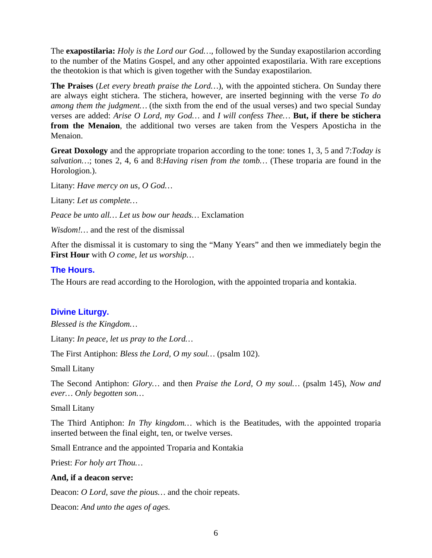The **exapostilaria:** *Holy is the Lord our God…*, followed by the Sunday exapostilarion according to the number of the Matins Gospel, and any other appointed exapostilaria. With rare exceptions the theotokion is that which is given together with the Sunday exapostilarion.

**The Praises** (*Let every breath praise the Lord…*), with the appointed stichera. On Sunday there are always eight stichera. The stichera, however, are inserted beginning with the verse *To do among them the judgment…* (the sixth from the end of the usual verses) and two special Sunday verses are added: *Arise O Lord, my God…* and *I will confess Thee…* **But, if there be stichera from the Menaion**, the additional two verses are taken from the Vespers Aposticha in the Menaion.

**Great Doxology** and the appropriate troparion according to the tone: tones 1, 3, 5 and 7:*Today is salvation…*; tones 2, 4, 6 and 8:*Having risen from the tomb…* (These troparia are found in the Horologion.).

Litany: *Have mercy on us, O God…*

Litany: *Let us complete…*

*Peace be unto all… Let us bow our heads…* Exclamation

*Wisdom!…* and the rest of the dismissal

After the dismissal it is customary to sing the "Many Years" and then we immediately begin the **First Hour** with *O come, let us worship…*

# **The Hours.**

The Hours are read according to the Horologion, with the appointed troparia and kontakia.

# **Divine Liturgy.**

*Blessed is the Kingdom…*

Litany: *In peace, let us pray to the Lord…*

The First Antiphon: *Bless the Lord, O my soul…* (psalm 102).

Small Litany

The Second Antiphon: *Glory…* and then *Praise the Lord, O my soul…* (psalm 145), *Now and ever… Only begotten son…*

#### Small Litany

The Third Antiphon: *In Thy kingdom…* which is the Beatitudes, with the appointed troparia inserted between the final eight, ten, or twelve verses.

Small Entrance and the appointed Troparia and Kontakia

Priest: *For holy art Thou…*

# **And, if a deacon serve:**

Deacon: *O Lord, save the pious…* and the choir repeats.

Deacon: *And unto the ages of ages.*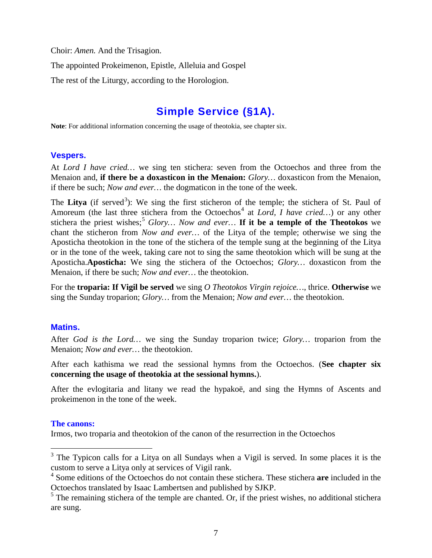Choir: *Amen.* And the Trisagion.

The appointed Prokeimenon, Epistle, Alleluia and Gospel

The rest of the Liturgy, according to the Horologion.

# **Simple Service (§1A).**

<span id="page-6-0"></span>**Note**: For additional information concerning the usage of theotokia, see chapter six.

# **Vespers.**

At *Lord I have cried…* we sing ten stichera: seven from the Octoechos and three from the Menaion and, **if there be a doxasticon in the Menaion:** *Glory…* doxasticon from the Menaion, if there be such; *Now and ever…* the dogmaticon in the tone of the week.

The Litya (if served<sup>[3](#page-6-1)</sup>): We sing the first sticheron of the temple; the stichera of St. Paul of Amoreum (the last three stichera from the Octoechos<sup>[4](#page-6-2)</sup> at *Lord, I have cried...*) or any other stichera the priest wishes;<sup>[5](#page-6-3)</sup> Glory... Now and ever... If it be a temple of the Theotokos we chant the sticheron from *Now and ever…* of the Litya of the temple; otherwise we sing the Aposticha theotokion in the tone of the stichera of the temple sung at the beginning of the Litya or in the tone of the week, taking care not to sing the same theotokion which will be sung at the Aposticha.**Aposticha:** We sing the stichera of the Octoechos; *Glory…* doxasticon from the Menaion, if there be such; *Now and ever…* the theotokion.

For the **troparia: If Vigil be served** we sing *O Theotokos Virgin rejoice…*, thrice. **Otherwise** we sing the Sunday troparion; *Glory…* from the Menaion; *Now and ever…* the theotokion.

# **Matins.**

After *God is the Lord…* we sing the Sunday troparion twice; *Glory…* troparion from the Menaion; *Now and ever…* the theotokion.

After each kathisma we read the sessional hymns from the Octoechos. (**See chapter six concerning the usage of theotokia at the sessional hymns.**).

After the evlogitaria and litany we read the hypakoë, and sing the Hymns of Ascents and prokeimenon in the tone of the week.

#### **The canons:**

Irmos, two troparia and theotokion of the canon of the resurrection in the Octoechos

<span id="page-6-1"></span> $3$  The Typicon calls for a Litya on all Sundays when a Vigil is served. In some places it is the custom to serve a Litya only at services of Vigil rank.

<span id="page-6-2"></span><sup>4</sup> Some editions of the Octoechos do not contain these stichera. These stichera **are** included in the Octoechos translated by Isaac Lambertsen and published by SJKP.

<span id="page-6-3"></span> $<sup>5</sup>$  The remaining stichera of the temple are chanted. Or, if the priest wishes, no additional stichera</sup> are sung.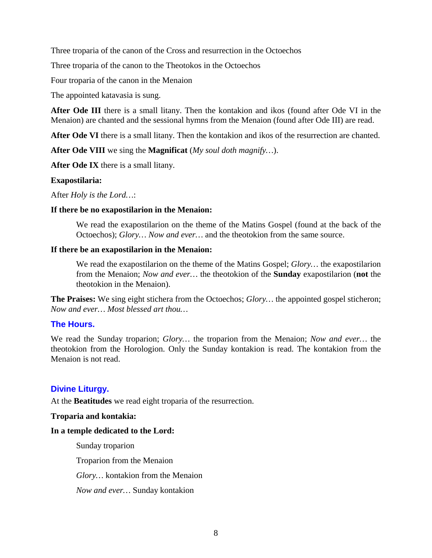Three troparia of the canon of the Cross and resurrection in the Octoechos

Three troparia of the canon to the Theotokos in the Octoechos

Four troparia of the canon in the Menaion

The appointed katavasia is sung.

**After Ode III** there is a small litany. Then the kontakion and ikos (found after Ode VI in the Menaion) are chanted and the sessional hymns from the Menaion (found after Ode III) are read.

**After Ode VI** there is a small litany. Then the kontakion and ikos of the resurrection are chanted.

**After Ode VIII** we sing the **Magnificat** (*My soul doth magnify…*).

**After Ode IX** there is a small litany.

#### **Exapostilaria:**

After *Holy is the Lord…*:

#### **If there be no exapostilarion in the Menaion:**

We read the exapostilarion on the theme of the Matins Gospel (found at the back of the Octoechos); *Glory… Now and ever…* and the theotokion from the same source.

#### **If there be an exapostilarion in the Menaion:**

We read the exapostilarion on the theme of the Matins Gospel; *Glory…* the exapostilarion from the Menaion; *Now and ever…* the theotokion of the **Sunday** exapostilarion (**not** the theotokion in the Menaion).

**The Praises:** We sing eight stichera from the Octoechos; *Glory…* the appointed gospel sticheron; *Now and ever… Most blessed art thou…*

# **The Hours.**

We read the Sunday troparion; *Glory…* the troparion from the Menaion; *Now and ever…* the theotokion from the Horologion. Only the Sunday kontakion is read. The kontakion from the Menaion is not read.

# **Divine Liturgy.**

At the **Beatitudes** we read eight troparia of the resurrection.

#### **Troparia and kontakia:**

#### **In a temple dedicated to the Lord:**

Sunday troparion

Troparion from the Menaion

*Glory…* kontakion from the Menaion

*Now and ever…* Sunday kontakion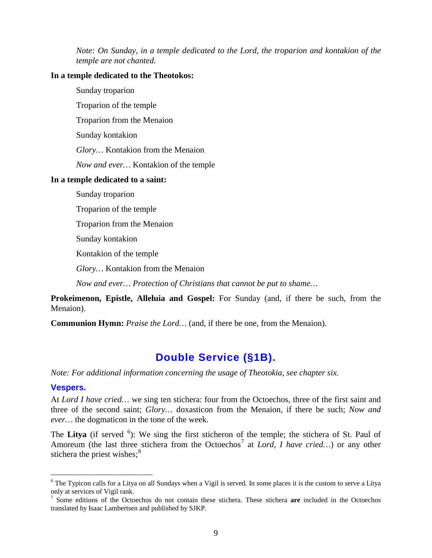*Note: On Sunday, in a temple dedicated to the Lord, the troparion and kontakion of the temple are not chanted.*

### **In a temple dedicated to the Theotokos:**

Sunday troparion

Troparion of the temple

Troparion from the Menaion

Sunday kontakion

*Glory…* Kontakion from the Menaion

*Now and ever…* Kontakion of the temple

#### **In a temple dedicated to a saint:**

Sunday troparion

Troparion of the temple

Troparion from the Menaion

Sunday kontakion

Kontakion of the temple

*Glory…* Kontakion from the Menaion

*Now and ever… Protection of Christians that cannot be put to shame…*

**Prokeimenon, Epistle, Alleluia and Gospel:** For Sunday (and, if there be such, from the Menaion).

**Communion Hymn:** *Praise the Lord…* (and, if there be one, from the Menaion).

# **Double Service (§1B).**

<span id="page-8-0"></span>*Note: For additional information concerning the usage of Theotokia, see chapter six.*

# **Vespers.**

At *Lord I have cried…* we sing ten stichera: four from the Octoechos, three of the first saint and three of the second saint; *Glory…* doxasticon from the Menaion, if there be such; *Now and ever…* the dogmaticon in the tone of the week.

The Litya (if served <sup>[6](#page-8-1)</sup>): We sing the first sticheron of the temple; the stichera of St. Paul of Amoreum (the last three stichera from the Octoechos<sup>[7](#page-8-2)</sup> at *Lord, I have cried...*) or any other stichera the priest wishes; $<sup>8</sup>$  $<sup>8</sup>$  $<sup>8</sup>$ </sup>

<span id="page-8-1"></span> $6$  The Typicon calls for a Litya on all Sundays when a Vigil is served. In some places it is the custom to serve a Litya only at services of Vigil rank.

<span id="page-8-3"></span><span id="page-8-2"></span><sup>7</sup> Some editions of the Octoechos do not contain these stichera. These stichera **are** included in the Octoechos translated by Isaac Lambertsen and published by SJKP.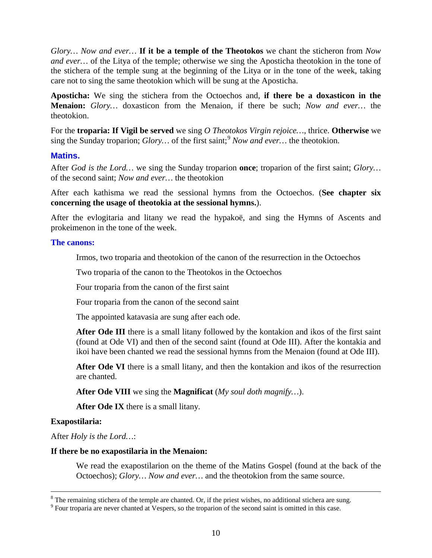*Glory… Now and ever…* **If it be a temple of the Theotokos** we chant the sticheron from *Now and ever...* of the Litya of the temple; otherwise we sing the Aposticha theotokion in the tone of the stichera of the temple sung at the beginning of the Litya or in the tone of the week, taking care not to sing the same theotokion which will be sung at the Aposticha.

**Aposticha:** We sing the stichera from the Octoechos and, **if there be a doxasticon in the Menaion:** *Glory…* doxasticon from the Menaion, if there be such; *Now and ever…* the theotokion.

For the **troparia: If Vigil be served** we sing *O Theotokos Virgin rejoice…*, thrice. **Otherwise** we sing the Sunday troparion; *Glory*... of the first saint;<sup>[9](#page-9-0)</sup> Now and ever... the theotokion.

# **Matins.**

After *God is the Lord…* we sing the Sunday troparion **once**; troparion of the first saint; *Glory…* of the second saint; *Now and ever…* the theotokion

After each kathisma we read the sessional hymns from the Octoechos. (**See chapter six concerning the usage of theotokia at the sessional hymns.**).

After the evlogitaria and litany we read the hypakoë, and sing the Hymns of Ascents and prokeimenon in the tone of the week.

#### **The canons:**

Irmos, two troparia and theotokion of the canon of the resurrection in the Octoechos

Two troparia of the canon to the Theotokos in the Octoechos

Four troparia from the canon of the first saint

Four troparia from the canon of the second saint

The appointed katavasia are sung after each ode.

**After Ode III** there is a small litany followed by the kontakion and ikos of the first saint (found at Ode VI) and then of the second saint (found at Ode III). After the kontakia and ikoi have been chanted we read the sessional hymns from the Menaion (found at Ode III).

After Ode VI there is a small litany, and then the kontakion and ikos of the resurrection are chanted.

**After Ode VIII** we sing the **Magnificat** (*My soul doth magnify…*).

**After Ode IX** there is a small litany.

# **Exapostilaria:**

After *Holy is the Lord…*:

#### **If there be no exapostilaria in the Menaion:**

We read the exapostilarion on the theme of the Matins Gospel (found at the back of the Octoechos); *Glory… Now and ever…* and the theotokion from the same source.

<span id="page-9-0"></span><sup>&</sup>lt;sup>8</sup> The remaining stichera of the temple are chanted. Or, if the priest wishes, no additional stichera are sung. 9 Four troparia are never chanted at Vespers, so the troparion of the second saint is omitted in this case.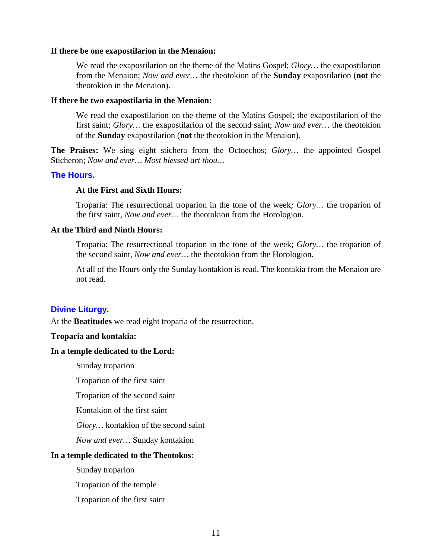#### **If there be one exapostilarion in the Menaion:**

We read the exapostilarion on the theme of the Matins Gospel; *Glory…* the exapostilarion from the Menaion; *Now and ever…* the theotokion of the **Sunday** exapostilarion (**not** the theotokion in the Menaion).

#### **If there be two exapostilaria in the Menaion:**

We read the exapostilarion on the theme of the Matins Gospel; the exapostilarion of the first saint; *Glory…* the exapostilarion of the second saint; *Now and ever…* the theotokion of the **Sunday** exapostilarion (**not** the theotokion in the Menaion).

**The Praises:** We sing eight stichera from the Octoechos; *Glory…* the appointed Gospel Sticheron; *Now and ever… Most blessed art thou…*

#### **The Hours.**

#### **At the First and Sixth Hours:**

Troparia: The resurrectional troparion in the tone of the week*; Glory…* the troparion of the first saint, *Now and ever…* the theotokion from the Horologion.

# **At the Third and Ninth Hours:**

Troparia: The resurrectional troparion in the tone of the week; *Glory…* the troparion of the second saint, *Now and ever…* the theotokion from the Horologion.

At all of the Hours only the Sunday kontakion is read. The kontakia from the Menaion are not read.

#### **Divine Liturgy.**

At the **Beatitudes** we read eight troparia of the resurrection.

#### **Troparia and kontakia:**

#### **In a temple dedicated to the Lord:**

Sunday troparion

Troparion of the first saint

Troparion of the second saint

Kontakion of the first saint

*Glory…* kontakion of the second saint

*Now and ever…* Sunday kontakion

#### **In a temple dedicated to the Theotokos:**

Sunday troparion

Troparion of the temple

Troparion of the first saint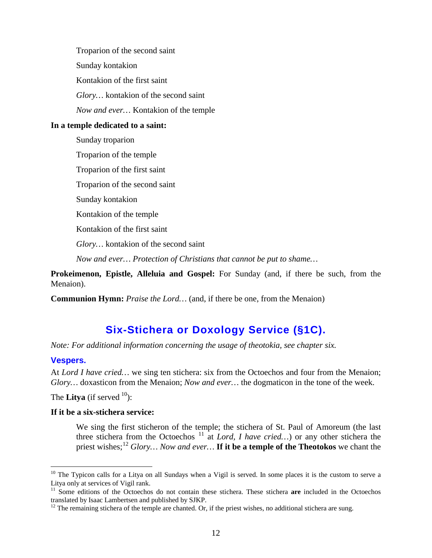Troparion of the second saint Sunday kontakion Kontakion of the first saint *Glory…* kontakion of the second saint *Now and ever…* Kontakion of the temple **In a temple dedicated to a saint:** Sunday troparion Troparion of the temple Troparion of the first saint Troparion of the second saint Sunday kontakion Kontakion of the temple

Kontakion of the first saint

*Glory…* kontakion of the second saint

*Now and ever… Protection of Christians that cannot be put to shame…*

**Prokeimenon, Epistle, Alleluia and Gospel:** For Sunday (and, if there be such, from the Menaion).

**Communion Hymn:** *Praise the Lord…* (and, if there be one, from the Menaion)

# **Six-Stichera or Doxology Service (§1C).**

<span id="page-11-0"></span>*Note: For additional information concerning the usage of theotokia, see chapter six.*

# **Vespers.**

At *Lord I have cried...* we sing ten stichera: six from the Octoechos and four from the Menaion; *Glory…* doxasticon from the Menaion; *Now and ever…* the dogmaticon in the tone of the week.

The **Litya** (if served  $10$ ):

# **If it be a six-stichera service:**

We sing the first sticheron of the temple; the stichera of St. Paul of Amoreum (the last three stichera from the Octoechos <sup>[11](#page-11-2)</sup> at *Lord, I have cried...*) or any other stichera the priest wishes;[12](#page-11-3) *Glory… Now and ever…* **If it be a temple of the Theotokos** we chant the

<span id="page-11-1"></span><sup>&</sup>lt;sup>10</sup> The Typicon calls for a Litya on all Sundays when a Vigil is served. In some places it is the custom to serve a Litya only at services of Vigil rank.

<span id="page-11-2"></span><sup>&</sup>lt;sup>11</sup> Some editions of the Octoechos do not contain these stichera. These stichera **are** included in the Octoechos translated by Isaac Lambertsen and published by SJKP.

<span id="page-11-3"></span> $12$  The remaining stichera of the temple are chanted. Or, if the priest wishes, no additional stichera are sung.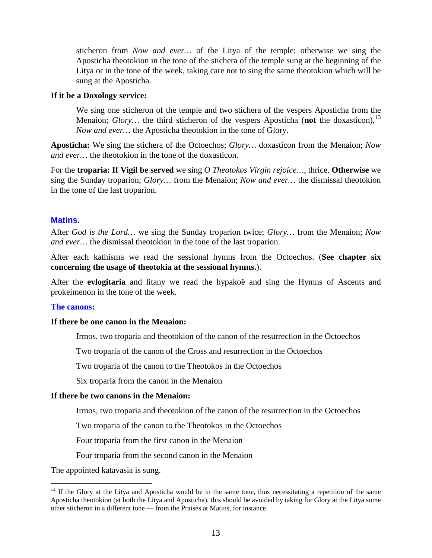sticheron from *Now and ever…* of the Litya of the temple; otherwise we sing the Aposticha theotokion in the tone of the stichera of the temple sung at the beginning of the Litya or in the tone of the week, taking care not to sing the same theotokion which will be sung at the Aposticha.

#### **If it be a Doxology service:**

We sing one sticheron of the temple and two stichera of the vespers Aposticha from the Menaion; *Glory*... the third sticheron of the vespers Aposticha (**not** the doxasticon),<sup>[13](#page-12-0)</sup> *Now and ever…* the Aposticha theotokion in the tone of Glory.

**Aposticha:** We sing the stichera of the Octoechos; *Glory…* doxasticon from the Menaion; *Now and ever…* the theotokion in the tone of the doxasticon.

For the **troparia: If Vigil be served** we sing *O Theotokos Virgin rejoice…*, thrice. **Otherwise** we sing the Sunday troparion; *Glory…* from the Menaion; *Now and ever…* the dismissal theotokion in the tone of the last troparion.

# **Matins.**

After *God is the Lord…* we sing the Sunday troparion twice; *Glory…* from the Menaion; *Now and ever…* the dismissal theotokion in the tone of the last troparion.

After each kathisma we read the sessional hymns from the Octoechos. (**See chapter six concerning the usage of theotokia at the sessional hymns.**).

After the **evlogitaria** and litany we read the hypakoë and sing the Hymns of Ascents and prokeimenon in the tone of the week.

#### **The canons:**

#### **If there be one canon in the Menaion:**

Irmos, two troparia and theotokion of the canon of the resurrection in the Octoechos

Two troparia of the canon of the Cross and resurrection in the Octoechos

Two troparia of the canon to the Theotokos in the Octoechos

Six troparia from the canon in the Menaion

#### **If there be two canons in the Menaion:**

Irmos, two troparia and theotokion of the canon of the resurrection in the Octoechos

Two troparia of the canon to the Theotokos in the Octoechos

Four troparia from the first canon in the Menaion

Four troparia from the second canon in the Menaion

The appointed katavasia is sung.

<span id="page-12-0"></span><sup>&</sup>lt;sup>13</sup> If the Glory at the Litya and Aposticha would be in the same tone, thus necessitating a repetition of the same Aposticha theotokion (at both the Litya and Aposticha), this should be avoided by taking for Glory at the Litya some other sticheron in a different tone — from the Praises at Matins, for instance.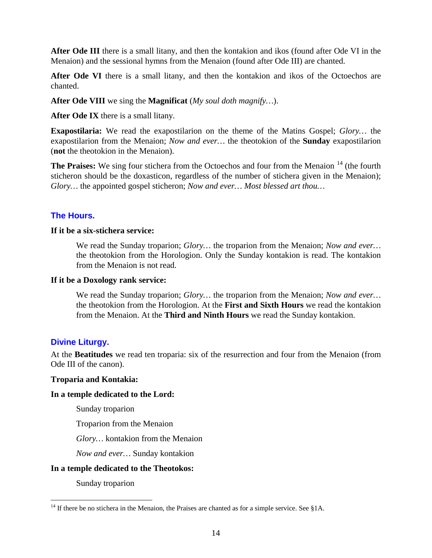**After Ode III** there is a small litany, and then the kontakion and ikos (found after Ode VI in the Menaion) and the sessional hymns from the Menaion (found after Ode III) are chanted.

After Ode VI there is a small litany, and then the kontakion and ikos of the Octoechos are chanted.

**After Ode VIII** we sing the **Magnificat** (*My soul doth magnify…*).

**After Ode IX** there is a small litany.

**Exapostilaria:** We read the exapostilarion on the theme of the Matins Gospel; *Glory…* the exapostilarion from the Menaion; *Now and ever…* the theotokion of the **Sunday** exapostilarion (**not** the theotokion in the Menaion).

**The Praises:** We sing four stichera from the Octoechos and four from the Menaion <sup>[14](#page-13-0)</sup> (the fourth sticheron should be the doxasticon, regardless of the number of stichera given in the Menaion); *Glory…* the appointed gospel sticheron; *Now and ever… Most blessed art thou…*

# **The Hours.**

#### **If it be a six-stichera service:**

We read the Sunday troparion; *Glory…* the troparion from the Menaion; *Now and ever…* the theotokion from the Horologion. Only the Sunday kontakion is read. The kontakion from the Menaion is not read.

#### **If it be a Doxology rank service:**

We read the Sunday troparion; *Glory…* the troparion from the Menaion; *Now and ever…* the theotokion from the Horologion. At the **First and Sixth Hours** we read the kontakion from the Menaion. At the **Third and Ninth Hours** we read the Sunday kontakion.

# **Divine Liturgy.**

At the **Beatitudes** we read ten troparia: six of the resurrection and four from the Menaion (from Ode III of the canon).

#### **Troparia and Kontakia:**

#### **In a temple dedicated to the Lord:**

Sunday troparion

Troparion from the Menaion

*Glory…* kontakion from the Menaion

*Now and ever…* Sunday kontakion

#### **In a temple dedicated to the Theotokos:**

Sunday troparion

<span id="page-13-0"></span><sup>&</sup>lt;sup>14</sup> If there be no stichera in the Menaion, the Praises are chanted as for a simple service. See §1A.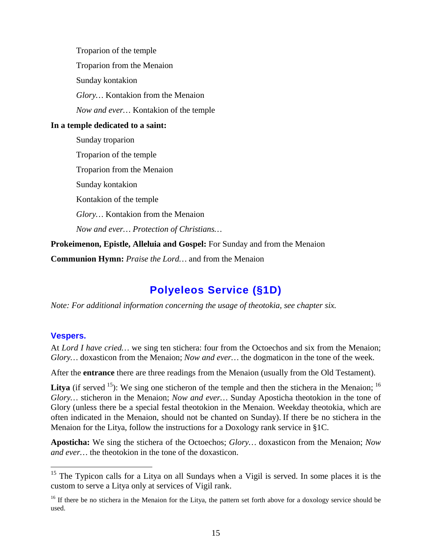Troparion of the temple Troparion from the Menaion Sunday kontakion *Glory…* Kontakion from the Menaion *Now and ever…* Kontakion of the temple **In a temple dedicated to a saint:** Sunday troparion Troparion of the temple Troparion from the Menaion Sunday kontakion Kontakion of the temple *Glory…* Kontakion from the Menaion *Now and ever… Protection of Christians…* **Prokeimenon, Epistle, Alleluia and Gospel:** For Sunday and from the Menaion

**Communion Hymn:** *Praise the Lord…* and from the Menaion

# **Polyeleos Service (§1D)**

<span id="page-14-0"></span>*Note: For additional information concerning the usage of theotokia, see chapter six.*

# **Vespers.**

At *Lord I have cried…* we sing ten stichera: four from the Octoechos and six from the Menaion; *Glory…* doxasticon from the Menaion; *Now and ever…* the dogmaticon in the tone of the week.

After the **entrance** there are three readings from the Menaion (usually from the Old Testament).

**Litya** (if served  $^{15}$ ): We sing one sticheron of the temple and then the stichera in the Menaion;  $^{16}$  $^{16}$  $^{16}$ *Glory…* sticheron in the Menaion; *Now and ever…* Sunday Aposticha theotokion in the tone of Glory (unless there be a special festal theotokion in the Menaion. Weekday theotokia, which are often indicated in the Menaion, should not be chanted on Sunday). If there be no stichera in the Menaion for the Litya, follow the instructions for a Doxology rank service in §1C.

**Aposticha:** We sing the stichera of the Octoechos; *Glory…* doxasticon from the Menaion; *Now and ever…* the theotokion in the tone of the doxasticon.

<span id="page-14-1"></span><sup>&</sup>lt;sup>15</sup> The Typicon calls for a Litya on all Sundays when a Vigil is served. In some places it is the custom to serve a Litya only at services of Vigil rank.

<span id="page-14-2"></span> $16$  If there be no stichera in the Menaion for the Litya, the pattern set forth above for a doxology service should be used.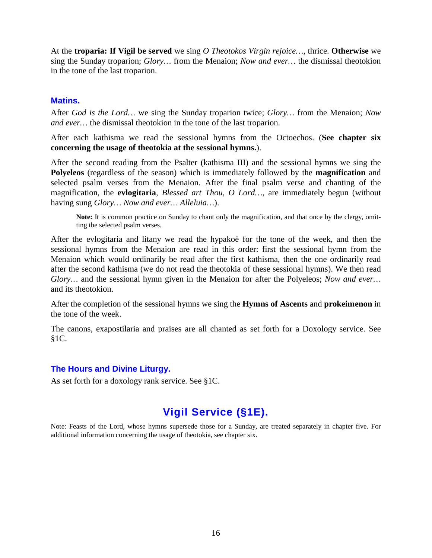At the **troparia: If Vigil be served** we sing *O Theotokos Virgin rejoice…*, thrice. **Otherwise** we sing the Sunday troparion; *Glory…* from the Menaion; *Now and ever…* the dismissal theotokion in the tone of the last troparion.

# **Matins.**

After *God is the Lord…* we sing the Sunday troparion twice; *Glory…* from the Menaion; *Now and ever…* the dismissal theotokion in the tone of the last troparion.

After each kathisma we read the sessional hymns from the Octoechos. (**See chapter six concerning the usage of theotokia at the sessional hymns.**).

After the second reading from the Psalter (kathisma III) and the sessional hymns we sing the **Polyeleos** (regardless of the season) which is immediately followed by the **magnification** and selected psalm verses from the Menaion. After the final psalm verse and chanting of the magnification, the **evlogitaria**, *Blessed art Thou, O Lord…,* are immediately begun (without having sung *Glory… Now and ever… Alleluia…*).

Note: It is common practice on Sunday to chant only the magnification, and that once by the clergy, omitting the selected psalm verses.

After the evlogitaria and litany we read the hypakoë for the tone of the week, and then the sessional hymns from the Menaion are read in this order: first the sessional hymn from the Menaion which would ordinarily be read after the first kathisma, then the one ordinarily read after the second kathisma (we do not read the theotokia of these sessional hymns). We then read *Glory…* and the sessional hymn given in the Menaion for after the Polyeleos; *Now and ever…* and its theotokion.

After the completion of the sessional hymns we sing the **Hymns of Ascents** and **prokeimenon** in the tone of the week.

The canons, exapostilaria and praises are all chanted as set forth for a Doxology service. See  $§1C.$ 

# **The Hours and Divine Liturgy.**

As set forth for a doxology rank service. See §1C.

# **Vigil Service (§1E).**

<span id="page-15-0"></span>Note: Feasts of the Lord, whose hymns supersede those for a Sunday, are treated separately in chapter five. For additional information concerning the usage of theotokia, see chapter six.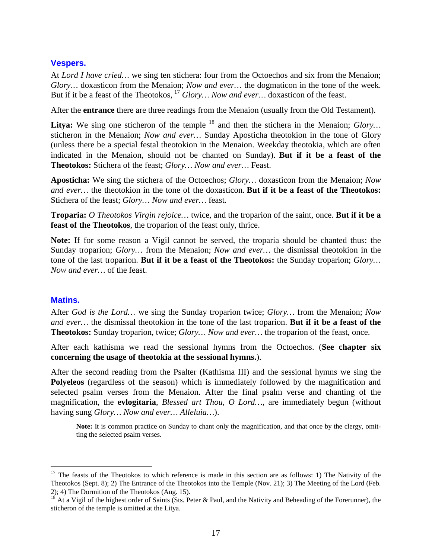# **Vespers.**

At *Lord I have cried…* we sing ten stichera: four from the Octoechos and six from the Menaion; *Glory…* doxasticon from the Menaion; *Now and ever…* the dogmaticon in the tone of the week. But if it be a feast of the Theotokos, <sup>[17](#page-16-0)</sup> Glory... Now and ever... doxasticon of the feast.

After the **entrance** there are three readings from the Menaion (usually from the Old Testament).

Litya: We sing one sticheron of the temple <sup>[18](#page-16-1)</sup> and then the stichera in the Menaion; *Glory*... sticheron in the Menaion; *Now and ever…* Sunday Aposticha theotokion in the tone of Glory (unless there be a special festal theotokion in the Menaion. Weekday theotokia, which are often indicated in the Menaion, should not be chanted on Sunday). **But if it be a feast of the Theotokos:** Stichera of the feast; *Glory… Now and ever…* Feast.

**Aposticha:** We sing the stichera of the Octoechos; *Glory…* doxasticon from the Menaion; *Now and ever…* the theotokion in the tone of the doxasticon. **But if it be a feast of the Theotokos:**  Stichera of the feast; *Glory… Now and ever…* feast.

**Troparia:** *O Theotokos Virgin rejoice…* twice, and the troparion of the saint, once. **But if it be a feast of the Theotokos**, the troparion of the feast only, thrice.

**Note:** If for some reason a Vigil cannot be served, the troparia should be chanted thus: the Sunday troparion; *Glory…* from the Menaion; *Now and ever…* the dismissal theotokion in the tone of the last troparion. **But if it be a feast of the Theotokos:** the Sunday troparion; *Glory… Now and ever…* of the feast.

# **Matins.**

After *God is the Lord…* we sing the Sunday troparion twice; *Glory…* from the Menaion; *Now and ever…* the dismissal theotokion in the tone of the last troparion. **But if it be a feast of the Theotokos:** Sunday troparion, twice; *Glory… Now and ever…* the troparion of the feast, once.

After each kathisma we read the sessional hymns from the Octoechos. (**See chapter six concerning the usage of theotokia at the sessional hymns.**).

After the second reading from the Psalter (Kathisma III) and the sessional hymns we sing the **Polyeleos** (regardless of the season) which is immediately followed by the magnification and selected psalm verses from the Menaion. After the final psalm verse and chanting of the magnification, the **evlogitaria**, *Blessed art Thou, O Lord…,* are immediately begun (without having sung *Glory… Now and ever… Alleluia…*).

Note: It is common practice on Sunday to chant only the magnification, and that once by the clergy, omitting the selected psalm verses.

<span id="page-16-0"></span> $17$  The feasts of the Theotokos to which reference is made in this section are as follows: 1) The Nativity of the Theotokos (Sept. 8); 2) The Entrance of the Theotokos into the Temple (Nov. 21); 3) The Meeting of the Lord (Feb. 2); 4) The Dormition of the Theotokos (Aug. 15).

<span id="page-16-1"></span><sup>&</sup>lt;sup>18</sup> At a Vigil of the highest order of Saints (Sts. Peter & Paul, and the Nativity and Beheading of the Forerunner), the sticheron of the temple is omitted at the Litya.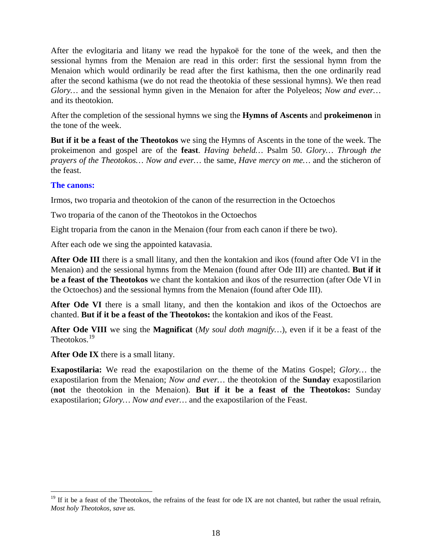After the evlogitaria and litany we read the hypakoë for the tone of the week, and then the sessional hymns from the Menaion are read in this order: first the sessional hymn from the Menaion which would ordinarily be read after the first kathisma, then the one ordinarily read after the second kathisma (we do not read the theotokia of these sessional hymns). We then read *Glory…* and the sessional hymn given in the Menaion for after the Polyeleos; *Now and ever…* and its theotokion.

After the completion of the sessional hymns we sing the **Hymns of Ascents** and **prokeimenon** in the tone of the week.

**But if it be a feast of the Theotokos** we sing the Hymns of Ascents in the tone of the week. The prokeimenon and gospel are of the **feast**. *Having beheld…* Psalm 50. *Glory… Through the prayers of the Theotokos… Now and ever…* the same, *Have mercy on me…* and the sticheron of the feast.

# **The canons:**

Irmos, two troparia and theotokion of the canon of the resurrection in the Octoechos

Two troparia of the canon of the Theotokos in the Octoechos

Eight troparia from the canon in the Menaion (four from each canon if there be two).

After each ode we sing the appointed katavasia.

**After Ode III** there is a small litany, and then the kontakion and ikos (found after Ode VI in the Menaion) and the sessional hymns from the Menaion (found after Ode III) are chanted. **But if it be a feast of the Theotokos** we chant the kontakion and ikos of the resurrection (after Ode VI in the Octoechos) and the sessional hymns from the Menaion (found after Ode III).

**After Ode VI** there is a small litany, and then the kontakion and ikos of the Octoechos are chanted. **But if it be a feast of the Theotokos:** the kontakion and ikos of the Feast.

**After Ode VIII** we sing the **Magnificat** (*My soul doth magnify…*), even if it be a feast of the Theotokos.[19](#page-17-0)

**After Ode IX** there is a small litany.

**Exapostilaria:** We read the exapostilarion on the theme of the Matins Gospel; *Glory…* the exapostilarion from the Menaion; *Now and ever…* the theotokion of the **Sunday** exapostilarion (**not** the theotokion in the Menaion). **But if it be a feast of the Theotokos:** Sunday exapostilarion; *Glory… Now and ever…* and the exapostilarion of the Feast.

<span id="page-17-0"></span> $19$  If it be a feast of the Theotokos, the refrains of the feast for ode IX are not chanted, but rather the usual refrain, *Most holy Theotokos, save us.*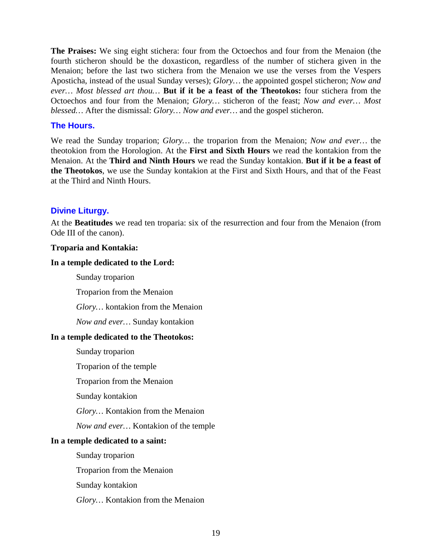**The Praises:** We sing eight stichera: four from the Octoechos and four from the Menaion (the fourth sticheron should be the doxasticon, regardless of the number of stichera given in the Menaion; before the last two stichera from the Menaion we use the verses from the Vespers Aposticha, instead of the usual Sunday verses); *Glory…* the appointed gospel sticheron; *Now and ever… Most blessed art thou…* **But if it be a feast of the Theotokos:** four stichera from the Octoechos and four from the Menaion; *Glory…* sticheron of the feast; *Now and ever… Most blessed…* After the dismissal: *Glory… Now and ever…* and the gospel sticheron.

# **The Hours.**

We read the Sunday troparion; *Glory…* the troparion from the Menaion; *Now and ever…* the theotokion from the Horologion. At the **First and Sixth Hours** we read the kontakion from the Menaion. At the **Third and Ninth Hours** we read the Sunday kontakion. **But if it be a feast of the Theotokos**, we use the Sunday kontakion at the First and Sixth Hours, and that of the Feast at the Third and Ninth Hours.

# **Divine Liturgy.**

At the **Beatitudes** we read ten troparia: six of the resurrection and four from the Menaion (from Ode III of the canon).

# **Troparia and Kontakia:**

# **In a temple dedicated to the Lord:**

Sunday troparion

Troparion from the Menaion

*Glory…* kontakion from the Menaion

*Now and ever…* Sunday kontakion

# **In a temple dedicated to the Theotokos:**

Sunday troparion

Troparion of the temple

Troparion from the Menaion

Sunday kontakion

*Glory…* Kontakion from the Menaion

*Now and ever…* Kontakion of the temple

# **In a temple dedicated to a saint:**

Sunday troparion

Troparion from the Menaion

Sunday kontakion

*Glory…* Kontakion from the Menaion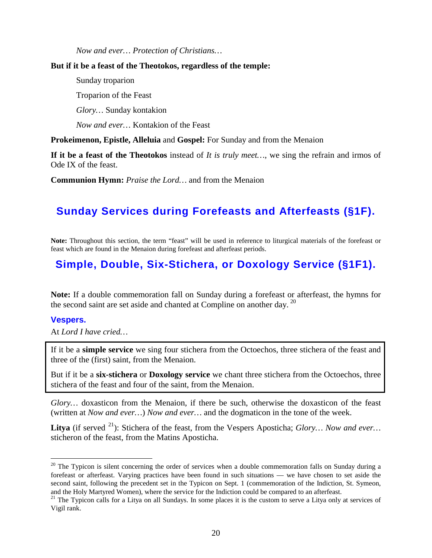*Now and ever… Protection of Christians…*

#### **But if it be a feast of the Theotokos, regardless of the temple:**

Sunday troparion

Troparion of the Feast

*Glory…* Sunday kontakion

*Now and ever…* Kontakion of the Feast

**Prokeimenon, Epistle, Alleluia** and **Gospel:** For Sunday and from the Menaion

**If it be a feast of the Theotokos** instead of *It is truly meet…*, we sing the refrain and irmos of Ode IX of the feast.

**Communion Hymn:** *Praise the Lord…* and from the Menaion

# <span id="page-19-0"></span>**Sunday Services during Forefeasts and Afterfeasts (§1F).**

**Note:** Throughout this section, the term "feast" will be used in reference to liturgical materials of the forefeast or feast which are found in the Menaion during forefeast and afterfeast periods.

# <span id="page-19-1"></span>**Simple, Double, Six-Stichera, or Doxology Service (§1F1).**

**Note:** If a double commemoration fall on Sunday during a forefeast or afterfeast, the hymns for the second saint are set aside and chanted at Compline on another day.  $20$ 

# **Vespers.**

At *Lord I have cried…*

If it be a **simple service** we sing four stichera from the Octoechos, three stichera of the feast and three of the (first) saint, from the Menaion.

But if it be a **six-stichera** or **Doxology service** we chant three stichera from the Octoechos, three stichera of the feast and four of the saint, from the Menaion.

*Glory…* doxasticon from the Menaion, if there be such, otherwise the doxasticon of the feast (written at *Now and ever…*) *Now and ever…* and the dogmaticon in the tone of the week.

Litya (if served <sup>[21](#page-19-3)</sup>): Stichera of the feast, from the Vespers Aposticha; *Glory... Now and ever...* sticheron of the feast, from the Matins Aposticha.

<span id="page-19-2"></span> $20$  The Typicon is silent concerning the order of services when a double commemoration falls on Sunday during a forefeast or afterfeast. Varying practices have been found in such situations — we have chosen to set aside the second saint, following the precedent set in the Typicon on Sept. 1 (commemoration of the Indiction, St. Symeon, and the Holy Martyred Women), where the service for the Indiction could be compared to an afterfeast.

<span id="page-19-3"></span><sup>&</sup>lt;sup>21</sup> The Typicon calls for a Litya on all Sundays. In some places it is the custom to serve a Litya only at services of Vigil rank.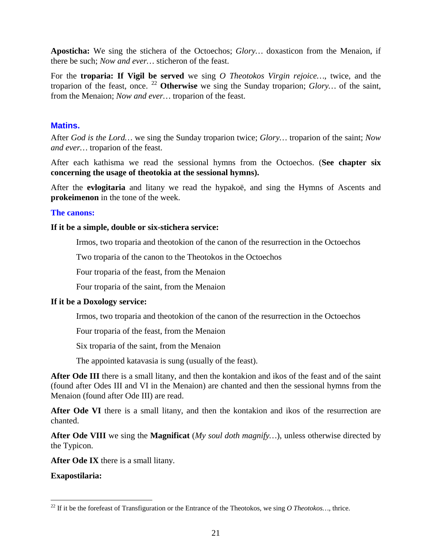**Aposticha:** We sing the stichera of the Octoechos; *Glory…* doxasticon from the Menaion, if there be such; *Now and ever…* sticheron of the feast.

For the **troparia: If Vigil be served** we sing *O Theotokos Virgin rejoice…*, twice, and the troparion of the feast, once. [22](#page-20-0) **Otherwise** we sing the Sunday troparion; *Glory…* of the saint, from the Menaion; *Now and ever…* troparion of the feast.

# **Matins.**

After *God is the Lord…* we sing the Sunday troparion twice; *Glory…* troparion of the saint; *Now and ever…* troparion of the feast.

After each kathisma we read the sessional hymns from the Octoechos. (**See chapter six concerning the usage of theotokia at the sessional hymns).**

After the **evlogitaria** and litany we read the hypakoë, and sing the Hymns of Ascents and **prokeimenon** in the tone of the week.

# **The canons:**

#### **If it be a simple, double or six-stichera service:**

Irmos, two troparia and theotokion of the canon of the resurrection in the Octoechos

Two troparia of the canon to the Theotokos in the Octoechos

Four troparia of the feast, from the Menaion

Four troparia of the saint, from the Menaion

# **If it be a Doxology service:**

Irmos, two troparia and theotokion of the canon of the resurrection in the Octoechos

Four troparia of the feast, from the Menaion

Six troparia of the saint, from the Menaion

The appointed katavasia is sung (usually of the feast).

**After Ode III** there is a small litany, and then the kontakion and ikos of the feast and of the saint (found after Odes III and VI in the Menaion) are chanted and then the sessional hymns from the Menaion (found after Ode III) are read.

**After Ode VI** there is a small litany, and then the kontakion and ikos of the resurrection are chanted.

**After Ode VIII** we sing the **Magnificat** (*My soul doth magnify…*), unless otherwise directed by the Typicon.

**After Ode IX** there is a small litany.

**Exapostilaria:**

<span id="page-20-0"></span><sup>&</sup>lt;sup>22</sup> If it be the forefeast of Transfiguration or the Entrance of the Theotokos, we sing *O Theotokos...*, thrice.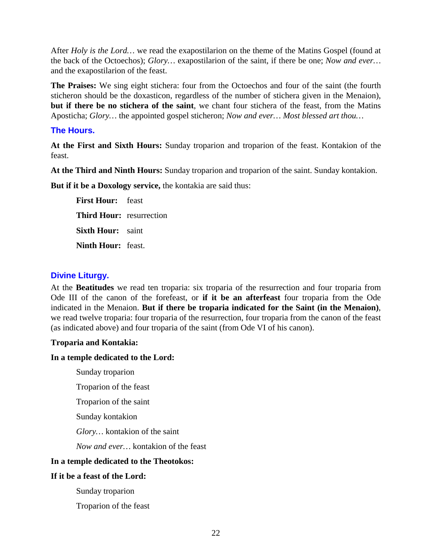After *Holy is the Lord…* we read the exapostilarion on the theme of the Matins Gospel (found at the back of the Octoechos); *Glory…* exapostilarion of the saint, if there be one; *Now and ever…* and the exapostilarion of the feast.

**The Praises:** We sing eight stichera: four from the Octoechos and four of the saint (the fourth sticheron should be the doxasticon, regardless of the number of stichera given in the Menaion), **but if there be no stichera of the saint**, we chant four stichera of the feast, from the Matins Aposticha; *Glory…* the appointed gospel sticheron; *Now and ever… Most blessed art thou…*

# **The Hours.**

**At the First and Sixth Hours:** Sunday troparion and troparion of the feast. Kontakion of the feast.

**At the Third and Ninth Hours:** Sunday troparion and troparion of the saint. Sunday kontakion.

**But if it be a Doxology service,** the kontakia are said thus:

**First Hour:** feast **Third Hour:** resurrection **Sixth Hour:** saint **Ninth Hour:** feast.

# **Divine Liturgy.**

At the **Beatitudes** we read ten troparia: six troparia of the resurrection and four troparia from Ode III of the canon of the forefeast, or **if it be an afterfeast** four troparia from the Ode indicated in the Menaion. **But if there be troparia indicated for the Saint (in the Menaion)**, we read twelve troparia: four troparia of the resurrection, four troparia from the canon of the feast (as indicated above) and four troparia of the saint (from Ode VI of his canon).

# **Troparia and Kontakia:**

# **In a temple dedicated to the Lord:**

- Sunday troparion
- Troparion of the feast
- Troparion of the saint
- Sunday kontakion
- *Glory…* kontakion of the saint
- *Now and ever…* kontakion of the feast

# **In a temple dedicated to the Theotokos:**

# **If it be a feast of the Lord:**

Sunday troparion

Troparion of the feast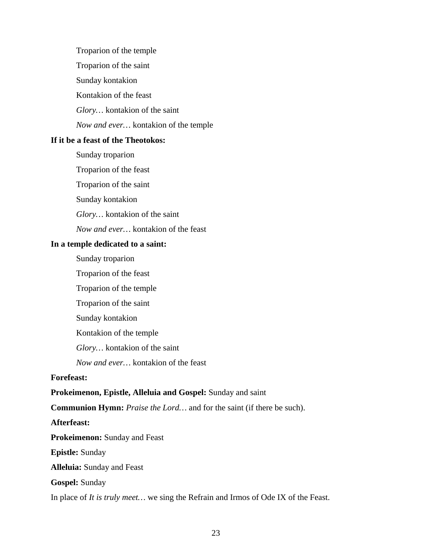Troparion of the temple

Troparion of the saint

Sunday kontakion

Kontakion of the feast

*Glory…* kontakion of the saint

*Now and ever…* kontakion of the temple

# **If it be a feast of the Theotokos:**

Sunday troparion

Troparion of the feast

Troparion of the saint

Sunday kontakion

*Glory…* kontakion of the saint

*Now and ever…* kontakion of the feast

# **In a temple dedicated to a saint:**

Sunday troparion

Troparion of the feast

Troparion of the temple

Troparion of the saint

Sunday kontakion

Kontakion of the temple

*Glory…* kontakion of the saint

*Now and ever…* kontakion of the feast

# **Forefeast:**

# **Prokeimenon, Epistle, Alleluia and Gospel:** Sunday and saint

**Communion Hymn:** *Praise the Lord…* and for the saint (if there be such).

# **Afterfeast:**

**Prokeimenon:** Sunday and Feast

**Epistle:** Sunday

**Alleluia:** Sunday and Feast

**Gospel:** Sunday

In place of *It is truly meet…* we sing the Refrain and Irmos of Ode IX of the Feast.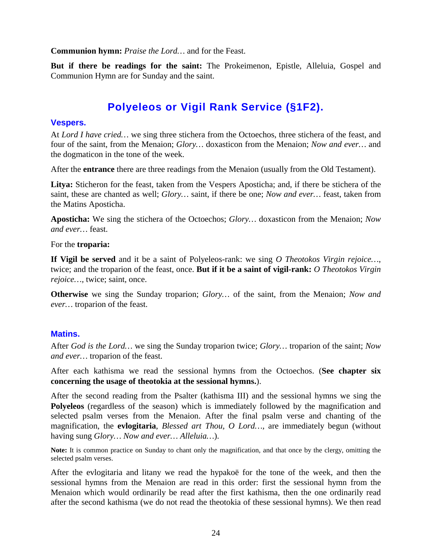**Communion hymn:** *Praise the Lord…* and for the Feast.

**But if there be readings for the saint:** The Prokeimenon, Epistle, Alleluia, Gospel and Communion Hymn are for Sunday and the saint.

# **Polyeleos or Vigil Rank Service (§1F2).**

# <span id="page-23-0"></span>**Vespers.**

At *Lord I have cried…* we sing three stichera from the Octoechos, three stichera of the feast, and four of the saint, from the Menaion; *Glory…* doxasticon from the Menaion; *Now and ever…* and the dogmaticon in the tone of the week.

After the **entrance** there are three readings from the Menaion (usually from the Old Testament).

**Litya:** Sticheron for the feast, taken from the Vespers Aposticha; and, if there be stichera of the saint, these are chanted as well; *Glory…* saint, if there be one; *Now and ever…* feast, taken from the Matins Aposticha.

**Aposticha:** We sing the stichera of the Octoechos; *Glory…* doxasticon from the Menaion; *Now and ever…* feast.

For the **troparia:**

**If Vigil be served** and it be a saint of Polyeleos-rank: we sing *O Theotokos Virgin rejoice…*, twice; and the troparion of the feast, once. **But if it be a saint of vigil-rank:** *O Theotokos Virgin rejoice…,* twice; saint, once.

**Otherwise** we sing the Sunday troparion; *Glory…* of the saint, from the Menaion; *Now and ever…* troparion of the feast.

# **Matins.**

After *God is the Lord…* we sing the Sunday troparion twice; *Glory…* troparion of the saint; *Now and ever…* troparion of the feast.

After each kathisma we read the sessional hymns from the Octoechos. (**See chapter six concerning the usage of theotokia at the sessional hymns.**).

After the second reading from the Psalter (kathisma III) and the sessional hymns we sing the **Polyeleos** (regardless of the season) which is immediately followed by the magnification and selected psalm verses from the Menaion. After the final psalm verse and chanting of the magnification, the **evlogitaria**, *Blessed art Thou, O Lord…,* are immediately begun (without having sung *Glory… Now and ever… Alleluia…*).

**Note:** It is common practice on Sunday to chant only the magnification, and that once by the clergy, omitting the selected psalm verses.

After the evlogitaria and litany we read the hypakoë for the tone of the week, and then the sessional hymns from the Menaion are read in this order: first the sessional hymn from the Menaion which would ordinarily be read after the first kathisma, then the one ordinarily read after the second kathisma (we do not read the theotokia of these sessional hymns). We then read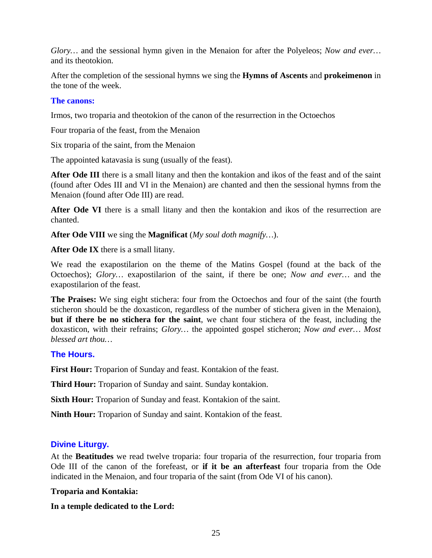*Glory…* and the sessional hymn given in the Menaion for after the Polyeleos; *Now and ever…* and its theotokion.

After the completion of the sessional hymns we sing the **Hymns of Ascents** and **prokeimenon** in the tone of the week.

# **The canons:**

Irmos, two troparia and theotokion of the canon of the resurrection in the Octoechos

Four troparia of the feast, from the Menaion

Six troparia of the saint, from the Menaion

The appointed katavasia is sung (usually of the feast).

**After Ode III** there is a small litany and then the kontakion and ikos of the feast and of the saint (found after Odes III and VI in the Menaion) are chanted and then the sessional hymns from the Menaion (found after Ode III) are read.

**After Ode VI** there is a small litany and then the kontakion and ikos of the resurrection are chanted.

**After Ode VIII** we sing the **Magnificat** (*My soul doth magnify…*).

**After Ode IX** there is a small litany.

We read the exapostilarion on the theme of the Matins Gospel (found at the back of the Octoechos); *Glory…* exapostilarion of the saint, if there be one; *Now and ever…* and the exapostilarion of the feast.

**The Praises:** We sing eight stichera: four from the Octoechos and four of the saint (the fourth sticheron should be the doxasticon, regardless of the number of stichera given in the Menaion), **but if there be no stichera for the saint**, we chant four stichera of the feast, including the doxasticon, with their refrains; *Glory…* the appointed gospel sticheron; *Now and ever… Most blessed art thou…*

# **The Hours.**

**First Hour:** Troparion of Sunday and feast. Kontakion of the feast.

**Third Hour:** Troparion of Sunday and saint. Sunday kontakion.

**Sixth Hour:** Troparion of Sunday and feast. Kontakion of the saint.

**Ninth Hour:** Troparion of Sunday and saint. Kontakion of the feast.

# **Divine Liturgy.**

At the **Beatitudes** we read twelve troparia: four troparia of the resurrection, four troparia from Ode III of the canon of the forefeast, or **if it be an afterfeast** four troparia from the Ode indicated in the Menaion, and four troparia of the saint (from Ode VI of his canon).

# **Troparia and Kontakia:**

**In a temple dedicated to the Lord:**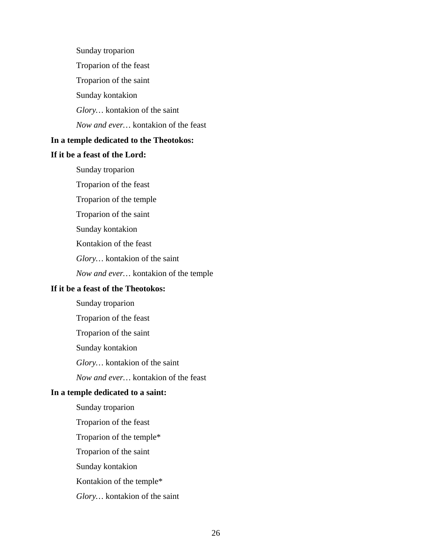Sunday troparion Troparion of the feast Troparion of the saint Sunday kontakion *Glory…* kontakion of the saint *Now and ever…* kontakion of the feast **In a temple dedicated to the Theotokos: If it be a feast of the Lord:** Sunday troparion Troparion of the feast Troparion of the temple Troparion of the saint Sunday kontakion Kontakion of the feast *Glory…* kontakion of the saint *Now and ever…* kontakion of the temple **If it be a feast of the Theotokos:** Sunday troparion Troparion of the feast Troparion of the saint Sunday kontakion *Glory…* kontakion of the saint *Now and ever…* kontakion of the feast **In a temple dedicated to a saint:** Sunday troparion Troparion of the feast Troparion of the temple\* Troparion of the saint

Sunday kontakion

Kontakion of the temple\*

*Glory…* kontakion of the saint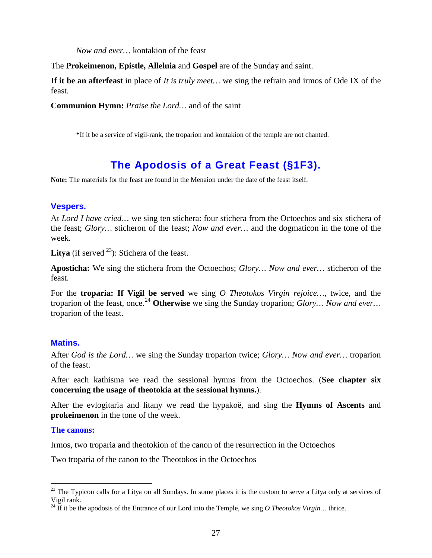*Now and ever…* kontakion of the feast

The **Prokeimenon, Epistle, Alleluia** and **Gospel** are of the Sunday and saint.

**If it be an afterfeast** in place of *It is truly meet…* we sing the refrain and irmos of Ode IX of the feast.

**Communion Hymn:** *Praise the Lord…* and of the saint

**\***If it be a service of vigil-rank, the troparion and kontakion of the temple are not chanted.

# **The Apodosis of a Great Feast (§1F3).**

<span id="page-26-0"></span>**Note:** The materials for the feast are found in the Menaion under the date of the feast itself.

# **Vespers.**

At *Lord I have cried…* we sing ten stichera: four stichera from the Octoechos and six stichera of the feast; *Glory…* sticheron of the feast; *Now and ever…* and the dogmaticon in the tone of the week.

**Litya** (if served  $^{23}$  $^{23}$  $^{23}$ ): Stichera of the feast.

**Aposticha:** We sing the stichera from the Octoechos; *Glory… Now and ever…* sticheron of the feast.

For the **troparia: If Vigil be served** we sing *O Theotokos Virgin rejoice…*, twice, and the troparion of the feast, once.[24](#page-26-2) **Otherwise** we sing the Sunday troparion; *Glory… Now and ever…*  troparion of the feast.

# **Matins.**

After *God is the Lord…* we sing the Sunday troparion twice; *Glory… Now and ever…* troparion of the feast.

After each kathisma we read the sessional hymns from the Octoechos. (**See chapter six concerning the usage of theotokia at the sessional hymns.**).

After the evlogitaria and litany we read the hypakoë, and sing the **Hymns of Ascents** and **prokeimenon** in the tone of the week.

# **The canons:**

Irmos, two troparia and theotokion of the canon of the resurrection in the Octoechos

Two troparia of the canon to the Theotokos in the Octoechos

<span id="page-26-1"></span> $23$  The Typicon calls for a Litya on all Sundays. In some places it is the custom to serve a Litya only at services of Vigil rank.

<span id="page-26-2"></span><sup>&</sup>lt;sup>24</sup> If it be the apodosis of the Entrance of our Lord into the Temple, we sing *O Theotokos Virgin...* thrice.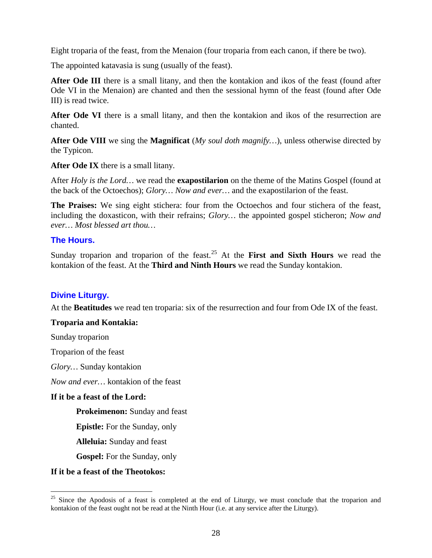Eight troparia of the feast, from the Menaion (four troparia from each canon, if there be two).

The appointed katavasia is sung (usually of the feast).

After Ode III there is a small litany, and then the kontakion and ikos of the feast (found after Ode VI in the Menaion) are chanted and then the sessional hymn of the feast (found after Ode III) is read twice.

After Ode VI there is a small litany, and then the kontakion and ikos of the resurrection are chanted.

**After Ode VIII** we sing the **Magnificat** (*My soul doth magnify…*), unless otherwise directed by the Typicon.

**After Ode IX** there is a small litany.

After *Holy is the Lord…* we read the **exapostilarion** on the theme of the Matins Gospel (found at the back of the Octoechos); *Glory… Now and ever…* and the exapostilarion of the feast.

**The Praises:** We sing eight stichera: four from the Octoechos and four stichera of the feast, including the doxasticon, with their refrains; *Glory…* the appointed gospel sticheron; *Now and ever… Most blessed art thou…*

# **The Hours.**

Sunday troparion and troparion of the feast.<sup>[25](#page-27-0)</sup> At the **First and Sixth Hours** we read the kontakion of the feast. At the **Third and Ninth Hours** we read the Sunday kontakion.

# **Divine Liturgy.**

At the **Beatitudes** we read ten troparia: six of the resurrection and four from Ode IX of the feast.

# **Troparia and Kontakia:**

Sunday troparion

Troparion of the feast

*Glory…* Sunday kontakion

*Now and ever…* kontakion of the feast

# **If it be a feast of the Lord:**

**Prokeimenon:** Sunday and feast

**Epistle:** For the Sunday, only

**Alleluia:** Sunday and feast

**Gospel:** For the Sunday, only

#### **If it be a feast of the Theotokos:**

<span id="page-27-0"></span><sup>&</sup>lt;sup>25</sup> Since the Apodosis of a feast is completed at the end of Liturgy, we must conclude that the troparion and kontakion of the feast ought not be read at the Ninth Hour (i.e. at any service after the Liturgy).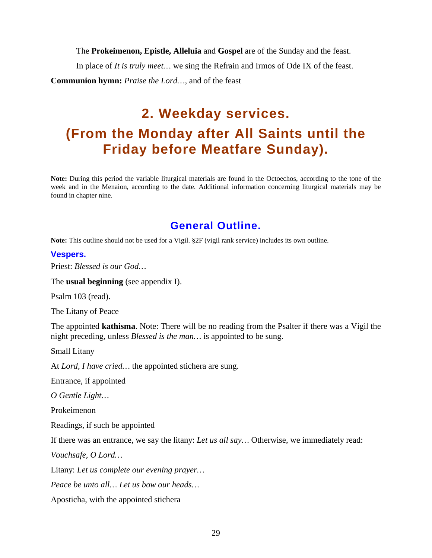The **Prokeimenon, Epistle, Alleluia** and **Gospel** are of the Sunday and the feast.

In place of *It is truly meet…* we sing the Refrain and Irmos of Ode IX of the feast. **Communion hymn:** *Praise the Lord…*, and of the feast

# <span id="page-28-1"></span><span id="page-28-0"></span>**2. Weekday services. (From the Monday after All Saints until the Friday before Meatfare Sunday).**

**Note:** During this period the variable liturgical materials are found in the Octoechos, according to the tone of the week and in the Menaion, according to the date. Additional information concerning liturgical materials may be found in chapter nine.

# **General Outline.**

<span id="page-28-2"></span>**Note:** This outline should not be used for a Vigil. §2F (vigil rank service) includes its own outline.

#### **Vespers.**

Priest: *Blessed is our God…*

The **usual beginning** (see appendix I).

Psalm 103 (read).

The Litany of Peace

The appointed **kathisma**. Note: There will be no reading from the Psalter if there was a Vigil the night preceding, unless *Blessed is the man…* is appointed to be sung.

Small Litany

At *Lord, I have cried…* the appointed stichera are sung.

Entrance, if appointed

*O Gentle Light…*

Prokeimenon

Readings, if such be appointed

If there was an entrance, we say the litany: *Let us all say…* Otherwise, we immediately read:

*Vouchsafe, O Lord…*

Litany: *Let us complete our evening prayer…*

*Peace be unto all… Let us bow our heads…*

Aposticha, with the appointed stichera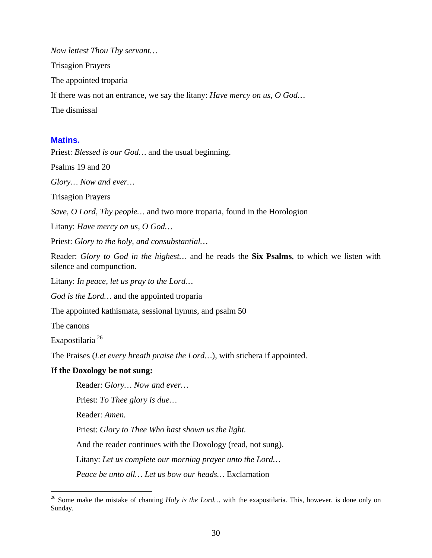*Now lettest Thou Thy servant…* Trisagion Prayers The appointed troparia If there was not an entrance, we say the litany: *Have mercy on us, O God…* The dismissal

#### **Matins.**

Priest: *Blessed is our God…* and the usual beginning.

Psalms 19 and 20

*Glory… Now and ever…*

Trisagion Prayers

*Save, O Lord, Thy people…* and two more troparia, found in the Horologion

Litany: *Have mercy on us, O God…*

Priest: *Glory to the holy, and consubstantial…*

Reader: *Glory to God in the highest…* and he reads the **Six Psalms**, to which we listen with silence and compunction.

Litany: *In peace, let us pray to the Lord…*

*God is the Lord…* and the appointed troparia

The appointed kathismata, sessional hymns, and psalm 50

The canons

Exapostilaria [26](#page-29-0)

The Praises (*Let every breath praise the Lord…*), with stichera if appointed.

#### **If the Doxology be not sung:**

Reader: *Glory… Now and ever…*

Priest: *To Thee glory is due…*

Reader: *Amen.*

Priest: *Glory to Thee Who hast shown us the light.*

And the reader continues with the Doxology (read, not sung).

Litany: *Let us complete our morning prayer unto the Lord…*

*Peace be unto all… Let us bow our heads…* Exclamation

<span id="page-29-0"></span><sup>&</sup>lt;sup>26</sup> Some make the mistake of chanting *Holy is the Lord...* with the exapostilaria. This, however, is done only on Sunday.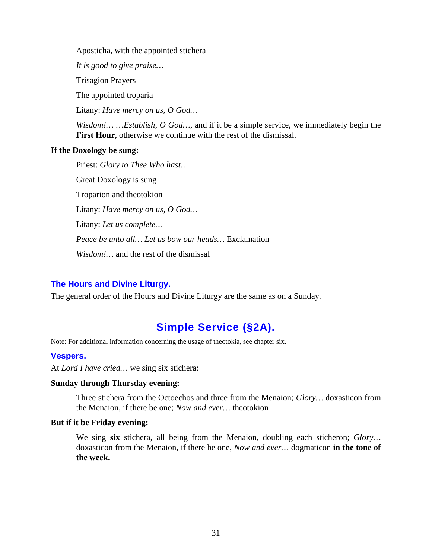Aposticha, with the appointed stichera

*It is good to give praise…*

Trisagion Prayers

The appointed troparia

Litany: *Have mercy on us, O God…*

*Wisdom!… …Establish, O God…*, and if it be a simple service, we immediately begin the **First Hour**, otherwise we continue with the rest of the dismissal.

#### **If the Doxology be sung:**

Priest: *Glory to Thee Who hast…*

Great Doxology is sung

Troparion and theotokion

Litany: *Have mercy on us, O God…*

Litany: *Let us complete…*

*Peace be unto all… Let us bow our heads…* Exclamation

*Wisdom!…* and the rest of the dismissal

# **The Hours and Divine Liturgy.**

The general order of the Hours and Divine Liturgy are the same as on a Sunday.

# **Simple Service (§2A).**

<span id="page-30-0"></span>Note: For additional information concerning the usage of theotokia, see chapter six.

# **Vespers.**

At *Lord I have cried…* we sing six stichera:

#### **Sunday through Thursday evening:**

Three stichera from the Octoechos and three from the Menaion; *Glory…* doxasticon from the Menaion, if there be one; *Now and ever…* theotokion

#### **But if it be Friday evening:**

We sing **six** stichera, all being from the Menaion, doubling each sticheron; *Glory…*  doxasticon from the Menaion, if there be one, *Now and ever…* dogmaticon **in the tone of the week.**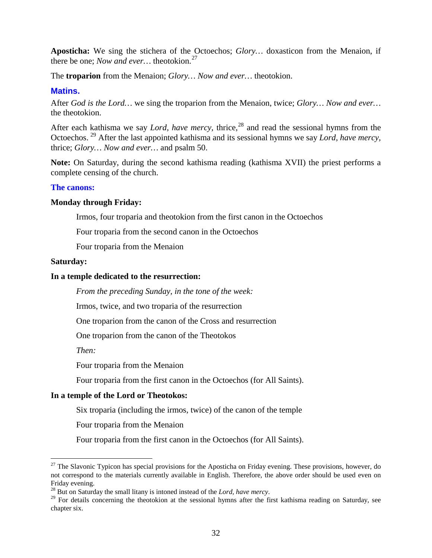**Aposticha:** We sing the stichera of the Octoechos; *Glory…* doxasticon from the Menaion, if there be one; *Now and ever…* theotokion.[27](#page-31-0)

The **troparion** from the Menaion; *Glory… Now and ever…* theotokion.

### **Matins.**

After *God is the Lord…* we sing the troparion from the Menaion, twice; *Glory… Now and ever…*  the theotokion.

After each kathisma we say *Lord, have mercy*, thrice,<sup>[28](#page-31-1)</sup> and read the sessional hymns from the Octoechos.<sup>[29](#page-31-2)</sup> After the last appointed kathisma and its sessional hymns we say *Lord, have mercy,* thrice; *Glory… Now and ever…* and psalm 50.

**Note:** On Saturday, during the second kathisma reading (kathisma XVII) the priest performs a complete censing of the church.

# **The canons:**

#### **Monday through Friday:**

Irmos, four troparia and theotokion from the first canon in the Octoechos

Four troparia from the second canon in the Octoechos

Four troparia from the Menaion

#### **Saturday:**

#### **In a temple dedicated to the resurrection:**

*From the preceding Sunday, in the tone of the week:*

Irmos, twice, and two troparia of the resurrection

One troparion from the canon of the Cross and resurrection

One troparion from the canon of the Theotokos

*Then:*

Four troparia from the Menaion

Four troparia from the first canon in the Octoechos (for All Saints).

#### **In a temple of the Lord or Theotokos:**

Six troparia (including the irmos, twice) of the canon of the temple

Four troparia from the Menaion

Four troparia from the first canon in the Octoechos (for All Saints).

<span id="page-31-0"></span><sup>&</sup>lt;sup>27</sup> The Slavonic Typicon has special provisions for the Aposticha on Friday evening. These provisions, however, do not correspond to the materials currently available in English. Therefore, the above order should be used even on Friday evening.<br><sup>28</sup> But on Saturday the small litany is intoned instead of the *Lord, have mercy*.

<span id="page-31-2"></span><span id="page-31-1"></span><sup>&</sup>lt;sup>29</sup> For details concerning the theotokion at the sessional hymns after the first kathisma reading on Saturday, see chapter six.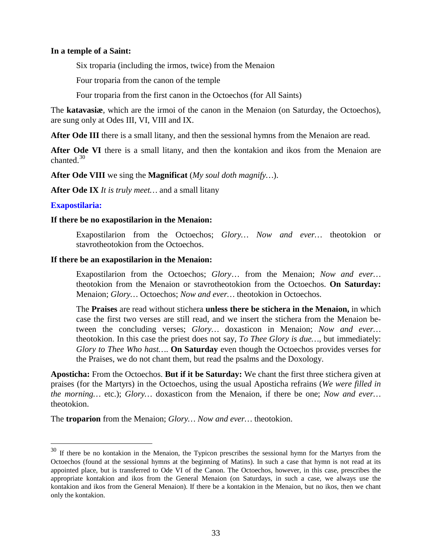#### **In a temple of a Saint:**

Six troparia (including the irmos, twice) from the Menaion

Four troparia from the canon of the temple

Four troparia from the first canon in the Octoechos (for All Saints)

The **katavasiæ**, which are the irmoi of the canon in the Menaion (on Saturday, the Octoechos), are sung only at Odes III, VI, VIII and IX.

After Ode III there is a small litany, and then the sessional hymns from the Menaion are read.

After Ode VI there is a small litany, and then the kontakion and ikos from the Menaion are chanted.<sup>[30](#page-32-0)</sup>

**After Ode VIII** we sing the **Magnificat** (*My soul doth magnify…*).

**After Ode IX** *It is truly meet…* and a small litany

#### **Exapostilaria:**

#### **If there be no exapostilarion in the Menaion:**

Exapostilarion from the Octoechos; *Glory… Now and ever…* theotokion or stavrotheotokion from the Octoechos.

#### **If there be an exapostilarion in the Menaion:**

Exapostilarion from the Octoechos; *Glory*… from the Menaion; *Now and ever…* theotokion from the Menaion or stavrotheotokion from the Octoechos. **On Saturday:**  Menaion; *Glory…* Octoechos; *Now and ever…* theotokion in Octoechos.

The **Praises** are read without stichera **unless there be stichera in the Menaion,** in which case the first two verses are still read, and we insert the stichera from the Menaion between the concluding verses; *Glory…* doxasticon in Menaion; *Now and ever…*  theotokion. In this case the priest does not say, *To Thee Glory is due…,* but immediately: *Glory to Thee Who hast…*. **On Saturday** even though the Octoechos provides verses for the Praises, we do not chant them, but read the psalms and the Doxology.

**Aposticha:** From the Octoechos. **But if it be Saturday:** We chant the first three stichera given at praises (for the Martyrs) in the Octoechos, using the usual Aposticha refrains (*We were filled in the morning…* etc.); *Glory…* doxasticon from the Menaion, if there be one; *Now and ever…*  theotokion.

The **troparion** from the Menaion; *Glory… Now and ever…* theotokion.

<span id="page-32-0"></span><sup>&</sup>lt;sup>30</sup> If there be no kontakion in the Menaion, the Typicon prescribes the sessional hymn for the Martyrs from the Octoechos (found at the sessional hymns at the beginning of Matins). In such a case that hymn is not read at its appointed place, but is transferred to Ode VI of the Canon. The Octoechos, however, in this case, prescribes the appropriate kontakion and ikos from the General Menaion (on Saturdays, in such a case, we always use the kontakion and ikos from the General Menaion). If there be a kontakion in the Menaion, but no ikos, then we chant only the kontakion.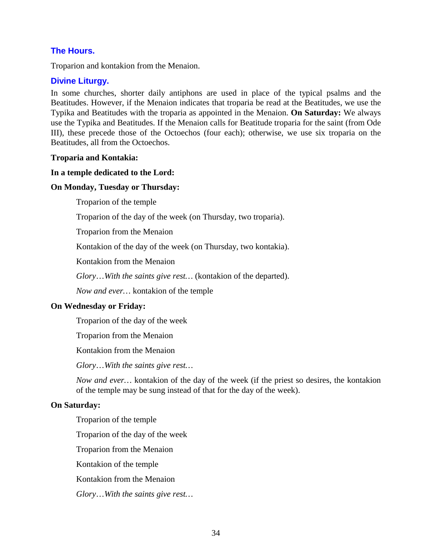# **The Hours.**

Troparion and kontakion from the Menaion.

# **Divine Liturgy.**

In some churches, shorter daily antiphons are used in place of the typical psalms and the Beatitudes. However, if the Menaion indicates that troparia be read at the Beatitudes, we use the Typika and Beatitudes with the troparia as appointed in the Menaion. **On Saturday:** We always use the Typika and Beatitudes. If the Menaion calls for Beatitude troparia for the saint (from Ode III), these precede those of the Octoechos (four each); otherwise, we use six troparia on the Beatitudes, all from the Octoechos.

# **Troparia and Kontakia:**

# **In a temple dedicated to the Lord:**

# **On Monday, Tuesday or Thursday:**

Troparion of the temple

Troparion of the day of the week (on Thursday, two troparia).

Troparion from the Menaion

Kontakion of the day of the week (on Thursday, two kontakia).

Kontakion from the Menaion

*Glory*…*With the saints give rest…* (kontakion of the departed).

*Now and ever…* kontakion of the temple

# **On Wednesday or Friday:**

Troparion of the day of the week

Troparion from the Menaion

Kontakion from the Menaion

*Glory*…*With the saints give rest…*

*Now and ever…* kontakion of the day of the week (if the priest so desires, the kontakion of the temple may be sung instead of that for the day of the week).

# **On Saturday:**

Troparion of the temple Troparion of the day of the week Troparion from the Menaion Kontakion of the temple Kontakion from the Menaion *Glory*…*With the saints give rest…*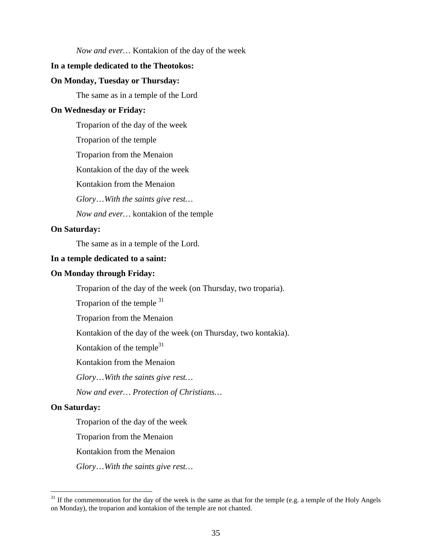*Now and ever…* Kontakion of the day of the week

#### **In a temple dedicated to the Theotokos:**

#### **On Monday, Tuesday or Thursday:**

The same as in a temple of the Lord

#### **On Wednesday or Friday:**

Troparion of the day of the week

Troparion of the temple

Troparion from the Menaion

Kontakion of the day of the week

Kontakion from the Menaion

*Glory*…*With the saints give rest…*

*Now and ever…* kontakion of the temple

#### **On Saturday:**

The same as in a temple of the Lord.

#### **In a temple dedicated to a saint:**

#### **On Monday through Friday:**

Troparion of the day of the week (on Thursday, two troparia).

Troparion of the temple  $31$ 

Troparion from the Menaion

Kontakion of the day of the week (on Thursday, two kontakia).

Kontakion of the temple $31$ 

Kontakion from the Menaion

*Glory*…*With the saints give rest…*

*Now and ever… Protection of Christians…*

#### **On Saturday:**

Troparion of the day of the week

Troparion from the Menaion

Kontakion from the Menaion

*Glory*…*With the saints give rest…*

<span id="page-34-0"></span> $31$  If the commemoration for the day of the week is the same as that for the temple (e.g. a temple of the Holy Angels on Monday), the troparion and kontakion of the temple are not chanted.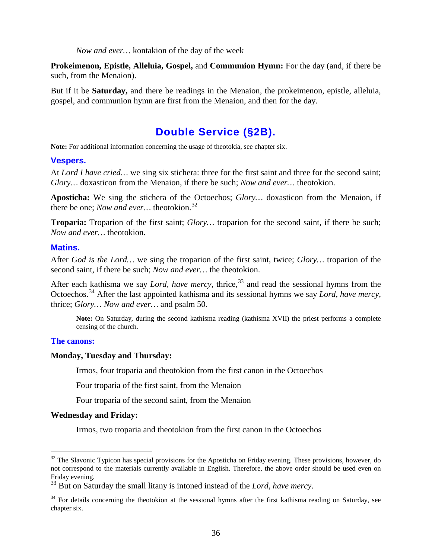*Now and ever…* kontakion of the day of the week

**Prokeimenon, Epistle, Alleluia, Gospel,** and **Communion Hymn:** For the day (and, if there be such, from the Menaion).

But if it be **Saturday,** and there be readings in the Menaion, the prokeimenon, epistle, alleluia, gospel, and communion hymn are first from the Menaion, and then for the day.

# **Double Service (§2B).**

<span id="page-35-0"></span>**Note:** For additional information concerning the usage of theotokia, see chapter six.

#### **Vespers.**

At *Lord I have cried…* we sing six stichera: three for the first saint and three for the second saint; *Glory…* doxasticon from the Menaion, if there be such; *Now and ever…* theotokion.

**Aposticha:** We sing the stichera of the Octoechos; *Glory…* doxasticon from the Menaion, if there be one; *Now and ever…* theotokion.[32](#page-35-1)

**Troparia:** Troparion of the first saint; *Glory…* troparion for the second saint, if there be such; *Now and ever…* theotokion.

#### **Matins.**

After *God is the Lord…* we sing the troparion of the first saint, twice; *Glory…* troparion of the second saint, if there be such; *Now and ever…* the theotokion.

After each kathisma we say *Lord, have mercy*, thrice,<sup>[33](#page-35-2)</sup> and read the sessional hymns from the Octoechos.<sup>[34](#page-35-3)</sup> After the last appointed kathisma and its sessional hymns we say *Lord, have mercy,* thrice; *Glory… Now and ever…* and psalm 50.

**Note:** On Saturday, during the second kathisma reading (kathisma XVII) the priest performs a complete censing of the church.

#### **The canons:**

#### **Monday, Tuesday and Thursday:**

Irmos, four troparia and theotokion from the first canon in the Octoechos

Four troparia of the first saint, from the Menaion

Four troparia of the second saint, from the Menaion

#### **Wednesday and Friday:**

Irmos, two troparia and theotokion from the first canon in the Octoechos

<span id="page-35-1"></span> $32$  The Slavonic Typicon has special provisions for the Aposticha on Friday evening. These provisions, however, do not correspond to the materials currently available in English. Therefore, the above order should be used even on Friday evening.

<span id="page-35-2"></span><sup>&</sup>lt;sup>33</sup> But on Saturday the small litany is intoned instead of the *Lord, have mercy*.

<span id="page-35-3"></span> $34$  For details concerning the theotokion at the sessional hymns after the first kathisma reading on Saturday, see chapter six.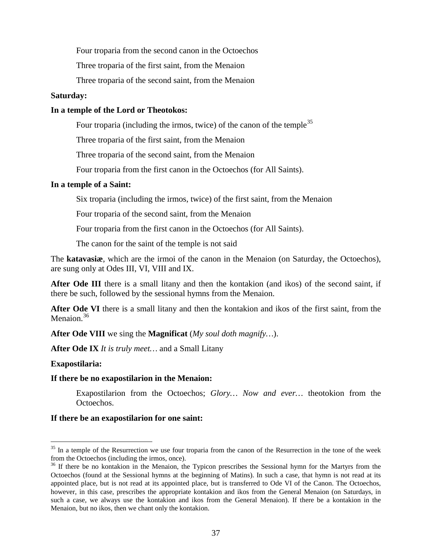Four troparia from the second canon in the Octoechos

Three troparia of the first saint, from the Menaion

Three troparia of the second saint, from the Menaion

#### **Saturday:**

### **In a temple of the Lord or Theotokos:**

Four troparia (including the irmos, twice) of the canon of the temple<sup>[35](#page-36-0)</sup>

Three troparia of the first saint, from the Menaion

Three troparia of the second saint, from the Menaion

Four troparia from the first canon in the Octoechos (for All Saints).

### **In a temple of a Saint:**

Six troparia (including the irmos, twice) of the first saint, from the Menaion

Four troparia of the second saint, from the Menaion

Four troparia from the first canon in the Octoechos (for All Saints).

The canon for the saint of the temple is not said

The **katavasiæ**, which are the irmoi of the canon in the Menaion (on Saturday, the Octoechos), are sung only at Odes III, VI, VIII and IX.

After Ode III there is a small litany and then the kontakion (and ikos) of the second saint, if there be such, followed by the sessional hymns from the Menaion.

**After Ode VI** there is a small litany and then the kontakion and ikos of the first saint, from the Menaion.<sup>[36](#page-36-1)</sup>

**After Ode VIII** we sing the **Magnificat** (*My soul doth magnify…*).

**After Ode IX** *It is truly meet…* and a Small Litany

**Exapostilaria:**

#### **If there be no exapostilarion in the Menaion:**

Exapostilarion from the Octoechos; *Glory… Now and ever…* theotokion from the Octoechos.

#### **If there be an exapostilarion for one saint:**

<span id="page-36-0"></span><sup>&</sup>lt;sup>35</sup> In a temple of the Resurrection we use four troparia from the canon of the Resurrection in the tone of the week from the Octoechos (including the irmos, once).

<span id="page-36-1"></span><sup>&</sup>lt;sup>36</sup> If there be no kontakion in the Menaion, the Typicon prescribes the Sessional hymn for the Martyrs from the Octoechos (found at the Sessional hymns at the beginning of Matins). In such a case, that hymn is not read at its appointed place, but is not read at its appointed place, but is transferred to Ode VI of the Canon. The Octoechos, however, in this case, prescribes the appropriate kontakion and ikos from the General Menaion (on Saturdays, in such a case, we always use the kontakion and ikos from the General Menaion). If there be a kontakion in the Menaion, but no ikos, then we chant only the kontakion.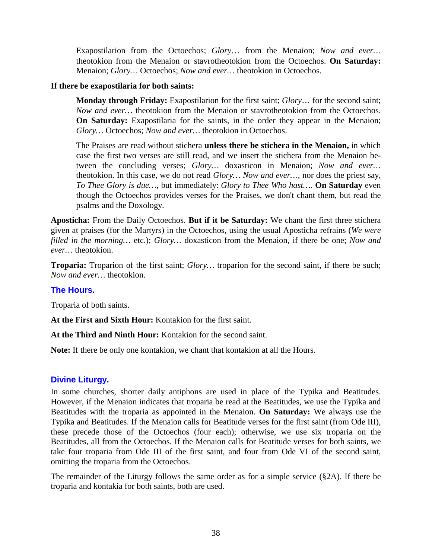Exapostilarion from the Octoechos; *Glory*… from the Menaion; *Now and ever…* theotokion from the Menaion or stavrotheotokion from the Octoechos. **On Saturday:**  Menaion; *Glory…* Octoechos; *Now and ever…* theotokion in Octoechos.

# **If there be exapostilaria for both saints:**

**Monday through Friday:** Exapostilarion for the first saint; *Glory*… for the second saint; *Now and ever…* theotokion from the Menaion or stavrotheotokion from the Octoechos. **On Saturday:** Exapostilaria for the saints, in the order they appear in the Menaion; *Glory…* Octoechos; *Now and ever…* theotokion in Octoechos.

The Praises are read without stichera **unless there be stichera in the Menaion,** in which case the first two verses are still read, and we insert the stichera from the Menaion between the concluding verses; *Glory…* doxasticon in Menaion; *Now and ever…*  theotokion. In this case, we do not read *Glory… Now and ever…,* nor does the priest say, *To Thee Glory is due…,* but immediately: *Glory to Thee Who hast…*. **On Saturday** even though the Octoechos provides verses for the Praises, we don't chant them, but read the psalms and the Doxology.

**Aposticha:** From the Daily Octoechos. **But if it be Saturday:** We chant the first three stichera given at praises (for the Martyrs) in the Octoechos, using the usual Aposticha refrains (*We were filled in the morning…* etc.); *Glory…* doxasticon from the Menaion, if there be one; *Now and ever…* theotokion.

**Troparia:** Troparion of the first saint; *Glory…* troparion for the second saint, if there be such; *Now and ever…* theotokion.

# **The Hours.**

Troparia of both saints.

**At the First and Sixth Hour:** Kontakion for the first saint.

**At the Third and Ninth Hour:** Kontakion for the second saint.

**Note:** If there be only one kontakion, we chant that kontakion at all the Hours.

# **Divine Liturgy.**

In some churches, shorter daily antiphons are used in place of the Typika and Beatitudes. However, if the Menaion indicates that troparia be read at the Beatitudes, we use the Typika and Beatitudes with the troparia as appointed in the Menaion. **On Saturday:** We always use the Typika and Beatitudes. If the Menaion calls for Beatitude verses for the first saint (from Ode III), these precede those of the Octoechos (four each); otherwise, we use six troparia on the Beatitudes, all from the Octoechos. If the Menaion calls for Beatitude verses for both saints, we take four troparia from Ode III of the first saint, and four from Ode VI of the second saint, omitting the troparia from the Octoechos.

The remainder of the Liturgy follows the same order as for a simple service (§2A). If there be troparia and kontakia for both saints, both are used.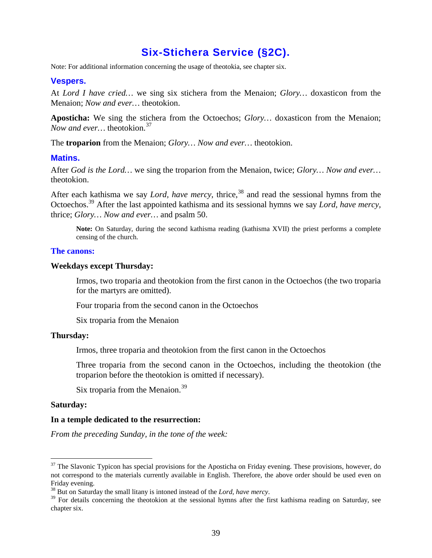# **Six-Stichera Service (§2C).**

Note: For additional information concerning the usage of theotokia, see chapter six.

### **Vespers.**

At *Lord I have cried…* we sing six stichera from the Menaion; *Glory…* doxasticon from the Menaion; *Now and ever…* theotokion.

**Aposticha:** We sing the stichera from the Octoechos; *Glory…* doxasticon from the Menaion; *Now and ever...* theotokion.<sup>[37](#page-38-0)</sup>

The **troparion** from the Menaion; *Glory… Now and ever…* theotokion.

#### **Matins.**

After *God is the Lord…* we sing the troparion from the Menaion, twice; *Glory… Now and ever…*  theotokion.

After each kathisma we say *Lord, have mercy*, thrice,<sup>[38](#page-38-1)</sup> and read the sessional hymns from the Octoechos.39 After the last appointed kathisma and its sessional hymns we say *Lord, have mercy,*  thrice; *Glory… Now and ever…* and psalm 50.

**Note:** On Saturday, during the second kathisma reading (kathisma XVII) the priest performs a complete censing of the church.

#### **The canons:**

#### **Weekdays except Thursday:**

Irmos, two troparia and theotokion from the first canon in the Octoechos (the two troparia for the martyrs are omitted).

Four troparia from the second canon in the Octoechos

Six troparia from the Menaion

#### **Thursday:**

Irmos, three troparia and theotokion from the first canon in the Octoechos

Three troparia from the second canon in the Octoechos, including the theotokion (the troparion before the theotokion is omitted if necessary).

Six troparia from the Menaion.<sup>[39](#page-38-2)</sup>

#### **Saturday:**

#### **In a temple dedicated to the resurrection:**

*From the preceding Sunday, in the tone of the week:*

<span id="page-38-0"></span><sup>&</sup>lt;sup>37</sup> The Slavonic Typicon has special provisions for the Aposticha on Friday evening. These provisions, however, do not correspond to the materials currently available in English. Therefore, the above order should be used even on Friday evening.<br><sup>38</sup> But on Saturday the small litany is intoned instead of the *Lord, have mercy*.

<span id="page-38-2"></span><span id="page-38-1"></span><sup>&</sup>lt;sup>39</sup> For details concerning the theotokion at the sessional hymns after the first kathisma reading on Saturday, see chapter six.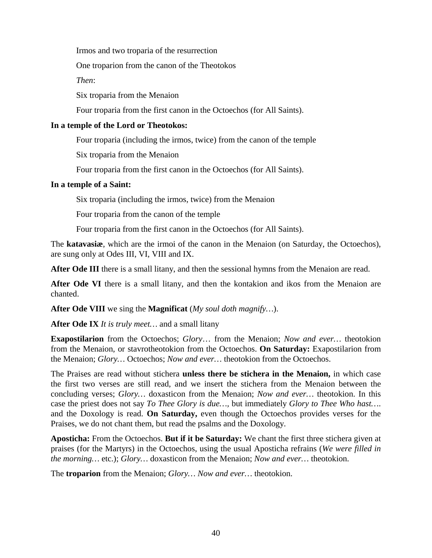Irmos and two troparia of the resurrection

One troparion from the canon of the Theotokos

*Then*:

Six troparia from the Menaion

Four troparia from the first canon in the Octoechos (for All Saints).

# **In a temple of the Lord or Theotokos:**

Four troparia (including the irmos, twice) from the canon of the temple

Six troparia from the Menaion

Four troparia from the first canon in the Octoechos (for All Saints).

# **In a temple of a Saint:**

Six troparia (including the irmos, twice) from the Menaion

Four troparia from the canon of the temple

Four troparia from the first canon in the Octoechos (for All Saints).

The **katavasiæ**, which are the irmoi of the canon in the Menaion (on Saturday, the Octoechos), are sung only at Odes III, VI, VIII and IX.

After Ode III there is a small litany, and then the sessional hymns from the Menaion are read.

**After Ode VI** there is a small litany, and then the kontakion and ikos from the Menaion are chanted.

**After Ode VIII** we sing the **Magnificat** (*My soul doth magnify…*).

**After Ode IX** *It is truly meet…* and a small litany

**Exapostilarion** from the Octoechos; *Glory*… from the Menaion; *Now and ever…* theotokion from the Menaion, or stavrotheotokion from the Octoechos. **On Saturday:** Exapostilarion from the Menaion; *Glory…* Octoechos; *Now and ever…* theotokion from the Octoechos.

The Praises are read without stichera **unless there be stichera in the Menaion,** in which case the first two verses are still read, and we insert the stichera from the Menaion between the concluding verses; *Glory…* doxasticon from the Menaion; *Now and ever…* theotokion. In this case the priest does not say *To Thee Glory is due…,* but immediately *Glory to Thee Who hast…*. and the Doxology is read. **On Saturday,** even though the Octoechos provides verses for the Praises, we do not chant them, but read the psalms and the Doxology.

**Aposticha:** From the Octoechos. **But if it be Saturday:** We chant the first three stichera given at praises (for the Martyrs) in the Octoechos, using the usual Aposticha refrains (*We were filled in the morning…* etc.); *Glory…* doxasticon from the Menaion; *Now and ever…* theotokion.

The **troparion** from the Menaion; *Glory… Now and ever…* theotokion.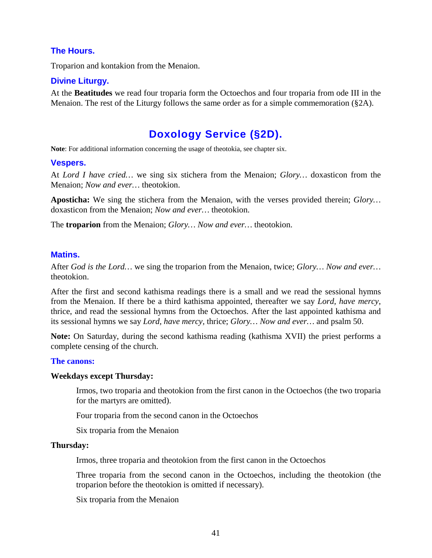# **The Hours.**

Troparion and kontakion from the Menaion.

# **Divine Liturgy.**

At the **Beatitudes** we read four troparia form the Octoechos and four troparia from ode III in the Menaion. The rest of the Liturgy follows the same order as for a simple commemoration (§2A).

# **Doxology Service (§2D).**

**Note**: For additional information concerning the usage of theotokia, see chapter six.

### **Vespers.**

At *Lord I have cried…* we sing six stichera from the Menaion; *Glory…* doxasticon from the Menaion; *Now and ever…* theotokion.

**Aposticha:** We sing the stichera from the Menaion, with the verses provided therein; *Glory…*  doxasticon from the Menaion; *Now and ever…* theotokion.

The **troparion** from the Menaion; *Glory… Now and ever…* theotokion.

### **Matins.**

After *God is the Lord…* we sing the troparion from the Menaion, twice; *Glory… Now and ever…*  theotokion.

After the first and second kathisma readings there is a small and we read the sessional hymns from the Menaion. If there be a third kathisma appointed, thereafter we say *Lord, have mercy*, thrice, and read the sessional hymns from the Octoechos. After the last appointed kathisma and its sessional hymns we say *Lord, have mercy,* thrice; *Glory… Now and ever…* and psalm 50.

**Note:** On Saturday, during the second kathisma reading (kathisma XVII) the priest performs a complete censing of the church.

#### **The canons:**

#### **Weekdays except Thursday:**

Irmos, two troparia and theotokion from the first canon in the Octoechos (the two troparia for the martyrs are omitted).

Four troparia from the second canon in the Octoechos

Six troparia from the Menaion

#### **Thursday:**

Irmos, three troparia and theotokion from the first canon in the Octoechos

Three troparia from the second canon in the Octoechos, including the theotokion (the troparion before the theotokion is omitted if necessary).

Six troparia from the Menaion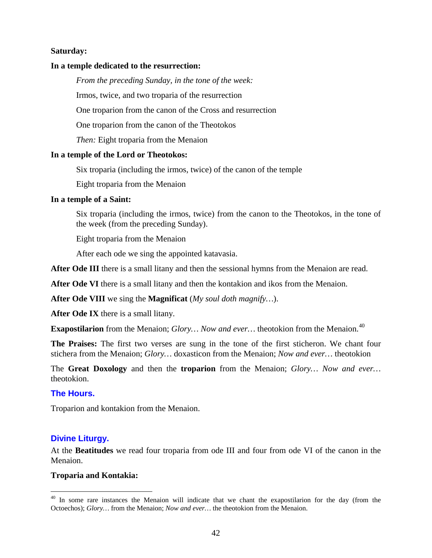### **Saturday:**

### **In a temple dedicated to the resurrection:**

*From the preceding Sunday, in the tone of the week:*

Irmos, twice, and two troparia of the resurrection

One troparion from the canon of the Cross and resurrection

One troparion from the canon of the Theotokos

*Then:* Eight troparia from the Menaion

#### **In a temple of the Lord or Theotokos:**

Six troparia (including the irmos, twice) of the canon of the temple

Eight troparia from the Menaion

#### **In a temple of a Saint:**

Six troparia (including the irmos, twice) from the canon to the Theotokos, in the tone of the week (from the preceding Sunday).

Eight troparia from the Menaion

After each ode we sing the appointed katavasia.

**After Ode III** there is a small litany and then the sessional hymns from the Menaion are read.

**After Ode VI** there is a small litany and then the kontakion and ikos from the Menaion.

**After Ode VIII** we sing the **Magnificat** (*My soul doth magnify…*).

**After Ode IX** there is a small litany.

**Exapostilarion** from the Menaion; *Glory*... *Now and ever*... theotokion from the Menaion.<sup>[40](#page-41-0)</sup>

**The Praises:** The first two verses are sung in the tone of the first sticheron. We chant four stichera from the Menaion; *Glory…* doxasticon from the Menaion; *Now and ever…* theotokion

The **Great Doxology** and then the **troparion** from the Menaion; *Glory… Now and ever…*  theotokion.

#### **The Hours.**

Troparion and kontakion from the Menaion.

# **Divine Liturgy.**

At the **Beatitudes** we read four troparia from ode III and four from ode VI of the canon in the Menaion.

#### **Troparia and Kontakia:**

<span id="page-41-0"></span><sup>&</sup>lt;sup>40</sup> In some rare instances the Menaion will indicate that we chant the exapostilarion for the day (from the Octoechos); *Glory…* from the Menaion; *Now and ever…* the theotokion from the Menaion.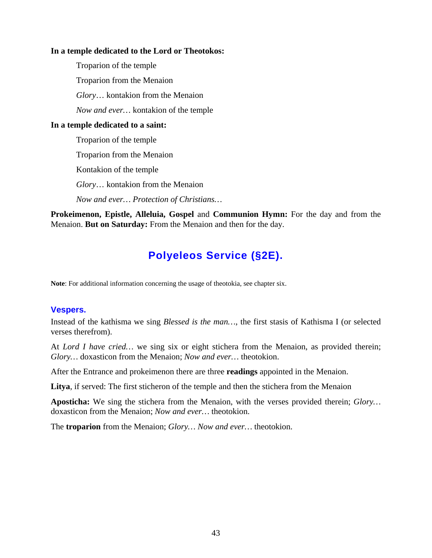#### **In a temple dedicated to the Lord or Theotokos:**

Troparion of the temple Troparion from the Menaion *Glory*… kontakion from the Menaion *Now and ever…* kontakion of the temple

# **In a temple dedicated to a saint:**

Troparion of the temple

Troparion from the Menaion

Kontakion of the temple

*Glory*… kontakion from the Menaion

*Now and ever… Protection of Christians…*

**Prokeimenon, Epistle, Alleluia, Gospel** and **Communion Hymn:** For the day and from the Menaion. **But on Saturday:** From the Menaion and then for the day.

# **Polyeleos Service (§2E).**

**Note**: For additional information concerning the usage of theotokia, see chapter six.

# **Vespers.**

Instead of the kathisma we sing *Blessed is the man…*, the first stasis of Kathisma I (or selected verses therefrom).

At *Lord I have cried…* we sing six or eight stichera from the Menaion, as provided therein; *Glory…* doxasticon from the Menaion; *Now and ever…* theotokion.

After the Entrance and prokeimenon there are three **readings** appointed in the Menaion.

Litya, if served: The first sticheron of the temple and then the stichera from the Menaion

**Aposticha:** We sing the stichera from the Menaion, with the verses provided therein; *Glory…*  doxasticon from the Menaion; *Now and ever…* theotokion.

The **troparion** from the Menaion; *Glory… Now and ever…* theotokion.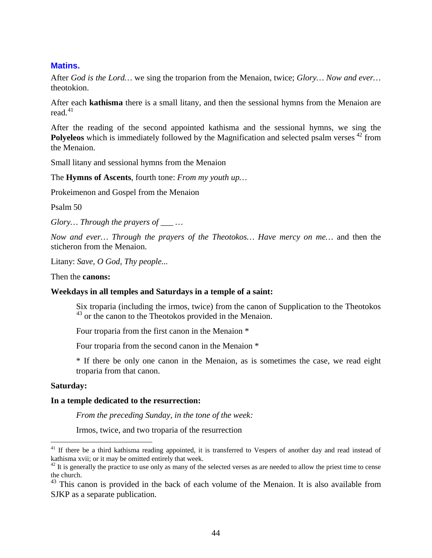### **Matins.**

After *God is the Lord…* we sing the troparion from the Menaion, twice; *Glory… Now and ever…*  theotokion.

After each **kathisma** there is a small litany, and then the sessional hymns from the Menaion are read. $41$ 

After the reading of the second appointed kathisma and the sessional hymns, we sing the Polyeleos which is immediately followed by the Magnification and selected psalm verses <sup>[42](#page-43-1)</sup> from the Menaion.

Small litany and sessional hymns from the Menaion

The **Hymns of Ascents**, fourth tone: *From my youth up…*

Prokeimenon and Gospel from the Menaion

Psalm 50

*Glory... Through the prayers of \_\_\_ ...* 

*Now and ever… Through the prayers of the Theotokos… Have mercy on me…* and then the sticheron from the Menaion.

Litany: *Save, O God, Thy people...*

Then the **canons:**

#### **Weekdays in all temples and Saturdays in a temple of a saint:**

Six troparia (including the irmos, twice) from the canon of Supplication to the Theotokos <sup>[43](#page-43-2)</sup> or the canon to the Theotokos provided in the Menaion.

Four troparia from the first canon in the Menaion \*

Four troparia from the second canon in the Menaion \*

\* If there be only one canon in the Menaion, as is sometimes the case, we read eight troparia from that canon.

#### **Saturday:**

#### **In a temple dedicated to the resurrection:**

*From the preceding Sunday, in the tone of the week:*

Irmos, twice, and two troparia of the resurrection

<span id="page-43-0"></span><sup>&</sup>lt;sup>41</sup> If there be a third kathisma reading appointed, it is transferred to Vespers of another day and read instead of kathisma xvii; or it may be omitted entirely that week.

<span id="page-43-1"></span> $42$  It is generally the practice to use only as many of the selected verses as are needed to allow the priest time to cense the church.

<span id="page-43-2"></span> $43$  This canon is provided in the back of each volume of the Menaion. It is also available from SJKP as a separate publication.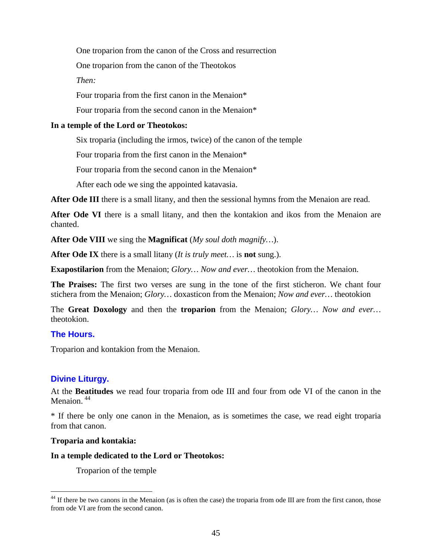One troparion from the canon of the Cross and resurrection

One troparion from the canon of the Theotokos

*Then:*

Four troparia from the first canon in the Menaion\*

Four troparia from the second canon in the Menaion\*

# **In a temple of the Lord or Theotokos:**

Six troparia (including the irmos, twice) of the canon of the temple

Four troparia from the first canon in the Menaion\*

Four troparia from the second canon in the Menaion\*

After each ode we sing the appointed katavasia.

After Ode III there is a small litany, and then the sessional hymns from the Menaion are read.

**After Ode VI** there is a small litany, and then the kontakion and ikos from the Menaion are chanted.

**After Ode VIII** we sing the **Magnificat** (*My soul doth magnify…*).

**After Ode IX** there is a small litany (*It is truly meet…* is **not** sung.).

**Exapostilarion** from the Menaion; *Glory… Now and ever…* theotokion from the Menaion.

**The Praises:** The first two verses are sung in the tone of the first sticheron. We chant four stichera from the Menaion; *Glory…* doxasticon from the Menaion; *Now and ever…* theotokion

The **Great Doxology** and then the **troparion** from the Menaion; *Glory… Now and ever…*  theotokion.

# **The Hours.**

Troparion and kontakion from the Menaion.

# **Divine Liturgy.**

At the **Beatitudes** we read four troparia from ode III and four from ode VI of the canon in the Menaion.<sup>[44](#page-44-0)</sup>

\* If there be only one canon in the Menaion, as is sometimes the case, we read eight troparia from that canon.

# **Troparia and kontakia:**

**In a temple dedicated to the Lord or Theotokos:**

Troparion of the temple

<span id="page-44-0"></span> $44$  If there be two canons in the Menaion (as is often the case) the troparia from ode III are from the first canon, those from ode VI are from the second canon.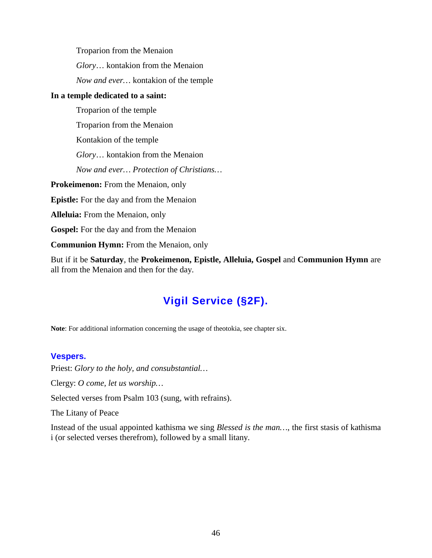Troparion from the Menaion *Glory*… kontakion from the Menaion *Now and ever…* kontakion of the temple

# **In a temple dedicated to a saint:**

Troparion of the temple Troparion from the Menaion Kontakion of the temple *Glory*… kontakion from the Menaion *Now and ever… Protection of Christians…* **Prokeimenon:** From the Menaion, only **Epistle:** For the day and from the Menaion **Alleluia:** From the Menaion, only **Gospel:** For the day and from the Menaion **Communion Hymn:** From the Menaion, only

But if it be **Saturday**, the **Prokeimenon, Epistle, Alleluia, Gospel** and **Communion Hymn** are all from the Menaion and then for the day.

# **Vigil Service (§2F).**

**Note**: For additional information concerning the usage of theotokia, see chapter six.

# **Vespers.**

Priest: *Glory to the holy, and consubstantial…*

Clergy: *O come, let us worship…*

Selected verses from Psalm 103 (sung, with refrains).

The Litany of Peace

Instead of the usual appointed kathisma we sing *Blessed is the man…*, the first stasis of kathisma i (or selected verses therefrom), followed by a small litany.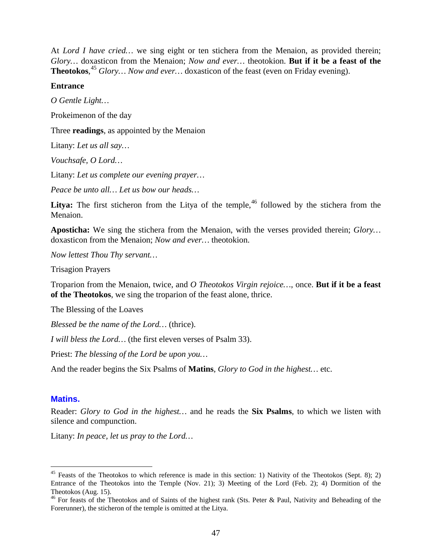At *Lord I have cried...* we sing eight or ten stichera from the Menaion, as provided therein; *Glory…* doxasticon from the Menaion; *Now and ever…* theotokion. **But if it be a feast of the Theotokos**, [45](#page-46-0) *Glory… Now and ever…* doxasticon of the feast (even on Friday evening).

### **Entrance**

*O Gentle Light…*

Prokeimenon of the day

Three **readings**, as appointed by the Menaion

Litany: *Let us all say…*

*Vouchsafe, O Lord…*

Litany: *Let us complete our evening prayer…*

*Peace be unto all… Let us bow our heads…*

**Litya:** The first sticheron from the Litya of the temple,  $46$  followed by the stichera from the Menaion.

**Aposticha:** We sing the stichera from the Menaion, with the verses provided therein; *Glory…*  doxasticon from the Menaion; *Now and ever…* theotokion.

*Now lettest Thou Thy servant…*

Trisagion Prayers

Troparion from the Menaion, twice, and *O Theotokos Virgin rejoice…*, once. **But if it be a feast of the Theotokos**, we sing the troparion of the feast alone, thrice.

The Blessing of the Loaves

*Blessed be the name of the Lord…* (thrice).

*I will bless the Lord…* (the first eleven verses of Psalm 33).

Priest: *The blessing of the Lord be upon you…*

And the reader begins the Six Psalms of **Matins**, *Glory to God in the highest…* etc.

# **Matins.**

Reader: *Glory to God in the highest…* and he reads the **Six Psalms**, to which we listen with silence and compunction.

Litany: *In peace, let us pray to the Lord…*

<span id="page-46-0"></span><sup>&</sup>lt;sup>45</sup> Feasts of the Theotokos to which reference is made in this section: 1) Nativity of the Theotokos (Sept. 8); 2) Entrance of the Theotokos into the Temple (Nov. 21); 3) Meeting of the Lord (Feb. 2); 4) Dormition of the Theotokos (Aug. 15).

<span id="page-46-1"></span><sup>&</sup>lt;sup>46</sup> For feasts of the Theotokos and of Saints of the highest rank (Sts. Peter & Paul, Nativity and Beheading of the Forerunner), the sticheron of the temple is omitted at the Litya.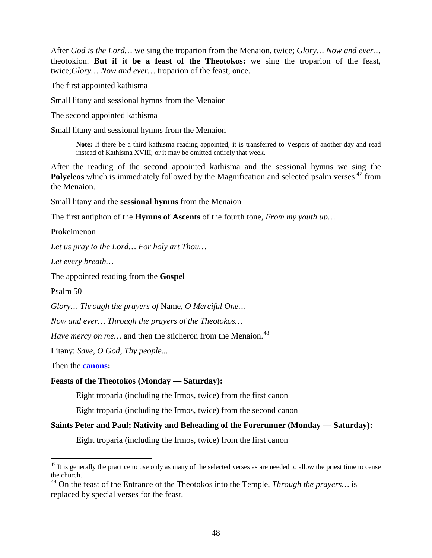After *God is the Lord…* we sing the troparion from the Menaion, twice; *Glory… Now and ever…*  theotokion. **But if it be a feast of the Theotokos:** we sing the troparion of the feast, twice;*Glory… Now and ever…* troparion of the feast, once.

The first appointed kathisma

Small litany and sessional hymns from the Menaion

The second appointed kathisma

Small litany and sessional hymns from the Menaion

**Note:** If there be a third kathisma reading appointed, it is transferred to Vespers of another day and read instead of Kathisma XVIII; or it may be omitted entirely that week.

After the reading of the second appointed kathisma and the sessional hymns we sing the Polyeleos which is immediately followed by the Magnification and selected psalm verses <sup>[47](#page-47-0)</sup> from the Menaion.

Small litany and the **sessional hymns** from the Menaion

The first antiphon of the **Hymns of Ascents** of the fourth tone, *From my youth up…*

Prokeimenon

*Let us pray to the Lord… For holy art Thou…*

*Let every breath…*

The appointed reading from the **Gospel**

Psalm 50

*Glory… Through the prayers of* Name, *O Merciful One…*

*Now and ever… Through the prayers of the Theotokos…*

*Have mercy on me...* and then the sticheron from the Menaion.<sup>[48](#page-47-1)</sup>

Litany: *Save, O God, Thy people...*

Then the **canons:**

#### **Feasts of the Theotokos (Monday — Saturday):**

Eight troparia (including the Irmos, twice) from the first canon

Eight troparia (including the Irmos, twice) from the second canon

# **Saints Peter and Paul; Nativity and Beheading of the Forerunner (Monday — Saturday):**

Eight troparia (including the Irmos, twice) from the first canon

<span id="page-47-0"></span> $47$  It is generally the practice to use only as many of the selected verses as are needed to allow the priest time to cense the church.

<span id="page-47-1"></span><sup>48</sup> On the feast of the Entrance of the Theotokos into the Temple, *Through the prayers…* is replaced by special verses for the feast.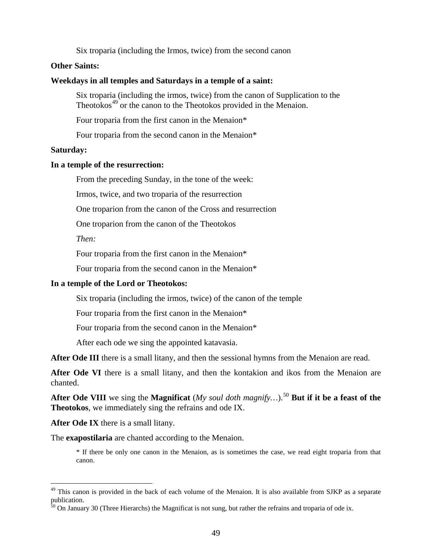Six troparia (including the Irmos, twice) from the second canon

### **Other Saints:**

#### **Weekdays in all temples and Saturdays in a temple of a saint:**

Six troparia (including the irmos, twice) from the canon of Supplication to the Theotokos<sup>[49](#page-48-0)</sup> or the canon to the Theotokos provided in the Menaion.

Four troparia from the first canon in the Menaion\*

Four troparia from the second canon in the Menaion\*

#### **Saturday:**

#### **In a temple of the resurrection:**

From the preceding Sunday, in the tone of the week:

Irmos, twice, and two troparia of the resurrection

One troparion from the canon of the Cross and resurrection

One troparion from the canon of the Theotokos

*Then:*

Four troparia from the first canon in the Menaion\*

Four troparia from the second canon in the Menaion\*

#### **In a temple of the Lord or Theotokos:**

Six troparia (including the irmos, twice) of the canon of the temple

Four troparia from the first canon in the Menaion\*

Four troparia from the second canon in the Menaion\*

After each ode we sing the appointed katavasia.

After Ode III there is a small litany, and then the sessional hymns from the Menaion are read.

**After Ode VI** there is a small litany, and then the kontakion and ikos from the Menaion are chanted.

After Ode VIII we sing the Magnificat (*My soul doth magnify...*).<sup>[50](#page-48-1)</sup> But if it be a feast of the **Theotokos**, we immediately sing the refrains and ode IX.

**After Ode IX** there is a small litany.

The **exapostilaria** are chanted according to the Menaion.

\* If there be only one canon in the Menaion, as is sometimes the case, we read eight troparia from that canon.

<span id="page-48-0"></span> $49$  This canon is provided in the back of each volume of the Menaion. It is also available from SJKP as a separate publication.

<span id="page-48-1"></span> $50$  On January 30 (Three Hierarchs) the Magnificat is not sung, but rather the refrains and troparia of ode ix.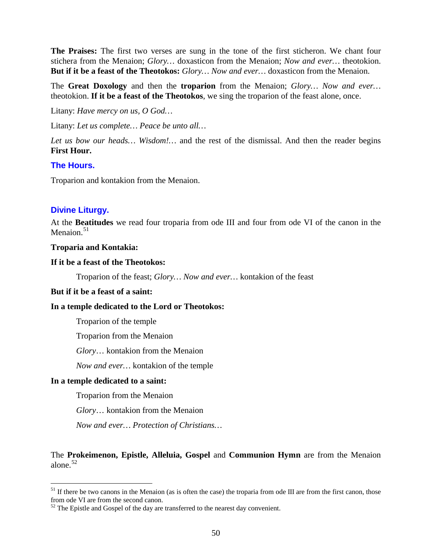**The Praises:** The first two verses are sung in the tone of the first sticheron. We chant four stichera from the Menaion; *Glory…* doxasticon from the Menaion; *Now and ever…* theotokion. **But if it be a feast of the Theotokos:** *Glory… Now and ever…* doxasticon from the Menaion.

The **Great Doxology** and then the **troparion** from the Menaion; *Glory… Now and ever…*  theotokion. **If it be a feast of the Theotokos**, we sing the troparion of the feast alone, once.

Litany: *Have mercy on us, O God…*

Litany: *Let us complete… Peace be unto all…*

*Let us bow our heads… Wisdom!…* and the rest of the dismissal. And then the reader begins **First Hour.**

# **The Hours.**

Troparion and kontakion from the Menaion.

# **Divine Liturgy.**

At the **Beatitudes** we read four troparia from ode III and four from ode VI of the canon in the Menaion. $51$ 

# **Troparia and Kontakia:**

### **If it be a feast of the Theotokos:**

Troparion of the feast; *Glory… Now and ever…* kontakion of the feast

# **But if it be a feast of a saint:**

# **In a temple dedicated to the Lord or Theotokos:**

Troparion of the temple

Troparion from the Menaion

*Glory*… kontakion from the Menaion

*Now and ever…* kontakion of the temple

# **In a temple dedicated to a saint:**

Troparion from the Menaion

*Glory*… kontakion from the Menaion

*Now and ever… Protection of Christians…*

# The **Prokeimenon, Epistle, Alleluia, Gospel** and **Communion Hymn** are from the Menaion alone.[52](#page-49-1)

<span id="page-49-0"></span> $<sup>51</sup>$  If there be two canons in the Menaion (as is often the case) the troparia from ode III are from the first canon, those</sup> from ode VI are from the second canon.

<span id="page-49-1"></span> $52$  The Epistle and Gospel of the day are transferred to the nearest day convenient.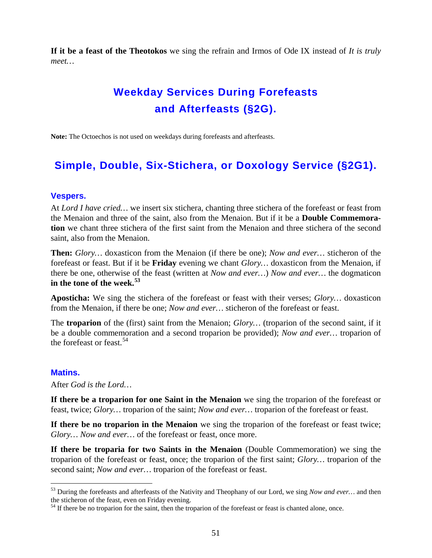**If it be a feast of the Theotokos** we sing the refrain and Irmos of Ode IX instead of *It is truly meet…*

# **Weekday Services During Forefeasts and Afterfeasts (§2G).**

**Note:** The Octoechos is not used on weekdays during forefeasts and afterfeasts.

# **Simple, Double, Six-Stichera, or Doxology Service (§2G1).**

# **Vespers.**

At *Lord I have cried…* we insert six stichera, chanting three stichera of the forefeast or feast from the Menaion and three of the saint, also from the Menaion. But if it be a **Double Commemoration** we chant three stichera of the first saint from the Menaion and three stichera of the second saint, also from the Menaion.

**Then:** *Glory…* doxasticon from the Menaion (if there be one); *Now and ever…* sticheron of the forefeast or feast. But if it be **Friday** evening we chant *Glory…* doxasticon from the Menaion, if there be one, otherwise of the feast (written at *Now and ever…*) *Now and ever…* the dogmaticon **in the tone of the week.[53](#page-50-0)**

**Aposticha:** We sing the stichera of the forefeast or feast with their verses; *Glory…* doxasticon from the Menaion, if there be one; *Now and ever…* sticheron of the forefeast or feast.

The **troparion** of the (first) saint from the Menaion; *Glory…* (troparion of the second saint, if it be a double commemoration and a second troparion be provided); *Now and ever…* troparion of the forefeast or feast  $54$ .

# **Matins.**

After *God is the Lord…*

**If there be a troparion for one Saint in the Menaion** we sing the troparion of the forefeast or feast, twice; *Glory…* troparion of the saint; *Now and ever…* troparion of the forefeast or feast.

**If there be no troparion in the Menaion** we sing the troparion of the forefeast or feast twice; *Glory… Now and ever…* of the forefeast or feast, once more.

If there be troparia for two Saints in the Menaion (Double Commemoration) we sing the troparion of the forefeast or feast, once; the troparion of the first saint; *Glory…* troparion of the second saint; *Now and ever…* troparion of the forefeast or feast.

<span id="page-50-0"></span> <sup>53</sup> During the forefeasts and afterfeasts of the Nativity and Theophany of our Lord, we sing *Now and ever…* and then the sticheron of the feast, even on Friday evening.

<span id="page-50-1"></span><sup>&</sup>lt;sup>54</sup> If there be no troparion for the saint, then the troparion of the forefeast or feast is chanted alone, once.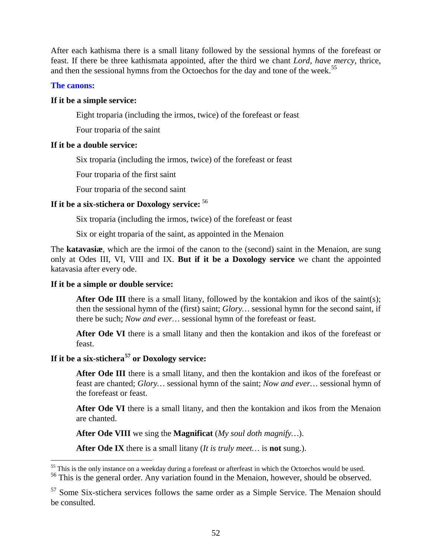After each kathisma there is a small litany followed by the sessional hymns of the forefeast or feast. If there be three kathismata appointed, after the third we chant *Lord, have mercy,* thrice, and then the sessional hymns from the Octoechos for the day and tone of the week.<sup>[55](#page-51-0)</sup>

# **The canons:**

# **If it be a simple service:**

Eight troparia (including the irmos, twice) of the forefeast or feast

Four troparia of the saint

# **If it be a double service:**

Six troparia (including the irmos, twice) of the forefeast or feast

Four troparia of the first saint

Four troparia of the second saint

# **If it be a six-stichera or Doxology service:** [56](#page-51-1)

Six troparia (including the irmos, twice) of the forefeast or feast

Six or eight troparia of the saint, as appointed in the Menaion

The **katavasiæ**, which are the irmoi of the canon to the (second) saint in the Menaion, are sung only at Odes III, VI, VIII and IX. **But if it be a Doxology service** we chant the appointed katavasia after every ode.

# **If it be a simple or double service:**

After Ode III there is a small litany, followed by the kontakion and ikos of the saint(s); then the sessional hymn of the (first) saint; *Glory…* sessional hymn for the second saint, if there be such; *Now and ever…* sessional hymn of the forefeast or feast.

**After Ode VI** there is a small litany and then the kontakion and ikos of the forefeast or feast.

# **If it be a six-stichera[57](#page-51-2) or Doxology service:**

After Ode III there is a small litany, and then the kontakion and ikos of the forefeast or feast are chanted; *Glory…* sessional hymn of the saint; *Now and ever…* sessional hymn of the forefeast or feast.

**After Ode VI** there is a small litany, and then the kontakion and ikos from the Menaion are chanted.

**After Ode VIII** we sing the **Magnificat** (*My soul doth magnify…*).

**After Ode IX** there is a small litany (*It is truly meet…* is **not** sung.).

<span id="page-51-0"></span><sup>&</sup>lt;sup>55</sup> This is the only instance on a weekday during a forefeast or afterfeast in which the Octoechos would be used.

<span id="page-51-1"></span><sup>&</sup>lt;sup>56</sup> This is the general order. Any variation found in the Menaion, however, should be observed.

<span id="page-51-2"></span><sup>&</sup>lt;sup>57</sup> Some Six-stichera services follows the same order as a Simple Service. The Menaion should be consulted.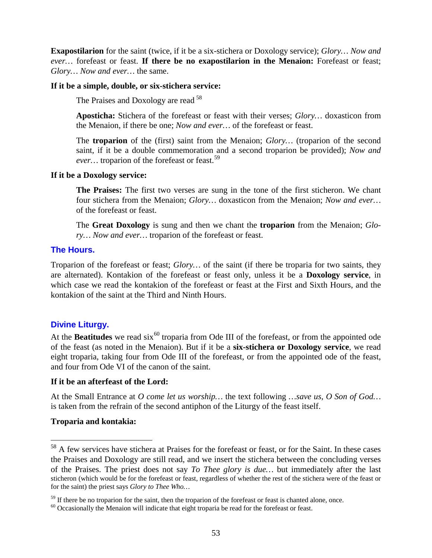**Exapostilarion** for the saint (twice, if it be a six-stichera or Doxology service); *Glory… Now and ever…* forefeast or feast. **If there be no exapostilarion in the Menaion:** Forefeast or feast; *Glory… Now and ever…* the same.

### **If it be a simple, double, or six-stichera service:**

The Praises and Doxology are read <sup>[58](#page-52-0)</sup>

**Aposticha:** Stichera of the forefeast or feast with their verses; *Glory…* doxasticon from the Menaion, if there be one; *Now and ever…* of the forefeast or feast.

The **troparion** of the (first) saint from the Menaion; *Glory…* (troparion of the second saint, if it be a double commemoration and a second troparion be provided); *Now and ever...* troparion of the forefeast or feast.<sup>[59](#page-52-1)</sup>

### **If it be a Doxology service:**

**The Praises:** The first two verses are sung in the tone of the first sticheron. We chant four stichera from the Menaion; *Glory…* doxasticon from the Menaion; *Now and ever…*  of the forefeast or feast.

The **Great Doxology** is sung and then we chant the **troparion** from the Menaion; *Glory… Now and ever…* troparion of the forefeast or feast.

# **The Hours.**

Troparion of the forefeast or feast; *Glory…* of the saint (if there be troparia for two saints, they are alternated). Kontakion of the forefeast or feast only, unless it be a **Doxology service**, in which case we read the kontakion of the forefeast or feast at the First and Sixth Hours, and the kontakion of the saint at the Third and Ninth Hours.

# **Divine Liturgy.**

At the **Beatitudes** we read six<sup>[60](#page-52-2)</sup> troparia from Ode III of the forefeast, or from the appointed ode of the feast (as noted in the Menaion). But if it be a **six-stichera or Doxology service**, we read eight troparia, taking four from Ode III of the forefeast, or from the appointed ode of the feast, and four from Ode VI of the canon of the saint.

# **If it be an afterfeast of the Lord:**

At the Small Entrance at *O come let us worship…* the text following *…save us, O Son of God…* is taken from the refrain of the second antiphon of the Liturgy of the feast itself.

# **Troparia and kontakia:**

<span id="page-52-0"></span><sup>&</sup>lt;sup>58</sup> A few services have stichera at Praises for the forefeast or feast, or for the Saint. In these cases the Praises and Doxology are still read, and we insert the stichera between the concluding verses of the Praises. The priest does not say *To Thee glory is due…* but immediately after the last sticheron (which would be for the forefeast or feast, regardless of whether the rest of the stichera were of the feast or for the saint) the priest says *Glory to Thee Who…*

<span id="page-52-1"></span> $59$  If there be no troparion for the saint, then the troparion of the forefeast or feast is chanted alone, once.  $60$  Occasionally the Menaion will indicate that eight troparia be read for the forefeast or feast.

<span id="page-52-2"></span>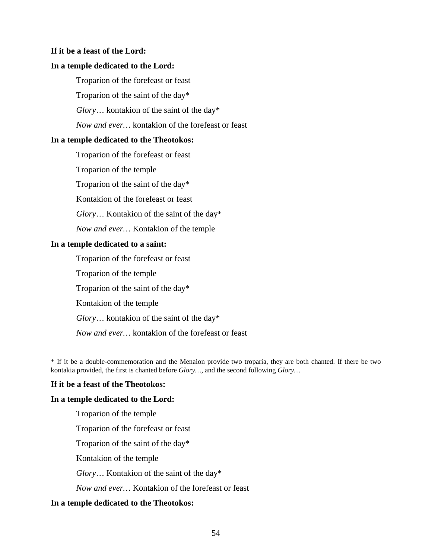#### **If it be a feast of the Lord:**

#### **In a temple dedicated to the Lord:**

Troparion of the forefeast or feast

Troparion of the saint of the day\*

*Glory*… kontakion of the saint of the day\*

*Now and ever…* kontakion of the forefeast or feast

#### **In a temple dedicated to the Theotokos:**

Troparion of the forefeast or feast

Troparion of the temple

Troparion of the saint of the day\*

Kontakion of the forefeast or feast

*Glory*… Kontakion of the saint of the day\*

*Now and ever…* Kontakion of the temple

#### **In a temple dedicated to a saint:**

Troparion of the forefeast or feast Troparion of the temple Troparion of the saint of the day\* Kontakion of the temple *Glory*… kontakion of the saint of the day\* *Now and ever…* kontakion of the forefeast or feast

\* If it be a double-commemoration and the Menaion provide two troparia, they are both chanted. If there be two kontakia provided, the first is chanted before *Glory…*, and the second following *Glory…*

#### **If it be a feast of the Theotokos:**

#### **In a temple dedicated to the Lord:**

Troparion of the temple

Troparion of the forefeast or feast

Troparion of the saint of the day\*

Kontakion of the temple

*Glory*… Kontakion of the saint of the day\*

*Now and ever…* Kontakion of the forefeast or feast

# **In a temple dedicated to the Theotokos:**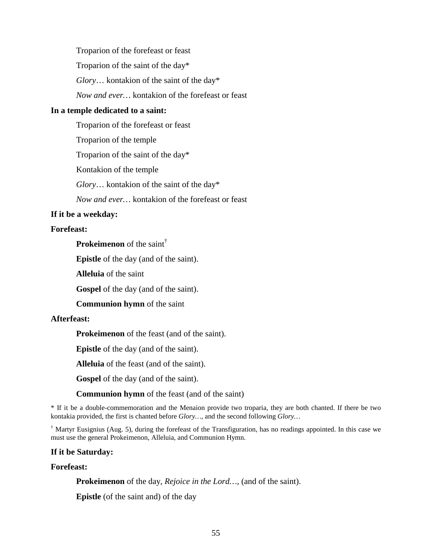Troparion of the forefeast or feast Troparion of the saint of the day\* *Glory*… kontakion of the saint of the day\* *Now and ever…* kontakion of the forefeast or feast

#### **In a temple dedicated to a saint:**

Troparion of the forefeast or feast

Troparion of the temple

Troparion of the saint of the day\*

Kontakion of the temple

*Glory*… kontakion of the saint of the day\*

*Now and ever…* kontakion of the forefeast or feast

### **If it be a weekday:**

### **Forefeast:**

**Prokeimenon** of the saint†

**Epistle** of the day (and of the saint).

**Alleluia** of the saint

**Gospel** of the day (and of the saint).

**Communion hymn** of the saint

### **Afterfeast:**

**Prokeimenon** of the feast (and of the saint).

**Epistle** of the day (and of the saint).

**Alleluia** of the feast (and of the saint).

**Gospel** of the day (and of the saint).

**Communion hymn** of the feast (and of the saint)

\* If it be a double-commemoration and the Menaion provide two troparia, they are both chanted. If there be two kontakia provided, the first is chanted before *Glory…*, and the second following *Glory…*

<sup>†</sup> Martyr Eusignius (Aug. 5), during the forefeast of the Transfiguration, has no readings appointed. In this case we must use the general Prokeimenon, Alleluia, and Communion Hymn.

#### **If it be Saturday:**

#### **Forefeast:**

**Prokeimenon** of the day, *Rejoice in the Lord…*, (and of the saint).

**Epistle** (of the saint and) of the day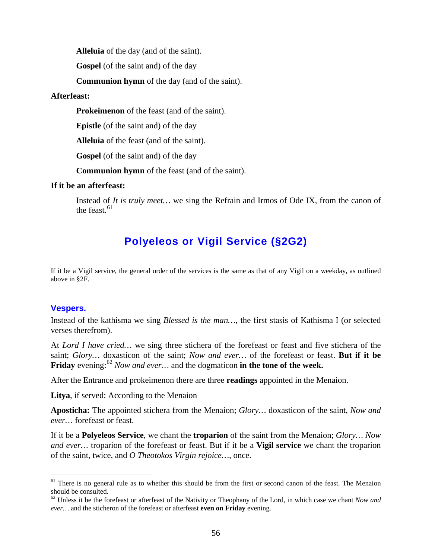**Alleluia** of the day (and of the saint).

**Gospel** (of the saint and) of the day

**Communion hymn** of the day (and of the saint).

#### **Afterfeast:**

**Prokeimenon** of the feast (and of the saint).

**Epistle** (of the saint and) of the day

**Alleluia** of the feast (and of the saint).

**Gospel** (of the saint and) of the day

**Communion hymn** of the feast (and of the saint).

# **If it be an afterfeast:**

Instead of *It is truly meet…* we sing the Refrain and Irmos of Ode IX, from the canon of the feast.  $61$ 

# **Polyeleos or Vigil Service (§2G2)**

If it be a Vigil service, the general order of the services is the same as that of any Vigil on a weekday, as outlined above in §2F.

# **Vespers.**

Instead of the kathisma we sing *Blessed is the man…*, the first stasis of Kathisma I (or selected verses therefrom).

At *Lord I have cried…* we sing three stichera of the forefeast or feast and five stichera of the saint; *Glory…* doxasticon of the saint; *Now and ever…* of the forefeast or feast. **But if it be**  Friday evening:<sup>[62](#page-55-1)</sup> Now and ever... and the dogmaticon in the tone of the week.

After the Entrance and prokeimenon there are three **readings** appointed in the Menaion.

**Litya**, if served: According to the Menaion

**Aposticha:** The appointed stichera from the Menaion; *Glory…* doxasticon of the saint, *Now and ever…* forefeast or feast.

If it be a **Polyeleos Service**, we chant the **troparion** of the saint from the Menaion; *Glory… Now and ever…* troparion of the forefeast or feast. But if it be a **Vigil service** we chant the troparion of the saint, twice, and *O Theotokos Virgin rejoice…*, once.

<span id="page-55-0"></span> $<sup>61</sup>$  There is no general rule as to whether this should be from the first or second canon of the feast. The Menaion</sup> should be consulted.

<span id="page-55-1"></span><sup>62</sup> Unless it be the forefeast or afterfeast of the Nativity or Theophany of the Lord, in which case we chant *Now and ever…* and the sticheron of the forefeast or afterfeast **even on Friday** evening.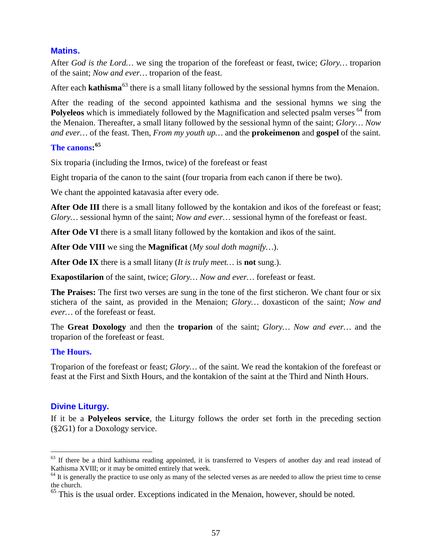# **Matins.**

After *God is the Lord…* we sing the troparion of the forefeast or feast, twice; *Glory…* troparion of the saint; *Now and ever…* troparion of the feast.

After each **kathisma**<sup>[63](#page-56-0)</sup> there is a small litany followed by the sessional hymns from the Menaion.

After the reading of the second appointed kathisma and the sessional hymns we sing the Polyeleos which is immediately followed by the Magnification and selected psalm verses <sup>[64](#page-56-1)</sup> from the Menaion. Thereafter, a small litany followed by the sessional hymn of the saint; *Glory… Now and ever…* of the feast. Then, *From my youth up…* and the **prokeimenon** and **gospel** of the saint.

# **The canons: [65](#page-56-2)**

Six troparia (including the Irmos, twice) of the forefeast or feast

Eight troparia of the canon to the saint (four troparia from each canon if there be two).

We chant the appointed katavasia after every ode.

**After Ode III** there is a small litany followed by the kontakion and ikos of the forefeast or feast; *Glory…* sessional hymn of the saint; *Now and ever…* sessional hymn of the forefeast or feast.

**After Ode VI** there is a small litany followed by the kontakion and ikos of the saint.

**After Ode VIII** we sing the **Magnificat** (*My soul doth magnify…*).

**After Ode IX** there is a small litany (*It is truly meet…* is **not** sung.).

**Exapostilarion** of the saint, twice; *Glory… Now and ever…* forefeast or feast.

**The Praises:** The first two verses are sung in the tone of the first sticheron. We chant four or six stichera of the saint, as provided in the Menaion; *Glory…* doxasticon of the saint; *Now and ever…* of the forefeast or feast.

The **Great Doxology** and then the **troparion** of the saint; *Glory… Now and ever…* and the troparion of the forefeast or feast.

# **The Hours.**

Troparion of the forefeast or feast; *Glory…* of the saint. We read the kontakion of the forefeast or feast at the First and Sixth Hours, and the kontakion of the saint at the Third and Ninth Hours.

# **Divine Liturgy.**

If it be a **Polyeleos service**, the Liturgy follows the order set forth in the preceding section (§2G1) for a Doxology service.

<span id="page-56-0"></span><sup>&</sup>lt;sup>63</sup> If there be a third kathisma reading appointed, it is transferred to Vespers of another day and read instead of Kathisma XVIII; or it may be omitted entirely that week.

<span id="page-56-1"></span> $64$  It is generally the practice to use only as many of the selected verses as are needed to allow the priest time to cense the church.

<span id="page-56-2"></span><sup>&</sup>lt;sup>65</sup> This is the usual order. Exceptions indicated in the Menaion, however, should be noted.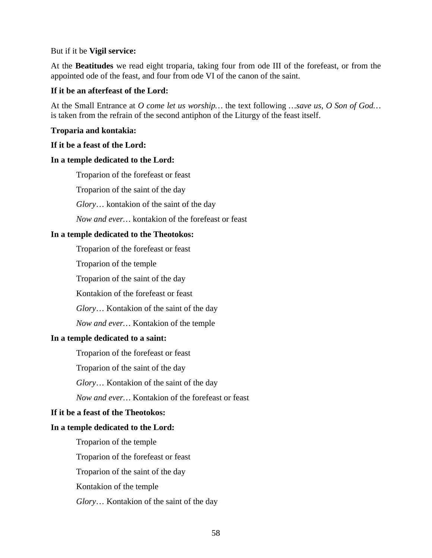#### But if it be **Vigil service:**

At the **Beatitudes** we read eight troparia, taking four from ode III of the forefeast, or from the appointed ode of the feast, and four from ode VI of the canon of the saint.

# **If it be an afterfeast of the Lord:**

At the Small Entrance at *O come let us worship…* the text following *…save us, O Son of God…* is taken from the refrain of the second antiphon of the Liturgy of the feast itself.

### **Troparia and kontakia:**

### **If it be a feast of the Lord:**

#### **In a temple dedicated to the Lord:**

Troparion of the forefeast or feast

Troparion of the saint of the day

*Glory*… kontakion of the saint of the day

*Now and ever…* kontakion of the forefeast or feast

### **In a temple dedicated to the Theotokos:**

Troparion of the forefeast or feast

Troparion of the temple

Troparion of the saint of the day

Kontakion of the forefeast or feast

*Glory*… Kontakion of the saint of the day

*Now and ever…* Kontakion of the temple

#### **In a temple dedicated to a saint:**

Troparion of the forefeast or feast

Troparion of the saint of the day

*Glory*… Kontakion of the saint of the day

*Now and ever…* Kontakion of the forefeast or feast

# **If it be a feast of the Theotokos:**

# **In a temple dedicated to the Lord:**

Troparion of the temple

Troparion of the forefeast or feast

Troparion of the saint of the day

Kontakion of the temple

*Glory*… Kontakion of the saint of the day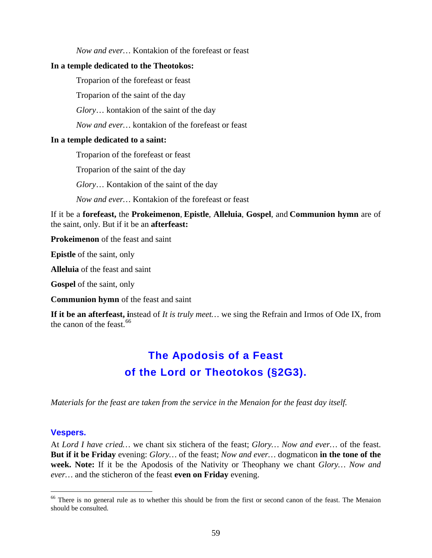*Now and ever…* Kontakion of the forefeast or feast

#### **In a temple dedicated to the Theotokos:**

Troparion of the forefeast or feast

Troparion of the saint of the day

*Glory*… kontakion of the saint of the day

*Now and ever…* kontakion of the forefeast or feast

#### **In a temple dedicated to a saint:**

Troparion of the forefeast or feast

Troparion of the saint of the day

*Glory*… Kontakion of the saint of the day

*Now and ever…* Kontakion of the forefeast or feast

If it be a **forefeast,** the **Prokeimenon**, **Epistle**, **Alleluia**, **Gospel**, and **Communion hymn** are of the saint, only. But if it be an **afterfeast:**

**Prokeimenon** of the feast and saint

**Epistle** of the saint, only

**Alleluia** of the feast and saint

**Gospel** of the saint, only

**Communion hymn** of the feast and saint

**If it be an afterfeast, i**nstead of *It is truly meet…* we sing the Refrain and Irmos of Ode IX, from the canon of the feast.<sup>[66](#page-58-0)</sup>

# **The Apodosis of a Feast of the Lord or Theotokos (§2G3).**

*Materials for the feast are taken from the service in the Menaion for the feast day itself.*

#### **Vespers.**

At *Lord I have cried…* we chant six stichera of the feast; *Glory… Now and ever…* of the feast. **But if it be Friday** evening: *Glory…* of the feast; *Now and ever…* dogmaticon **in the tone of the week. Note:** If it be the Apodosis of the Nativity or Theophany we chant *Glory… Now and ever…* and the sticheron of the feast **even on Friday** evening.

<span id="page-58-0"></span><sup>&</sup>lt;sup>66</sup> There is no general rule as to whether this should be from the first or second canon of the feast. The Menaion should be consulted.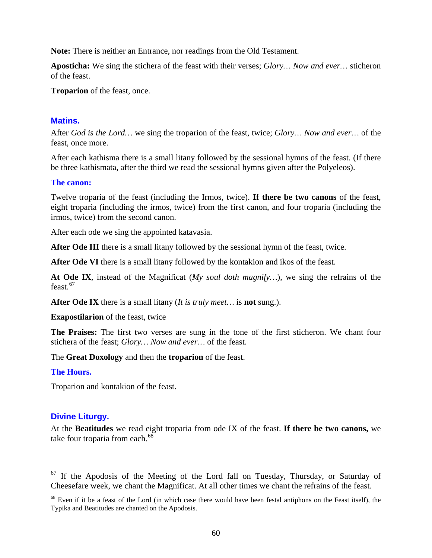**Note:** There is neither an Entrance, nor readings from the Old Testament.

**Aposticha:** We sing the stichera of the feast with their verses; *Glory… Now and ever…* sticheron of the feast.

**Troparion** of the feast, once.

# **Matins.**

After *God is the Lord…* we sing the troparion of the feast, twice; *Glory… Now and ever…* of the feast, once more.

After each kathisma there is a small litany followed by the sessional hymns of the feast. (If there be three kathismata, after the third we read the sessional hymns given after the Polyeleos).

# **The canon:**

Twelve troparia of the feast (including the Irmos, twice). **If there be two canons** of the feast, eight troparia (including the irmos, twice) from the first canon, and four troparia (including the irmos, twice) from the second canon.

After each ode we sing the appointed katavasia.

**After Ode III** there is a small litany followed by the sessional hymn of the feast, twice.

**After Ode VI** there is a small litany followed by the kontakion and ikos of the feast.

**At Ode IX**, instead of the Magnificat (*My soul doth magnify…*), we sing the refrains of the feast. $67$ 

**After Ode IX** there is a small litany (*It is truly meet…* is **not** sung.).

**Exapostilarion** of the feast, twice

**The Praises:** The first two verses are sung in the tone of the first sticheron. We chant four stichera of the feast; *Glory… Now and ever…* of the feast.

The **Great Doxology** and then the **troparion** of the feast.

# **The Hours.**

Troparion and kontakion of the feast.

# **Divine Liturgy.**

At the **Beatitudes** we read eight troparia from ode IX of the feast. **If there be two canons,** we take four troparia from each.<sup>[68](#page-59-1)</sup>

<span id="page-59-0"></span> $67$  If the Apodosis of the Meeting of the Lord fall on Tuesday, Thursday, or Saturday of Cheesefare week, we chant the Magnificat. At all other times we chant the refrains of the feast.

<span id="page-59-1"></span> $68$  Even if it be a feast of the Lord (in which case there would have been festal antiphons on the Feast itself), the Typika and Beatitudes are chanted on the Apodosis.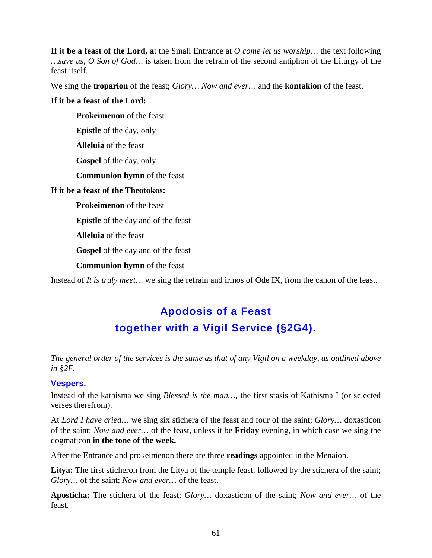**If it be a feast of the Lord, a**t the Small Entrance at *O come let us worship…* the text following *…save us, O Son of God…* is taken from the refrain of the second antiphon of the Liturgy of the feast itself.

We sing the **troparion** of the feast; *Glory… Now and ever…* and the **kontakion** of the feast.

# **If it be a feast of the Lord:**

**Prokeimenon** of the feast

**Epistle** of the day, only

**Alleluia** of the feast

**Gospel** of the day, only

**Communion hymn** of the feast

# **If it be a feast of the Theotokos:**

**Prokeimenon** of the feast

**Epistle** of the day and of the feast

**Alleluia** of the feast

**Gospel** of the day and of the feast

# **Communion hymn** of the feast

Instead of *It is truly meet…* we sing the refrain and irmos of Ode IX, from the canon of the feast.

# **Apodosis of a Feast together with a Vigil Service (§2G4).**

*The general order of the services is the same as that of any Vigil on a weekday, as outlined above in §2F.*

# **Vespers.**

Instead of the kathisma we sing *Blessed is the man…*, the first stasis of Kathisma I (or selected verses therefrom).

At *Lord I have cried…* we sing six stichera of the feast and four of the saint; *Glory…* doxasticon of the saint; *Now and ever…* of the feast, unless it be **Friday** evening, in which case we sing the dogmaticon **in the tone of the week.**

After the Entrance and prokeimenon there are three **readings** appointed in the Menaion.

**Litya:** The first sticheron from the Litya of the temple feast, followed by the stichera of the saint; *Glory…* of the saint; *Now and ever…* of the feast.

**Aposticha:** The stichera of the feast; *Glory…* doxasticon of the saint; *Now and ever…* of the feast.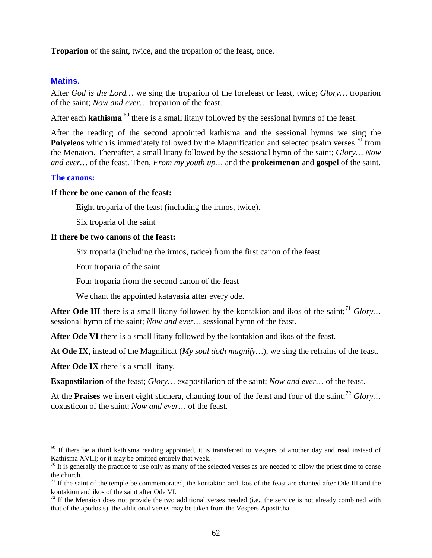**Troparion** of the saint, twice, and the troparion of the feast, once.

### **Matins.**

After *God is the Lord…* we sing the troparion of the forefeast or feast, twice; *Glory…* troparion of the saint; *Now and ever…* troparion of the feast.

After each **kathisma**<sup>[69](#page-61-0)</sup> there is a small litany followed by the sessional hymns of the feast.

After the reading of the second appointed kathisma and the sessional hymns we sing the Polyeleos which is immediately followed by the Magnification and selected psalm verses <sup>[70](#page-61-1)</sup> from the Menaion. Thereafter, a small litany followed by the sessional hymn of the saint; *Glory… Now and ever…* of the feast. Then, *From my youth up…* and the **prokeimenon** and **gospel** of the saint.

### **The canons:**

#### **If there be one canon of the feast:**

Eight troparia of the feast (including the irmos, twice).

Six troparia of the saint

# **If there be two canons of the feast:**

Six troparia (including the irmos, twice) from the first canon of the feast

Four troparia of the saint

Four troparia from the second canon of the feast

We chant the appointed katavasia after every ode.

**After Ode III** there is a small litany followed by the kontakion and ikos of the saint;<sup>[71](#page-61-2)</sup> *Glory*... sessional hymn of the saint; *Now and ever…* sessional hymn of the feast.

**After Ode VI** there is a small litany followed by the kontakion and ikos of the feast.

**At Ode IX**, instead of the Magnificat (*My soul doth magnify…*), we sing the refrains of the feast.

**After Ode IX** there is a small litany.

**Exapostilarion** of the feast; *Glory…* exapostilarion of the saint; *Now and ever…* of the feast.

At the **Praises** we insert eight stichera, chanting four of the feast and four of the saint;<sup>[72](#page-61-3)</sup> Glory... doxasticon of the saint; *Now and ever…* of the feast.

<span id="page-61-0"></span> $69$  If there be a third kathisma reading appointed, it is transferred to Vespers of another day and read instead of Kathisma XVIII; or it may be omitted entirely that week.

<span id="page-61-1"></span> $70$  It is generally the practice to use only as many of the selected verses as are needed to allow the priest time to cense the church.

<span id="page-61-2"></span> $71$  If the saint of the temple be commemorated, the kontakion and ikos of the feast are chanted after Ode III and the kontakion and ikos of the saint after Ode VI.

<span id="page-61-3"></span> $72$  If the Menaion does not provide the two additional verses needed (i.e., the service is not already combined with that of the apodosis), the additional verses may be taken from the Vespers Aposticha.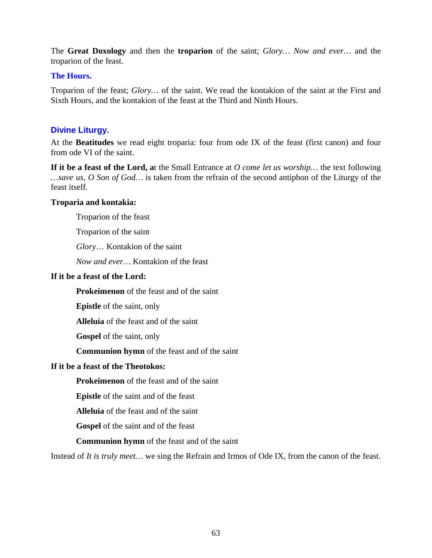The **Great Doxology** and then the **troparion** of the saint; *Glory… Now and ever…* and the troparion of the feast.

# **The Hours.**

Troparion of the feast; *Glory…* of the saint. We read the kontakion of the saint at the First and Sixth Hours, and the kontakion of the feast at the Third and Ninth Hours.

# **Divine Liturgy.**

At the **Beatitudes** we read eight troparia: four from ode IX of the feast (first canon) and four from ode VI of the saint.

**If it be a feast of the Lord, a**t the Small Entrance at *O come let us worship…* the text following *…save us, O Son of God…* is taken from the refrain of the second antiphon of the Liturgy of the feast itself.

# **Troparia and kontakia:**

Troparion of the feast

Troparion of the saint

*Glory*… Kontakion of the saint

*Now and ever…* Kontakion of the feast

### **If it be a feast of the Lord:**

**Prokeimenon** of the feast and of the saint

**Epistle** of the saint, only

**Alleluia** of the feast and of the saint

**Gospel** of the saint, only

**Communion hymn** of the feast and of the saint

# **If it be a feast of the Theotokos:**

**Prokeimenon** of the feast and of the saint

**Epistle** of the saint and of the feast

**Alleluia** of the feast and of the saint

**Gospel** of the saint and of the feast

**Communion hymn** of the feast and of the saint

Instead of *It is truly meet…* we sing the Refrain and Irmos of Ode IX, from the canon of the feast.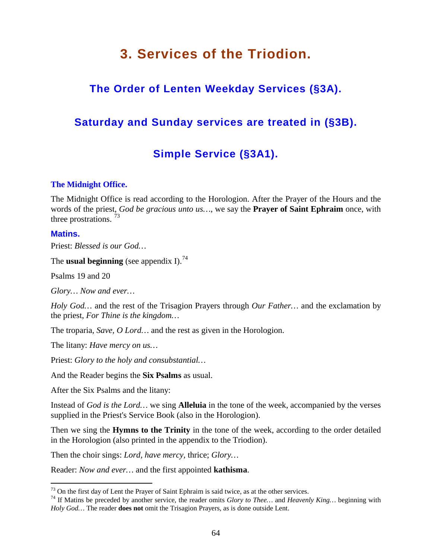# **3. Services of the Triodion.**

# **The Order of Lenten Weekday Services (§3A).**

# **Saturday and Sunday services are treated in (§3B).**

# **Simple Service (§3A1).**

# **The Midnight Office.**

The Midnight Office is read according to the Horologion. After the Prayer of the Hours and the words of the priest, *God be gracious unto us…*, we say the **Prayer of Saint Ephraim** once, with three prostrations.  $^{73}$  $^{73}$  $^{73}$ 

# **Matins.**

Priest: *Blessed is our God…*

The **usual beginning** (see appendix I).<sup>[74](#page-63-1)</sup>

Psalms 19 and 20

*Glory… Now and ever…*

*Holy God…* and the rest of the Trisagion Prayers through *Our Father…* and the exclamation by the priest, *For Thine is the kingdom…*

The troparia, *Save, O Lord…* and the rest as given in the Horologion.

The litany: *Have mercy on us…*

Priest: *Glory to the holy and consubstantial…*

And the Reader begins the **Six Psalms** as usual.

After the Six Psalms and the litany:

Instead of *God is the Lord…* we sing **Alleluia** in the tone of the week, accompanied by the verses supplied in the Priest's Service Book (also in the Horologion).

Then we sing the **Hymns to the Trinity** in the tone of the week, according to the order detailed in the Horologion (also printed in the appendix to the Triodion).

Then the choir sings: *Lord, have mercy,* thrice; *Glory…*

Reader: *Now and ever…* and the first appointed **kathisma**.

<span id="page-63-1"></span><span id="page-63-0"></span><sup>&</sup>lt;sup>73</sup> On the first day of Lent the Prayer of Saint Ephraim is said twice, as at the other services.<br><sup>74</sup> If Matins be preceded by another service, the reader omits *Glory to Thee…* and *Heavenly King…* beginning with *Holy God…* The reader **does not** omit the Trisagion Prayers, as is done outside Lent.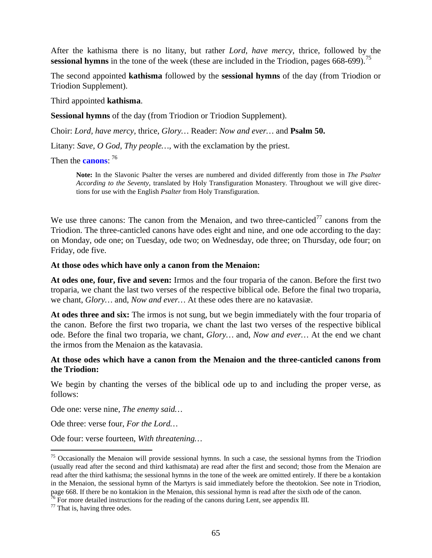After the kathisma there is no litany, but rather *Lord, have mercy,* thrice, followed by the **sessional hymns** in the tone of the week (these are included in the Triodion, pages 668-699).<sup>[75](#page-64-0)</sup>

The second appointed **kathisma** followed by the **sessional hymns** of the day (from Triodion or Triodion Supplement).

Third appointed **kathisma**.

**Sessional hymns** of the day (from Triodion or Triodion Supplement).

Choir: *Lord, have mercy,* thrice, *Glory…* Reader: *Now and ever…* and **Psalm 50.**

Litany: *Save, O God, Thy people*..., with the exclamation by the priest.

Then the **canons**: [76](#page-64-1)

**Note:** In the Slavonic Psalter the verses are numbered and divided differently from those in *The Psalter According to the Seventy,* translated by Holy Transfiguration Monastery. Throughout we will give directions for use with the English *Psalter* from Holy Transfiguration.

We use three canons: The canon from the Menaion, and two three-canticled<sup>[77](#page-64-2)</sup> canons from the Triodion. The three-canticled canons have odes eight and nine, and one ode according to the day: on Monday, ode one; on Tuesday, ode two; on Wednesday, ode three; on Thursday, ode four; on Friday, ode five.

### **At those odes which have only a canon from the Menaion:**

**At odes one, four, five and seven:** Irmos and the four troparia of the canon. Before the first two troparia, we chant the last two verses of the respective biblical ode. Before the final two troparia, we chant, *Glory…* and, *Now and ever…* At these odes there are no katavasiæ.

**At odes three and six:** The irmos is not sung, but we begin immediately with the four troparia of the canon. Before the first two troparia, we chant the last two verses of the respective biblical ode. Before the final two troparia, we chant, *Glory…* and, *Now and ever…* At the end we chant the irmos from the Menaion as the katavasia.

# **At those odes which have a canon from the Menaion and the three-canticled canons from the Triodion:**

We begin by chanting the verses of the biblical ode up to and including the proper verse, as follows:

Ode one: verse nine, *The enemy said…*

Ode three: verse four, *For the Lord…*

Ode four: verse fourteen, *With threatening…*

<span id="page-64-0"></span><sup>&</sup>lt;sup>75</sup> Occasionally the Menaion will provide sessional hymns. In such a case, the sessional hymns from the Triodion (usually read after the second and third kathismata) are read after the first and second; those from the Menaion are read after the third kathisma; the sessional hymns in the tone of the week are omitted entirely. If there be a kontakion in the Menaion, the sessional hymn of the Martyrs is said immediately before the theotokion. See note in Triodion, page 668. If there be no kontakion in the Menaion, this sessional hymn is read after the sixth ode of the canon.

<span id="page-64-1"></span><sup>&</sup>lt;sup>76</sup> For more detailed instructions for the reading of the canons during Lent, see appendix III.  $^{77}$  That is, having three odes.

<span id="page-64-2"></span>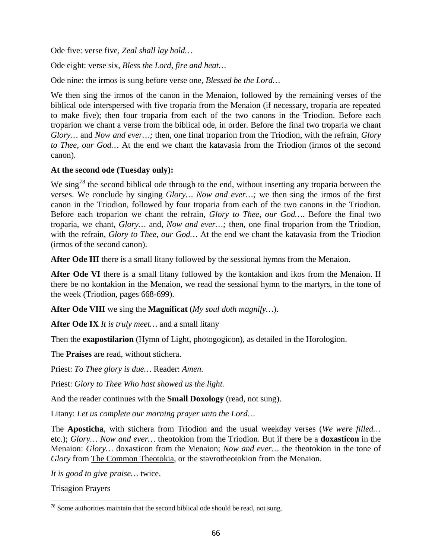Ode five: verse five, *Zeal shall lay hold…*

Ode eight: verse six, *Bless the Lord, fire and heat…*

Ode nine: the irmos is sung before verse one, *Blessed be the Lord…*

We then sing the irmos of the canon in the Menaion, followed by the remaining verses of the biblical ode interspersed with five troparia from the Menaion (if necessary, troparia are repeated to make five); then four troparia from each of the two canons in the Triodion. Before each troparion we chant a verse from the biblical ode, in order. Before the final two troparia we chant *Glory…* and *Now and ever…;* then, one final troparion from the Triodion, with the refrain, *Glory to Thee, our God…* At the end we chant the katavasia from the Triodion (irmos of the second canon).

# **At the second ode (Tuesday only):**

We sing<sup>[78](#page-65-0)</sup> the second biblical ode through to the end, without inserting any troparia between the verses. We conclude by singing *Glory… Now and ever…;* we then sing the irmos of the first canon in the Triodion, followed by four troparia from each of the two canons in the Triodion. Before each troparion we chant the refrain, *Glory to Thee, our God…*. Before the final two troparia, we chant, *Glory…* and, *Now and ever…;* then, one final troparion from the Triodion, with the refrain, *Glory to Thee, our God…* At the end we chant the katavasia from the Triodion (irmos of the second canon).

After Ode III there is a small litany followed by the sessional hymns from the Menaion.

After Ode VI there is a small litany followed by the kontakion and ikos from the Menaion. If there be no kontakion in the Menaion, we read the sessional hymn to the martyrs, in the tone of the week (Triodion, pages 668-699).

**After Ode VIII** we sing the **Magnificat** (*My soul doth magnify…*).

**After Ode IX** *It is truly meet…* and a small litany

Then the **exapostilarion** (Hymn of Light, photogogicon), as detailed in the Horologion.

The **Praises** are read, without stichera.

Priest: *To Thee glory is due…* Reader: *Amen.*

Priest: *Glory to Thee Who hast showed us the light.*

And the reader continues with the **Small Doxology** (read, not sung).

Litany: *Let us complete our morning prayer unto the Lord…*

The **Aposticha**, with stichera from Triodion and the usual weekday verses (*We were filled…*  etc.); *Glory… Now and ever…* theotokion from the Triodion. But if there be a **doxasticon** in the Menaion: *Glory…* doxasticon from the Menaion; *Now and ever…* the theotokion in the tone of Glory from The Common Theotokia, or the stavrotheotokion from the Menaion.

*It is good to give praise…* twice.

Trisagion Prayers

<span id="page-65-0"></span> $78$  Some authorities maintain that the second biblical ode should be read, not sung.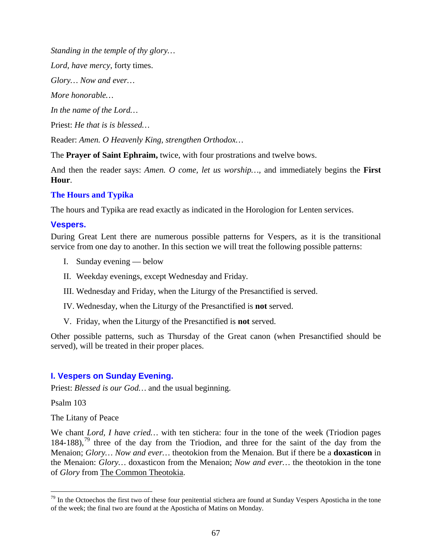*Standing in the temple of thy glory…*

*Lord, have mercy,* forty times.

*Glory… Now and ever…*

*More honorable…*

*In the name of the Lord…*

Priest: *He that is is blessed…*

Reader: *Amen. O Heavenly King, strengthen Orthodox…*

The **Prayer of Saint Ephraim,** twice, with four prostrations and twelve bows.

And then the reader says: *Amen. O come, let us worship…,* and immediately begins the **First Hour**.

# **The Hours and Typika**

The hours and Typika are read exactly as indicated in the Horologion for Lenten services.

# **Vespers.**

During Great Lent there are numerous possible patterns for Vespers, as it is the transitional service from one day to another. In this section we will treat the following possible patterns:

- I. Sunday evening below
- II. Weekday evenings, except Wednesday and Friday.
- III. Wednesday and Friday, when the Liturgy of the Presanctified is served.
- IV. Wednesday, when the Liturgy of the Presanctified is **not** served.
- V. Friday, when the Liturgy of the Presanctified is **not** served.

Other possible patterns, such as Thursday of the Great canon (when Presanctified should be served), will be treated in their proper places.

# **I. Vespers on Sunday Evening.**

Priest: *Blessed is our God…* and the usual beginning.

Psalm 103

The Litany of Peace

We chant *Lord, I have cried...* with ten stichera: four in the tone of the week (Triodion pages)  $184-188$ ),<sup>[79](#page-66-0)</sup> three of the day from the Triodion, and three for the saint of the day from the Menaion; *Glory… Now and ever…* theotokion from the Menaion. But if there be a **doxasticon** in the Menaion: *Glory…* doxasticon from the Menaion; *Now and ever…* the theotokion in the tone of *Glory* from The Common Theotokia.

<span id="page-66-0"></span> $79$  In the Octoechos the first two of these four penitential stichera are found at Sunday Vespers Aposticha in the tone of the week; the final two are found at the Aposticha of Matins on Monday.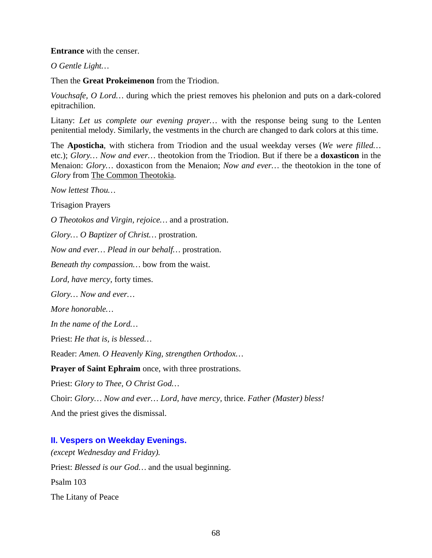# **Entrance** with the censer.

*O Gentle Light…*

Then the **Great Prokeimenon** from the Triodion.

*Vouchsafe, O Lord…* during which the priest removes his phelonion and puts on a dark-colored epitrachilion.

Litany: *Let us complete our evening prayer…* with the response being sung to the Lenten penitential melody. Similarly, the vestments in the church are changed to dark colors at this time.

The **Aposticha**, with stichera from Triodion and the usual weekday verses (*We were filled…*  etc.); *Glory… Now and ever…* theotokion from the Triodion. But if there be a **doxasticon** in the Menaion: *Glory…* doxasticon from the Menaion; *Now and ever…* the theotokion in the tone of Glory from The Common Theotokia.

*Now lettest Thou…*

Trisagion Prayers

*O Theotokos and Virgin, rejoice…* and a prostration.

*Glory… O Baptizer of Christ…* prostration.

*Now and ever… Plead in our behalf…* prostration.

*Beneath thy compassion…* bow from the waist.

*Lord, have mercy,* forty times.

*Glory… Now and ever…*

*More honorable…*

*In the name of the Lord…*

Priest: *He that is, is blessed…*

Reader: *Amen. O Heavenly King, strengthen Orthodox…*

**Prayer of Saint Ephraim** once, with three prostrations.

Priest: *Glory to Thee, O Christ God…*

Choir: *Glory… Now and ever… Lord, have mercy,* thrice. *Father (Master) bless!*

And the priest gives the dismissal.

# **II. Vespers on Weekday Evenings.**

*(except Wednesday and Friday).* Priest: *Blessed is our God…* and the usual beginning. Psalm 103 The Litany of Peace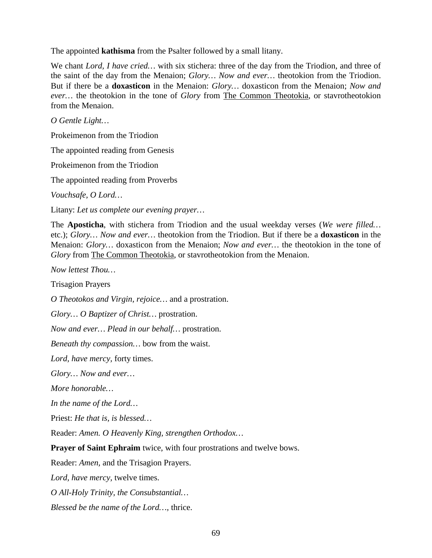The appointed **kathisma** from the Psalter followed by a small litany.

We chant *Lord, I have cried…* with six stichera: three of the day from the Triodion, and three of the saint of the day from the Menaion; *Glory… Now and ever…* theotokion from the Triodion. But if there be a **doxasticon** in the Menaion: *Glory…* doxasticon from the Menaion; *Now and*  ever... the theotokion in the tone of *Glory* from **The Common Theotokia**, or stavrotheotokion from the Menaion.

*O Gentle Light…*

Prokeimenon from the Triodion

The appointed reading from Genesis

Prokeimenon from the Triodion

The appointed reading from Proverbs

*Vouchsafe, O Lord…*

Litany: *Let us complete our evening prayer…*

The **Aposticha**, with stichera from Triodion and the usual weekday verses (*We were filled…*  etc.); *Glory… Now and ever…* theotokion from the Triodion. But if there be a **doxasticon** in the Menaion: *Glory…* doxasticon from the Menaion; *Now and ever…* the theotokion in the tone of Glory from The Common Theotokia, or stavrotheotokion from the Menaion.

*Now lettest Thou…*

Trisagion Prayers

*O Theotokos and Virgin, rejoice…* and a prostration.

*Glory… O Baptizer of Christ…* prostration.

*Now and ever… Plead in our behalf…* prostration.

*Beneath thy compassion…* bow from the waist.

*Lord, have mercy,* forty times.

*Glory… Now and ever…*

*More honorable…*

*In the name of the Lord…*

Priest: *He that is, is blessed…*

Reader: *Amen. O Heavenly King, strengthen Orthodox…*

**Prayer of Saint Ephraim** twice, with four prostrations and twelve bows.

Reader: *Amen,* and the Trisagion Prayers.

*Lord, have mercy,* twelve times.

*O All-Holy Trinity, the Consubstantial…*

*Blessed be the name of the Lord…,* thrice.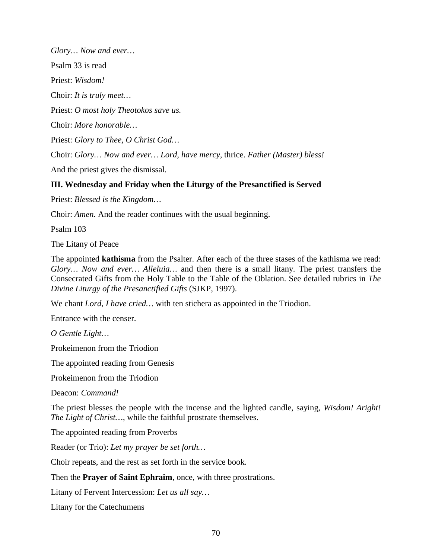*Glory… Now and ever…* Psalm 33 is read Priest: *Wisdom!* Choir: *It is truly meet…* Priest: *O most holy Theotokos save us.* Choir: *More honorable…* Priest: *Glory to Thee, O Christ God…* Choir: *Glory… Now and ever… Lord, have mercy,* thrice. *Father (Master) bless!*

And the priest gives the dismissal.

# **III. Wednesday and Friday when the Liturgy of the Presanctified is Served**

Priest: *Blessed is the Kingdom…*

Choir: *Amen.* And the reader continues with the usual beginning.

Psalm 103

The Litany of Peace

The appointed **kathisma** from the Psalter. After each of the three stases of the kathisma we read: *Glory… Now and ever… Alleluia…* and then there is a small litany. The priest transfers the Consecrated Gifts from the Holy Table to the Table of the Oblation. See detailed rubrics in *The Divine Liturgy of the Presanctified Gifts* (SJKP, 1997).

We chant *Lord, I have cried…* with ten stichera as appointed in the Triodion.

Entrance with the censer.

*O Gentle Light…*

Prokeimenon from the Triodion

The appointed reading from Genesis

Prokeimenon from the Triodion

Deacon: *Command!*

The priest blesses the people with the incense and the lighted candle, saying, *Wisdom! Aright! The Light of Christ…*, while the faithful prostrate themselves.

The appointed reading from Proverbs

Reader (or Trio): *Let my prayer be set forth…*

Choir repeats, and the rest as set forth in the service book.

Then the **Prayer of Saint Ephraim**, once, with three prostrations.

Litany of Fervent Intercession: *Let us all say…*

Litany for the Catechumens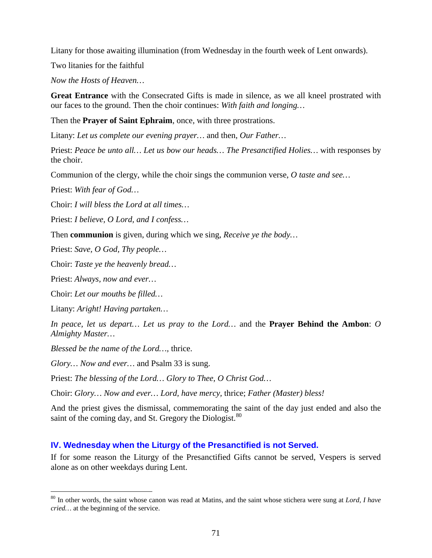Litany for those awaiting illumination (from Wednesday in the fourth week of Lent onwards).

Two litanies for the faithful

*Now the Hosts of Heaven…*

**Great Entrance** with the Consecrated Gifts is made in silence, as we all kneel prostrated with our faces to the ground. Then the choir continues: *With faith and longing…*

Then the **Prayer of Saint Ephraim**, once, with three prostrations.

Litany: *Let us complete our evening prayer…* and then, *Our Father…*

Priest: *Peace be unto all… Let us bow our heads… The Presanctified Holies…* with responses by the choir.

Communion of the clergy, while the choir sings the communion verse, *O taste and see…*

Priest: *With fear of God…*

Choir: *I will bless the Lord at all times…*

Priest: *I believe, O Lord, and I confess…*

Then **communion** is given, during which we sing, *Receive ye the body…*

Priest: *Save, O God, Thy people…*

Choir: *Taste ye the heavenly bread…*

Priest: *Always, now and ever…*

Choir: *Let our mouths be filled…*

Litany: *Aright! Having partaken…*

*In peace, let us depart… Let us pray to the Lord…* and the **Prayer Behind the Ambon**: *O Almighty Master…*

*Blessed be the name of the Lord…,* thrice.

*Glory… Now and ever…* and Psalm 33 is sung.

Priest: *The blessing of the Lord… Glory to Thee, O Christ God…*

Choir: *Glory… Now and ever… Lord, have mercy,* thrice; *Father (Master) bless!*

And the priest gives the dismissal, commemorating the saint of the day just ended and also the saint of the coming day, and St. Gregory the Diologist.<sup>[80](#page-70-0)</sup>

# **IV. Wednesday when the Liturgy of the Presanctified is not Served.**

If for some reason the Liturgy of the Presanctified Gifts cannot be served, Vespers is served alone as on other weekdays during Lent.

<span id="page-70-0"></span> <sup>80</sup> In other words, the saint whose canon was read at Matins, and the saint whose stichera were sung at *Lord, I have cried…* at the beginning of the service.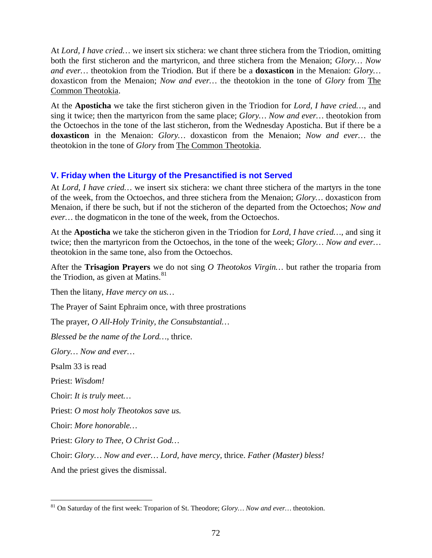At *Lord, I have cried…* we insert six stichera: we chant three stichera from the Triodion, omitting both the first sticheron and the martyricon, and three stichera from the Menaion; *Glory… Now and ever…* theotokion from the Triodion. But if there be a **doxasticon** in the Menaion: *Glory…*  doxasticon from the Menaion; *Now and ever…* the theotokion in the tone of *Glory* from The Common Theotokia.

At the **Aposticha** we take the first sticheron given in the Triodion for *Lord, I have cried…*, and sing it twice; then the martyricon from the same place; *Glory… Now and ever…* theotokion from the Octoechos in the tone of the last sticheron, from the Wednesday Aposticha. But if there be a **doxasticon** in the Menaion: *Glory…* doxasticon from the Menaion; *Now and ever…* the theotokion in the tone of *Glory* from The Common Theotokia.

# **V. Friday when the Liturgy of the Presanctified is not Served**

At *Lord, I have cried…* we insert six stichera: we chant three stichera of the martyrs in the tone of the week, from the Octoechos, and three stichera from the Menaion; *Glory…* doxasticon from Menaion, if there be such, but if not the sticheron of the departed from the Octoechos; *Now and ever…* the dogmaticon in the tone of the week, from the Octoechos.

At the **Aposticha** we take the sticheron given in the Triodion for *Lord, I have cried…*, and sing it twice; then the martyricon from the Octoechos, in the tone of the week; *Glory… Now and ever…*  theotokion in the same tone, also from the Octoechos.

After the **Trisagion Prayers** we do not sing *O Theotokos Virgin…* but rather the troparia from the Triodion, as given at Matins.<sup>[81](#page-71-0)</sup>

Then the litany, *Have mercy on us…*

The Prayer of Saint Ephraim once, with three prostrations

The prayer, *O All-Holy Trinity, the Consubstantial…*

*Blessed be the name of the Lord…,* thrice.

*Glory… Now and ever…*

Psalm 33 is read

Priest: *Wisdom!*

Choir: *It is truly meet…*

Priest: *O most holy Theotokos save us.*

Choir: *More honorable…*

Priest: *Glory to Thee, O Christ God…*

Choir: *Glory… Now and ever… Lord, have mercy,* thrice. *Father (Master) bless!*

And the priest gives the dismissal.

<span id="page-71-0"></span> <sup>81</sup> On Saturday of the first week: Troparion of St. Theodore; *Glory… Now and ever…* theotokion.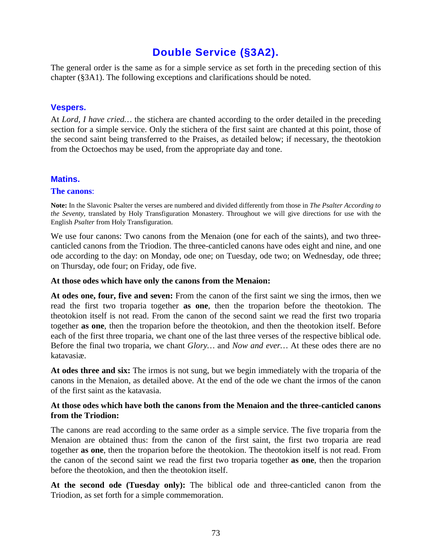# **Double Service (§3A2).**

The general order is the same as for a simple service as set forth in the preceding section of this chapter (§3A1). The following exceptions and clarifications should be noted.

# **Vespers.**

At *Lord, I have cried...* the stichera are chanted according to the order detailed in the preceding section for a simple service. Only the stichera of the first saint are chanted at this point, those of the second saint being transferred to the Praises, as detailed below; if necessary, the theotokion from the Octoechos may be used, from the appropriate day and tone.

# **Matins.**

# **The canons**:

**Note:** In the Slavonic Psalter the verses are numbered and divided differently from those in *The Psalter According to the Seventy,* translated by Holy Transfiguration Monastery. Throughout we will give directions for use with the English *Psalter* from Holy Transfiguration.

We use four canons: Two canons from the Menaion (one for each of the saints), and two threecanticled canons from the Triodion. The three-canticled canons have odes eight and nine, and one ode according to the day: on Monday, ode one; on Tuesday, ode two; on Wednesday, ode three; on Thursday, ode four; on Friday, ode five.

# **At those odes which have only the canons from the Menaion:**

**At odes one, four, five and seven:** From the canon of the first saint we sing the irmos, then we read the first two troparia together **as one**, then the troparion before the theotokion. The theotokion itself is not read. From the canon of the second saint we read the first two troparia together **as one**, then the troparion before the theotokion, and then the theotokion itself. Before each of the first three troparia, we chant one of the last three verses of the respective biblical ode. Before the final two troparia, we chant *Glory…* and *Now and ever…* At these odes there are no katavasiæ.

**At odes three and six:** The irmos is not sung, but we begin immediately with the troparia of the canons in the Menaion, as detailed above. At the end of the ode we chant the irmos of the canon of the first saint as the katavasia.

# **At those odes which have both the canons from the Menaion and the three-canticled canons from the Triodion:**

The canons are read according to the same order as a simple service. The five troparia from the Menaion are obtained thus: from the canon of the first saint, the first two troparia are read together **as one**, then the troparion before the theotokion. The theotokion itself is not read. From the canon of the second saint we read the first two troparia together **as one**, then the troparion before the theotokion, and then the theotokion itself.

**At the second ode (Tuesday only):** The biblical ode and three-canticled canon from the Triodion, as set forth for a simple commemoration.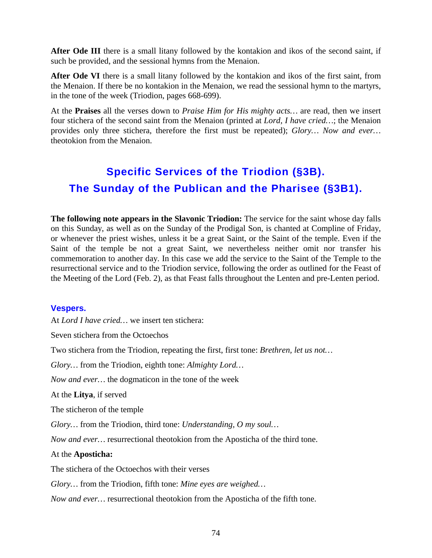**After Ode III** there is a small litany followed by the kontakion and ikos of the second saint, if such be provided, and the sessional hymns from the Menaion.

**After Ode VI** there is a small litany followed by the kontakion and ikos of the first saint, from the Menaion. If there be no kontakion in the Menaion, we read the sessional hymn to the martyrs, in the tone of the week (Triodion, pages 668-699).

At the **Praises** all the verses down to *Praise Him for His mighty acts…* are read, then we insert four stichera of the second saint from the Menaion (printed at *Lord, I have cried…*; the Menaion provides only three stichera, therefore the first must be repeated); *Glory… Now and ever…*  theotokion from the Menaion.

# **Specific Services of the Triodion (§3B). The Sunday of the Publican and the Pharisee (§3B1).**

**The following note appears in the Slavonic Triodion:** The service for the saint whose day falls on this Sunday, as well as on the Sunday of the Prodigal Son, is chanted at Compline of Friday, or whenever the priest wishes, unless it be a great Saint, or the Saint of the temple. Even if the Saint of the temple be not a great Saint, we nevertheless neither omit nor transfer his commemoration to another day. In this case we add the service to the Saint of the Temple to the resurrectional service and to the Triodion service, following the order as outlined for the Feast of the Meeting of the Lord (Feb. 2), as that Feast falls throughout the Lenten and pre-Lenten period.

# **Vespers.**

At *Lord I have cried…* we insert ten stichera:

Seven stichera from the Octoechos

Two stichera from the Triodion, repeating the first, first tone: *Brethren, let us not…*

*Glory…* from the Triodion, eighth tone: *Almighty Lord…*

*Now and ever…* the dogmaticon in the tone of the week

At the **Litya**, if served

The sticheron of the temple

*Glory…* from the Triodion, third tone: *Understanding, O my soul…*

*Now and ever…* resurrectional theotokion from the Aposticha of the third tone.

# At the **Aposticha:**

The stichera of the Octoechos with their verses

*Glory…* from the Triodion, fifth tone: *Mine eyes are weighed…*

*Now and ever…* resurrectional theotokion from the Aposticha of the fifth tone.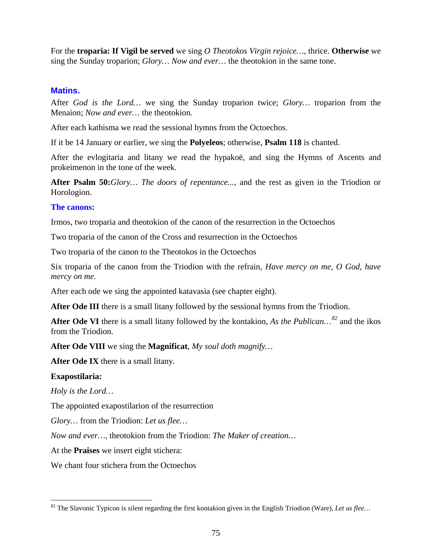For the **troparia: If Vigil be served** we sing *O Theotokos Virgin rejoice…*, thrice. **Otherwise** we sing the Sunday troparion; *Glory… Now and ever…* the theotokion in the same tone.

# **Matins.**

After *God is the Lord…* we sing the Sunday troparion twice; *Glory…* troparion from the Menaion; *Now and ever…* the theotokion.

After each kathisma we read the sessional hymns from the Octoechos.

If it be 14 January or earlier, we sing the **Polyeleos**; otherwise, **Psalm 118** is chanted.

After the evlogitaria and litany we read the hypakoë, and sing the Hymns of Ascents and prokeimenon in the tone of the week.

**After Psalm 50:***Glory… The doors of repentance...*, and the rest as given in the Triodion or Horologion.

## **The canons:**

Irmos, two troparia and theotokion of the canon of the resurrection in the Octoechos

Two troparia of the canon of the Cross and resurrection in the Octoechos

Two troparia of the canon to the Theotokos in the Octoechos

Six troparia of the canon from the Triodion with the refrain, *Have mercy on me, O God, have mercy on me.*

After each ode we sing the appointed katavasia (see chapter eight).

**After Ode III** there is a small litany followed by the sessional hymns from the Triodion.

**After Ode VI** there is a small litany followed by the kontakion, *As the Publican…[82](#page-74-0)* and the ikos from the Triodion.

**After Ode VIII** we sing the **Magnificat**, *My soul doth magnify…*

**After Ode IX** there is a small litany.

# **Exapostilaria:**

*Holy is the Lord…*

The appointed exapostilarion of the resurrection

*Glory…* from the Triodion: *Let us flee…*

*Now and ever…*, theotokion from the Triodion: *The Maker of creation…*

At the **Praises** we insert eight stichera:

We chant four stichera from the Octoechos

<span id="page-74-0"></span> <sup>82</sup> The Slavonic Typicon is silent regarding the first kontakion given in the English Triodion (Ware), *Let us flee…*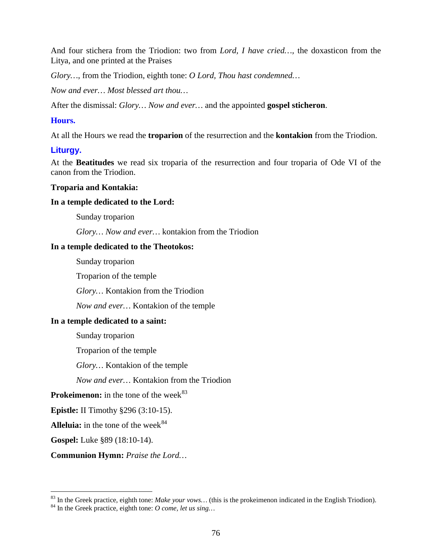And four stichera from the Triodion: two from *Lord, I have cried…,* the doxasticon from the Litya, and one printed at the Praises

*Glory…*, from the Triodion, eighth tone: *O Lord, Thou hast condemned…*

*Now and ever… Most blessed art thou…*

After the dismissal: *Glory… Now and ever…* and the appointed **gospel sticheron**.

# **Hours.**

At all the Hours we read the **troparion** of the resurrection and the **kontakion** from the Triodion.

# **Liturgy.**

At the **Beatitudes** we read six troparia of the resurrection and four troparia of Ode VI of the canon from the Triodion.

## **Troparia and Kontakia:**

## **In a temple dedicated to the Lord:**

Sunday troparion

*Glory… Now and ever…* kontakion from the Triodion

# **In a temple dedicated to the Theotokos:**

Sunday troparion

Troparion of the temple

*Glory…* Kontakion from the Triodion

*Now and ever…* Kontakion of the temple

# **In a temple dedicated to a saint:**

Sunday troparion

Troparion of the temple

*Glory…* Kontakion of the temple

*Now and ever…* Kontakion from the Triodion

**Prokeimenon:** in the tone of the week<sup>[83](#page-75-0)</sup>

**Epistle:** II Timothy §296 (3:10-15).

**Alleluia:** in the tone of the week<sup>[84](#page-75-1)</sup>

**Gospel:** Luke §89 (18:10-14).

**Communion Hymn:** *Praise the Lord…*

<span id="page-75-1"></span><span id="page-75-0"></span><sup>83</sup> In the Greek practice, eighth tone: *Make your vows…* (this is the prokeimenon indicated in the English Triodion). <sup>84</sup> In the Greek practice, eighth tone: *O come, let us sing…*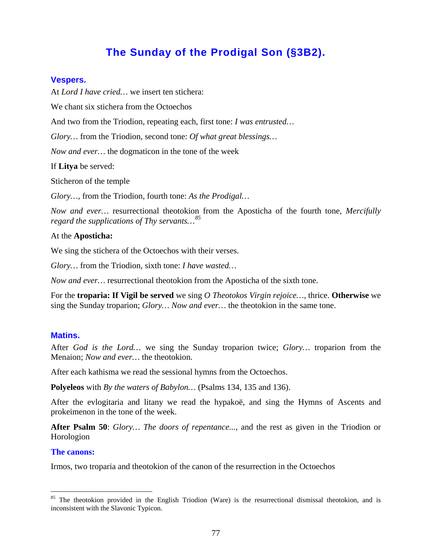# **The Sunday of the Prodigal Son (§3B2).**

# **Vespers.**

At *Lord I have cried…* we insert ten stichera:

We chant six stichera from the Octoechos

And two from the Triodion, repeating each, first tone: *I was entrusted…*

*Glory…* from the Triodion, second tone: *Of what great blessings…*

*Now and ever…* the dogmaticon in the tone of the week

If **Litya** be served:

Sticheron of the temple

*Glory…*, from the Triodion, fourth tone: *As the Prodigal…*

*Now and ever…* resurrectional theotokion from the Aposticha of the fourth tone, *Mercifully regard the supplications of Thy servants…[85](#page-76-0)*

## At the **Aposticha:**

We sing the stichera of the Octoechos with their verses.

*Glory…* from the Triodion, sixth tone: *I have wasted…*

*Now and ever…* resurrectional theotokion from the Aposticha of the sixth tone.

For the **troparia: If Vigil be served** we sing *O Theotokos Virgin rejoice…*, thrice. **Otherwise** we sing the Sunday troparion; *Glory… Now and ever…* the theotokion in the same tone.

# **Matins.**

After *God is the Lord…* we sing the Sunday troparion twice; *Glory…* troparion from the Menaion; *Now and ever…* the theotokion.

After each kathisma we read the sessional hymns from the Octoechos.

**Polyeleos** with *By the waters of Babylon…* (Psalms 134, 135 and 136).

After the evlogitaria and litany we read the hypakoë, and sing the Hymns of Ascents and prokeimenon in the tone of the week.

**After Psalm 50**: *Glory… The doors of repentance...*, and the rest as given in the Triodion or Horologion

#### **The canons:**

Irmos, two troparia and theotokion of the canon of the resurrection in the Octoechos

<span id="page-76-0"></span><sup>&</sup>lt;sup>85</sup> The theotokion provided in the English Triodion (Ware) is the resurrectional dismissal theotokion, and is inconsistent with the Slavonic Typicon.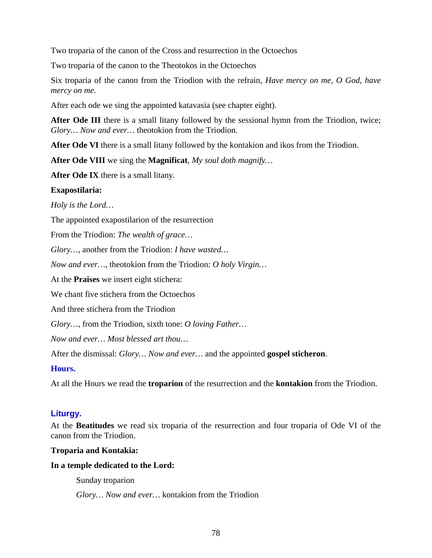Two troparia of the canon of the Cross and resurrection in the Octoechos

Two troparia of the canon to the Theotokos in the Octoechos

Six troparia of the canon from the Triodion with the refrain, *Have mercy on me, O God, have mercy on me.*

After each ode we sing the appointed katavasia (see chapter eight).

**After Ode III** there is a small litany followed by the sessional hymn from the Triodion, twice; *Glory… Now and ever…* theotokion from the Triodion.

**After Ode VI** there is a small litany followed by the kontakion and ikos from the Triodion.

**After Ode VIII** we sing the **Magnificat**, *My soul doth magnify…*

**After Ode IX** there is a small litany.

# **Exapostilaria:**

*Holy is the Lord…*

The appointed exapostilarion of the resurrection

From the Triodion: *The wealth of grace…*

*Glory…*, another from the Triodion: *I have wasted…*

*Now and ever…*, theotokion from the Triodion: *O holy Virgin…*

At the **Praises** we insert eight stichera:

We chant five stichera from the Octoechos

And three stichera from the Triodion

*Glory…*, from the Triodion, sixth tone: *O loving Father…*

*Now and ever… Most blessed art thou…*

After the dismissal: *Glory… Now and ever…* and the appointed **gospel sticheron**.

# **Hours.**

At all the Hours we read the **troparion** of the resurrection and the **kontakion** from the Triodion.

# **Liturgy.**

At the **Beatitudes** we read six troparia of the resurrection and four troparia of Ode VI of the canon from the Triodion.

# **Troparia and Kontakia:**

# **In a temple dedicated to the Lord:**

Sunday troparion

*Glory… Now and ever…* kontakion from the Triodion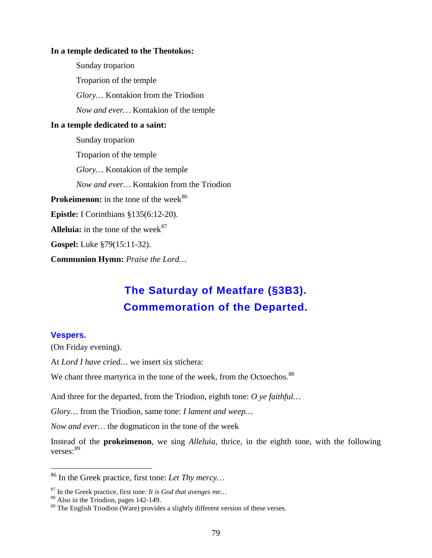## **In a temple dedicated to the Theotokos:**

Sunday troparion Troparion of the temple *Glory…* Kontakion from the Triodion *Now and ever…* Kontakion of the temple **In a temple dedicated to a saint:** Sunday troparion Troparion of the temple *Glory…* Kontakion of the temple *Now and ever…* Kontakion from the Triodion **Prokeimenon:** in the tone of the week<sup>[86](#page-78-0)</sup> **Epistle:** I Corinthians §135(6:12-20). **Alleluia:** in the tone of the week $87$ **Gospel:** Luke §79(15:11-32). **Communion Hymn:** *Praise the Lord…*

# **The Saturday of Meatfare (§3B3). Commemoration of the Departed.**

## **Vespers.**

(On Friday evening).

At *Lord I have cried…* we insert six stichera:

We chant three martyrica in the tone of the week, from the Octoechos.<sup>[88](#page-78-2)</sup>

And three for the departed, from the Triodion, eighth tone: *O ye faithful…*

*Glory…* from the Triodion, same tone: *I lament and weep…*

*Now and ever…* the dogmaticon in the tone of the week

Instead of the **prokeimenon**, we sing *Alleluia*, thrice, in the eighth tone, with the following verses:[89](#page-78-3)

<span id="page-78-0"></span> <sup>86</sup> In the Greek practice, first tone: *Let Thy mercy…*

<span id="page-78-1"></span><sup>&</sup>lt;sup>87</sup> In the Greek practice, first tone: *It is God that avenges me...* <sup>88</sup> Also in the Triodion, pages 142-149.

<span id="page-78-2"></span>

<span id="page-78-3"></span> $89$  The English Triodion (Ware) provides a slightly different version of these verses.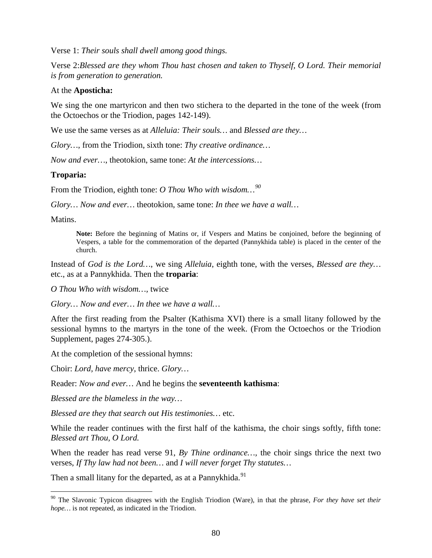Verse 1: *Their souls shall dwell among good things.*

Verse 2:*Blessed are they whom Thou hast chosen and taken to Thyself, O Lord. Their memorial is from generation to generation.*

# At the **Aposticha:**

We sing the one martyricon and then two stichera to the departed in the tone of the week (from the Octoechos or the Triodion, pages 142-149).

We use the same verses as at *Alleluia: Their souls…* and *Blessed are they…*

*Glory…*, from the Triodion, sixth tone: *Thy creative ordinance…*

*Now and ever…*, theotokion, same tone: *At the intercessions…*

# **Troparia:**

From the Triodion, eighth tone: *O Thou Who with wisdom…[90](#page-79-0)*

*Glory… Now and ever…* theotokion, same tone: *In thee we have a wall…*

Matins.

**Note:** Before the beginning of Matins or, if Vespers and Matins be conjoined, before the beginning of Vespers, a table for the commemoration of the departed (Pannykhida table) is placed in the center of the church.

Instead of *God is the Lord…*, we sing *Alleluia*, eighth tone, with the verses, *Blessed are they…*  etc., as at a Pannykhida. Then the **troparia**:

*O Thou Who with wisdom…,* twice

*Glory… Now and ever… In thee we have a wall…*

After the first reading from the Psalter (Kathisma XVI) there is a small litany followed by the sessional hymns to the martyrs in the tone of the week. (From the Octoechos or the Triodion Supplement, pages 274-305.).

At the completion of the sessional hymns:

Choir: *Lord, have mercy*, thrice. *Glory…*

Reader: *Now and ever…* And he begins the **seventeenth kathisma**:

*Blessed are the blameless in the way…*

*Blessed are they that search out His testimonies…* etc.

While the reader continues with the first half of the kathisma, the choir sings softly, fifth tone: *Blessed art Thou, O Lord.*

When the reader has read verse 91, *By Thine ordinance*..., the choir sings thrice the next two verses, *If Thy law had not been…* and *I will never forget Thy statutes…*

Then a small litany for the departed, as at a Pannykhida.<sup>[91](#page-79-0)</sup>

<span id="page-79-0"></span> <sup>90</sup> The Slavonic Typicon disagrees with the English Triodion (Ware), in that the phrase, *For they have set their hope…* is not repeated, as indicated in the Triodion.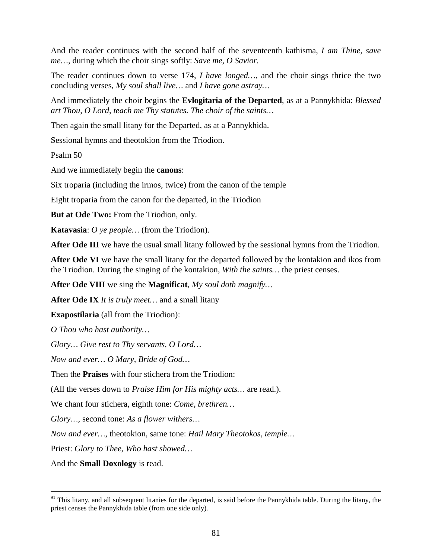And the reader continues with the second half of the seventeenth kathisma, *I am Thine, save me…,* during which the choir sings softly: *Save me, O Savior.*

The reader continues down to verse 174, *I have longed…,* and the choir sings thrice the two concluding verses, *My soul shall live…* and *I have gone astray…*

And immediately the choir begins the **Evlogitaria of the Departed**, as at a Pannykhida: *Blessed art Thou, O Lord, teach me Thy statutes. The choir of the saints…*

Then again the small litany for the Departed, as at a Pannykhida.

Sessional hymns and theotokion from the Triodion.

Psalm 50

And we immediately begin the **canons**:

Six troparia (including the irmos, twice) from the canon of the temple

Eight troparia from the canon for the departed, in the Triodion

**But at Ode Two:** From the Triodion, only.

**Katavasia**: *O ye people…* (from the Triodion).

**After Ode III** we have the usual small litany followed by the sessional hymns from the Triodion.

**After Ode VI** we have the small litany for the departed followed by the kontakion and ikos from the Triodion. During the singing of the kontakion, *With the saints…* the priest censes.

**After Ode VIII** we sing the **Magnificat**, *My soul doth magnify…*

**After Ode IX** *It is truly meet…* and a small litany

**Exapostilaria** (all from the Triodion):

*O Thou who hast authority…*

*Glory… Give rest to Thy servants, O Lord…*

*Now and ever… O Mary, Bride of God…*

Then the **Praises** with four stichera from the Triodion:

(All the verses down to *Praise Him for His mighty acts…* are read.).

We chant four stichera, eighth tone: *Come, brethren…*

*Glory…,* second tone: *As a flower withers…*

*Now and ever…*, theotokion, same tone: *Hail Mary Theotokos, temple…*

Priest: *Glory to Thee, Who hast showed…*

And the **Small Doxology** is read.

<sup>&</sup>lt;sup>91</sup> This litany, and all subsequent litanies for the departed, is said before the Pannykhida table. During the litany, the priest censes the Pannykhida table (from one side only).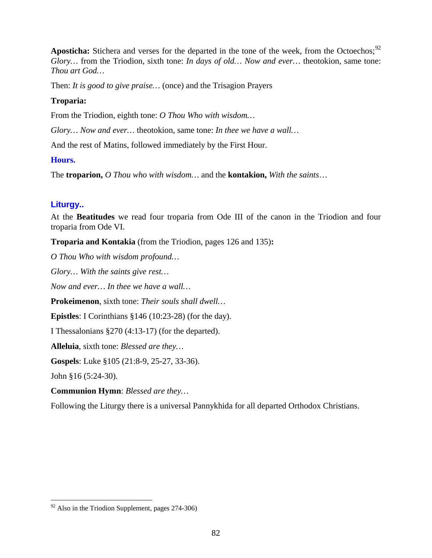Aposticha: Stichera and verses for the departed in the tone of the week, from the Octoechos;<sup>[92](#page-81-0)</sup> *Glory…* from the Triodion, sixth tone: *In days of old… Now and ever…* theotokion, same tone: *Thou art God…*

Then: *It is good to give praise…* (once) and the Trisagion Prayers

# **Troparia:**

From the Triodion, eighth tone: *O Thou Who with wisdom…*

*Glory… Now and ever…* theotokion, same tone: *In thee we have a wall…*

And the rest of Matins, followed immediately by the First Hour.

# **Hours.**

The **troparion,** *O Thou who with wisdom…* and the **kontakion,** *With the saints*…

# **Liturgy..**

At the **Beatitudes** we read four troparia from Ode III of the canon in the Triodion and four troparia from Ode VI.

**Troparia and Kontakia** (from the Triodion, pages 126 and 135)**:**

*O Thou Who with wisdom profound…*

*Glory… With the saints give rest…*

*Now and ever… In thee we have a wall…*

**Prokeimenon**, sixth tone: *Their souls shall dwell…*

**Epistles**: I Corinthians §146 (10:23-28) (for the day).

I Thessalonians §270 (4:13-17) (for the departed).

**Alleluia**, sixth tone: *Blessed are they…*

**Gospels**: Luke §105 (21:8-9, 25-27, 33-36).

John §16 (5:24-30).

**Communion Hymn**: *Blessed are they…*

Following the Liturgy there is a universal Pannykhida for all departed Orthodox Christians.

<span id="page-81-0"></span> $92$  Also in the Triodion Supplement, pages 274-306)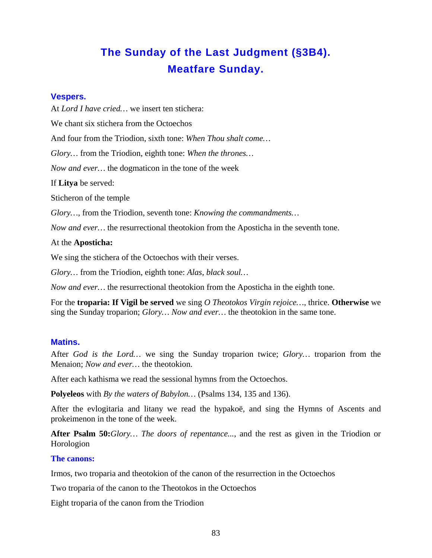# **The Sunday of the Last Judgment (§3B4). Meatfare Sunday.**

# **Vespers.**

At *Lord I have cried…* we insert ten stichera: We chant six stichera from the Octoechos And four from the Triodion, sixth tone: *When Thou shalt come… Glory…* from the Triodion, eighth tone: *When the thrones… Now and ever…* the dogmaticon in the tone of the week If **Litya** be served: Sticheron of the temple *Glory…*, from the Triodion, seventh tone: *Knowing the commandments…*

*Now and ever…* the resurrectional theotokion from the Aposticha in the seventh tone.

# At the **Aposticha:**

We sing the stichera of the Octoechos with their verses.

*Glory…* from the Triodion, eighth tone: *Alas, black soul…*

*Now and ever…* the resurrectional theotokion from the Aposticha in the eighth tone.

For the **troparia: If Vigil be served** we sing *O Theotokos Virgin rejoice…*, thrice. **Otherwise** we sing the Sunday troparion; *Glory… Now and ever…* the theotokion in the same tone.

# **Matins.**

After *God is the Lord…* we sing the Sunday troparion twice; *Glory…* troparion from the Menaion; *Now and ever…* the theotokion.

After each kathisma we read the sessional hymns from the Octoechos.

**Polyeleos** with *By the waters of Babylon…* (Psalms 134, 135 and 136).

After the evlogitaria and litany we read the hypakoë, and sing the Hymns of Ascents and prokeimenon in the tone of the week.

**After Psalm 50:***Glory… The doors of repentance...*, and the rest as given in the Triodion or Horologion

# **The canons:**

Irmos, two troparia and theotokion of the canon of the resurrection in the Octoechos

Two troparia of the canon to the Theotokos in the Octoechos

Eight troparia of the canon from the Triodion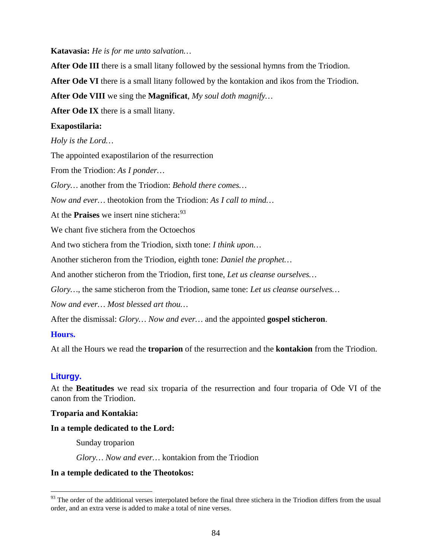**Katavasia:** *He is for me unto salvation…*

**After Ode III** there is a small litany followed by the sessional hymns from the Triodion.

**After Ode VI** there is a small litany followed by the kontakion and ikos from the Triodion.

**After Ode VIII** we sing the **Magnificat**, *My soul doth magnify…*

**After Ode IX** there is a small litany.

# **Exapostilaria:**

*Holy is the Lord…*

The appointed exapostilarion of the resurrection

From the Triodion: *As I ponder…*

*Glory…* another from the Triodion: *Behold there comes…*

*Now and ever…* theotokion from the Triodion: *As I call to mind…*

At the **Praises** we insert nine stichera:<sup>[93](#page-83-0)</sup>

We chant five stichera from the Octoechos

And two stichera from the Triodion, sixth tone: *I think upon…*

Another sticheron from the Triodion, eighth tone: *Daniel the prophet…*

And another sticheron from the Triodion, first tone, *Let us cleanse ourselves…*

*Glory…*, the same sticheron from the Triodion, same tone: *Let us cleanse ourselves…*

*Now and ever… Most blessed art thou…*

After the dismissal: *Glory… Now and ever…* and the appointed **gospel sticheron**.

# **Hours.**

At all the Hours we read the **troparion** of the resurrection and the **kontakion** from the Triodion.

# **Liturgy.**

At the **Beatitudes** we read six troparia of the resurrection and four troparia of Ode VI of the canon from the Triodion.

# **Troparia and Kontakia:**

# **In a temple dedicated to the Lord:**

Sunday troparion

*Glory… Now and ever…* kontakion from the Triodion

# **In a temple dedicated to the Theotokos:**

<span id="page-83-0"></span> $93$  The order of the additional verses interpolated before the final three stichera in the Triodion differs from the usual order, and an extra verse is added to make a total of nine verses.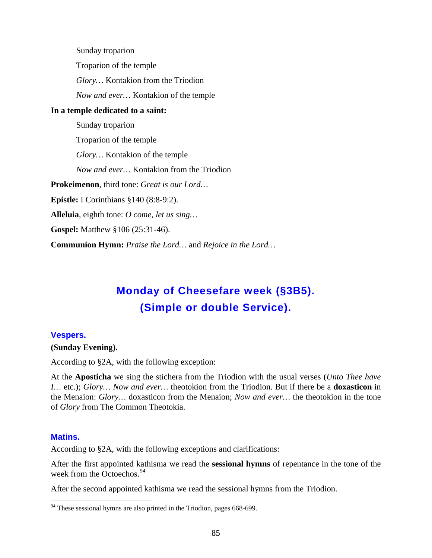Sunday troparion Troparion of the temple *Glory…* Kontakion from the Triodion *Now and ever…* Kontakion of the temple **In a temple dedicated to a saint:** Sunday troparion Troparion of the temple *Glory…* Kontakion of the temple *Now and ever…* Kontakion from the Triodion **Prokeimenon**, third tone: *Great is our Lord…* **Epistle:** I Corinthians §140 (8:8-9:2). **Alleluia**, eighth tone: *O come, let us sing…* **Gospel:** Matthew §106 (25:31-46). **Communion Hymn:** *Praise the Lord…* and *Rejoice in the Lord…*

# **Monday of Cheesefare week (§3B5). (Simple or double Service).**

#### **Vespers.**

#### **(Sunday Evening).**

According to §2A, with the following exception:

At the **Aposticha** we sing the stichera from the Triodion with the usual verses (*Unto Thee have I…* etc.); *Glory… Now and ever…* theotokion from the Triodion. But if there be a **doxasticon** in the Menaion: *Glory…* doxasticon from the Menaion; *Now and ever…* the theotokion in the tone of *Glory* from The Common Theotokia.

#### **Matins.**

According to §2A, with the following exceptions and clarifications:

After the first appointed kathisma we read the **sessional hymns** of repentance in the tone of the week from the Octoechos.<sup>[94](#page-84-0)</sup>

After the second appointed kathisma we read the sessional hymns from the Triodion.

<span id="page-84-0"></span> $94$  These sessional hymns are also printed in the Triodion, pages 668-699.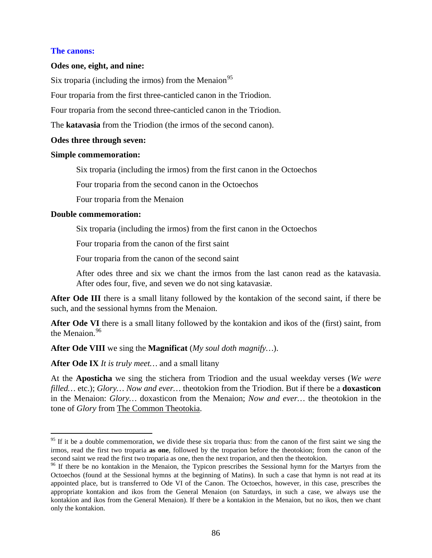## **The canons:**

## **Odes one, eight, and nine:**

Six troparia (including the irmos) from the Menaion<sup>[95](#page-85-0)</sup>

Four troparia from the first three-canticled canon in the Triodion.

Four troparia from the second three-canticled canon in the Triodion.

The **katavasia** from the Triodion (the irmos of the second canon).

# **Odes three through seven:**

# **Simple commemoration:**

Six troparia (including the irmos) from the first canon in the Octoechos

Four troparia from the second canon in the Octoechos

Four troparia from the Menaion

# **Double commemoration:**

Six troparia (including the irmos) from the first canon in the Octoechos

Four troparia from the canon of the first saint

Four troparia from the canon of the second saint

After odes three and six we chant the irmos from the last canon read as the katavasia. After odes four, five, and seven we do not sing katavasiæ.

**After Ode III** there is a small litany followed by the kontakion of the second saint, if there be such, and the sessional hymns from the Menaion.

**After Ode VI** there is a small litany followed by the kontakion and ikos of the (first) saint, from the Menaion.<sup>[96](#page-85-1)</sup>

**After Ode VIII** we sing the **Magnificat** (*My soul doth magnify…*).

**After Ode IX** *It is truly meet…* and a small litany

At the **Aposticha** we sing the stichera from Triodion and the usual weekday verses (*We were filled…* etc.); *Glory… Now and ever…* theotokion from the Triodion. But if there be a **doxasticon** in the Menaion: *Glory…* doxasticon from the Menaion; *Now and ever…* the theotokion in the tone of *Glory* from The Common Theotokia .

<span id="page-85-0"></span> $95$  If it be a double commemoration, we divide these six troparia thus: from the canon of the first saint we sing the irmos, read the first two troparia **as one**, followed by the troparion before the theotokion; from the canon of the second saint we read the first two troparia as one, then the next troparion, and then the theotokion.

<span id="page-85-1"></span><sup>&</sup>lt;sup>96</sup> If there be no kontakion in the Menaion, the Typicon prescribes the Sessional hymn for the Martyrs from the Octoechos (found at the Sessional hymns at the beginning of Matins). In such a case that hymn is not read at its appointed place, but is transferred to Ode VI of the Canon. The Octoechos, however, in this case, prescribes the appropriate kontakion and ikos from the General Menaion (on Saturdays, in such a case, we always use the kontakion and ikos from the General Menaion). If there be a kontakion in the Menaion, but no ikos, then we chant only the kontakion.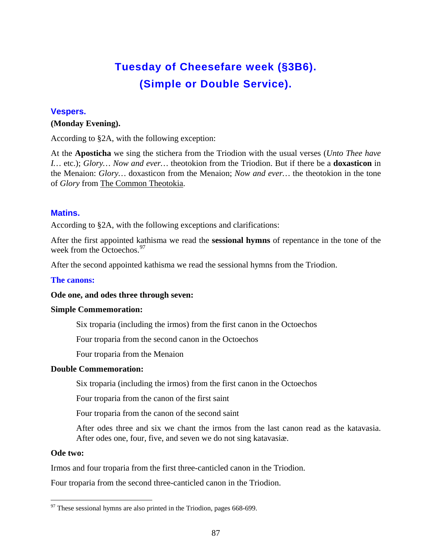# **Tuesday of Cheesefare week (§3B6). (Simple or Double Service).**

# **Vespers.**

# **(Monday Evening).**

According to §2A, with the following exception:

At the **Aposticha** we sing the stichera from the Triodion with the usual verses (*Unto Thee have I…* etc.); *Glory… Now and ever…* theotokion from the Triodion. But if there be a **doxasticon** in the Menaion: *Glory…* doxasticon from the Menaion; *Now and ever…* the theotokion in the tone of *Glory* from The Common Theotokia.

# **Matins.**

According to §2A, with the following exceptions and clarifications:

After the first appointed kathisma we read the **sessional hymns** of repentance in the tone of the week from the Octoechos.<sup>[97](#page-86-0)</sup>

After the second appointed kathisma we read the sessional hymns from the Triodion.

## **The canons:**

# **Ode one, and odes three through seven:**

# **Simple Commemoration:**

Six troparia (including the irmos) from the first canon in the Octoechos

Four troparia from the second canon in the Octoechos

Four troparia from the Menaion

# **Double Commemoration:**

Six troparia (including the irmos) from the first canon in the Octoechos

Four troparia from the canon of the first saint

Four troparia from the canon of the second saint

After odes three and six we chant the irmos from the last canon read as the katavasia. After odes one, four, five, and seven we do not sing katavasiæ.

#### **Ode two:**

Irmos and four troparia from the first three-canticled canon in the Triodion.

Four troparia from the second three-canticled canon in the Triodion.

<span id="page-86-0"></span> $97$  These sessional hymns are also printed in the Triodion, pages 668-699.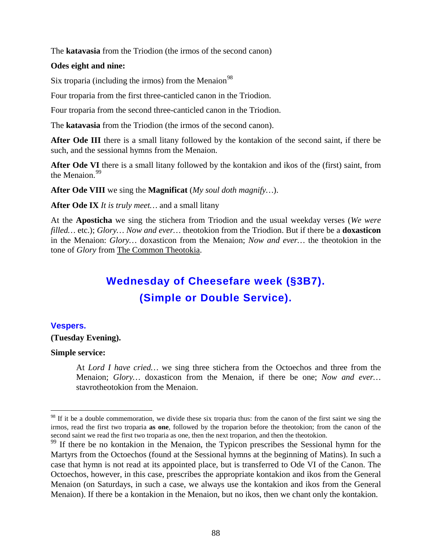The **katavasia** from the Triodion (the irmos of the second canon)

## **Odes eight and nine:**

Six troparia (including the irmos) from the Menaion $98$ 

Four troparia from the first three-canticled canon in the Triodion.

Four troparia from the second three-canticled canon in the Triodion.

The **katavasia** from the Triodion (the irmos of the second canon).

**After Ode III** there is a small litany followed by the kontakion of the second saint, if there be such, and the sessional hymns from the Menaion.

**After Ode VI** there is a small litany followed by the kontakion and ikos of the (first) saint, from the Menaion.<sup>[99](#page-87-1)</sup>

**After Ode VIII** we sing the **Magnificat** (*My soul doth magnify…*).

**After Ode IX** *It is truly meet…* and a small litany

At the **Aposticha** we sing the stichera from Triodion and the usual weekday verses (*We were filled…* etc.); *Glory… Now and ever…* theotokion from the Triodion. But if there be a **doxasticon** in the Menaion: *Glory…* doxasticon from the Menaion; *Now and ever…* the theotokion in the tone of *Glory* from The Common Theotokia.

# **Wednesday of Cheesefare week (§3B7). (Simple or Double Service).**

# **Vespers.**

#### **(Tuesday Evening).**

#### **Simple service:**

At *Lord I have cried…* we sing three stichera from the Octoechos and three from the Menaion; *Glory…* doxasticon from the Menaion, if there be one; *Now and ever…*  stavrotheotokion from the Menaion.

<span id="page-87-0"></span> $98$  If it be a double commemoration, we divide these six troparia thus: from the canon of the first saint we sing the irmos, read the first two troparia **as one**, followed by the troparion before the theotokion; from the canon of the second saint we read the first two troparia as one, then the next troparion, and then the theotokion.

<span id="page-87-1"></span><sup>&</sup>lt;sup>99</sup> If there be no kontakion in the Menaion, the Typicon prescribes the Sessional hymn for the Martyrs from the Octoechos (found at the Sessional hymns at the beginning of Matins). In such a case that hymn is not read at its appointed place, but is transferred to Ode VI of the Canon. The Octoechos, however, in this case, prescribes the appropriate kontakion and ikos from the General Menaion (on Saturdays, in such a case, we always use the kontakion and ikos from the General Menaion). If there be a kontakion in the Menaion, but no ikos, then we chant only the kontakion.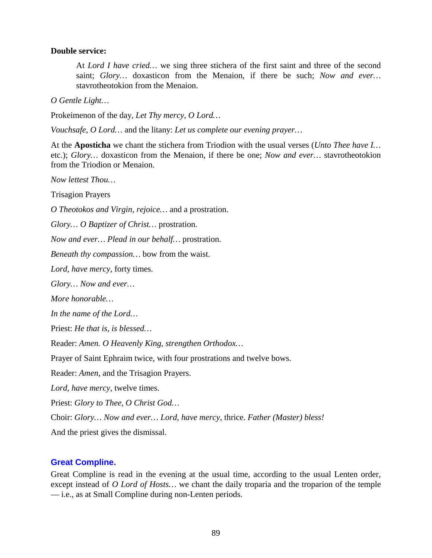### **Double service:**

At *Lord I have cried…* we sing three stichera of the first saint and three of the second saint; *Glory…* doxasticon from the Menaion, if there be such; *Now and ever…*  stavrotheotokion from the Menaion.

*O Gentle Light…*

Prokeimenon of the day, *Let Thy mercy, O Lord…*

*Vouchsafe, O Lord…* and the litany: *Let us complete our evening prayer…*

At the **Aposticha** we chant the stichera from Triodion with the usual verses (*Unto Thee have I…*  etc.); *Glory…* doxasticon from the Menaion, if there be one; *Now and ever…* stavrotheotokion from the Triodion or Menaion.

*Now lettest Thou…*

Trisagion Prayers

*O Theotokos and Virgin, rejoice…* and a prostration.

*Glory… O Baptizer of Christ…* prostration.

*Now and ever… Plead in our behalf…* prostration.

*Beneath thy compassion…* bow from the waist.

*Lord, have mercy,* forty times.

*Glory… Now and ever…*

*More honorable…*

*In the name of the Lord…*

Priest: *He that is, is blessed…*

Reader: *Amen. O Heavenly King, strengthen Orthodox…*

Prayer of Saint Ephraim twice, with four prostrations and twelve bows.

Reader: *Amen,* and the Trisagion Prayers.

*Lord, have mercy,* twelve times.

Priest: *Glory to Thee, O Christ God…*

Choir: *Glory… Now and ever… Lord, have mercy,* thrice. *Father (Master) bless!*

And the priest gives the dismissal.

# **Great Compline.**

Great Compline is read in the evening at the usual time, according to the usual Lenten order, except instead of *O Lord of Hosts…* we chant the daily troparia and the troparion of the temple — i.e., as at Small Compline during non-Lenten periods.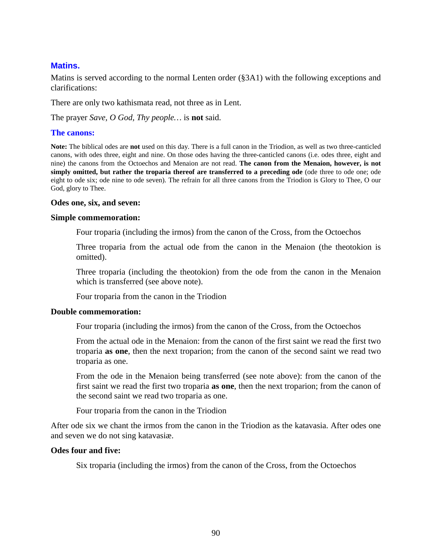# **Matins.**

Matins is served according to the normal Lenten order (§3A1) with the following exceptions and clarifications:

There are only two kathismata read, not three as in Lent.

The prayer *Save, O God, Thy people…* is **not** said.

#### **The canons:**

**Note:** The biblical odes are **not** used on this day. There is a full canon in the Triodion, as well as two three-canticled canons, with odes three, eight and nine. On those odes having the three-canticled canons (i.e. odes three, eight and nine) the canons from the Octoechos and Menaion are not read. **The canon from the Menaion, however, is not simply omitted, but rather the troparia thereof are transferred to a preceding ode** (ode three to ode one; ode eight to ode six; ode nine to ode seven). The refrain for all three canons from the Triodion is Glory to Thee, O our God, glory to Thee.

#### **Odes one, six, and seven:**

#### **Simple commemoration:**

Four troparia (including the irmos) from the canon of the Cross, from the Octoechos

Three troparia from the actual ode from the canon in the Menaion (the theotokion is omitted).

Three troparia (including the theotokion) from the ode from the canon in the Menaion which is transferred (see above note).

Four troparia from the canon in the Triodion

#### **Double commemoration:**

Four troparia (including the irmos) from the canon of the Cross, from the Octoechos

From the actual ode in the Menaion: from the canon of the first saint we read the first two troparia **as one**, then the next troparion; from the canon of the second saint we read two troparia as one.

From the ode in the Menaion being transferred (see note above): from the canon of the first saint we read the first two troparia **as one**, then the next troparion; from the canon of the second saint we read two troparia as one.

Four troparia from the canon in the Triodion

After ode six we chant the irmos from the canon in the Triodion as the katavasia. After odes one and seven we do not sing katavasiæ.

#### **Odes four and five:**

Six troparia (including the irmos) from the canon of the Cross, from the Octoechos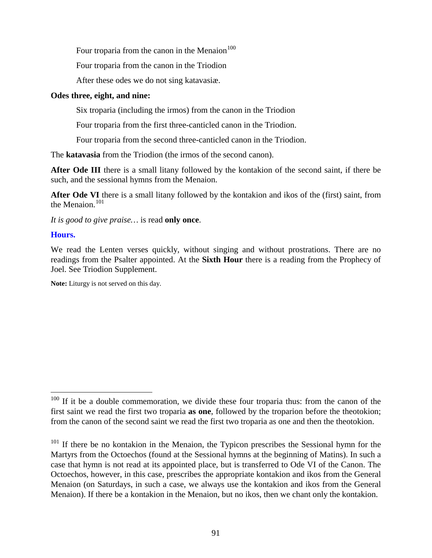Four troparia from the canon in the Menaion<sup>[100](#page-90-0)</sup>

Four troparia from the canon in the Triodion

After these odes we do not sing katavasiæ.

# **Odes three, eight, and nine:**

Six troparia (including the irmos) from the canon in the Triodion

Four troparia from the first three-canticled canon in the Triodion.

Four troparia from the second three-canticled canon in the Triodion.

The **katavasia** from the Triodion (the irmos of the second canon).

**After Ode III** there is a small litany followed by the kontakion of the second saint, if there be such, and the sessional hymns from the Menaion.

**After Ode VI** there is a small litany followed by the kontakion and ikos of the (first) saint, from the Menaion. $101$ 

*It is good to give praise…* is read **only once**.

# **Hours.**

We read the Lenten verses quickly, without singing and without prostrations. There are no readings from the Psalter appointed. At the **Sixth Hour** there is a reading from the Prophecy of Joel. See Triodion Supplement.

**Note:** Liturgy is not served on this day.

<span id="page-90-0"></span> $100$  If it be a double commemoration, we divide these four troparia thus: from the canon of the first saint we read the first two troparia **as one**, followed by the troparion before the theotokion; from the canon of the second saint we read the first two troparia as one and then the theotokion.

<span id="page-90-1"></span> $101$  If there be no kontakion in the Menaion, the Typicon prescribes the Sessional hymn for the Martyrs from the Octoechos (found at the Sessional hymns at the beginning of Matins). In such a case that hymn is not read at its appointed place, but is transferred to Ode VI of the Canon. The Octoechos, however, in this case, prescribes the appropriate kontakion and ikos from the General Menaion (on Saturdays, in such a case, we always use the kontakion and ikos from the General Menaion). If there be a kontakion in the Menaion, but no ikos, then we chant only the kontakion.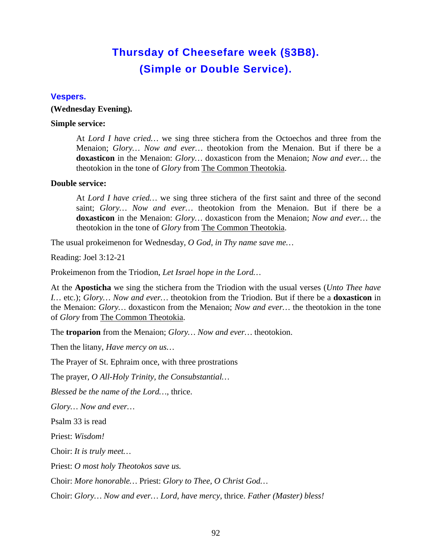# **Thursday of Cheesefare week (§3B8). (Simple or Double Service).**

#### **Vespers.**

#### **(Wednesday Evening).**

#### **Simple service:**

At *Lord I have cried…* we sing three stichera from the Octoechos and three from the Menaion; *Glory… Now and ever…* theotokion from the Menaion. But if there be a **doxasticon** in the Menaion: *Glory…* doxasticon from the Menaion; *Now and ever…* the theotokion in the tone of *Glory* from **The Common Theotokia**.

# **Double service:**

At *Lord I have cried…* we sing three stichera of the first saint and three of the second saint; *Glory… Now and ever…* theotokion from the Menaion. But if there be a **doxasticon** in the Menaion: *Glory…* doxasticon from the Menaion; *Now and ever…* the theotokion in the tone of *Glory* from **The Common Theotokia**.

The usual prokeimenon for Wednesday, *O God, in Thy name save me…*

Reading: Joel 3:12-21

Prokeimenon from the Triodion, *Let Israel hope in the Lord…*

At the **Aposticha** we sing the stichera from the Triodion with the usual verses (*Unto Thee have I…* etc.); *Glory… Now and ever…* theotokion from the Triodion. But if there be a **doxasticon** in the Menaion: *Glory…* doxasticon from the Menaion; *Now and ever…* the theotokion in the tone of *Glory* from The Common Theotokia.

The **troparion** from the Menaion; *Glory… Now and ever…* theotokion.

Then the litany, *Have mercy on us…*

The Prayer of St. Ephraim once, with three prostrations

The prayer, *O All-Holy Trinity, the Consubstantial…*

*Blessed be the name of the Lord…,* thrice.

*Glory… Now and ever…*

Psalm 33 is read

Priest: *Wisdom!*

Choir: *It is truly meet…*

Priest: *O most holy Theotokos save us.*

Choir: *More honorable…* Priest: *Glory to Thee, O Christ God…*

Choir: *Glory… Now and ever… Lord, have mercy,* thrice. *Father (Master) bless!*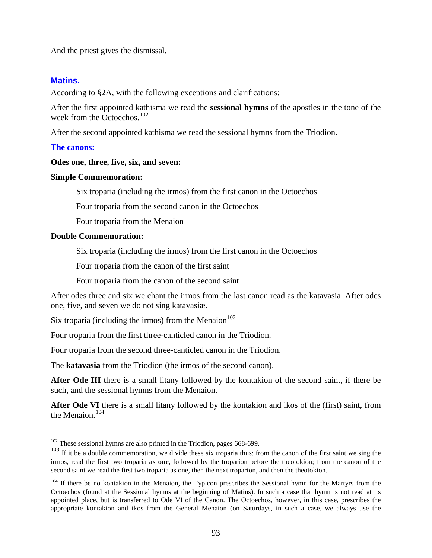And the priest gives the dismissal.

## **Matins.**

According to §2A, with the following exceptions and clarifications:

After the first appointed kathisma we read the **sessional hymns** of the apostles in the tone of the week from the Octoechos.<sup>[102](#page-92-0)</sup>

After the second appointed kathisma we read the sessional hymns from the Triodion.

#### **The canons:**

#### **Odes one, three, five, six, and seven:**

#### **Simple Commemoration:**

Six troparia (including the irmos) from the first canon in the Octoechos

Four troparia from the second canon in the Octoechos

Four troparia from the Menaion

#### **Double Commemoration:**

Six troparia (including the irmos) from the first canon in the Octoechos

Four troparia from the canon of the first saint

Four troparia from the canon of the second saint

After odes three and six we chant the irmos from the last canon read as the katavasia. After odes one, five, and seven we do not sing katavasiæ.

Six troparia (including the irmos) from the Menaion $103$ 

Four troparia from the first three-canticled canon in the Triodion.

Four troparia from the second three-canticled canon in the Triodion.

The **katavasia** from the Triodion (the irmos of the second canon).

**After Ode III** there is a small litany followed by the kontakion of the second saint, if there be such, and the sessional hymns from the Menaion.

**After Ode VI** there is a small litany followed by the kontakion and ikos of the (first) saint, from the Menaion. $104$ 

<span id="page-92-0"></span><sup>&</sup>lt;sup>102</sup> These sessional hymns are also printed in the Triodion, pages 668-699.

<span id="page-92-1"></span><sup>&</sup>lt;sup>103</sup> If it be a double commemoration, we divide these six troparia thus: from the canon of the first saint we sing the irmos, read the first two troparia **as one**, followed by the troparion before the theotokion; from the canon of the second saint we read the first two troparia as one, then the next troparion, and then the theotokion.

<span id="page-92-2"></span><sup>&</sup>lt;sup>104</sup> If there be no kontakion in the Menaion, the Typicon prescribes the Sessional hymn for the Martyrs from the Octoechos (found at the Sessional hymns at the beginning of Matins). In such a case that hymn is not read at its appointed place, but is transferred to Ode VI of the Canon. The Octoechos, however, in this case, prescribes the appropriate kontakion and ikos from the General Menaion (on Saturdays, in such a case, we always use the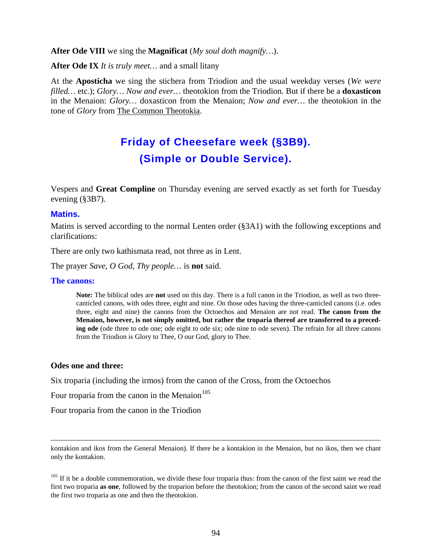## **After Ode VIII** we sing the **Magnificat** (*My soul doth magnify…*).

**After Ode IX** *It is truly meet…* and a small litany

At the **Aposticha** we sing the stichera from Triodion and the usual weekday verses (*We were filled…* etc.); *Glory… Now and ever…* theotokion from the Triodion. But if there be a **doxasticon** in the Menaion: *Glory…* doxasticon from the Menaion; *Now and ever…* the theotokion in the tone of *Glory* from The Common Theotokia.

# **Friday of Cheesefare week (§3B9). (Simple or Double Service).**

Vespers and **Great Compline** on Thursday evening are served exactly as set forth for Tuesday evening (§3B7).

#### **Matins.**

Matins is served according to the normal Lenten order (§3A1) with the following exceptions and clarifications:

There are only two kathismata read, not three as in Lent.

The prayer *Save, O God, Thy people…* is **not** said.

#### **The canons:**

**Note:** The biblical odes are **not** used on this day. There is a full canon in the Triodion, as well as two threecanticled canons, with odes three, eight and nine. On those odes having the three-canticled canons (i.e. odes three, eight and nine) the canons from the Octoechos and Menaion are not read. **The canon from the Menaion, however, is not simply omitted, but rather the troparia thereof are transferred to a preceding ode** (ode three to ode one; ode eight to ode six; ode nine to ode seven). The refrain for all three canons from the Triodion is Glory to Thee, O our God, glory to Thee.

#### **Odes one and three:**

 $\overline{a}$ 

Six troparia (including the irmos) from the canon of the Cross, from the Octoechos

Four troparia from the canon in the Menaion $105$ 

Four troparia from the canon in the Triodion

kontakion and ikos from the General Menaion). If there be a kontakion in the Menaion, but no ikos, then we chant only the kontakion.

<span id="page-93-0"></span><sup>&</sup>lt;sup>105</sup> If it be a double commemoration, we divide these four troparia thus: from the canon of the first saint we read the first two troparia **as one**, followed by the troparion before the theotokion; from the canon of the second saint we read the first two troparia as one and then the theotokion.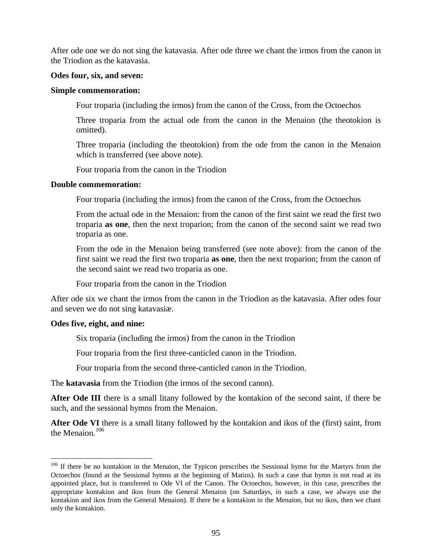After ode one we do not sing the katavasia. After ode three we chant the irmos from the canon in the Triodion as the katavasia.

## **Odes four, six, and seven:**

## **Simple commemoration:**

Four troparia (including the irmos) from the canon of the Cross, from the Octoechos

Three troparia from the actual ode from the canon in the Menaion (the theotokion is omitted).

Three troparia (including the theotokion) from the ode from the canon in the Menaion which is transferred (see above note).

Four troparia from the canon in the Triodion

## **Double commemoration:**

Four troparia (including the irmos) from the canon of the Cross, from the Octoechos

From the actual ode in the Menaion: from the canon of the first saint we read the first two troparia **as one**, then the next troparion; from the canon of the second saint we read two troparia as one.

From the ode in the Menaion being transferred (see note above): from the canon of the first saint we read the first two troparia **as one**, then the next troparion; from the canon of the second saint we read two troparia as one.

Four troparia from the canon in the Triodion

After ode six we chant the irmos from the canon in the Triodion as the katavasia. After odes four and seven we do not sing katavasiæ.

# **Odes five, eight, and nine:**

Six troparia (including the irmos) from the canon in the Triodion

Four troparia from the first three-canticled canon in the Triodion.

Four troparia from the second three-canticled canon in the Triodion.

The **katavasia** from the Triodion (the irmos of the second canon).

**After Ode III** there is a small litany followed by the kontakion of the second saint, if there be such, and the sessional hymns from the Menaion.

**After Ode VI** there is a small litany followed by the kontakion and ikos of the (first) saint, from the Menaion. $106$ 

<span id="page-94-0"></span><sup>&</sup>lt;sup>106</sup> If there be no kontakion in the Menaion, the Typicon prescribes the Sessional hymn for the Martyrs from the Octoechos (found at the Sessional hymns at the beginning of Matins). In such a case that hymn is not read at its appointed place, but is transferred to Ode VI of the Canon. The Octoechos, however, in this case, prescribes the appropriate kontakion and ikos from the General Menaion (on Saturdays, in such a case, we always use the kontakion and ikos from the General Menaion). If there be a kontakion in the Menaion, but no ikos, then we chant only the kontakion.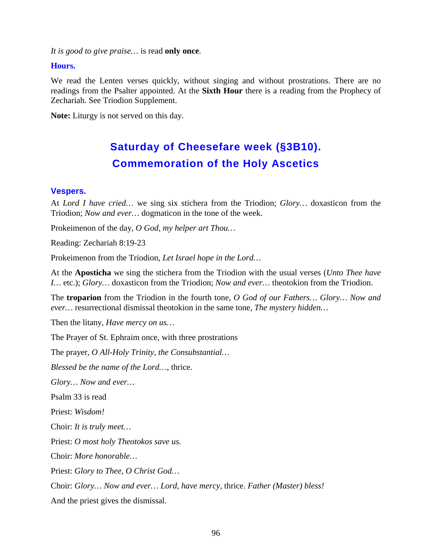*It is good to give praise…* is read **only once**.

# **Hours.**

We read the Lenten verses quickly, without singing and without prostrations. There are no readings from the Psalter appointed. At the **Sixth Hour** there is a reading from the Prophecy of Zechariah. See Triodion Supplement.

**Note:** Liturgy is not served on this day.

# **Saturday of Cheesefare week (§3B10). Commemoration of the Holy Ascetics**

# **Vespers.**

At *Lord I have cried…* we sing six stichera from the Triodion; *Glory…* doxasticon from the Triodion; *Now and ever…* dogmaticon in the tone of the week.

Prokeimenon of the day, *O God, my helper art Thou…*

Reading: Zechariah 8:19-23

Prokeimenon from the Triodion, *Let Israel hope in the Lord…*

At the **Aposticha** we sing the stichera from the Triodion with the usual verses (*Unto Thee have I…* etc.); *Glory…* doxasticon from the Triodion; *Now and ever…* theotokion from the Triodion.

The **troparion** from the Triodion in the fourth tone, *O God of our Fathers… Glory… Now and ever…* resurrectional dismissal theotokion in the same tone, *The mystery hidden…*

Then the litany, *Have mercy on us…*

The Prayer of St. Ephraim once, with three prostrations

The prayer, *O All-Holy Trinity, the Consubstantial…*

*Blessed be the name of the Lord…,* thrice.

*Glory… Now and ever…*

Psalm 33 is read

Priest: *Wisdom!*

Choir: *It is truly meet…*

Priest: *O most holy Theotokos save us.*

Choir: *More honorable…*

Priest: *Glory to Thee, O Christ God…*

Choir: *Glory… Now and ever… Lord, have mercy,* thrice. *Father (Master) bless!*

And the priest gives the dismissal.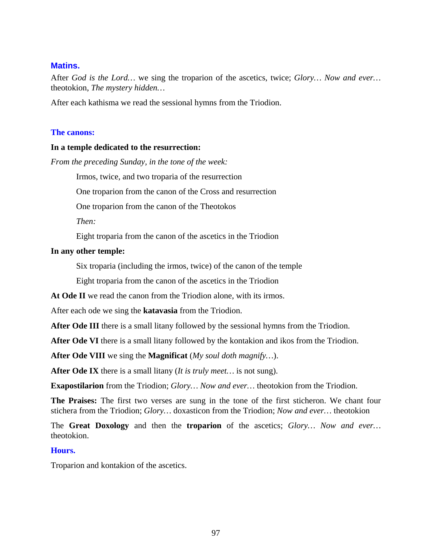# **Matins.**

After *God is the Lord…* we sing the troparion of the ascetics, twice; *Glory… Now and ever…*  theotokion, *The mystery hidden…*

After each kathisma we read the sessional hymns from the Triodion.

#### **The canons:**

#### **In a temple dedicated to the resurrection:**

*From the preceding Sunday, in the tone of the week:*

Irmos, twice, and two troparia of the resurrection

One troparion from the canon of the Cross and resurrection

One troparion from the canon of the Theotokos

*Then:*

Eight troparia from the canon of the ascetics in the Triodion

## **In any other temple:**

Six troparia (including the irmos, twice) of the canon of the temple

Eight troparia from the canon of the ascetics in the Triodion

**At Ode II** we read the canon from the Triodion alone, with its irmos.

After each ode we sing the **katavasia** from the Triodion.

**After Ode III** there is a small litany followed by the sessional hymns from the Triodion.

**After Ode VI** there is a small litany followed by the kontakion and ikos from the Triodion.

**After Ode VIII** we sing the **Magnificat** (*My soul doth magnify…*).

**After Ode IX** there is a small litany (*It is truly meet…* is not sung).

**Exapostilarion** from the Triodion; *Glory… Now and ever…* theotokion from the Triodion.

**The Praises:** The first two verses are sung in the tone of the first sticheron. We chant four stichera from the Triodion; *Glory…* doxasticon from the Triodion; *Now and ever…* theotokion

The **Great Doxology** and then the **troparion** of the ascetics; *Glory… Now and ever…*  theotokion.

#### **Hours.**

Troparion and kontakion of the ascetics.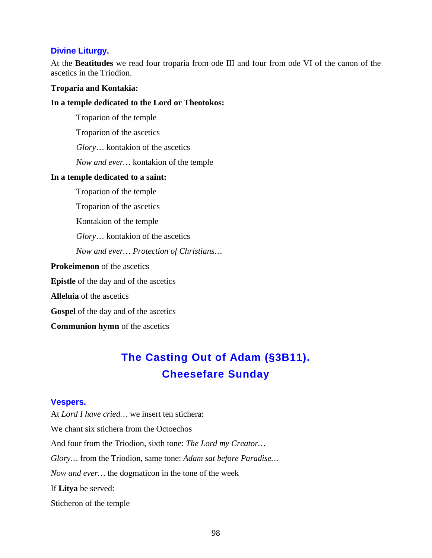#### **Divine Liturgy.**

At the **Beatitudes** we read four troparia from ode III and four from ode VI of the canon of the ascetics in the Triodion.

#### **Troparia and Kontakia:**

#### **In a temple dedicated to the Lord or Theotokos:**

Troparion of the temple

Troparion of the ascetics

*Glory*… kontakion of the ascetics

*Now and ever…* kontakion of the temple

#### **In a temple dedicated to a saint:**

Troparion of the temple

Troparion of the ascetics

Kontakion of the temple

*Glory*… kontakion of the ascetics

*Now and ever… Protection of Christians…*

**Prokeimenon** of the ascetics

**Epistle** of the day and of the ascetics

**Alleluia** of the ascetics

**Gospel** of the day and of the ascetics

**Communion hymn** of the ascetics

# **The Casting Out of Adam (§3B11). Cheesefare Sunday**

## **Vespers.**

At *Lord I have cried…* we insert ten stichera: We chant six stichera from the Octoechos And four from the Triodion, sixth tone: *The Lord my Creator… Glory…* from the Triodion, same tone: *Adam sat before Paradise… Now and ever…* the dogmaticon in the tone of the week If **Litya** be served: Sticheron of the temple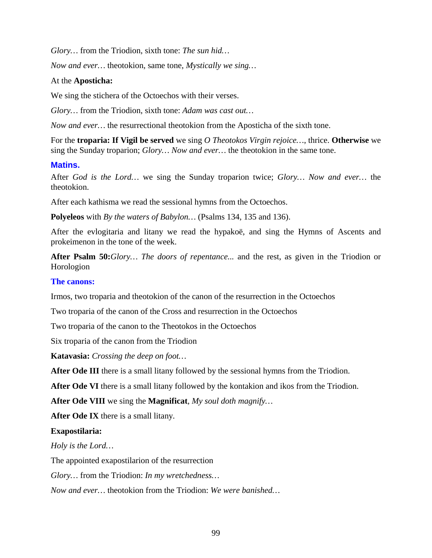*Glory…* from the Triodion, sixth tone: *The sun hid…*

*Now and ever…* theotokion, same tone, *Mystically we sing…*

## At the **Aposticha:**

We sing the stichera of the Octoechos with their verses.

*Glory…* from the Triodion, sixth tone: *Adam was cast out…*

*Now and ever…* the resurrectional theotokion from the Aposticha of the sixth tone.

For the **troparia: If Vigil be served** we sing *O Theotokos Virgin rejoice…*, thrice. **Otherwise** we sing the Sunday troparion; *Glory… Now and ever…* the theotokion in the same tone.

## **Matins.**

After *God is the Lord…* we sing the Sunday troparion twice; *Glory… Now and ever…* the theotokion.

After each kathisma we read the sessional hymns from the Octoechos.

**Polyeleos** with *By the waters of Babylon…* (Psalms 134, 135 and 136).

After the evlogitaria and litany we read the hypakoë, and sing the Hymns of Ascents and prokeimenon in the tone of the week.

**After Psalm 50:***Glory… The doors of repentance...* and the rest, as given in the Triodion or Horologion

#### **The canons:**

Irmos, two troparia and theotokion of the canon of the resurrection in the Octoechos

Two troparia of the canon of the Cross and resurrection in the Octoechos

Two troparia of the canon to the Theotokos in the Octoechos

Six troparia of the canon from the Triodion

**Katavasia:** *Crossing the deep on foot…*

**After Ode III** there is a small litany followed by the sessional hymns from the Triodion.

**After Ode VI** there is a small litany followed by the kontakion and ikos from the Triodion.

**After Ode VIII** we sing the **Magnificat**, *My soul doth magnify…*

**After Ode IX** there is a small litany.

#### **Exapostilaria:**

*Holy is the Lord…*

The appointed exapostilarion of the resurrection

*Glory…* from the Triodion: *In my wretchedness…*

*Now and ever…* theotokion from the Triodion: *We were banished…*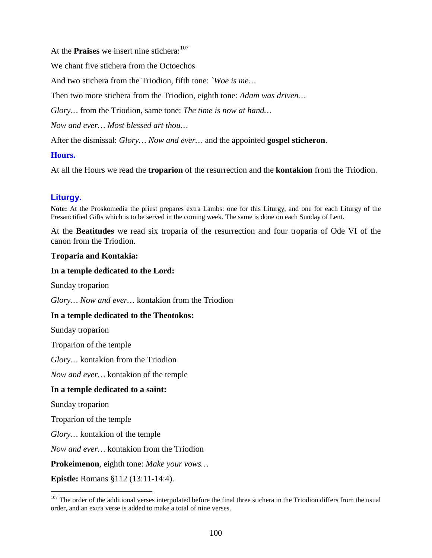At the **Praises** we insert nine stichera:<sup>[107](#page-99-0)</sup>

We chant five stichera from the Octoechos

And two stichera from the Triodion, fifth tone: *`Woe is me…*

Then two more stichera from the Triodion, eighth tone: *Adam was driven…*

*Glory…* from the Triodion, same tone: *The time is now at hand…*

*Now and ever… Most blessed art thou…*

After the dismissal: *Glory… Now and ever…* and the appointed **gospel sticheron**.

## **Hours.**

At all the Hours we read the **troparion** of the resurrection and the **kontakion** from the Triodion.

# **Liturgy.**

**Note:** At the Proskomedia the priest prepares extra Lambs: one for this Liturgy, and one for each Liturgy of the Presanctified Gifts which is to be served in the coming week. The same is done on each Sunday of Lent.

At the **Beatitudes** we read six troparia of the resurrection and four troparia of Ode VI of the canon from the Triodion.

#### **Troparia and Kontakia:**

## **In a temple dedicated to the Lord:**

Sunday troparion

*Glory… Now and ever…* kontakion from the Triodion

# **In a temple dedicated to the Theotokos:**

Sunday troparion

Troparion of the temple

*Glory…* kontakion from the Triodion

*Now and ever…* kontakion of the temple

#### **In a temple dedicated to a saint:**

Sunday troparion

Troparion of the temple

*Glory…* kontakion of the temple

*Now and ever…* kontakion from the Triodion

**Prokeimenon**, eighth tone: *Make your vows…*

**Epistle:** Romans §112 (13:11-14:4).

<span id="page-99-0"></span> $107$  The order of the additional verses interpolated before the final three stichera in the Triodion differs from the usual order, and an extra verse is added to make a total of nine verses.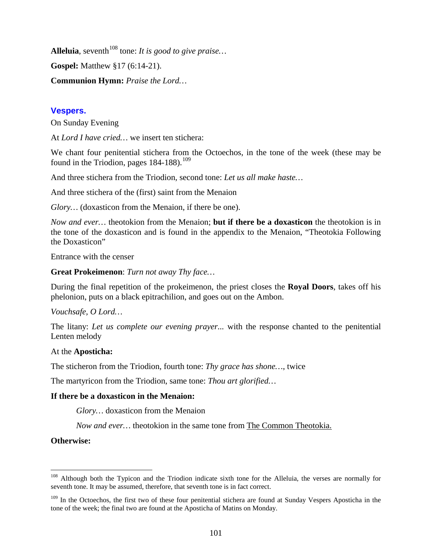Alleluia, seventh<sup>[108](#page-100-0)</sup> tone: *It is good to give praise*... **Gospel:** Matthew §17 (6:14-21). **Communion Hymn:** *Praise the Lord…*

# **Vespers.**

On Sunday Evening

At *Lord I have cried…* we insert ten stichera:

We chant four penitential stichera from the Octoechos, in the tone of the week (these may be found in the Triodion, pages  $184-188$ ).<sup>[109](#page-100-1)</sup>

And three stichera from the Triodion, second tone: *Let us all make haste…*

And three stichera of the (first) saint from the Menaion

*Glory*... (doxasticon from the Menaion, if there be one).

*Now and ever…* theotokion from the Menaion; **but if there be a doxasticon** the theotokion is in the tone of the doxasticon and is found in the appendix to the Menaion, "Theotokia Following the Doxasticon"

Entrance with the censer

**Great Prokeimenon**: *Turn not away Thy face…*

During the final repetition of the prokeimenon, the priest closes the **Royal Doors**, takes off his phelonion, puts on a black epitrachilion, and goes out on the Ambon.

*Vouchsafe, O Lord…*

The litany: *Let us complete our evening prayer...* with the response chanted to the penitential Lenten melody

# At the **Aposticha:**

The sticheron from the Triodion, fourth tone: *Thy grace has shone…*, twice

The martyricon from the Triodion, same tone: *Thou art glorified…*

# **If there be a doxasticon in the Menaion:**

*Glory…* doxasticon from the Menaion

Now and ever... theotokion in the same tone from **The Common Theotokia**.

**Otherwise:**

<span id="page-100-0"></span><sup>&</sup>lt;sup>108</sup> Although both the Typicon and the Triodion indicate sixth tone for the Alleluia, the verses are normally for seventh tone. It may be assumed, therefore, that seventh tone is in fact correct.

<span id="page-100-1"></span><sup>&</sup>lt;sup>109</sup> In the Octoechos, the first two of these four penitential stichera are found at Sunday Vespers Aposticha in the tone of the week; the final two are found at the Aposticha of Matins on Monday.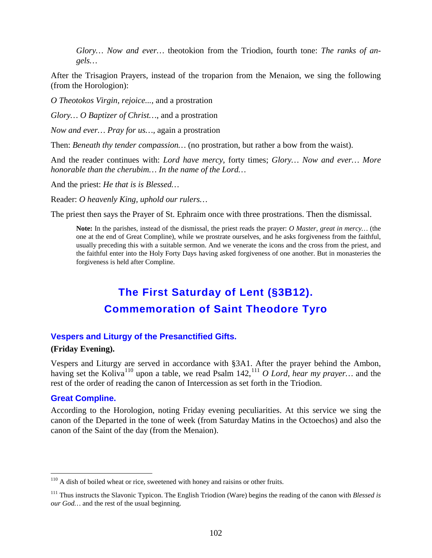*Glory… Now and ever…* theotokion from the Triodion, fourth tone: *The ranks of angels…*

After the Trisagion Prayers, instead of the troparion from the Menaion, we sing the following (from the Horologion):

*O Theotokos Virgin, rejoice...,* and a prostration

*Glory… O Baptizer of Christ…*, and a prostration

*Now and ever… Pray for us…,* again a prostration

Then: *Beneath thy tender compassion…* (no prostration, but rather a bow from the waist).

And the reader continues with: *Lord have mercy*, forty times; *Glory… Now and ever… More honorable than the cherubim… In the name of the Lord…*

And the priest: *He that is is Blessed…*

Reader: *O heavenly King, uphold our rulers…*

The priest then says the Prayer of St. Ephraim once with three prostrations. Then the dismissal.

**Note:** In the parishes, instead of the dismissal, the priest reads the prayer: *O Master, great in mercy…* (the one at the end of Great Compline), while we prostrate ourselves, and he asks forgiveness from the faithful, usually preceding this with a suitable sermon. And we venerate the icons and the cross from the priest, and the faithful enter into the Holy Forty Days having asked forgiveness of one another. But in monasteries the forgiveness is held after Compline.

# **The First Saturday of Lent (§3B12). Commemoration of Saint Theodore Tyro**

## **Vespers and Liturgy of the Presanctified Gifts.**

# **(Friday Evening).**

Vespers and Liturgy are served in accordance with §3A1. After the prayer behind the Ambon, having set the Koliva<sup>[110](#page-101-0)</sup> upon a table, we read Psalm 142,<sup>[111](#page-101-1)</sup> O Lord, hear my prayer... and the rest of the order of reading the canon of Intercession as set forth in the Triodion.

#### **Great Compline.**

According to the Horologion, noting Friday evening peculiarities. At this service we sing the canon of the Departed in the tone of week (from Saturday Matins in the Octoechos) and also the canon of the Saint of the day (from the Menaion).

<span id="page-101-0"></span><sup>&</sup>lt;sup>110</sup> A dish of boiled wheat or rice, sweetened with honey and raisins or other fruits.

<span id="page-101-1"></span><sup>111</sup> Thus instructs the Slavonic Typicon. The English Triodion (Ware) begins the reading of the canon with *Blessed is our God…* and the rest of the usual beginning.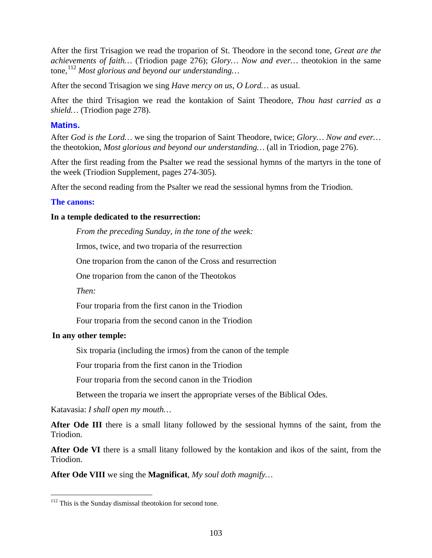After the first Trisagion we read the troparion of St. Theodore in the second tone, *Great are the achievements of faith…* (Triodion page 276); *Glory… Now and ever…* theotokion in the same tone,<sup>[112](#page-102-0)</sup> Most glorious and beyond our understanding...

After the second Trisagion we sing *Have mercy on us, O Lord…* as usual.

After the third Trisagion we read the kontakion of Saint Theodore, *Thou hast carried as a shield…* (Triodion page 278).

# **Matins.**

After *God is the Lord…* we sing the troparion of Saint Theodore, twice; *Glory… Now and ever…*  the theotokion, *Most glorious and beyond our understanding…* (all in Triodion, page 276).

After the first reading from the Psalter we read the sessional hymns of the martyrs in the tone of the week (Triodion Supplement, pages 274-305).

After the second reading from the Psalter we read the sessional hymns from the Triodion.

# **The canons:**

# **In a temple dedicated to the resurrection:**

*From the preceding Sunday, in the tone of the week:*

Irmos, twice, and two troparia of the resurrection

One troparion from the canon of the Cross and resurrection

One troparion from the canon of the Theotokos

*Then:*

Four troparia from the first canon in the Triodion

Four troparia from the second canon in the Triodion

# **In any other temple:**

Six troparia (including the irmos) from the canon of the temple

Four troparia from the first canon in the Triodion

Four troparia from the second canon in the Triodion

Between the troparia we insert the appropriate verses of the Biblical Odes.

Katavasia: *I shall open my mouth…*

After Ode III there is a small litany followed by the sessional hymns of the saint, from the Triodion.

**After Ode VI** there is a small litany followed by the kontakion and ikos of the saint, from the Triodion.

**After Ode VIII** we sing the **Magnificat**, *My soul doth magnify…*

<span id="page-102-0"></span><sup>&</sup>lt;sup>112</sup> This is the Sunday dismissal theotokion for second tone.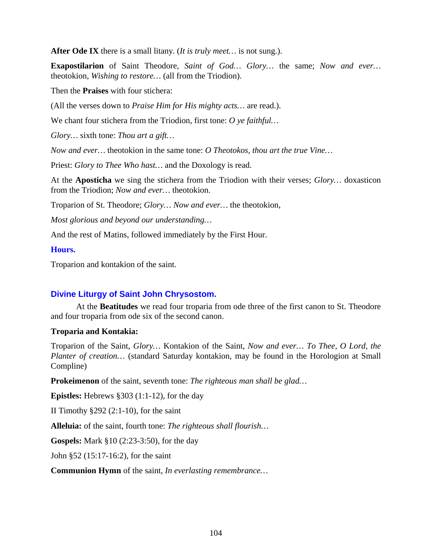**After Ode IX** there is a small litany. (*It is truly meet…* is not sung.).

**Exapostilarion** of Saint Theodore, *Saint of God… Glory…* the same; *Now and ever…* theotokion, *Wishing to restore…* (all from the Triodion).

Then the **Praises** with four stichera:

(All the verses down to *Praise Him for His mighty acts…* are read.).

We chant four stichera from the Triodion, first tone: *O ye faithful…*

*Glory…* sixth tone: *Thou art a gift…*

*Now and ever…* theotokion in the same tone: *O Theotokos, thou art the true Vine…*

Priest: *Glory to Thee Who hast…* and the Doxology is read.

At the **Aposticha** we sing the stichera from the Triodion with their verses; *Glory…* doxasticon from the Triodion; *Now and ever…* theotokion.

Troparion of St. Theodore; *Glory… Now and ever…* the theotokion,

*Most glorious and beyond our understanding…*

And the rest of Matins, followed immediately by the First Hour.

## **Hours.**

Troparion and kontakion of the saint.

# **Divine Liturgy of Saint John Chrysostom.**

At the **Beatitudes** we read four troparia from ode three of the first canon to St. Theodore and four troparia from ode six of the second canon.

# **Troparia and Kontakia:**

Troparion of the Saint, *Glory…* Kontakion of the Saint, *Now and ever… To Thee, O Lord, the Planter of creation…* (standard Saturday kontakion, may be found in the Horologion at Small Compline)

**Prokeimenon** of the saint, seventh tone: *The righteous man shall be glad…*

**Epistles:** Hebrews §303 (1:1-12), for the day

II Timothy  $\S 292$  (2:1-10), for the saint

**Alleluia:** of the saint, fourth tone: *The righteous shall flourish…*

**Gospels:** Mark §10 (2:23-3:50), for the day

John §52 (15:17-16:2), for the saint

**Communion Hymn** of the saint, *In everlasting remembrance…*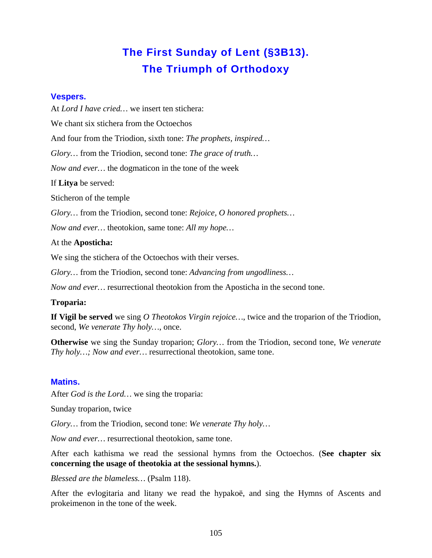# **The First Sunday of Lent (§3B13). The Triumph of Orthodoxy**

# **Vespers.**

At *Lord I have cried…* we insert ten stichera: We chant six stichera from the Octoechos And four from the Triodion, sixth tone: *The prophets, inspired… Glory…* from the Triodion, second tone: *The grace of truth… Now and ever…* the dogmaticon in the tone of the week If **Litya** be served:

Sticheron of the temple

*Glory…* from the Triodion, second tone: *Rejoice, O honored prophets…*

*Now and ever…* theotokion, same tone: *All my hope…*

## At the **Aposticha:**

We sing the stichera of the Octoechos with their verses.

*Glory…* from the Triodion, second tone: *Advancing from ungodliness…*

*Now and ever…* resurrectional theotokion from the Aposticha in the second tone.

# **Troparia:**

**If Vigil be served** we sing *O Theotokos Virgin rejoice…*, twice and the troparion of the Triodion, second, *We venerate Thy holy…*, once.

**Otherwise** we sing the Sunday troparion; *Glory…* from the Triodion, second tone, *We venerate Thy holy…; Now and ever…* resurrectional theotokion, same tone.

# **Matins.**

After *God is the Lord…* we sing the troparia:

Sunday troparion, twice

*Glory…* from the Triodion, second tone: *We venerate Thy holy…*

*Now and ever…* resurrectional theotokion, same tone.

After each kathisma we read the sessional hymns from the Octoechos. (**See chapter six concerning the usage of theotokia at the sessional hymns.**).

*Blessed are the blameless…* (Psalm 118).

After the evlogitaria and litany we read the hypakoë, and sing the Hymns of Ascents and prokeimenon in the tone of the week.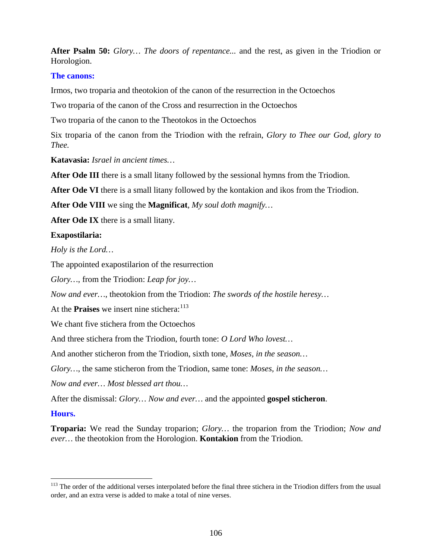**After Psalm 50:** *Glory… The doors of repentance...* and the rest, as given in the Triodion or Horologion.

# **The canons:**

Irmos, two troparia and theotokion of the canon of the resurrection in the Octoechos

Two troparia of the canon of the Cross and resurrection in the Octoechos

Two troparia of the canon to the Theotokos in the Octoechos

Six troparia of the canon from the Triodion with the refrain, *Glory to Thee our God, glory to Thee.*

**Katavasia:** *Israel in ancient times…*

**After Ode III** there is a small litany followed by the sessional hymns from the Triodion.

**After Ode VI** there is a small litany followed by the kontakion and ikos from the Triodion.

**After Ode VIII** we sing the **Magnificat**, *My soul doth magnify…*

**After Ode IX** there is a small litany.

# **Exapostilaria:**

*Holy is the Lord…*

The appointed exapostilarion of the resurrection

*Glory…*, from the Triodion: *Leap for joy…*

*Now and ever…*, theotokion from the Triodion: *The swords of the hostile heresy…*

At the **Praises** we insert nine stichera:<sup>[113](#page-105-0)</sup>

We chant five stichera from the Octoechos

And three stichera from the Triodion, fourth tone: *O Lord Who lovest…*

And another sticheron from the Triodion, sixth tone, *Moses, in the season…*

*Glory…*, the same sticheron from the Triodion, same tone: *Moses, in the season…*

*Now and ever… Most blessed art thou…*

After the dismissal: *Glory… Now and ever…* and the appointed **gospel sticheron**.

# **Hours.**

**Troparia:** We read the Sunday troparion; *Glory…* the troparion from the Triodion; *Now and ever…* the theotokion from the Horologion. **Kontakion** from the Triodion.

<span id="page-105-0"></span><sup>&</sup>lt;sup>113</sup> The order of the additional verses interpolated before the final three stichera in the Triodion differs from the usual order, and an extra verse is added to make a total of nine verses.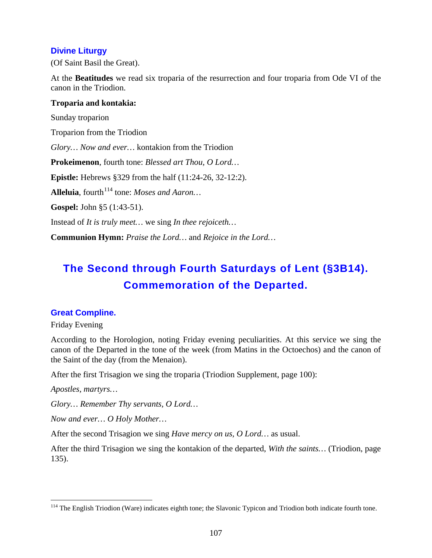# **Divine Liturgy**

(Of Saint Basil the Great).

At the **Beatitudes** we read six troparia of the resurrection and four troparia from Ode VI of the canon in the Triodion.

# **Troparia and kontakia:**

Sunday troparion Troparion from the Triodion *Glory… Now and ever…* kontakion from the Triodion **Prokeimenon**, fourth tone: *Blessed art Thou, O Lord…* **Epistle:** Hebrews §329 from the half (11:24-26, 32-12:2). Alleluia, fourth<sup>[114](#page-106-0)</sup> tone: *Moses and Aaron*... **Gospel:** John §5 (1:43-51). Instead of *It is truly meet…* we sing *In thee rejoiceth…* **Communion Hymn:** *Praise the Lord…* and *Rejoice in the Lord…*

# **The Second through Fourth Saturdays of Lent (§3B14). Commemoration of the Departed.**

# **Great Compline.**

Friday Evening

According to the Horologion, noting Friday evening peculiarities. At this service we sing the canon of the Departed in the tone of the week (from Matins in the Octoechos) and the canon of the Saint of the day (from the Menaion).

After the first Trisagion we sing the troparia (Triodion Supplement, page 100):

*Apostles, martyrs…*

*Glory… Remember Thy servants, O Lord…*

*Now and ever… O Holy Mother…*

After the second Trisagion we sing *Have mercy on us, O Lord…* as usual.

After the third Trisagion we sing the kontakion of the departed, *With the saints…* (Triodion, page 135).

<span id="page-106-0"></span><sup>&</sup>lt;sup>114</sup> The English Triodion (Ware) indicates eighth tone; the Slavonic Typicon and Triodion both indicate fourth tone.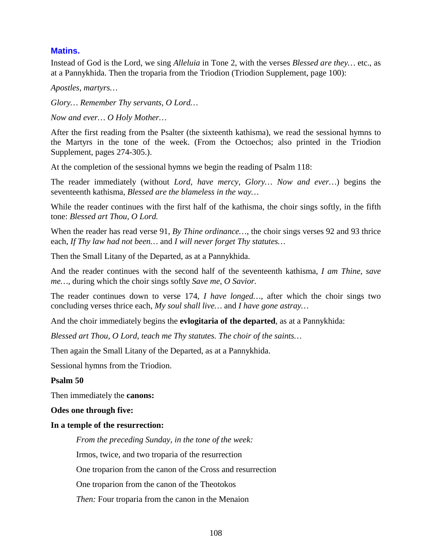# **Matins.**

Instead of God is the Lord, we sing *Alleluia* in Tone 2, with the verses *Blessed are they…* etc., as at a Pannykhida. Then the troparia from the Triodion (Triodion Supplement, page 100):

*Apostles, martyrs…*

*Glory… Remember Thy servants, O Lord…*

*Now and ever… O Holy Mother…*

After the first reading from the Psalter (the sixteenth kathisma), we read the sessional hymns to the Martyrs in the tone of the week. (From the Octoechos; also printed in the Triodion Supplement, pages 274-305.).

At the completion of the sessional hymns we begin the reading of Psalm 118:

The reader immediately (without *Lord, have mercy, Glory… Now and ever…*) begins the seventeenth kathisma, *Blessed are the blameless in the way…*

While the reader continues with the first half of the kathisma, the choir sings softly, in the fifth tone: *Blessed art Thou, O Lord.*

When the reader has read verse 91, *By Thine ordinance…*, the choir sings verses 92 and 93 thrice each, *If Thy law had not been…* and *I will never forget Thy statutes…*

Then the Small Litany of the Departed, as at a Pannykhida.

And the reader continues with the second half of the seventeenth kathisma, *I am Thine, save me…*, during which the choir sings softly *Save me, O Savior.*

The reader continues down to verse 174, *I have longed…*, after which the choir sings two concluding verses thrice each, *My soul shall live…* and *I have gone astray…*

And the choir immediately begins the **evlogitaria of the departed**, as at a Pannykhida:

*Blessed art Thou, O Lord, teach me Thy statutes. The choir of the saints…*

Then again the Small Litany of the Departed, as at a Pannykhida.

Sessional hymns from the Triodion.

#### **Psalm 50**

Then immediately the **canons:**

#### **Odes one through five:**

#### **In a temple of the resurrection:**

*From the preceding Sunday, in the tone of the week:*

Irmos, twice, and two troparia of the resurrection

One troparion from the canon of the Cross and resurrection

One troparion from the canon of the Theotokos

*Then:* Four troparia from the canon in the Menaion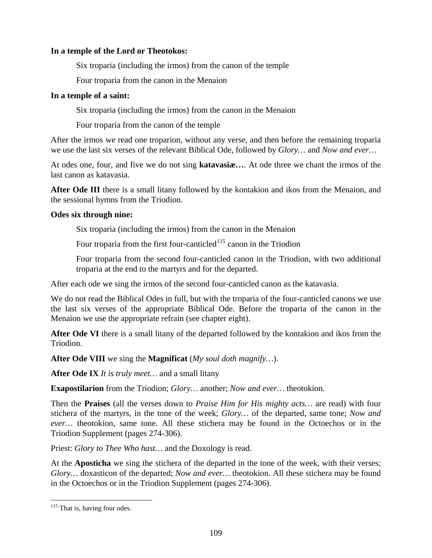#### **In a temple of the Lord or Theotokos:**

Six troparia (including the irmos) from the canon of the temple

Four troparia from the canon in the Menaion

## **In a temple of a saint:**

Six troparia (including the irmos) from the canon in the Menaion

Four troparia from the canon of the temple

After the irmos we read one troparion, without any verse, and then before the remaining troparia we use the last six verses of the relevant Biblical Ode, followed by *Glory…* and *Now and ever…*

At odes one, four, and five we do not sing **katavasiæ…**. At ode three we chant the irmos of the last canon as katavasia.

**After Ode III** there is a small litany followed by the kontakion and ikos from the Menaion, and the sessional hymns from the Triodion.

## **Odes six through nine:**

Six troparia (including the irmos) from the canon in the Menaion

Four troparia from the first four-canticled<sup>[115](#page-108-0)</sup> canon in the Triodion

Four troparia from the second four-canticled canon in the Triodion, with two additional troparia at the end to the martyrs and for the departed.

After each ode we sing the irmos of the second four-canticled canon as the katavasia.

We do not read the Biblical Odes in full, but with the troparia of the four-canticled canons we use the last six verses of the appropriate Biblical Ode. Before the troparia of the canon in the Menaion we use the appropriate refrain (see chapter eight).

**After Ode VI** there is a small litany of the departed followed by the kontakion and ikos from the Triodion.

**After Ode VIII** we sing the **Magnificat** (*My soul doth magnify…*).

**After Ode IX** *It is truly meet…* and a small litany

**Exapostilarion** from the Triodion; *Glory…* another; *Now and ever…* theotokion.

Then the **Praises** (all the verses down to *Praise Him for His mighty acts…* are read) with four stichera of the martyrs, in the tone of the week; *Glory…* of the departed, same tone; *Now and ever…* theotokion, same tone. All these stichera may be found in the Octoechos or in the Triodion Supplement (pages 274-306).

Priest: *Glory to Thee Who hast…* and the Doxology is read.

At the **Aposticha** we sing the stichera of the departed in the tone of the week, with their verses; *Glory…* doxasticon of the departed; *Now and ever…* theotokion. All these stichera may be found in the Octoechos or in the Triodion Supplement (pages 274-306).

<span id="page-108-0"></span><sup>&</sup>lt;sup>115</sup> That is, having four odes.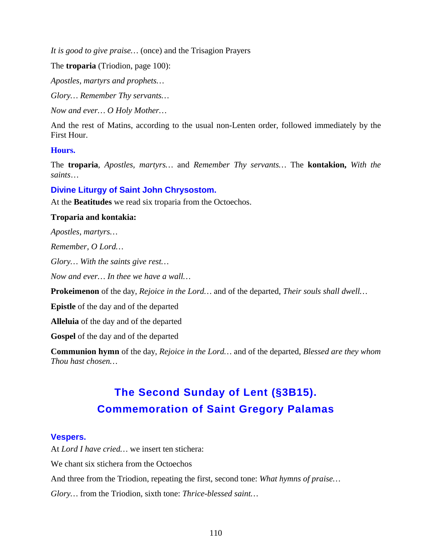*It is good to give praise…* (once) and the Trisagion Prayers

The **troparia** (Triodion, page 100):

*Apostles, martyrs and prophets…*

*Glory… Remember Thy servants…*

*Now and ever… O Holy Mother…*

And the rest of Matins, according to the usual non-Lenten order, followed immediately by the First Hour.

## **Hours.**

The **troparia**, *Apostles, martyrs…* and *Remember Thy servants…* The **kontakion,** *With the saints*…

# **Divine Liturgy of Saint John Chrysostom.**

At the **Beatitudes** we read six troparia from the Octoechos.

#### **Troparia and kontakia:**

*Apostles, martyrs…*

*Remember, O Lord…*

*Glory… With the saints give rest…*

*Now and ever… In thee we have a wall…*

**Prokeimenon** of the day, *Rejoice in the Lord…* and of the departed, *Their souls shall dwell…*

**Epistle** of the day and of the departed

**Alleluia** of the day and of the departed

**Gospel** of the day and of the departed

**Communion hymn** of the day, *Rejoice in the Lord…* and of the departed, *Blessed are they whom Thou hast chosen…*

# **The Second Sunday of Lent (§3B15). Commemoration of Saint Gregory Palamas**

# **Vespers.**

At *Lord I have cried…* we insert ten stichera: We chant six stichera from the Octoechos And three from the Triodion, repeating the first, second tone: *What hymns of praise… Glory…* from the Triodion, sixth tone: *Thrice-blessed saint…*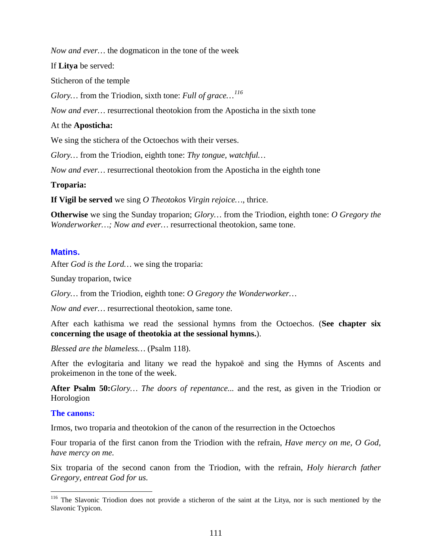*Now and ever…* the dogmaticon in the tone of the week

If **Litya** be served:

Sticheron of the temple

*Glory…* from the Triodion, sixth tone: *Full of grace…[116](#page-110-0)*

*Now and ever…* resurrectional theotokion from the Aposticha in the sixth tone

#### At the **Aposticha:**

We sing the stichera of the Octoechos with their verses.

*Glory…* from the Triodion, eighth tone: *Thy tongue, watchful…*

*Now and ever…* resurrectional theotokion from the Aposticha in the eighth tone

#### **Troparia:**

**If Vigil be served** we sing *O Theotokos Virgin rejoice…*, thrice.

**Otherwise** we sing the Sunday troparion; *Glory…* from the Triodion, eighth tone: *O Gregory the Wonderworker…; Now and ever…* resurrectional theotokion, same tone.

#### **Matins.**

After *God is the Lord…* we sing the troparia:

Sunday troparion, twice

*Glory…* from the Triodion, eighth tone: *O Gregory the Wonderworker…*

*Now and ever…* resurrectional theotokion, same tone.

After each kathisma we read the sessional hymns from the Octoechos. (**See chapter six concerning the usage of theotokia at the sessional hymns.**).

*Blessed are the blameless…* (Psalm 118).

After the evlogitaria and litany we read the hypakoë and sing the Hymns of Ascents and prokeimenon in the tone of the week.

**After Psalm 50:***Glory… The doors of repentance...* and the rest, as given in the Triodion or Horologion

#### **The canons:**

Irmos, two troparia and theotokion of the canon of the resurrection in the Octoechos

Four troparia of the first canon from the Triodion with the refrain, *Have mercy on me, O God, have mercy on me.*

Six troparia of the second canon from the Triodion, with the refrain, *Holy hierarch father Gregory, entreat God for us.*

<span id="page-110-0"></span><sup>&</sup>lt;sup>116</sup> The Slavonic Triodion does not provide a sticheron of the saint at the Litya, nor is such mentioned by the Slavonic Typicon.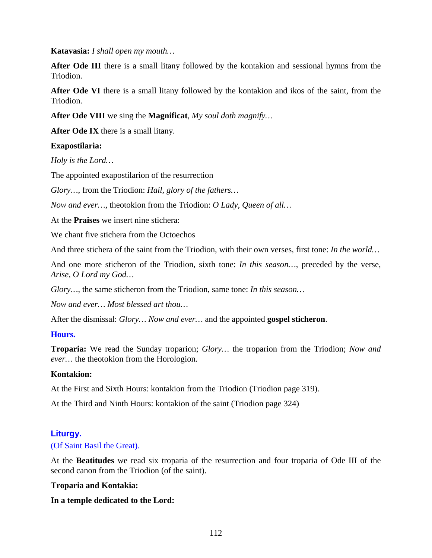**Katavasia:** *I shall open my mouth…*

After Ode III there is a small litany followed by the kontakion and sessional hymns from the Triodion.

**After Ode VI** there is a small litany followed by the kontakion and ikos of the saint, from the Triodion.

**After Ode VIII** we sing the **Magnificat**, *My soul doth magnify…*

**After Ode IX** there is a small litany.

## **Exapostilaria:**

*Holy is the Lord…*

The appointed exapostilarion of the resurrection

*Glory…*, from the Triodion: *Hail, glory of the fathers…*

*Now and ever…*, theotokion from the Triodion: *O Lady, Queen of all…*

At the **Praises** we insert nine stichera:

We chant five stichera from the Octoechos

And three stichera of the saint from the Triodion, with their own verses, first tone: *In the world…*

And one more sticheron of the Triodion, sixth tone: *In this season…*, preceded by the verse, *Arise, O Lord my God…*

*Glory…*, the same sticheron from the Triodion, same tone: *In this season…*

*Now and ever… Most blessed art thou…*

After the dismissal: *Glory… Now and ever…* and the appointed **gospel sticheron**.

#### **Hours.**

**Troparia:** We read the Sunday troparion; *Glory…* the troparion from the Triodion; *Now and ever…* the theotokion from the Horologion.

#### **Kontakion:**

At the First and Sixth Hours: kontakion from the Triodion (Triodion page 319).

At the Third and Ninth Hours: kontakion of the saint (Triodion page 324)

#### **Liturgy.**

#### (Of Saint Basil the Great).

At the **Beatitudes** we read six troparia of the resurrection and four troparia of Ode III of the second canon from the Triodion (of the saint).

#### **Troparia and Kontakia:**

**In a temple dedicated to the Lord:**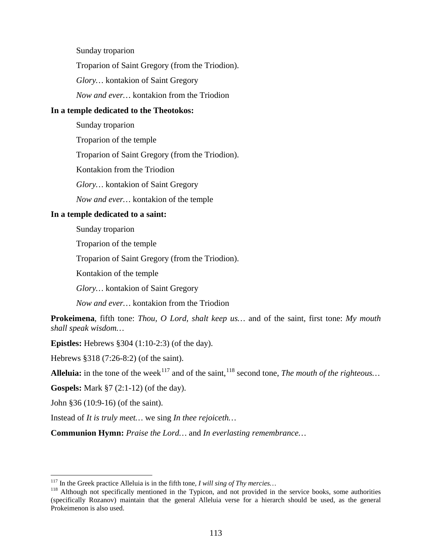Sunday troparion

Troparion of Saint Gregory (from the Triodion).

*Glory…* kontakion of Saint Gregory

*Now and ever…* kontakion from the Triodion

#### **In a temple dedicated to the Theotokos:**

Sunday troparion Troparion of the temple Troparion of Saint Gregory (from the Triodion). Kontakion from the Triodion *Glory…* kontakion of Saint Gregory *Now and ever…* kontakion of the temple

### **In a temple dedicated to a saint:**

Sunday troparion

Troparion of the temple

Troparion of Saint Gregory (from the Triodion).

Kontakion of the temple

*Glory…* kontakion of Saint Gregory

*Now and ever…* kontakion from the Triodion

**Prokeimena**, fifth tone: *Thou, O Lord, shalt keep us…* and of the saint, first tone: *My mouth shall speak wisdom…*

**Epistles:** Hebrews §304 (1:10-2:3) (of the day).

Hebrews §318 (7:26-8:2) (of the saint).

**Alleluia:** in the tone of the week<sup>[117](#page-112-0)</sup> and of the saint,  $118$  second tone, *The mouth of the righteous...* 

**Gospels:** Mark §7 (2:1-12) (of the day).

John §36 (10:9-16) (of the saint).

Instead of *It is truly meet…* we sing *In thee rejoiceth…*

**Communion Hymn:** *Praise the Lord…* and *In everlasting remembrance…*

<span id="page-112-1"></span><span id="page-112-0"></span><sup>&</sup>lt;sup>117</sup> In the Greek practice Alleluia is in the fifth tone, *I will sing of Thy mercies*...<br><sup>118</sup> Although not specifically mentioned in the Typicon, and not provided in the service books, some authorities (specifically Rozanov) maintain that the general Alleluia verse for a hierarch should be used, as the general Prokeimenon is also used.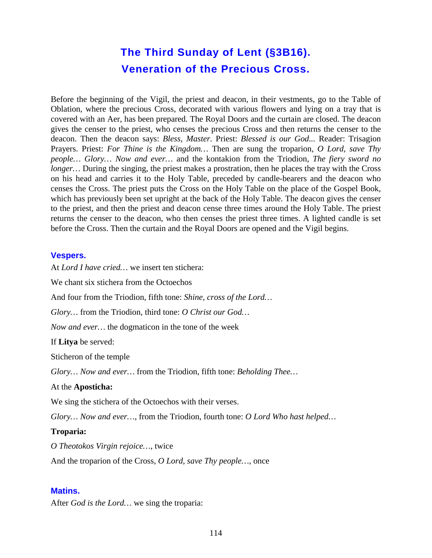# **The Third Sunday of Lent (§3B16). Veneration of the Precious Cross.**

Before the beginning of the Vigil, the priest and deacon, in their vestments, go to the Table of Oblation, where the precious Cross, decorated with various flowers and lying on a tray that is covered with an Aer, has been prepared*.* The Royal Doors and the curtain are closed. The deacon gives the censer to the priest, who censes the precious Cross and then returns the censer to the deacon. Then the deacon says: *Bless, Master.* Priest: *Blessed is our God...* Reader: Trisagion Prayers. Priest: *For Thine is the Kingdom…* Then are sung the troparion, *O Lord, save Thy people… Glory… Now and ever…* and the kontakion from the Triodion, *The fiery sword no longer...* During the singing, the priest makes a prostration, then he places the tray with the Cross on his head and carries it to the Holy Table, preceded by candle-bearers and the deacon who censes the Cross. The priest puts the Cross on the Holy Table on the place of the Gospel Book, which has previously been set upright at the back of the Holy Table. The deacon gives the censer to the priest, and then the priest and deacon cense three times around the Holy Table. The priest returns the censer to the deacon, who then censes the priest three times. A lighted candle is set before the Cross. Then the curtain and the Royal Doors are opened and the Vigil begins.

#### **Vespers.**

At *Lord I have cried…* we insert ten stichera:

We chant six stichera from the Octoechos

And four from the Triodion, fifth tone: *Shine, cross of the Lord…*

*Glory…* from the Triodion, third tone: *O Christ our God…*

*Now and ever…* the dogmaticon in the tone of the week

If **Litya** be served:

Sticheron of the temple

*Glory… Now and ever…* from the Triodion, fifth tone: *Beholding Thee…*

#### At the **Aposticha:**

We sing the stichera of the Octoechos with their verses.

*Glory… Now and ever…*, from the Triodion, fourth tone: *O Lord Who hast helped…*

#### **Troparia:**

*O Theotokos Virgin rejoice…*, twice

And the troparion of the Cross, *O Lord, save Thy people…*, once

#### **Matins.**

After *God is the Lord…* we sing the troparia: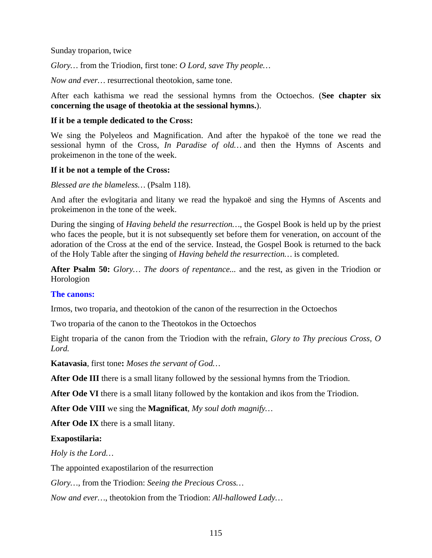Sunday troparion, twice

*Glory…* from the Triodion, first tone: *O Lord, save Thy people…*

*Now and ever…* resurrectional theotokion, same tone.

After each kathisma we read the sessional hymns from the Octoechos. (**See chapter six concerning the usage of theotokia at the sessional hymns.**).

#### **If it be a temple dedicated to the Cross:**

We sing the Polyeleos and Magnification. And after the hypakoë of the tone we read the sessional hymn of the Cross, *In Paradise of old…* and then the Hymns of Ascents and prokeimenon in the tone of the week.

#### **If it be not a temple of the Cross:**

*Blessed are the blameless…* (Psalm 118).

And after the evlogitaria and litany we read the hypakoë and sing the Hymns of Ascents and prokeimenon in the tone of the week.

During the singing of *Having beheld the resurrection…*, the Gospel Book is held up by the priest who faces the people, but it is not subsequently set before them for veneration, on account of the adoration of the Cross at the end of the service. Instead, the Gospel Book is returned to the back of the Holy Table after the singing of *Having beheld the resurrection…* is completed.

**After Psalm 50:** *Glory… The doors of repentance...* and the rest, as given in the Triodion or Horologion

#### **The canons:**

Irmos, two troparia, and theotokion of the canon of the resurrection in the Octoechos

Two troparia of the canon to the Theotokos in the Octoechos

Eight troparia of the canon from the Triodion with the refrain, *Glory to Thy precious Cross, O Lord.*

**Katavasia**, first tone**:** *Moses the servant of God…*

**After Ode III** there is a small litany followed by the sessional hymns from the Triodion.

**After Ode VI** there is a small litany followed by the kontakion and ikos from the Triodion.

**After Ode VIII** we sing the **Magnificat**, *My soul doth magnify…*

**After Ode IX** there is a small litany.

#### **Exapostilaria:**

*Holy is the Lord…*

The appointed exapostilarion of the resurrection

*Glory…*, from the Triodion: *Seeing the Precious Cross…*

*Now and ever…*, theotokion from the Triodion: *All-hallowed Lady…*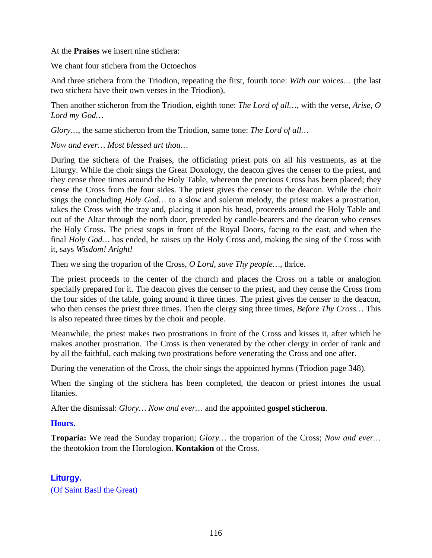At the **Praises** we insert nine stichera:

We chant four stichera from the Octoechos

And three stichera from the Triodion, repeating the first, fourth tone: *With our voices…* (the last two stichera have their own verses in the Triodion).

Then another sticheron from the Triodion, eighth tone: *The Lord of all…*, with the verse, *Arise, O Lord my God…*

*Glory…*, the same sticheron from the Triodion, same tone: *The Lord of all…*

*Now and ever… Most blessed art thou…*

During the stichera of the Praises, the officiating priest puts on all his vestments, as at the Liturgy. While the choir sings the Great Doxology, the deacon gives the censer to the priest, and they cense three times around the Holy Table, whereon the precious Cross has been placed; they cense the Cross from the four sides. The priest gives the censer to the deacon. While the choir sings the concluding *Holy God…* to a slow and solemn melody, the priest makes a prostration, takes the Cross with the tray and, placing it upon his head, proceeds around the Holy Table and out of the Altar through the north door, preceded by candle-bearers and the deacon who censes the Holy Cross. The priest stops in front of the Royal Doors, facing to the east, and when the final *Holy God…* has ended, he raises up the Holy Cross and, making the sing of the Cross with it, says *Wisdom! Aright!*

Then we sing the troparion of the Cross, *O Lord, save Thy people…,* thrice.

The priest proceeds to the center of the church and places the Cross on a table or analogion specially prepared for it. The deacon gives the censer to the priest, and they cense the Cross from the four sides of the table, going around it three times. The priest gives the censer to the deacon, who then censes the priest three times. Then the clergy sing three times, *Before Thy Cross…* This is also repeated three times by the choir and people.

Meanwhile, the priest makes two prostrations in front of the Cross and kisses it, after which he makes another prostration. The Cross is then venerated by the other clergy in order of rank and by all the faithful, each making two prostrations before venerating the Cross and one after.

During the veneration of the Cross, the choir sings the appointed hymns (Triodion page 348).

When the singing of the stichera has been completed, the deacon or priest intones the usual litanies.

After the dismissal: *Glory… Now and ever…* and the appointed **gospel sticheron**.

#### **Hours.**

**Troparia:** We read the Sunday troparion; *Glory…* the troparion of the Cross; *Now and ever…* the theotokion from the Horologion. **Kontakion** of the Cross.

# **Liturgy.**

(Of Saint Basil the Great)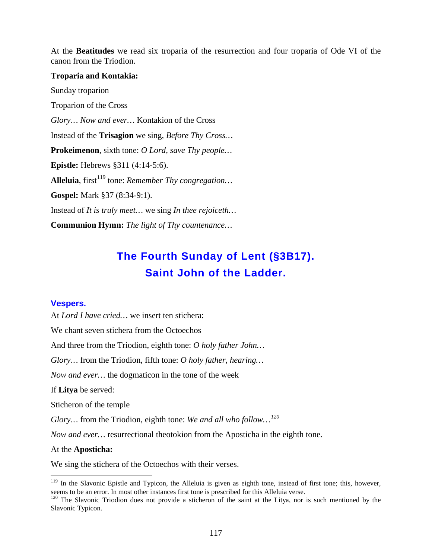At the **Beatitudes** we read six troparia of the resurrection and four troparia of Ode VI of the canon from the Triodion.

#### **Troparia and Kontakia:**

Sunday troparion Troparion of the Cross *Glory… Now and ever…* Kontakion of the Cross Instead of the **Trisagion** we sing, *Before Thy Cross…* **Prokeimenon**, sixth tone: *O Lord, save Thy people…* **Epistle:** Hebrews §311 (4:14-5:6). Alleluia, first<sup>[119](#page-116-0)</sup> tone: *Remember Thy congregation*... **Gospel:** Mark §37 (8:34-9:1). Instead of *It is truly meet…* we sing *In thee rejoiceth…* **Communion Hymn:** *The light of Thy countenance…*

# **The Fourth Sunday of Lent (§3B17). Saint John of the Ladder.**

#### **Vespers.**

At *Lord I have cried…* we insert ten stichera:

We chant seven stichera from the Octoechos

And three from the Triodion, eighth tone: *O holy father John…*

*Glory…* from the Triodion, fifth tone: *O holy father, hearing…*

*Now and ever…* the dogmaticon in the tone of the week

If **Litya** be served:

Sticheron of the temple

*Glory…* from the Triodion, eighth tone: *We and all who follow…[120](#page-116-1)*

*Now and ever…* resurrectional theotokion from the Aposticha in the eighth tone.

#### At the **Aposticha:**

We sing the stichera of the Octoechos with their verses.

<span id="page-116-0"></span> $119$  In the Slavonic Epistle and Typicon, the Alleluia is given as eighth tone, instead of first tone; this, however, seems to be an error. In most other instances first tone is prescribed for this Alleluia verse.

<span id="page-116-1"></span><sup>&</sup>lt;sup>120</sup> The Slavonic Triodion does not provide a sticheron of the saint at the Litya, nor is such mentioned by the Slavonic Typicon.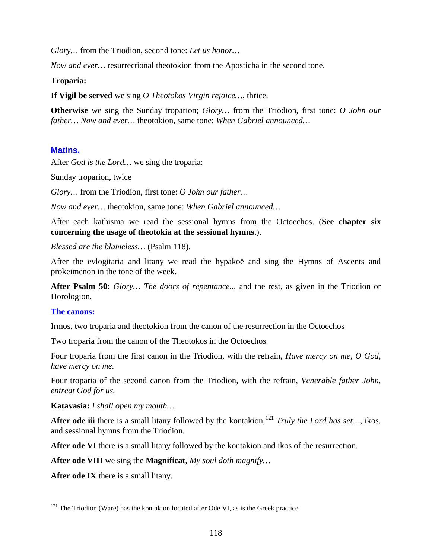*Glory…* from the Triodion, second tone: *Let us honor…*

*Now and ever…* resurrectional theotokion from the Aposticha in the second tone.

#### **Troparia:**

**If Vigil be served** we sing *O Theotokos Virgin rejoice…*, thrice.

**Otherwise** we sing the Sunday troparion; *Glory…* from the Triodion, first tone: *O John our father… Now and ever…* theotokion, same tone: *When Gabriel announced…*

#### **Matins.**

After *God is the Lord…* we sing the troparia:

Sunday troparion, twice

*Glory…* from the Triodion, first tone: *O John our father…*

*Now and ever…* theotokion, same tone: *When Gabriel announced…*

After each kathisma we read the sessional hymns from the Octoechos. (**See chapter six concerning the usage of theotokia at the sessional hymns.**).

*Blessed are the blameless…* (Psalm 118).

After the evlogitaria and litany we read the hypakoë and sing the Hymns of Ascents and prokeimenon in the tone of the week.

**After Psalm 50:** *Glory… The doors of repentance...* and the rest, as given in the Triodion or Horologion.

#### **The canons:**

Irmos, two troparia and theotokion from the canon of the resurrection in the Octoechos

Two troparia from the canon of the Theotokos in the Octoechos

Four troparia from the first canon in the Triodion, with the refrain, *Have mercy on me, O God, have mercy on me.*

Four troparia of the second canon from the Triodion, with the refrain, *Venerable father John, entreat God for us.*

**Katavasia:** *I shall open my mouth…*

After ode iii there is a small litany followed by the kontakion, <sup>[121](#page-117-0)</sup> *Truly the Lord has set...*, ikos, and sessional hymns from the Triodion.

**After ode VI** there is a small litany followed by the kontakion and ikos of the resurrection.

**After ode VIII** we sing the **Magnificat**, *My soul doth magnify…*

**After ode IX** there is a small litany.

<span id="page-117-0"></span> $121$  The Triodion (Ware) has the kontakion located after Ode VI, as is the Greek practice.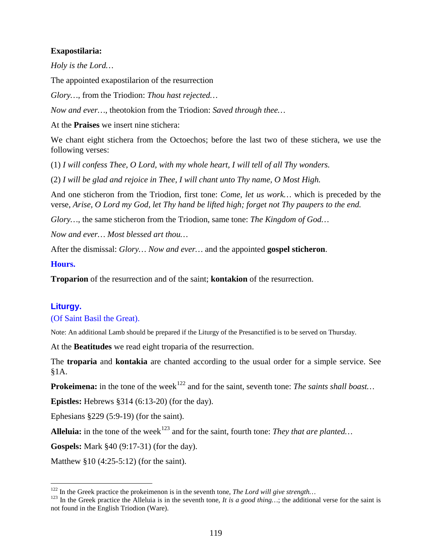#### **Exapostilaria:**

*Holy is the Lord…*

The appointed exapostilarion of the resurrection

*Glory…*, from the Triodion: *Thou hast rejected…*

*Now and ever…*, theotokion from the Triodion: *Saved through thee…*

At the **Praises** we insert nine stichera:

We chant eight stichera from the Octoechos; before the last two of these stichera, we use the following verses:

(1) *I will confess Thee, O Lord, with my whole heart, I will tell of all Thy wonders.*

(2) *I will be glad and rejoice in Thee, I will chant unto Thy name, O Most High.*

And one sticheron from the Triodion, first tone: *Come, let us work…* which is preceded by the verse, *Arise, O Lord my God, let Thy hand be lifted high; forget not Thy paupers to the end.*

*Glory…*, the same sticheron from the Triodion, same tone: *The Kingdom of God…*

*Now and ever… Most blessed art thou…*

After the dismissal: *Glory… Now and ever…* and the appointed **gospel sticheron**.

#### **Hours.**

**Troparion** of the resurrection and of the saint; **kontakion** of the resurrection.

#### **Liturgy.**

#### (Of Saint Basil the Great).

Note: An additional Lamb should be prepared if the Liturgy of the Presanctified is to be served on Thursday.

At the **Beatitudes** we read eight troparia of the resurrection.

The **troparia** and **kontakia** are chanted according to the usual order for a simple service. See §1A.

**Prokeimena:** in the tone of the week<sup>[122](#page-118-0)</sup> and for the saint, seventh tone: *The saints shall boast*...

**Epistles:** Hebrews §314 (6:13-20) (for the day).

Ephesians §229 (5:9-19) (for the saint).

**Alleluia:** in the tone of the week<sup>[123](#page-118-1)</sup> and for the saint, fourth tone: *They that are planted*...

**Gospels:** Mark §40 (9:17-31) (for the day).

Matthew §10 (4:25-5:12) (for the saint).

<span id="page-118-1"></span><span id="page-118-0"></span><sup>&</sup>lt;sup>122</sup> In the Greek practice the prokeimenon is in the seventh tone, *The Lord will give strength*...<br><sup>123</sup> In the Greek practice the Alleluia is in the seventh tone, *It is a good thing*...; the additional verse for the s not found in the English Triodion (Ware).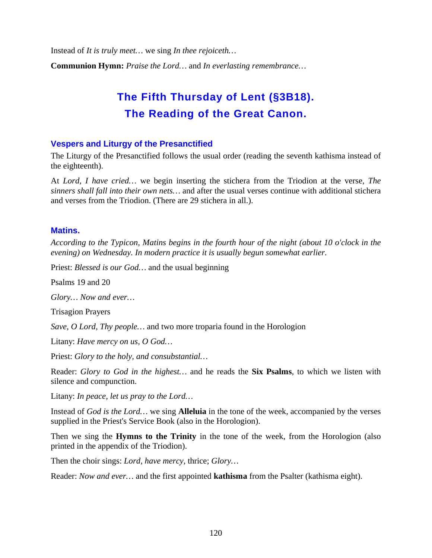Instead of *It is truly meet…* we sing *In thee rejoiceth…*

**Communion Hymn:** *Praise the Lord…* and *In everlasting remembrance…*

# **The Fifth Thursday of Lent (§3B18). The Reading of the Great Canon.**

#### **Vespers and Liturgy of the Presanctified**

The Liturgy of the Presanctified follows the usual order (reading the seventh kathisma instead of the eighteenth).

At *Lord, I have cried…* we begin inserting the stichera from the Triodion at the verse, *The sinners shall fall into their own nets…* and after the usual verses continue with additional stichera and verses from the Triodion. (There are 29 stichera in all.).

#### **Matins.**

*According to the Typicon, Matins begins in the fourth hour of the night (about 10 o'clock in the evening) on Wednesday. In modern practice it is usually begun somewhat earlier.*

Priest: *Blessed is our God…* and the usual beginning

Psalms 19 and 20

*Glory… Now and ever…*

Trisagion Prayers

*Save, O Lord, Thy people…* and two more troparia found in the Horologion

Litany: *Have mercy on us, O God…*

Priest: *Glory to the holy, and consubstantial…*

Reader: *Glory to God in the highest…* and he reads the **Six Psalms**, to which we listen with silence and compunction.

Litany: *In peace, let us pray to the Lord…*

Instead of *God is the Lord…* we sing **Alleluia** in the tone of the week, accompanied by the verses supplied in the Priest's Service Book (also in the Horologion).

Then we sing the **Hymns to the Trinity** in the tone of the week, from the Horologion (also printed in the appendix of the Triodion).

Then the choir sings: *Lord, have mercy,* thrice; *Glory…*

Reader: *Now and ever…* and the first appointed **kathisma** from the Psalter (kathisma eight).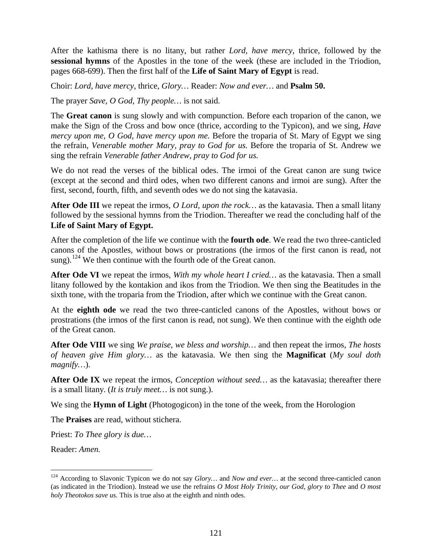After the kathisma there is no litany, but rather *Lord, have mercy,* thrice, followed by the **sessional hymns** of the Apostles in the tone of the week (these are included in the Triodion, pages 668-699). Then the first half of the **Life of Saint Mary of Egypt** is read.

Choir: *Lord, have mercy,* thrice, *Glory…* Reader: *Now and ever…* and **Psalm 50.**

The prayer *Save, O God, Thy people…* is not said.

The **Great canon** is sung slowly and with compunction. Before each troparion of the canon, we make the Sign of the Cross and bow once (thrice, according to the Typicon), and we sing, *Have mercy upon me, O God, have mercy upon me.* Before the troparia of St. Mary of Egypt we sing the refrain, *Venerable mother Mary, pray to God for us.* Before the troparia of St. Andrew we sing the refrain *Venerable father Andrew, pray to God for us.*

We do not read the verses of the biblical odes. The irmoi of the Great canon are sung twice (except at the second and third odes, when two different canons and irmoi are sung). After the first, second, fourth, fifth, and seventh odes we do not sing the katavasia.

**After Ode III** we repeat the irmos, *O Lord, upon the rock…* as the katavasia. Then a small litany followed by the sessional hymns from the Triodion. Thereafter we read the concluding half of the **Life of Saint Mary of Egypt.**

After the completion of the life we continue with the **fourth ode**. We read the two three-canticled canons of the Apostles, without bows or prostrations (the irmos of the first canon is read, not sung).<sup>[124](#page-120-0)</sup> We then continue with the fourth ode of the Great canon.

**After Ode VI** we repeat the irmos, *With my whole heart I cried…* as the katavasia. Then a small litany followed by the kontakion and ikos from the Triodion. We then sing the Beatitudes in the sixth tone, with the troparia from the Triodion, after which we continue with the Great canon.

At the **eighth ode** we read the two three-canticled canons of the Apostles, without bows or prostrations (the irmos of the first canon is read, not sung). We then continue with the eighth ode of the Great canon.

**After Ode VIII** we sing *We praise, we bless and worship…* and then repeat the irmos, *The hosts of heaven give Him glory…* as the katavasia. We then sing the **Magnificat** (*My soul doth magnify…*).

**After Ode IX** we repeat the irmos, *Conception without seed…* as the katavasia; thereafter there is a small litany. (*It is truly meet…* is not sung.).

We sing the **Hymn of Light** (Photogogicon) in the tone of the week, from the Horologion

The **Praises** are read, without stichera.

Priest: *To Thee glory is due…*

Reader: *Amen.*

<span id="page-120-0"></span> <sup>124</sup> According to Slavonic Typicon we do not say *Glory…* and *Now and ever…* at the second three-canticled canon (as indicated in the Triodion). Instead we use the refrains *O Most Holy Trinity, our God, glory to Thee* and *O most holy Theotokos save us.* This is true also at the eighth and ninth odes.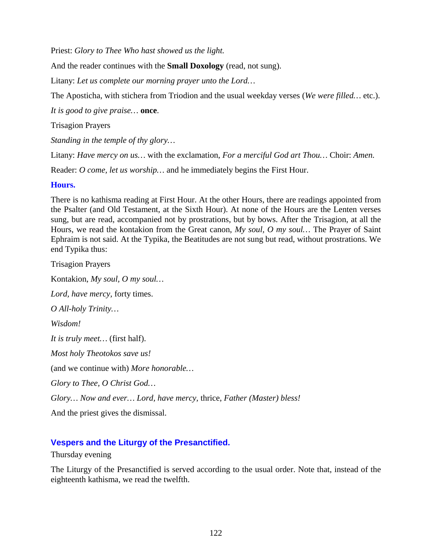Priest: *Glory to Thee Who hast showed us the light.*

And the reader continues with the **Small Doxology** (read, not sung).

Litany: *Let us complete our morning prayer unto the Lord…*

The Aposticha, with stichera from Triodion and the usual weekday verses (*We were filled…* etc.).

*It is good to give praise…* **once**.

Trisagion Prayers

*Standing in the temple of thy glory…*

Litany: *Have mercy on us…* with the exclamation, *For a merciful God art Thou…* Choir: *Amen.*

Reader: *O come, let us worship…* and he immediately begins the First Hour.

## **Hours.**

There is no kathisma reading at First Hour. At the other Hours, there are readings appointed from the Psalter (and Old Testament, at the Sixth Hour). At none of the Hours are the Lenten verses sung, but are read, accompanied not by prostrations, but by bows. After the Trisagion, at all the Hours, we read the kontakion from the Great canon, *My soul, O my soul…* The Prayer of Saint Ephraim is not said. At the Typika, the Beatitudes are not sung but read, without prostrations. We end Typika thus:

Trisagion Prayers Kontakion, *My soul, O my soul… Lord, have mercy,* forty times. *O All-holy Trinity… Wisdom! It is truly meet…* (first half). *Most holy Theotokos save us!* (and we continue with) *More honorable… Glory to Thee, O Christ God… Glory… Now and ever… Lord, have mercy,* thrice, *Father (Master) bless!* And the priest gives the dismissal.

# **Vespers and the Liturgy of the Presanctified.**

Thursday evening

The Liturgy of the Presanctified is served according to the usual order. Note that, instead of the eighteenth kathisma, we read the twelfth.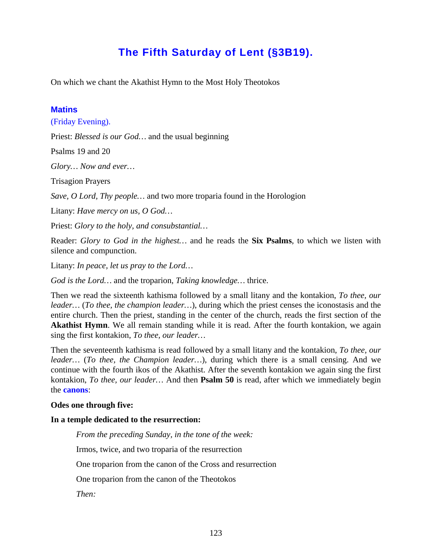# **The Fifth Saturday of Lent (§3B19).**

On which we chant the Akathist Hymn to the Most Holy Theotokos

#### **Matins**

(Friday Evening).

Priest: *Blessed is our God…* and the usual beginning

Psalms 19 and 20

*Glory… Now and ever…*

Trisagion Prayers

*Save, O Lord, Thy people…* and two more troparia found in the Horologion

Litany: *Have mercy on us, O God…*

Priest: *Glory to the holy, and consubstantial…*

Reader: *Glory to God in the highest…* and he reads the **Six Psalms**, to which we listen with silence and compunction.

Litany: *In peace, let us pray to the Lord…*

*God is the Lord…* and the troparion, *Taking knowledge…* thrice.

Then we read the sixteenth kathisma followed by a small litany and the kontakion, *To thee, our leader…* (*To thee, the champion leader…*), during which the priest censes the iconostasis and the entire church. Then the priest, standing in the center of the church, reads the first section of the **Akathist Hymn**. We all remain standing while it is read. After the fourth kontakion, we again sing the first kontakion, *To thee, our leader…*

Then the seventeenth kathisma is read followed by a small litany and the kontakion, *To thee, our leader…* (*To thee, the Champion leader…*), during which there is a small censing. And we continue with the fourth ikos of the Akathist. After the seventh kontakion we again sing the first kontakion, *To thee, our leader…* And then **Psalm 50** is read, after which we immediately begin the **canons**:

#### **Odes one through five:**

#### **In a temple dedicated to the resurrection:**

*From the preceding Sunday, in the tone of the week:*

Irmos, twice, and two troparia of the resurrection

One troparion from the canon of the Cross and resurrection

One troparion from the canon of the Theotokos

*Then:*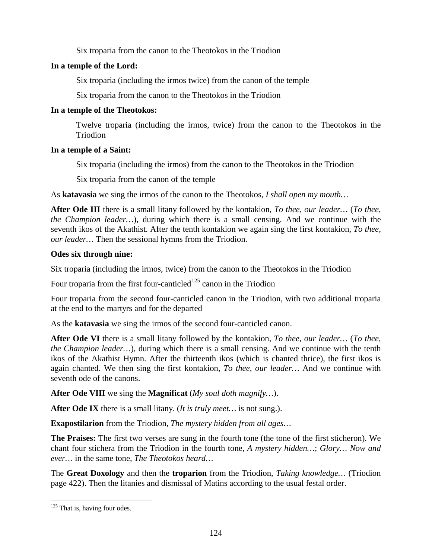Six troparia from the canon to the Theotokos in the Triodion

# **In a temple of the Lord:**

Six troparia (including the irmos twice) from the canon of the temple

Six troparia from the canon to the Theotokos in the Triodion

# **In a temple of the Theotokos:**

Twelve troparia (including the irmos, twice) from the canon to the Theotokos in the Triodion

# **In a temple of a Saint:**

Six troparia (including the irmos) from the canon to the Theotokos in the Triodion

Six troparia from the canon of the temple

As **katavasia** we sing the irmos of the canon to the Theotokos, *I shall open my mouth…*

**After Ode III** there is a small litany followed by the kontakion, *To thee, our leader…* (*To thee, the Champion leader…*), during which there is a small censing. And we continue with the seventh ikos of the Akathist. After the tenth kontakion we again sing the first kontakion, *To thee, our leader…* Then the sessional hymns from the Triodion.

# **Odes six through nine:**

Six troparia (including the irmos, twice) from the canon to the Theotokos in the Triodion

Four troparia from the first four-canticled  $125$  canon in the Triodion

Four troparia from the second four-canticled canon in the Triodion, with two additional troparia at the end to the martyrs and for the departed

As the **katavasia** we sing the irmos of the second four-canticled canon.

**After Ode VI** there is a small litany followed by the kontakion, *To thee, our leader…* (*To thee, the Champion leader…*), during which there is a small censing. And we continue with the tenth ikos of the Akathist Hymn. After the thirteenth ikos (which is chanted thrice), the first ikos is again chanted. We then sing the first kontakion, *To thee, our leader…* And we continue with seventh ode of the canons.

**After Ode VIII** we sing the **Magnificat** (*My soul doth magnify…*).

**After Ode IX** there is a small litany. (*It is truly meet…* is not sung.).

**Exapostilarion** from the Triodion, *The mystery hidden from all ages…*

**The Praises:** The first two verses are sung in the fourth tone (the tone of the first sticheron). We chant four stichera from the Triodion in the fourth tone, *A mystery hidden…*; *Glory… Now and ever…* in the same tone, *The Theotokos heard…*

The **Great Doxology** and then the **troparion** from the Triodion, *Taking knowledge…* (Triodion page 422). Then the litanies and dismissal of Matins according to the usual festal order.

<span id="page-123-0"></span> $125$  That is, having four odes.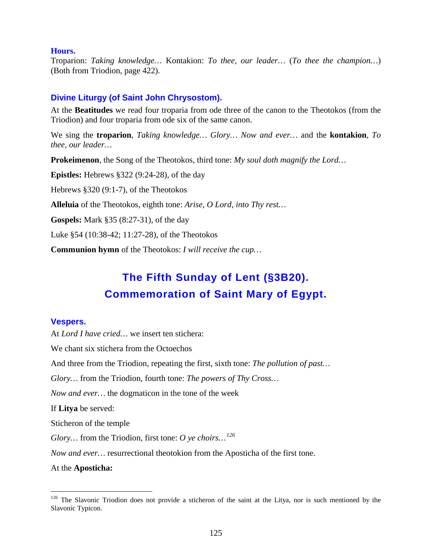#### **Hours.**

Troparion: *Taking knowledge…* Kontakion: *To thee, our leader…* (*To thee the champion…*) (Both from Triodion, page 422).

# **Divine Liturgy (of Saint John Chrysostom).**

At the **Beatitudes** we read four troparia from ode three of the canon to the Theotokos (from the Triodion) and four troparia from ode six of the same canon.

We sing the **troparion**, *Taking knowledge… Glory… Now and ever…* and the **kontakion**, *To thee, our leader…*

**Prokeimenon**, the Song of the Theotokos, third tone: *My soul doth magnify the Lord…*

**Epistles:** Hebrews §322 (9:24-28), of the day

Hebrews §320 (9:1-7), of the Theotokos

**Alleluia** of the Theotokos, eighth tone: *Arise, O Lord, into Thy rest…*

**Gospels:** Mark §35 (8:27-31), of the day

Luke §54 (10:38-42; 11:27-28), of the Theotokos

**Communion hymn** of the Theotokos: *I will receive the cup…*

# **The Fifth Sunday of Lent (§3B20). Commemoration of Saint Mary of Egypt.**

#### **Vespers.**

At *Lord I have cried…* we insert ten stichera:

We chant six stichera from the Octoechos

And three from the Triodion, repeating the first, sixth tone: *The pollution of past…*

*Glory…* from the Triodion, fourth tone: *The powers of Thy Cross…*

*Now and ever…* the dogmaticon in the tone of the week

If **Litya** be served:

Sticheron of the temple

*Glory…* from the Triodion, first tone: *O ye choirs…[126](#page-124-0)*

*Now and ever…* resurrectional theotokion from the Aposticha of the first tone.

At the **Aposticha:**

<span id="page-124-0"></span><sup>&</sup>lt;sup>126</sup> The Slavonic Triodion does not provide a sticheron of the saint at the Litya, nor is such mentioned by the Slavonic Typicon.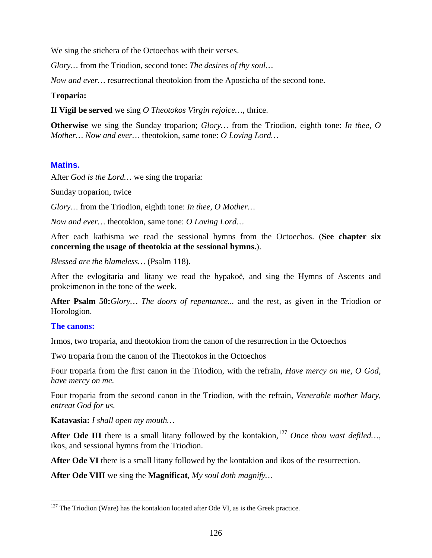We sing the stichera of the Octoechos with their verses.

*Glory…* from the Triodion, second tone: *The desires of thy soul…*

*Now and ever…* resurrectional theotokion from the Aposticha of the second tone.

#### **Troparia:**

**If Vigil be served** we sing *O Theotokos Virgin rejoice…*, thrice.

**Otherwise** we sing the Sunday troparion; *Glory…* from the Triodion, eighth tone: *In thee, O Mother… Now and ever…* theotokion, same tone: *O Loving Lord…*

#### **Matins.**

After *God is the Lord…* we sing the troparia:

Sunday troparion, twice

*Glory…* from the Triodion, eighth tone: *In thee, O Mother…*

*Now and ever…* theotokion, same tone: *O Loving Lord…*

After each kathisma we read the sessional hymns from the Octoechos. (**See chapter six concerning the usage of theotokia at the sessional hymns.**).

*Blessed are the blameless…* (Psalm 118).

After the evlogitaria and litany we read the hypakoë, and sing the Hymns of Ascents and prokeimenon in the tone of the week.

**After Psalm 50:***Glory… The doors of repentance...* and the rest, as given in the Triodion or Horologion.

#### **The canons:**

Irmos, two troparia, and theotokion from the canon of the resurrection in the Octoechos

Two troparia from the canon of the Theotokos in the Octoechos

Four troparia from the first canon in the Triodion, with the refrain, *Have mercy on me, O God, have mercy on me.*

Four troparia from the second canon in the Triodion, with the refrain, *Venerable mother Mary, entreat God for us.*

**Katavasia:** *I shall open my mouth…*

After Ode III there is a small litany followed by the kontakion,<sup>[127](#page-125-0)</sup> Once thou wast defiled..., ikos, and sessional hymns from the Triodion.

After Ode VI there is a small litany followed by the kontakion and ikos of the resurrection.

**After Ode VIII** we sing the **Magnificat**, *My soul doth magnify…*

<span id="page-125-0"></span> $127$  The Triodion (Ware) has the kontakion located after Ode VI, as is the Greek practice.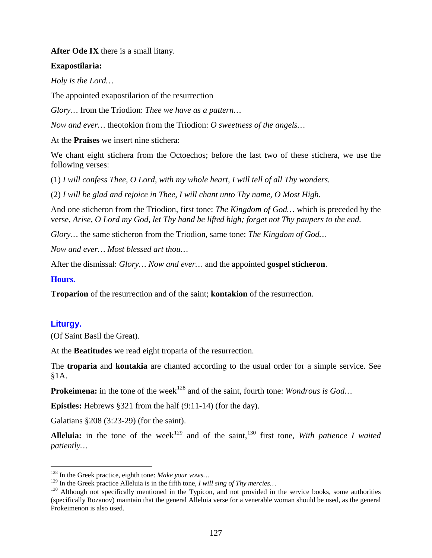**After Ode IX** there is a small litany.

## **Exapostilaria:**

*Holy is the Lord…*

The appointed exapostilarion of the resurrection

*Glory…* from the Triodion: *Thee we have as a pattern…*

*Now and ever…* theotokion from the Triodion: *O sweetness of the angels…*

At the **Praises** we insert nine stichera:

We chant eight stichera from the Octoechos; before the last two of these stichera, we use the following verses:

(1) *I will confess Thee, O Lord, with my whole heart, I will tell of all Thy wonders.*

(2) *I will be glad and rejoice in Thee, I will chant unto Thy name, O Most High.*

And one sticheron from the Triodion, first tone: *The Kingdom of God…* which is preceded by the verse, *Arise, O Lord my God, let Thy hand be lifted high; forget not Thy paupers to the end.*

*Glory…* the same sticheron from the Triodion, same tone: *The Kingdom of God…*

*Now and ever… Most blessed art thou…*

After the dismissal: *Glory… Now and ever…* and the appointed **gospel sticheron**.

#### **Hours.**

**Troparion** of the resurrection and of the saint; **kontakion** of the resurrection.

#### **Liturgy.**

(Of Saint Basil the Great).

At the **Beatitudes** we read eight troparia of the resurrection.

The **troparia** and **kontakia** are chanted according to the usual order for a simple service. See §1A.

**Prokeimena:** in the tone of the week<sup>[128](#page-126-0)</sup> and of the saint, fourth tone: *Wondrous is God...* 

**Epistles:** Hebrews §321 from the half (9:11-14) (for the day).

Galatians §208 (3:23-29) (for the saint).

**Alleluia:** in the tone of the week<sup>[129](#page-126-1)</sup> and of the saint,<sup>[130](#page-126-2)</sup> first tone, *With patience I waited patiently…*

<span id="page-126-0"></span><sup>&</sup>lt;sup>128</sup> In the Greek practice, eighth tone: *Make your vows*...<br><sup>129</sup> In the Greek practice Alleluia is in the fifth tone, *I will sing of Thy mercies*...

<span id="page-126-2"></span><span id="page-126-1"></span><sup>&</sup>lt;sup>130</sup> Although not specifically mentioned in the Typicon, and not provided in the service books, some authorities (specifically Rozanov) maintain that the general Alleluia verse for a venerable woman should be used, as the general Prokeimenon is also used.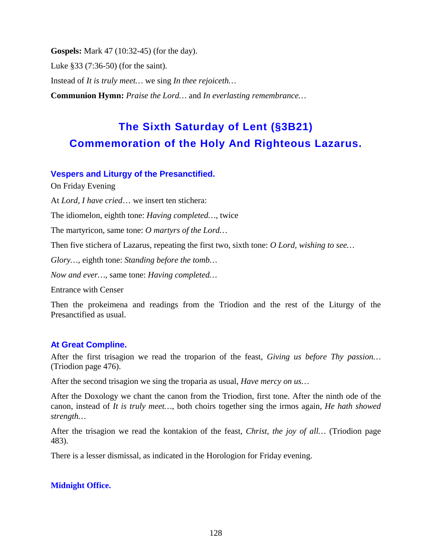**Gospels:** Mark 47 (10:32-45) (for the day).

Luke §33 (7:36-50) (for the saint).

Instead of *It is truly meet…* we sing *In thee rejoiceth…*

**Communion Hymn:** *Praise the Lord…* and *In everlasting remembrance…*

# **The Sixth Saturday of Lent (§3B21) Commemoration of the Holy And Righteous Lazarus.**

## **Vespers and Liturgy of the Presanctified.**

On Friday Evening

At *Lord, I have cried*… we insert ten stichera:

The idiomelon, eighth tone: *Having completed…*, twice

The martyricon, same tone: *O martyrs of the Lord…*

Then five stichera of Lazarus, repeating the first two, sixth tone: *O Lord, wishing to see…*

*Glory…*, eighth tone: *Standing before the tomb…*

*Now and ever…*, same tone: *Having completed…*

Entrance with Censer

Then the prokeimena and readings from the Triodion and the rest of the Liturgy of the Presanctified as usual.

# **At Great Compline.**

After the first trisagion we read the troparion of the feast, *Giving us before Thy passion…*  (Triodion page 476).

After the second trisagion we sing the troparia as usual, *Have mercy on us…*

After the Doxology we chant the canon from the Triodion, first tone. After the ninth ode of the canon, instead of *It is truly meet…*, both choirs together sing the irmos again, *He hath showed strength…*

After the trisagion we read the kontakion of the feast, *Christ, the joy of all…* (Triodion page 483).

There is a lesser dismissal, as indicated in the Horologion for Friday evening.

#### **Midnight Office.**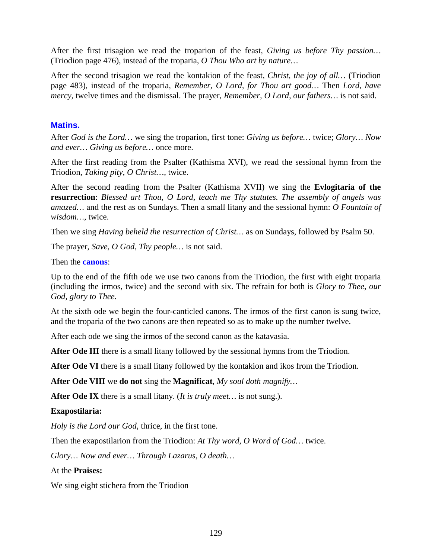After the first trisagion we read the troparion of the feast, *Giving us before Thy passion…*  (Triodion page 476), instead of the troparia, *O Thou Who art by nature…*

After the second trisagion we read the kontakion of the feast, *Christ, the joy of all…* (Triodion page 483), instead of the troparia, *Remember, O Lord, for Thou art good…* Then *Lord, have mercy,* twelve times and the dismissal. The prayer, *Remember, O Lord, our fathers…* is not said.

### **Matins.**

After *God is the Lord…* we sing the troparion, first tone: *Giving us before…* twice; *Glory… Now and ever… Giving us before…* once more.

After the first reading from the Psalter (Kathisma XVI), we read the sessional hymn from the Triodion, *Taking pity, O Christ…*, twice.

After the second reading from the Psalter (Kathisma XVII) we sing the **Evlogitaria of the resurrection**: *Blessed art Thou, O Lord, teach me Thy statutes. The assembly of angels was amazed…* and the rest as on Sundays. Then a small litany and the sessional hymn: *O Fountain of wisdom…*, twice.

Then we sing *Having beheld the resurrection of Christ…* as on Sundays, followed by Psalm 50.

The prayer, *Save, O God, Thy people…* is not said.

Then the **canons**:

Up to the end of the fifth ode we use two canons from the Triodion, the first with eight troparia (including the irmos, twice) and the second with six. The refrain for both is *Glory to Thee, our God, glory to Thee.*

At the sixth ode we begin the four-canticled canons. The irmos of the first canon is sung twice, and the troparia of the two canons are then repeated so as to make up the number twelve.

After each ode we sing the irmos of the second canon as the katavasia.

**After Ode III** there is a small litany followed by the sessional hymns from the Triodion.

**After Ode VI** there is a small litany followed by the kontakion and ikos from the Triodion.

**After Ode VIII** we **do not** sing the **Magnificat**, *My soul doth magnify…*

**After Ode IX** there is a small litany. (*It is truly meet…* is not sung.).

#### **Exapostilaria:**

*Holy is the Lord our God*, thrice, in the first tone.

Then the exapostilarion from the Triodion: *At Thy word, O Word of God…* twice.

*Glory… Now and ever… Through Lazarus, O death…*

At the **Praises:**

We sing eight stichera from the Triodion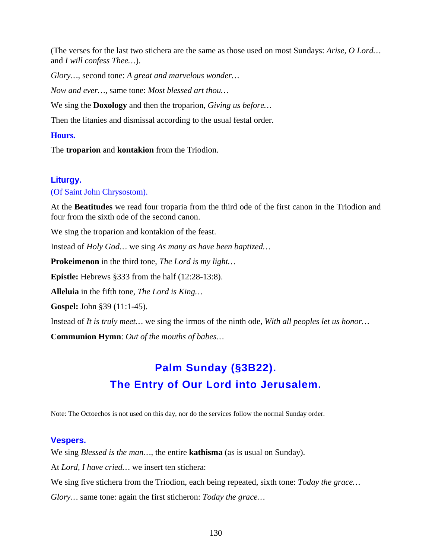(The verses for the last two stichera are the same as those used on most Sundays: *Arise, O Lord…* and *I will confess Thee…*).

*Glory…*, second tone: *A great and marvelous wonder…*

*Now and ever…*, same tone: *Most blessed art thou…*

We sing the **Doxology** and then the troparion, *Giving us before…*

Then the litanies and dismissal according to the usual festal order.

#### **Hours.**

The **troparion** and **kontakion** from the Triodion.

#### **Liturgy.**

#### (Of Saint John Chrysostom).

At the **Beatitudes** we read four troparia from the third ode of the first canon in the Triodion and four from the sixth ode of the second canon.

We sing the troparion and kontakion of the feast.

Instead of *Holy God…* we sing *As many as have been baptized…*

**Prokeimenon** in the third tone, *The Lord is my light…*

**Epistle:** Hebrews §333 from the half (12:28-13:8).

**Alleluia** in the fifth tone, *The Lord is King…*

**Gospel:** John §39 (11:1-45).

Instead of *It is truly meet…* we sing the irmos of the ninth ode, *With all peoples let us honor…*

**Communion Hymn**: *Out of the mouths of babes…*

# **Palm Sunday (§3B22). The Entry of Our Lord into Jerusalem.**

Note: The Octoechos is not used on this day, nor do the services follow the normal Sunday order.

#### **Vespers.**

We sing *Blessed is the man…*, the entire **kathisma** (as is usual on Sunday).

At *Lord, I have cried…* we insert ten stichera:

We sing five stichera from the Triodion, each being repeated, sixth tone: *Today the grace…*

*Glory…* same tone: again the first sticheron: *Today the grace…*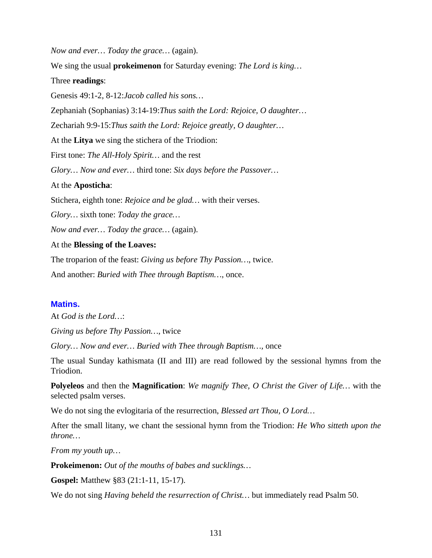*Now and ever… Today the grace…* (again).

We sing the usual **prokeimenon** for Saturday evening: *The Lord is king…*

#### Three **readings**:

Genesis 49:1-2, 8-12:*Jacob called his sons…*

Zephaniah (Sophanias) 3:14-19:*Thus saith the Lord: Rejoice, O daughter…*

Zechariah 9:9-15:*Thus saith the Lord: Rejoice greatly, O daughter…*

At the **Litya** we sing the stichera of the Triodion:

First tone: *The All-Holy Spirit…* and the rest

*Glory… Now and ever…* third tone: *Six days before the Passover…*

#### At the **Aposticha**:

Stichera, eighth tone: *Rejoice and be glad…* with their verses.

*Glory…* sixth tone: *Today the grace…*

*Now and ever… Today the grace…* (again).

#### At the **Blessing of the Loaves:**

The troparion of the feast: *Giving us before Thy Passion…*, twice.

And another: *Buried with Thee through Baptism…*, once.

#### **Matins.**

At *God is the Lord…*:

*Giving us before Thy Passion…*, twice

*Glory… Now and ever… Buried with Thee through Baptism…,* once

The usual Sunday kathismata (II and III) are read followed by the sessional hymns from the Triodion.

**Polyeleos** and then the **Magnification**: *We magnify Thee, O Christ the Giver of Life…* with the selected psalm verses.

We do not sing the evlogitaria of the resurrection, *Blessed art Thou, O Lord…*

After the small litany, we chant the sessional hymn from the Triodion: *He Who sitteth upon the throne…*

*From my youth up…*

**Prokeimenon:** *Out of the mouths of babes and sucklings…*

**Gospel:** Matthew §83 (21:1-11, 15-17).

We do not sing *Having beheld the resurrection of Christ…* but immediately read Psalm 50.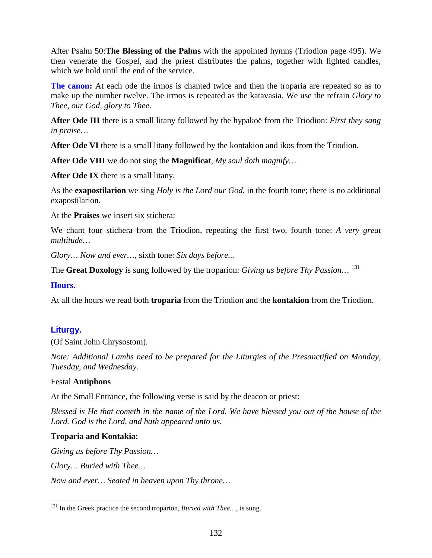After Psalm 50:**The Blessing of the Palms** with the appointed hymns (Triodion page 495). We then venerate the Gospel, and the priest distributes the palms, together with lighted candles, which we hold until the end of the service.

**The canon:** At each ode the irmos is chanted twice and then the troparia are repeated so as to make up the number twelve. The irmos is repeated as the katavasia. We use the refrain *Glory to Thee, our God, glory to Thee*.

**After Ode III** there is a small litany followed by the hypakoë from the Triodion: *First they sang in praise…*

**After Ode VI** there is a small litany followed by the kontakion and ikos from the Triodion.

**After Ode VIII** we do not sing the **Magnificat**, *My soul doth magnify…*

**After Ode IX** there is a small litany.

As the **exapostilarion** we sing *Holy is the Lord our God*, in the fourth tone; there is no additional exapostilarion.

At the **Praises** we insert six stichera:

We chant four stichera from the Triodion, repeating the first two, fourth tone: *A very great multitude…*

*Glory… Now and ever…*, sixth tone: *Six days before...*

The **Great Doxology** is sung followed by the troparion: *Giving us before Thy Passion…* [131](#page-131-0)

#### **Hours.**

At all the hours we read both **troparia** from the Triodion and the **kontakion** from the Triodion.

# **Liturgy.**

(Of Saint John Chrysostom).

*Note: Additional Lambs need to be prepared for the Liturgies of the Presanctified on Monday, Tuesday, and Wednesday.*

#### Festal **Antiphons**

At the Small Entrance, the following verse is said by the deacon or priest:

*Blessed is He that cometh in the name of the Lord. We have blessed you out of the house of the Lord. God is the Lord, and hath appeared unto us.*

# **Troparia and Kontakia:**

*Giving us before Thy Passion…*

*Glory… Buried with Thee…*

*Now and ever… Seated in heaven upon Thy throne…*

<span id="page-131-0"></span><sup>&</sup>lt;sup>131</sup> In the Greek practice the second troparion, *Buried with Thee...*, is sung.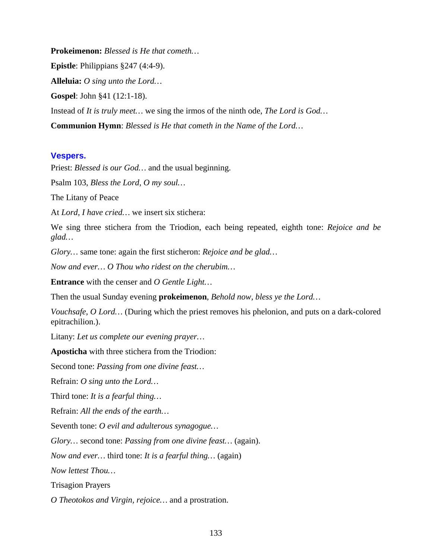**Prokeimenon:** *Blessed is He that cometh…*

**Epistle**: Philippians §247 (4:4-9).

**Alleluia:** *O sing unto the Lord…*

**Gospel**: John §41 (12:1-18).

Instead of *It is truly meet…* we sing the irmos of the ninth ode, *The Lord is God…*

**Communion Hymn**: *Blessed is He that cometh in the Name of the Lord…*

# **Vespers.**

Priest: *Blessed is our God…* and the usual beginning.

Psalm 103, *Bless the Lord, O my soul…*

The Litany of Peace

At *Lord, I have cried…* we insert six stichera:

We sing three stichera from the Triodion, each being repeated, eighth tone: *Rejoice and be glad…*

*Glory…* same tone: again the first sticheron: *Rejoice and be glad…*

*Now and ever… O Thou who ridest on the cherubim…*

**Entrance** with the censer and *O Gentle Light…*

Then the usual Sunday evening **prokeimenon**, *Behold now, bless ye the Lord…*

*Vouchsafe, O Lord…* (During which the priest removes his phelonion, and puts on a dark-colored epitrachilion.).

Litany: *Let us complete our evening prayer…*

**Aposticha** with three stichera from the Triodion:

Second tone: *Passing from one divine feast…*

Refrain: *O sing unto the Lord…*

Third tone: *It is a fearful thing…*

Refrain: *All the ends of the earth…*

Seventh tone: *O evil and adulterous synagogue…*

*Glory…* second tone: *Passing from one divine feast…* (again).

*Now and ever…* third tone: *It is a fearful thing…* (again)

*Now lettest Thou…*

Trisagion Prayers

*O Theotokos and Virgin, rejoice…* and a prostration.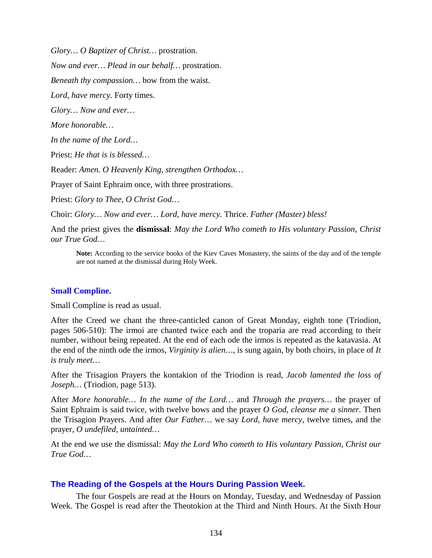*Glory… O Baptizer of Christ…* prostration.

*Now and ever… Plead in our behalf…* prostration.

*Beneath thy compassion…* bow from the waist.

*Lord, have mercy.* Forty times.

*Glory… Now and ever…*

*More honorable…*

*In the name of the Lord…*

Priest: *He that is is blessed…*

Reader: *Amen. O Heavenly King, strengthen Orthodox…*

Prayer of Saint Ephraim once, with three prostrations.

Priest: *Glory to Thee, O Christ God…*

Choir: *Glory… Now and ever… Lord, have mercy.* Thrice. *Father (Master) bless!*

And the priest gives the **dismissal**: *May the Lord Who cometh to His voluntary Passion, Christ our True God…*

**Note:** According to the service books of the Kiev Caves Monastery, the saints of the day and of the temple are not named at the dismissal during Holy Week.

#### **Small Compline.**

Small Compline is read as usual.

After the Creed we chant the three-canticled canon of Great Monday, eighth tone (Triodion, pages 506-510): The irmoi are chanted twice each and the troparia are read according to their number, without being repeated. At the end of each ode the irmos is repeated as the katavasia. At the end of the ninth ode the irmos, *Virginity is alien…,* is sung again, by both choirs, in place of *It is truly meet…*

After the Trisagion Prayers the kontakion of the Triodion is read, *Jacob lamented the loss of Joseph…* (Triodion, page 513).

After *More honorable… In the name of the Lord…* and *Through the prayers…* the prayer of Saint Ephraim is said twice, with twelve bows and the prayer *O God, cleanse me a sinner.* Then the Trisagion Prayers. And after *Our Father…* we say *Lord, have mercy,* twelve times, and the prayer, *O undefiled, untainted…*

At the end we use the dismissal: *May the Lord Who cometh to His voluntary Passion, Christ our True God…*

#### **The Reading of the Gospels at the Hours During Passion Week.**

The four Gospels are read at the Hours on Monday, Tuesday, and Wednesday of Passion Week. The Gospel is read after the Theotokion at the Third and Ninth Hours. At the Sixth Hour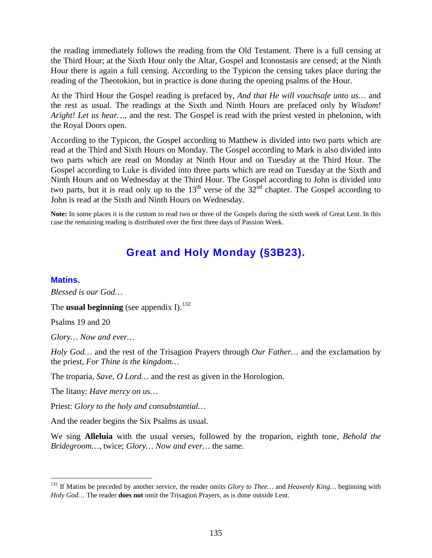the reading immediately follows the reading from the Old Testament. There is a full censing at the Third Hour; at the Sixth Hour only the Altar, Gospel and Iconostasis are censed; at the Ninth Hour there is again a full censing. According to the Typicon the censing takes place during the reading of the Theotokion, but in practice is done during the opening psalms of the Hour.

At the Third Hour the Gospel reading is prefaced by, *And that He will vouchsafe unto us…* and the rest as usual. The readings at the Sixth and Ninth Hours are prefaced only by *Wisdom! Aright! Let us hear…*, and the rest. The Gospel is read with the priest vested in phelonion, with the Royal Doors open.

According to the Typicon, the Gospel according to Matthew is divided into two parts which are read at the Third and Sixth Hours on Monday. The Gospel according to Mark is also divided into two parts which are read on Monday at Ninth Hour and on Tuesday at the Third Hour. The Gospel according to Luke is divided into three parts which are read on Tuesday at the Sixth and Ninth Hours and on Wednesday at the Third Hour. The Gospel according to John is divided into two parts, but it is read only up to the  $13<sup>th</sup>$  verse of the  $32<sup>nd</sup>$  chapter. The Gospel according to John is read at the Sixth and Ninth Hours on Wednesday.

**Note:** In some places it is the custom to read two or three of the Gospels during the sixth week of Great Lent. In this case the remaining reading is distributed over the first three days of Passion Week.

# **Great and Holy Monday (§3B23).**

#### **Matins.**

*Blessed is our God…*

The **usual beginning** (see appendix I).<sup>[132](#page-134-0)</sup>

Psalms 19 and 20

*Glory… Now and ever…*

*Holy God…* and the rest of the Trisagion Prayers through *Our Father…* and the exclamation by the priest, *For Thine is the kingdom…*

The troparia, *Save, O Lord…* and the rest as given in the Horologion.

The litany: *Have mercy on us…*

Priest: *Glory to the holy and consubstantial…*

And the reader begins the Six Psalms as usual.

We sing **Alleluia** with the usual verses, followed by the troparion, eighth tone, *Behold the Bridegroom…*, twice; *Glory… Now and ever…* the same.

<span id="page-134-0"></span> <sup>132</sup> If Matins be preceded by another service, the reader omits *Glory to Thee…* and *Heavenly King…* beginning with *Holy God…* The reader **does not** omit the Trisagion Prayers, as is done outside Lent.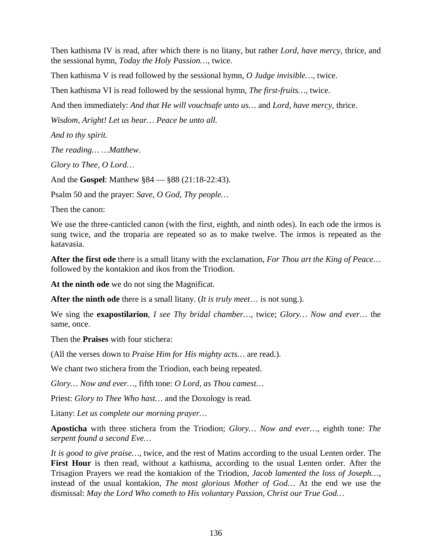Then kathisma IV is read, after which there is no litany, but rather *Lord, have mercy,* thrice, and the sessional hymn, *Today the Holy Passion…,* twice.

Then kathisma V is read followed by the sessional hymn, *O Judge invisible…*, twice.

Then kathisma VI is read followed by the sessional hymn, *The first-fruits…*, twice.

And then immediately: *And that He will vouchsafe unto us…* and *Lord, have mercy,* thrice.

*Wisdom, Aright! Let us hear… Peace be unto all.*

*And to thy spirit.*

*The reading… …Matthew.*

*Glory to Thee, O Lord…*

And the **Gospel**: Matthew §84 — §88 (21:18-22:43).

Psalm 50 and the prayer: *Save, O God, Thy people…*

Then the canon:

We use the three-canticled canon (with the first, eighth, and ninth odes). In each ode the irmos is sung twice, and the troparia are repeated so as to make twelve. The irmos is repeated as the katavasia.

**After the first ode** there is a small litany with the exclamation, *For Thou art the King of Peace…* followed by the kontakion and ikos from the Triodion.

**At the ninth ode** we do not sing the Magnificat.

**After the ninth ode** there is a small litany. (*It is truly meet*… is not sung.).

We sing the **exapostilarion**, *I see Thy bridal chamber…,* twice; *Glory… Now and ever…* the same, once.

Then the **Praises** with four stichera:

(All the verses down to *Praise Him for His mighty acts…* are read.).

We chant two stichera from the Triodion, each being repeated.

*Glory… Now and ever…,* fifth tone: *O Lord, as Thou camest…*

Priest: *Glory to Thee Who hast…* and the Doxology is read.

Litany: *Let us complete our morning prayer…*

**Aposticha** with three stichera from the Triodion; *Glory… Now and ever…,* eighth tone: *The serpent found a second Eve…*

*It is good to give praise…,* twice, and the rest of Matins according to the usual Lenten order. The **First Hour** is then read, without a kathisma, according to the usual Lenten order. After the Trisagion Prayers we read the kontakion of the Triodion, *Jacob lamented the loss of Joseph…,*  instead of the usual kontakion, *The most glorious Mother of God…* At the end we use the dismissal: *May the Lord Who cometh to His voluntary Passion, Christ our True God…*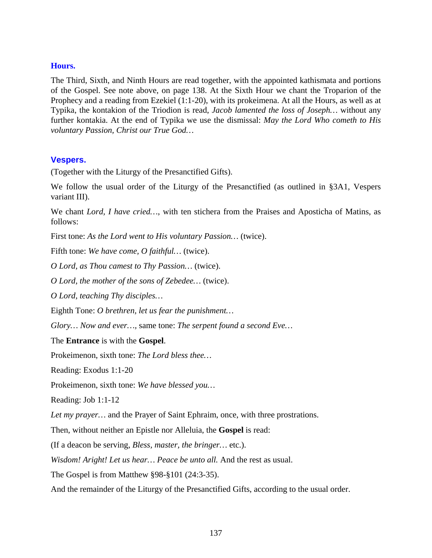#### **Hours.**

The Third, Sixth, and Ninth Hours are read together, with the appointed kathismata and portions of the Gospel. See note above, on page 138. At the Sixth Hour we chant the Troparion of the Prophecy and a reading from Ezekiel (1:1-20), with its prokeimena. At all the Hours, as well as at Typika, the kontakion of the Triodion is read, *Jacob lamented the loss of Joseph…* without any further kontakia. At the end of Typika we use the dismissal: *May the Lord Who cometh to His voluntary Passion, Christ our True God…*

## **Vespers.**

(Together with the Liturgy of the Presanctified Gifts).

We follow the usual order of the Liturgy of the Presanctified (as outlined in §3A1, Vespers variant III).

We chant *Lord, I have cried…*, with ten stichera from the Praises and Aposticha of Matins, as follows:

First tone: *As the Lord went to His voluntary Passion…* (twice).

Fifth tone: *We have come, O faithful…* (twice).

*O Lord, as Thou camest to Thy Passion…* (twice).

*O Lord, the mother of the sons of Zebedee…* (twice).

*O Lord, teaching Thy disciples…*

Eighth Tone: *O brethren, let us fear the punishment…*

*Glory… Now and ever…,* same tone: *The serpent found a second Eve…*

#### The **Entrance** is with the **Gospel**.

Prokeimenon, sixth tone: *The Lord bless thee…*

Reading: Exodus 1:1-20

Prokeimenon, sixth tone: *We have blessed you…*

Reading: Job 1:1-12

*Let my prayer…* and the Prayer of Saint Ephraim, once, with three prostrations.

Then, without neither an Epistle nor Alleluia, the **Gospel** is read:

(If a deacon be serving, *Bless, master, the bringer…* etc.).

*Wisdom! Aright! Let us hear… Peace be unto all.* And the rest as usual.

The Gospel is from Matthew §98-§101 (24:3-35).

And the remainder of the Liturgy of the Presanctified Gifts, according to the usual order.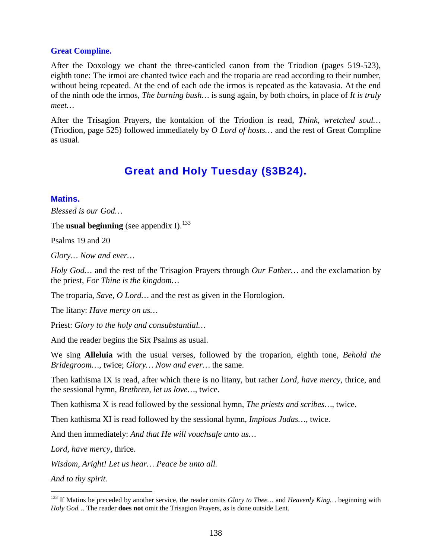#### **Great Compline.**

After the Doxology we chant the three-canticled canon from the Triodion (pages 519-523), eighth tone: The irmoi are chanted twice each and the troparia are read according to their number, without being repeated. At the end of each ode the irmos is repeated as the katavasia. At the end of the ninth ode the irmos, *The burning bush…* is sung again, by both choirs, in place of *It is truly meet…*

After the Trisagion Prayers, the kontakion of the Triodion is read, *Think, wretched soul…*  (Triodion, page 525) followed immediately by *O Lord of hosts…* and the rest of Great Compline as usual.

# **Great and Holy Tuesday (§3B24).**

#### **Matins.**

*Blessed is our God…*

The **usual beginning** (see appendix I).<sup>[133](#page-137-0)</sup>

Psalms 19 and 20

*Glory… Now and ever…*

*Holy God…* and the rest of the Trisagion Prayers through *Our Father…* and the exclamation by the priest, *For Thine is the kingdom…*

The troparia, *Save, O Lord…* and the rest as given in the Horologion.

The litany: *Have mercy on us…*

Priest: *Glory to the holy and consubstantial…*

And the reader begins the Six Psalms as usual.

We sing **Alleluia** with the usual verses, followed by the troparion, eighth tone, *Behold the Bridegroom…*, twice; *Glory… Now and ever…* the same.

Then kathisma IX is read, after which there is no litany, but rather *Lord, have mercy,* thrice, and the sessional hymn, *Brethren, let us love…,* twice.

Then kathisma X is read followed by the sessional hymn, *The priests and scribes…*, twice.

Then kathisma XI is read followed by the sessional hymn, *Impious Judas…*, twice.

And then immediately: *And that He will vouchsafe unto us…*

*Lord, have mercy,* thrice.

*Wisdom, Aright! Let us hear… Peace be unto all.*

*And to thy spirit.*

<span id="page-137-0"></span> <sup>133</sup> If Matins be preceded by another service, the reader omits *Glory to Thee…* and *Heavenly King…* beginning with *Holy God…* The reader **does not** omit the Trisagion Prayers, as is done outside Lent.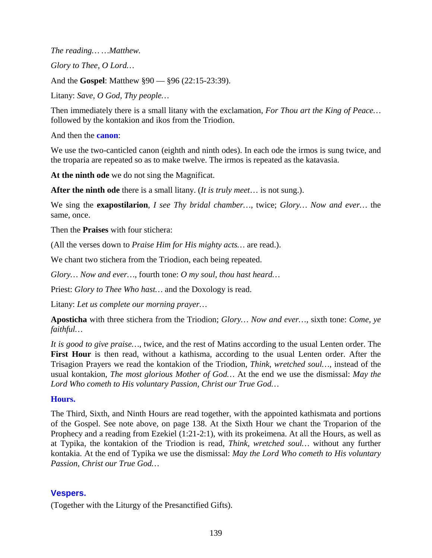*The reading… …Matthew. Glory to Thee, O Lord…* And the **Gospel**: Matthew §90 — §96 (22:15-23:39). Litany: *Save, O God, Thy people…*

Then immediately there is a small litany with the exclamation, *For Thou art the King of Peace…* followed by the kontakion and ikos from the Triodion.

And then the **canon**:

We use the two-canticled canon (eighth and ninth odes). In each ode the irmos is sung twice, and the troparia are repeated so as to make twelve. The irmos is repeated as the katavasia.

**At the ninth ode** we do not sing the Magnificat.

**After the ninth ode** there is a small litany. (*It is truly meet*… is not sung.).

We sing the **exapostilarion**, *I see Thy bridal chamber…,* twice; *Glory… Now and ever…* the same, once.

Then the **Praises** with four stichera:

(All the verses down to *Praise Him for His mighty acts…* are read.).

We chant two stichera from the Triodion, each being repeated.

*Glory… Now and ever…*, fourth tone: *O my soul, thou hast heard…*

Priest: *Glory to Thee Who hast…* and the Doxology is read.

Litany: *Let us complete our morning prayer…*

**Aposticha** with three stichera from the Triodion; *Glory… Now and ever…,* sixth tone: *Come, ye faithful…*

*It is good to give praise…,* twice, and the rest of Matins according to the usual Lenten order. The **First Hour** is then read, without a kathisma, according to the usual Lenten order. After the Trisagion Prayers we read the kontakion of the Triodion, *Think, wretched soul…,* instead of the usual kontakion, *The most glorious Mother of God…* At the end we use the dismissal: *May the Lord Who cometh to His voluntary Passion, Christ our True God…*

# **Hours.**

The Third, Sixth, and Ninth Hours are read together, with the appointed kathismata and portions of the Gospel. See note above, on page 138. At the Sixth Hour we chant the Troparion of the Prophecy and a reading from Ezekiel (1:21-2:1), with its prokeimena. At all the Hours, as well as at Typika, the kontakion of the Triodion is read, *Think, wretched soul…* without any further kontakia. At the end of Typika we use the dismissal: *May the Lord Who cometh to His voluntary Passion, Christ our True God…*

# **Vespers.**

(Together with the Liturgy of the Presanctified Gifts).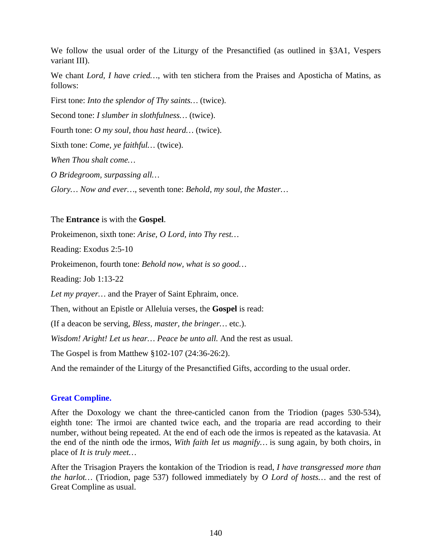We follow the usual order of the Liturgy of the Presanctified (as outlined in §3A1, Vespers variant III).

We chant *Lord, I have cried…*, with ten stichera from the Praises and Aposticha of Matins, as follows:

First tone: *Into the splendor of Thy saints…* (twice). Second tone: *I slumber in slothfulness…* (twice). Fourth tone: *O my soul, thou hast heard…* (twice). Sixth tone: *Come, ye faithful…* (twice). *When Thou shalt come…*

*O Bridegroom, surpassing all…*

*Glory… Now and ever…*, seventh tone: *Behold, my soul, the Master…*

#### The **Entrance** is with the **Gospel**.

Prokeimenon, sixth tone: *Arise, O Lord, into Thy rest…*

Reading: Exodus 2:5-10

Prokeimenon, fourth tone: *Behold now, what is so good…*

Reading: Job 1:13-22

*Let my prayer…* and the Prayer of Saint Ephraim, once.

Then, without an Epistle or Alleluia verses, the **Gospel** is read:

(If a deacon be serving, *Bless, master, the bringer…* etc.).

*Wisdom! Aright! Let us hear... Peace be unto all. And the rest as usual.* 

The Gospel is from Matthew §102-107 (24:36-26:2).

And the remainder of the Liturgy of the Presanctified Gifts, according to the usual order.

#### **Great Compline.**

After the Doxology we chant the three-canticled canon from the Triodion (pages 530-534), eighth tone: The irmoi are chanted twice each, and the troparia are read according to their number, without being repeated. At the end of each ode the irmos is repeated as the katavasia. At the end of the ninth ode the irmos, *With faith let us magnify…* is sung again, by both choirs, in place of *It is truly meet…*

After the Trisagion Prayers the kontakion of the Triodion is read, *I have transgressed more than the harlot…* (Triodion, page 537) followed immediately by *O Lord of hosts…* and the rest of Great Compline as usual.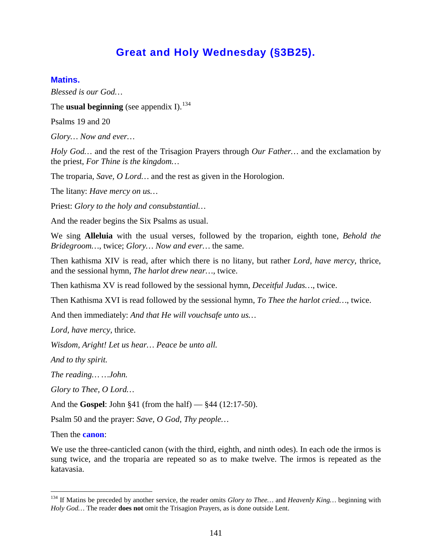# **Great and Holy Wednesday (§3B25).**

#### **Matins.**

*Blessed is our God…*

The **usual beginning** (see appendix I).<sup>[134](#page-140-0)</sup>

Psalms 19 and 20

*Glory… Now and ever…*

*Holy God…* and the rest of the Trisagion Prayers through *Our Father…* and the exclamation by the priest, *For Thine is the kingdom…*

The troparia, *Save, O Lord…* and the rest as given in the Horologion.

The litany: *Have mercy on us…*

Priest: *Glory to the holy and consubstantial…*

And the reader begins the Six Psalms as usual.

We sing **Alleluia** with the usual verses, followed by the troparion, eighth tone, *Behold the Bridegroom…*, twice; *Glory… Now and ever…* the same.

Then kathisma XIV is read, after which there is no litany, but rather *Lord, have mercy,* thrice, and the sessional hymn, *The harlot drew near…,* twice.

Then kathisma XV is read followed by the sessional hymn, *Deceitful Judas…*, twice.

Then Kathisma XVI is read followed by the sessional hymn, *To Thee the harlot cried…*, twice.

And then immediately: *And that He will vouchsafe unto us…*

*Lord, have mercy,* thrice.

*Wisdom, Aright! Let us hear… Peace be unto all.*

*And to thy spirit.*

*The reading… …John.*

*Glory to Thee, O Lord…*

And the **Gospel**: John §41 (from the half) — §44 (12:17-50).

Psalm 50 and the prayer: *Save, O God, Thy people…*

Then the **canon**:

We use the three-canticled canon (with the third, eighth, and ninth odes). In each ode the irmos is sung twice, and the troparia are repeated so as to make twelve. The irmos is repeated as the katavasia.

<span id="page-140-0"></span> <sup>134</sup> If Matins be preceded by another service, the reader omits *Glory to Thee…* and *Heavenly King…* beginning with *Holy God…* The reader **does not** omit the Trisagion Prayers, as is done outside Lent.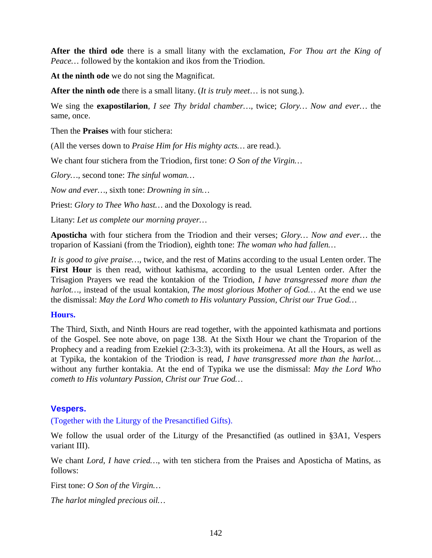**After the third ode** there is a small litany with the exclamation, *For Thou art the King of Peace…* followed by the kontakion and ikos from the Triodion.

**At the ninth ode** we do not sing the Magnificat.

**After the ninth ode** there is a small litany. (*It is truly meet*… is not sung.).

We sing the **exapostilarion**, *I see Thy bridal chamber…,* twice; *Glory… Now and ever…* the same, once.

Then the **Praises** with four stichera:

(All the verses down to *Praise Him for His mighty acts…* are read.).

We chant four stichera from the Triodion, first tone: *O Son of the Virgin…*

*Glory…,* second tone: *The sinful woman…*

*Now and ever…*, sixth tone: *Drowning in sin…*

Priest: *Glory to Thee Who hast…* and the Doxology is read.

Litany: *Let us complete our morning prayer…*

**Aposticha** with four stichera from the Triodion and their verses; *Glory… Now and ever…* the troparion of Kassiani (from the Triodion), eighth tone: *The woman who had fallen…*

*It is good to give praise…,* twice, and the rest of Matins according to the usual Lenten order. The **First Hour** is then read, without kathisma, according to the usual Lenten order. After the Trisagion Prayers we read the kontakion of the Triodion, *I have transgressed more than the harlot…,* instead of the usual kontakion, *The most glorious Mother of God…* At the end we use the dismissal: *May the Lord Who cometh to His voluntary Passion, Christ our True God…*

#### **Hours.**

The Third, Sixth, and Ninth Hours are read together, with the appointed kathismata and portions of the Gospel. See note above, on page 138. At the Sixth Hour we chant the Troparion of the Prophecy and a reading from Ezekiel (2:3-3:3), with its prokeimena. At all the Hours, as well as at Typika, the kontakion of the Triodion is read, *I have transgressed more than the harlot…*  without any further kontakia. At the end of Typika we use the dismissal: *May the Lord Who cometh to His voluntary Passion, Christ our True God…*

# **Vespers.**

(Together with the Liturgy of the Presanctified Gifts).

We follow the usual order of the Liturgy of the Presanctified (as outlined in §3A1, Vespers variant III).

We chant *Lord, I have cried…*, with ten stichera from the Praises and Aposticha of Matins, as follows:

First tone: *O Son of the Virgin…*

*The harlot mingled precious oil…*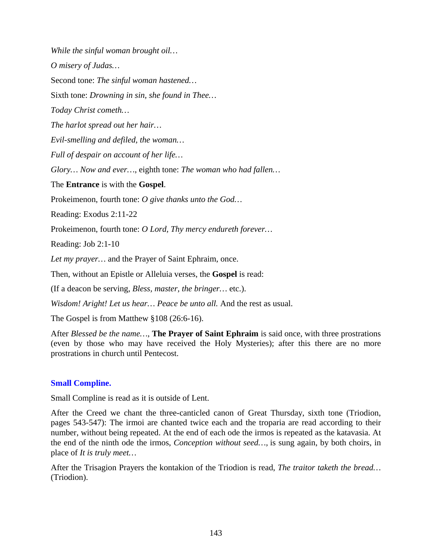*While the sinful woman brought oil… O misery of Judas…* Second tone: *The sinful woman hastened…* Sixth tone: *Drowning in sin, she found in Thee… Today Christ cometh… The harlot spread out her hair… Evil-smelling and defiled, the woman… Full of despair on account of her life… Glory… Now and ever…*, eighth tone: *The woman who had fallen…* The **Entrance** is with the **Gospel**. Prokeimenon, fourth tone: *O give thanks unto the God…* Reading: Exodus 2:11-22 Prokeimenon, fourth tone: *O Lord, Thy mercy endureth forever…* Reading: Job 2:1-10 *Let my prayer…* and the Prayer of Saint Ephraim, once. Then, without an Epistle or Alleluia verses, the **Gospel** is read: (If a deacon be serving, *Bless, master, the bringer…* etc.).

*Wisdom! Aright! Let us hear... Peace be unto all. And the rest as usual.* 

The Gospel is from Matthew §108 (26:6-16).

After *Blessed be the name…*, **The Prayer of Saint Ephraim** is said once, with three prostrations (even by those who may have received the Holy Mysteries); after this there are no more prostrations in church until Pentecost.

# **Small Compline.**

Small Compline is read as it is outside of Lent.

After the Creed we chant the three-canticled canon of Great Thursday, sixth tone (Triodion, pages 543-547): The irmoi are chanted twice each and the troparia are read according to their number, without being repeated. At the end of each ode the irmos is repeated as the katavasia. At the end of the ninth ode the irmos, *Conception without seed…,* is sung again, by both choirs, in place of *It is truly meet…*

After the Trisagion Prayers the kontakion of the Triodion is read, *The traitor taketh the bread…*  (Triodion).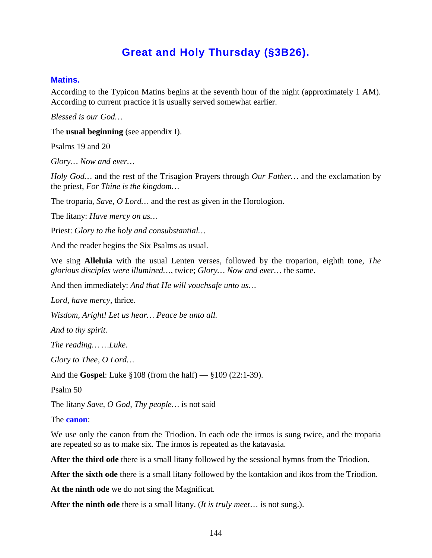# **Great and Holy Thursday (§3B26).**

#### **Matins.**

According to the Typicon Matins begins at the seventh hour of the night (approximately 1 AM). According to current practice it is usually served somewhat earlier.

*Blessed is our God…*

The **usual beginning** (see appendix I).

Psalms 19 and 20

*Glory… Now and ever…*

*Holy God…* and the rest of the Trisagion Prayers through *Our Father…* and the exclamation by the priest, *For Thine is the kingdom…*

The troparia, *Save, O Lord…* and the rest as given in the Horologion.

The litany: *Have mercy on us…*

Priest: *Glory to the holy and consubstantial…*

And the reader begins the Six Psalms as usual.

We sing **Alleluia** with the usual Lenten verses, followed by the troparion, eighth tone, *The glorious disciples were illumined…*, twice; *Glory… Now and ever…* the same.

And then immediately: *And that He will vouchsafe unto us…*

*Lord, have mercy,* thrice.

*Wisdom, Aright! Let us hear… Peace be unto all.*

*And to thy spirit.*

*The reading… …Luke.*

*Glory to Thee, O Lord…*

And the **Gospel**: Luke §108 (from the half) — §109 (22:1-39).

Psalm 50

The litany *Save, O God, Thy people…* is not said

The **canon**:

We use only the canon from the Triodion. In each ode the irmos is sung twice, and the troparia are repeated so as to make six. The irmos is repeated as the katavasia.

**After the third ode** there is a small litany followed by the sessional hymns from the Triodion.

**After the sixth ode** there is a small litany followed by the kontakion and ikos from the Triodion.

**At the ninth ode** we do not sing the Magnificat.

**After the ninth ode** there is a small litany. (*It is truly meet*… is not sung.).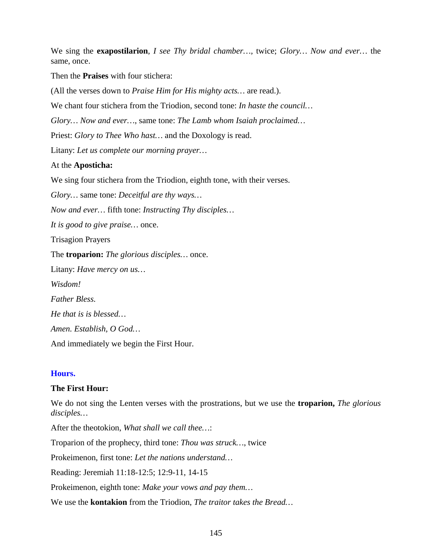We sing the **exapostilarion**, *I see Thy bridal chamber…,* twice; *Glory… Now and ever…* the same, once.

Then the **Praises** with four stichera:

(All the verses down to *Praise Him for His mighty acts…* are read.).

We chant four stichera from the Triodion, second tone: *In haste the council…*

*Glory… Now and ever…*, same tone: *The Lamb whom Isaiah proclaimed…*

Priest: *Glory to Thee Who hast…* and the Doxology is read.

Litany: *Let us complete our morning prayer…*

### At the **Aposticha:**

We sing four stichera from the Triodion, eighth tone, with their verses.

*Glory…* same tone: *Deceitful are thy ways…*

*Now and ever…* fifth tone: *Instructing Thy disciples…*

*It is good to give praise…* once.

Trisagion Prayers

The **troparion:** *The glorious disciples…* once.

Litany: *Have mercy on us… Wisdom! Father Bless. He that is is blessed…*

*Amen. Establish, O God…*

And immediately we begin the First Hour.

#### **Hours.**

## **The First Hour:**

We do not sing the Lenten verses with the prostrations, but we use the **troparion,** *The glorious disciples…*

After the theotokion, *What shall we call thee…*:

Troparion of the prophecy, third tone: *Thou was struck…*, twice

Prokeimenon, first tone: *Let the nations understand…*

Reading: Jeremiah 11:18-12:5; 12:9-11, 14-15

Prokeimenon, eighth tone: *Make your vows and pay them…*

We use the **kontakion** from the Triodion, *The traitor takes the Bread…*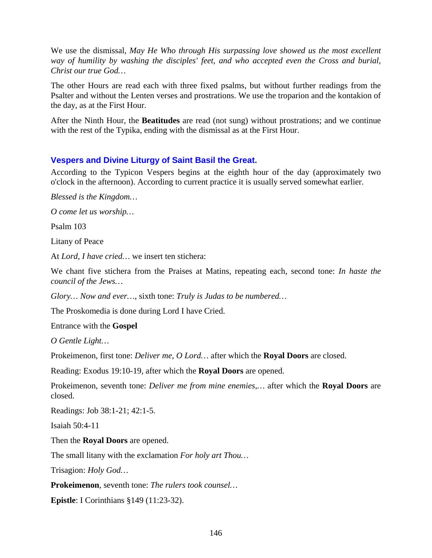We use the dismissal, *May He Who through His surpassing love showed us the most excellent way of humility by washing the disciples' feet, and who accepted even the Cross and burial, Christ our true God…*

The other Hours are read each with three fixed psalms, but without further readings from the Psalter and without the Lenten verses and prostrations. We use the troparion and the kontakion of the day, as at the First Hour.

After the Ninth Hour, the **Beatitudes** are read (not sung) without prostrations; and we continue with the rest of the Typika, ending with the dismissal as at the First Hour.

## **Vespers and Divine Liturgy of Saint Basil the Great.**

According to the Typicon Vespers begins at the eighth hour of the day (approximately two o'clock in the afternoon). According to current practice it is usually served somewhat earlier.

*Blessed is the Kingdom…*

*O come let us worship…*

Psalm 103

Litany of Peace

At *Lord, I have cried…* we insert ten stichera:

We chant five stichera from the Praises at Matins, repeating each, second tone: *In haste the council of the Jews…*

*Glory… Now and ever…*, sixth tone: *Truly is Judas to be numbered…*

The Proskomedia is done during Lord I have Cried.

Entrance with the **Gospel**

*O Gentle Light…*

Prokeimenon, first tone: *Deliver me, O Lord…* after which the **Royal Doors** are closed.

Reading: Exodus 19:10-19, after which the **Royal Doors** are opened.

Prokeimenon, seventh tone: *Deliver me from mine enemies,…* after which the **Royal Doors** are closed.

Readings: Job 38:1-21; 42:1-5.

Isaiah 50:4-11

Then the **Royal Doors** are opened.

The small litany with the exclamation *For holy art Thou…*

Trisagion: *Holy God…*

**Prokeimenon**, seventh tone: *The rulers took counsel…*

**Epistle**: I Corinthians §149 (11:23-32).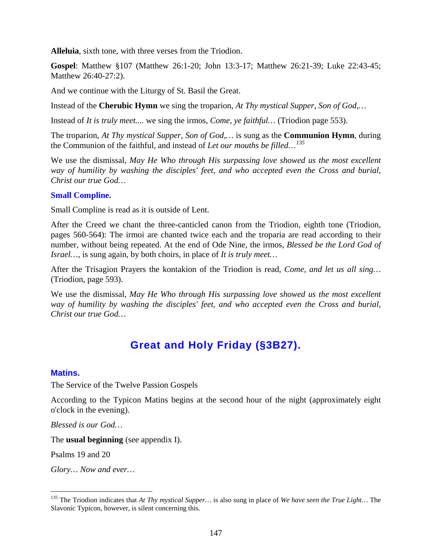**Alleluia**, sixth tone, with three verses from the Triodion.

**Gospel**: Matthew §107 (Matthew 26:1-20; John 13:3-17; Matthew 26:21-39; Luke 22:43-45; Matthew 26:40-27:2).

And we continue with the Liturgy of St. Basil the Great.

Instead of the **Cherubic Hymn** we sing the troparion, *At Thy mystical Supper, Son of God,…*

Instead of *It is truly meet....* we sing the irmos, *Come, ye faithful…* (Triodion page 553).

The troparion, *At Thy mystical Supper, Son of God,…* is sung as the **Communion Hymn**, during the Communion of the faithful, and instead of *Let our mouths be filled…[135](#page-146-0)*

We use the dismissal, *May He Who through His surpassing love showed us the most excellent way of humility by washing the disciples' feet, and who accepted even the Cross and burial, Christ our true God…*

#### **Small Compline.**

Small Compline is read as it is outside of Lent.

After the Creed we chant the three-canticled canon from the Triodion, eighth tone (Triodion, pages 560-564): The irmoi are chanted twice each and the troparia are read according to their number, without being repeated. At the end of Ode Nine, the irmos, *Blessed be the Lord God of Israel…,* is sung again, by both choirs, in place of *It is truly meet…*

After the Trisagion Prayers the kontakion of the Triodion is read, *Come, and let us all sing…*  (Triodion, page 593).

We use the dismissal, *May He Who through His surpassing love showed us the most excellent way of humility by washing the disciples' feet, and who accepted even the Cross and burial, Christ our true God…*

## **Great and Holy Friday (§3B27).**

#### **Matins.**

The Service of the Twelve Passion Gospels

According to the Typicon Matins begins at the second hour of the night (approximately eight o'clock in the evening).

*Blessed is our God…*

The **usual beginning** (see appendix I).

Psalms 19 and 20

*Glory… Now and ever…*

<span id="page-146-0"></span> <sup>135</sup> The Triodion indicates that *At Thy mystical Supper…* is also sung in place of *We have seen the True Light…* The Slavonic Typicon, however, is silent concerning this.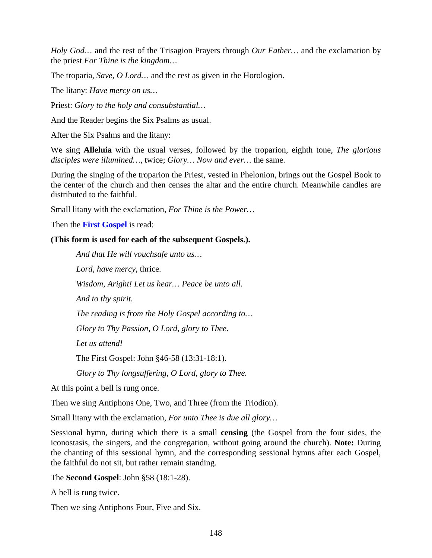*Holy God…* and the rest of the Trisagion Prayers through *Our Father…* and the exclamation by the priest *For Thine is the kingdom…*

The troparia, *Save, O Lord…* and the rest as given in the Horologion.

The litany: *Have mercy on us…*

Priest: *Glory to the holy and consubstantial…*

And the Reader begins the Six Psalms as usual.

After the Six Psalms and the litany:

We sing **Alleluia** with the usual verses, followed by the troparion, eighth tone, *The glorious disciples were illumined…*, twice; *Glory… Now and ever…* the same.

During the singing of the troparion the Priest, vested in Phelonion, brings out the Gospel Book to the center of the church and then censes the altar and the entire church. Meanwhile candles are distributed to the faithful.

Small litany with the exclamation, *For Thine is the Power…*

Then the **First Gospel** is read:

#### **(This form is used for each of the subsequent Gospels.).**

*And that He will vouchsafe unto us… Lord, have mercy,* thrice. *Wisdom, Aright! Let us hear… Peace be unto all. And to thy spirit. The reading is from the Holy Gospel according to… Glory to Thy Passion, O Lord, glory to Thee. Let us attend!* The First Gospel: John §46-58 (13:31-18:1). *Glory to Thy longsuffering, O Lord, glory to Thee.*

At this point a bell is rung once.

Then we sing Antiphons One, Two, and Three (from the Triodion).

Small litany with the exclamation, *For unto Thee is due all glory…*

Sessional hymn, during which there is a small **censing** (the Gospel from the four sides, the iconostasis, the singers, and the congregation, without going around the church). **Note:** During the chanting of this sessional hymn, and the corresponding sessional hymns after each Gospel, the faithful do not sit, but rather remain standing.

The **Second Gospel**: John §58 (18:1-28).

A bell is rung twice.

Then we sing Antiphons Four, Five and Six.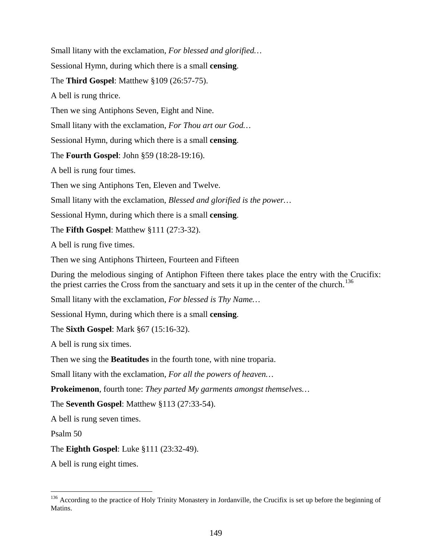Small litany with the exclamation, *For blessed and glorified…*

Sessional Hymn, during which there is a small **censing**.

The **Third Gospel**: Matthew §109 (26:57-75).

A bell is rung thrice.

Then we sing Antiphons Seven, Eight and Nine.

Small litany with the exclamation, *For Thou art our God…*

Sessional Hymn, during which there is a small **censing**.

The **Fourth Gospel**: John §59 (18:28-19:16).

A bell is rung four times.

Then we sing Antiphons Ten, Eleven and Twelve.

Small litany with the exclamation, *Blessed and glorified is the power…*

Sessional Hymn, during which there is a small **censing**.

The **Fifth Gospel**: Matthew §111 (27:3-32).

A bell is rung five times.

Then we sing Antiphons Thirteen, Fourteen and Fifteen

During the melodious singing of Antiphon Fifteen there takes place the entry with the Crucifix: the priest carries the Cross from the sanctuary and sets it up in the center of the church.<sup>[136](#page-148-0)</sup>

Small litany with the exclamation, *For blessed is Thy Name…*

Sessional Hymn, during which there is a small **censing**.

The **Sixth Gospel**: Mark §67 (15:16-32).

A bell is rung six times.

Then we sing the **Beatitudes** in the fourth tone, with nine troparia.

Small litany with the exclamation, *For all the powers of heaven…*

**Prokeimenon**, fourth tone: *They parted My garments amongst themselves…*

The **Seventh Gospel**: Matthew §113 (27:33-54).

A bell is rung seven times.

Psalm 50

The **Eighth Gospel**: Luke §111 (23:32-49).

A bell is rung eight times.

<span id="page-148-0"></span><sup>&</sup>lt;sup>136</sup> According to the practice of Holy Trinity Monastery in Jordanville, the Crucifix is set up before the beginning of Matins.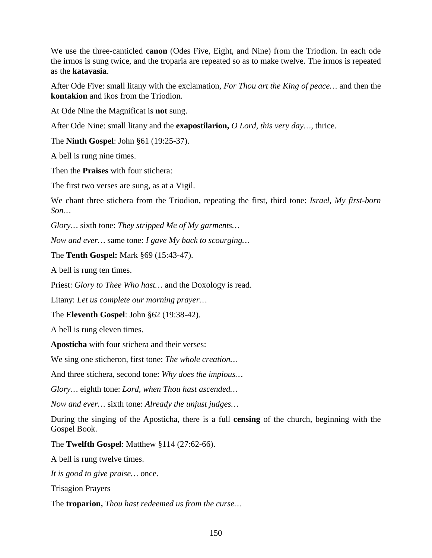We use the three-canticled **canon** (Odes Five, Eight, and Nine) from the Triodion. In each ode the irmos is sung twice, and the troparia are repeated so as to make twelve. The irmos is repeated as the **katavasia**.

After Ode Five: small litany with the exclamation, *For Thou art the King of peace…* and then the **kontakion** and ikos from the Triodion.

At Ode Nine the Magnificat is **not** sung.

After Ode Nine: small litany and the **exapostilarion,** *O Lord, this very day…,* thrice.

The **Ninth Gospel**: John §61 (19:25-37).

A bell is rung nine times.

Then the **Praises** with four stichera:

The first two verses are sung, as at a Vigil.

We chant three stichera from the Triodion, repeating the first, third tone: *Israel, My first-born Son…*

*Glory…* sixth tone: *They stripped Me of My garments…*

*Now and ever…* same tone: *I gave My back to scourging…*

The **Tenth Gospel:** Mark §69 (15:43-47).

A bell is rung ten times.

Priest: *Glory to Thee Who hast…* and the Doxology is read.

Litany: *Let us complete our morning prayer…*

The **Eleventh Gospel**: John §62 (19:38-42).

A bell is rung eleven times.

**Aposticha** with four stichera and their verses:

We sing one sticheron, first tone: *The whole creation…*

And three stichera, second tone: *Why does the impious…*

*Glory…* eighth tone: *Lord, when Thou hast ascended…*

*Now and ever…* sixth tone: *Already the unjust judges…*

During the singing of the Aposticha, there is a full **censing** of the church, beginning with the Gospel Book.

The **Twelfth Gospel**: Matthew §114 (27:62-66).

A bell is rung twelve times.

*It is good to give praise…* once.

Trisagion Prayers

The **troparion,** *Thou hast redeemed us from the curse…*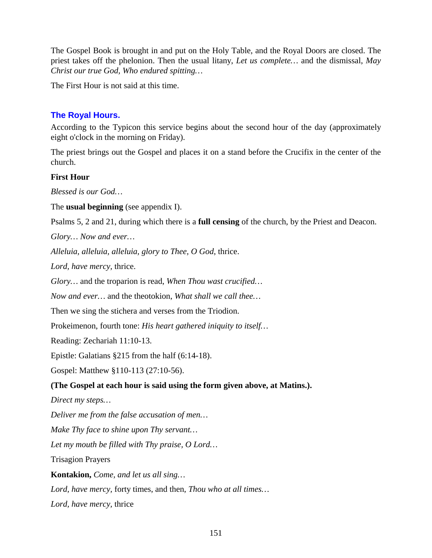The Gospel Book is brought in and put on the Holy Table, and the Royal Doors are closed. The priest takes off the phelonion. Then the usual litany, *Let us complete…* and the dismissal, *May Christ our true God, Who endured spitting…*

The First Hour is not said at this time.

## **The Royal Hours.**

According to the Typicon this service begins about the second hour of the day (approximately eight o'clock in the morning on Friday).

The priest brings out the Gospel and places it on a stand before the Crucifix in the center of the church.

## **First Hour**

*Blessed is our God…*

The **usual beginning** (see appendix I).

Psalms 5, 2 and 21, during which there is a **full censing** of the church, by the Priest and Deacon.

*Glory… Now and ever…*

*Alleluia, alleluia, alleluia, glory to Thee, O God*, thrice.

*Lord, have mercy,* thrice.

*Glory…* and the troparion is read, *When Thou wast crucified…*

*Now and ever…* and the theotokion, *What shall we call thee…*

Then we sing the stichera and verses from the Triodion.

Prokeimenon, fourth tone: *His heart gathered iniquity to itself…*

Reading: Zechariah 11:10-13.

Epistle: Galatians §215 from the half (6:14-18).

Gospel: Matthew §110-113 (27:10-56).

## **(The Gospel at each hour is said using the form given above, at Matins.).**

*Direct my steps…*

*Deliver me from the false accusation of men…*

*Make Thy face to shine upon Thy servant…*

*Let my mouth be filled with Thy praise, O Lord…*

Trisagion Prayers

**Kontakion,** *Come, and let us all sing…*

*Lord, have mercy,* forty times, and then, *Thou who at all times…*

*Lord, have mercy,* thrice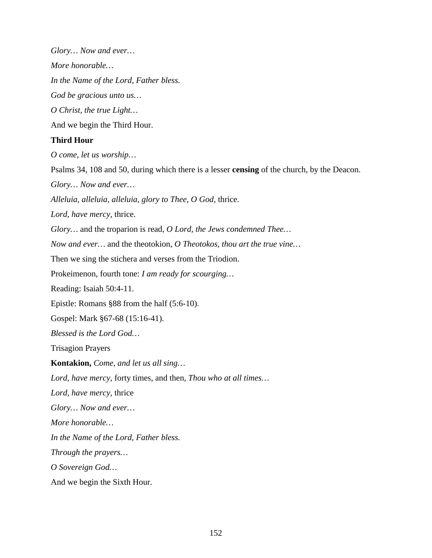*Glory… Now and ever…*

*More honorable…*

*In the Name of the Lord, Father bless.*

*God be gracious unto us…*

*O Christ, the true Light…*

And we begin the Third Hour.

### **Third Hour**

*O come, let us worship…*

Psalms 34, 108 and 50, during which there is a lesser **censing** of the church, by the Deacon. *Glory… Now and ever… Alleluia, alleluia, alleluia, glory to Thee, O God*, thrice. *Lord, have mercy,* thrice. *Glory…* and the troparion is read, *O Lord, the Jews condemned Thee… Now and ever…* and the theotokion, *O Theotokos, thou art the true vine…* Then we sing the stichera and verses from the Triodion. Prokeimenon, fourth tone: *I am ready for scourging…* Reading: Isaiah 50:4-11. Epistle: Romans §88 from the half (5:6-10). Gospel: Mark §67-68 (15:16-41). *Blessed is the Lord God…* Trisagion Prayers **Kontakion,** *Come, and let us all sing… Lord, have mercy,* forty times, and then, *Thou who at all times… Lord, have mercy,* thrice *Glory… Now and ever… More honorable… In the Name of the Lord, Father bless. Through the prayers… O Sovereign God…* And we begin the Sixth Hour.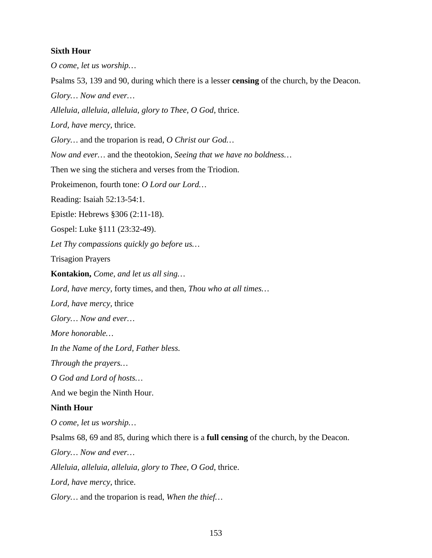### **Sixth Hour**

*O come, let us worship…* Psalms 53, 139 and 90, during which there is a lesser **censing** of the church, by the Deacon. *Glory… Now and ever… Alleluia, alleluia, alleluia, glory to Thee, O God*, thrice. *Lord, have mercy,* thrice. *Glory…* and the troparion is read, *O Christ our God… Now and ever…* and the theotokion, *Seeing that we have no boldness…* Then we sing the stichera and verses from the Triodion. Prokeimenon, fourth tone: *O Lord our Lord…* Reading: Isaiah 52:13-54:1. Epistle: Hebrews §306 (2:11-18). Gospel: Luke §111 (23:32-49). *Let Thy compassions quickly go before us…* Trisagion Prayers **Kontakion,** *Come, and let us all sing… Lord, have mercy,* forty times, and then, *Thou who at all times… Lord, have mercy,* thrice *Glory… Now and ever… More honorable… In the Name of the Lord, Father bless. Through the prayers… O God and Lord of hosts…* And we begin the Ninth Hour. **Ninth Hour** *O come, let us worship…* Psalms 68, 69 and 85, during which there is a **full censing** of the church, by the Deacon. *Glory… Now and ever… Alleluia, alleluia, alleluia, glory to Thee, O God*, thrice.

*Lord, have mercy,* thrice.

*Glory…* and the troparion is read, *When the thief…*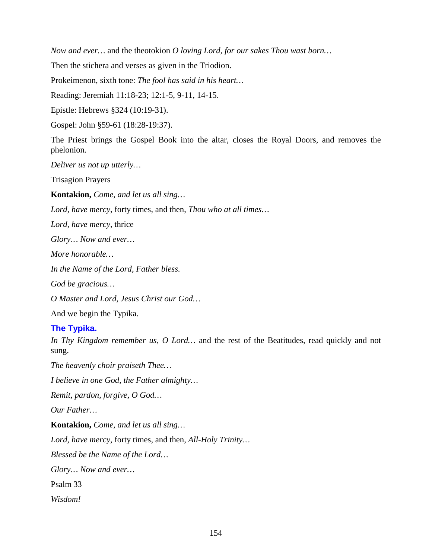*Now and ever…* and the theotokion *O loving Lord, for our sakes Thou wast born…*

Then the stichera and verses as given in the Triodion.

Prokeimenon, sixth tone: *The fool has said in his heart…*

Reading: Jeremiah 11:18-23; 12:1-5, 9-11, 14-15.

Epistle: Hebrews §324 (10:19-31).

Gospel: John §59-61 (18:28-19:37).

The Priest brings the Gospel Book into the altar, closes the Royal Doors, and removes the phelonion.

*Deliver us not up utterly…*

Trisagion Prayers

**Kontakion,** *Come, and let us all sing…*

*Lord, have mercy,* forty times, and then, *Thou who at all times…*

*Lord, have mercy,* thrice

*Glory… Now and ever…*

*More honorable…*

*In the Name of the Lord, Father bless.*

*God be gracious…*

*O Master and Lord, Jesus Christ our God…*

And we begin the Typika.

## **The Typika.**

*In Thy Kingdom remember us, O Lord…* and the rest of the Beatitudes, read quickly and not sung.

*The heavenly choir praiseth Thee…*

*I believe in one God, the Father almighty…*

*Remit, pardon, forgive, O God…*

*Our Father…*

**Kontakion,** *Come, and let us all sing…*

*Lord, have mercy,* forty times, and then, *All-Holy Trinity…*

*Blessed be the Name of the Lord…*

*Glory… Now and ever…*

Psalm 33

*Wisdom!*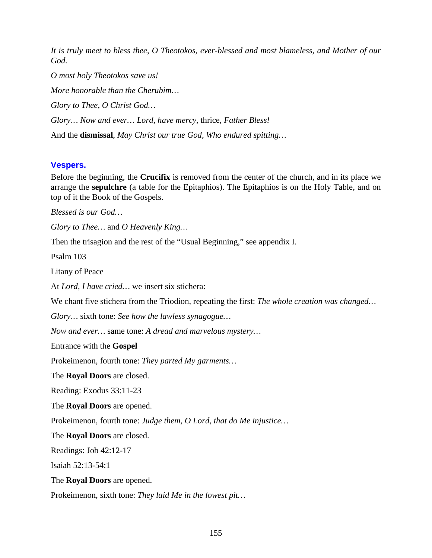*It is truly meet to bless thee, O Theotokos, ever-blessed and most blameless, and Mother of our God.*

*O most holy Theotokos save us! More honorable than the Cherubim… Glory to Thee, O Christ God… Glory… Now and ever… Lord, have mercy*, thrice, *Father Bless!* And the **dismissal**, *May Christ our true God, Who endured spitting…*

## **Vespers.**

Before the beginning, the **Crucifix** is removed from the center of the church, and in its place we arrange the **sepulchre** (a table for the Epitaphios). The Epitaphios is on the Holy Table, and on top of it the Book of the Gospels.

*Blessed is our God…*

*Glory to Thee…* and *O Heavenly King…*

Then the trisagion and the rest of the "Usual Beginning," see appendix I.

Psalm 103

Litany of Peace

At *Lord, I have cried…* we insert six stichera:

We chant five stichera from the Triodion, repeating the first: *The whole creation was changed…*

*Glory…* sixth tone: *See how the lawless synagogue…*

*Now and ever…* same tone: *A dread and marvelous mystery…*

Entrance with the **Gospel**

Prokeimenon, fourth tone: *They parted My garments…*

The **Royal Doors** are closed.

Reading: Exodus 33:11-23

The **Royal Doors** are opened.

Prokeimenon, fourth tone: *Judge them, O Lord, that do Me injustice…*

The **Royal Doors** are closed.

Readings: Job 42:12-17

Isaiah 52:13-54:1

The **Royal Doors** are opened.

Prokeimenon, sixth tone: *They laid Me in the lowest pit…*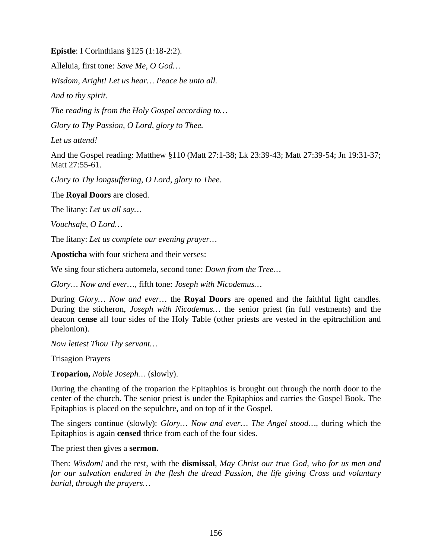**Epistle**: I Corinthians §125 (1:18-2:2).

Alleluia, first tone: *Save Me, O God…*

*Wisdom, Aright! Let us hear… Peace be unto all.*

*And to thy spirit.*

*The reading is from the Holy Gospel according to…*

*Glory to Thy Passion, O Lord, glory to Thee.*

*Let us attend!*

And the Gospel reading: Matthew §110 (Matt 27:1-38; Lk 23:39-43; Matt 27:39-54; Jn 19:31-37; Matt 27:55-61.

*Glory to Thy longsuffering, O Lord, glory to Thee.*

The **Royal Doors** are closed.

The litany: *Let us all say…*

*Vouchsafe, O Lord…*

The litany: *Let us complete our evening prayer…*

**Aposticha** with four stichera and their verses:

We sing four stichera automela, second tone: *Down from the Tree…*

*Glory… Now and ever…*, fifth tone: *Joseph with Nicodemus…*

During *Glory… Now and ever…* the **Royal Doors** are opened and the faithful light candles. During the sticheron, *Joseph with Nicodemus…* the senior priest (in full vestments) and the deacon **cense** all four sides of the Holy Table (other priests are vested in the epitrachilion and phelonion).

*Now lettest Thou Thy servant…*

Trisagion Prayers

**Troparion,** *Noble Joseph…* (slowly).

During the chanting of the troparion the Epitaphios is brought out through the north door to the center of the church. The senior priest is under the Epitaphios and carries the Gospel Book. The Epitaphios is placed on the sepulchre, and on top of it the Gospel.

The singers continue (slowly): *Glory… Now and ever… The Angel stood…*, during which the Epitaphios is again **censed** thrice from each of the four sides.

The priest then gives a **sermon.**

Then: *Wisdom!* and the rest, with the **dismissal**, *May Christ our true God, who for us men and for our salvation endured in the flesh the dread Passion, the life giving Cross and voluntary burial, through the prayers…*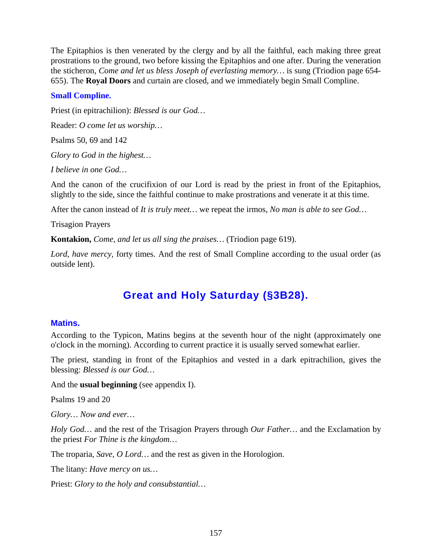The Epitaphios is then venerated by the clergy and by all the faithful, each making three great prostrations to the ground, two before kissing the Epitaphios and one after. During the veneration the sticheron, *Come and let us bless Joseph of everlasting memory…* is sung (Triodion page 654- 655). The **Royal Doors** and curtain are closed, and we immediately begin Small Compline.

## **Small Compline.**

Priest (in epitrachilion): *Blessed is our God…*

Reader: *O come let us worship…*

Psalms 50, 69 and 142

*Glory to God in the highest…*

*I believe in one God…*

And the canon of the crucifixion of our Lord is read by the priest in front of the Epitaphios, slightly to the side, since the faithful continue to make prostrations and venerate it at this time.

After the canon instead of *It is truly meet…* we repeat the irmos, *No man is able to see God…*

Trisagion Prayers

**Kontakion,** *Come, and let us all sing the praises…* (Triodion page 619).

*Lord, have mercy,* forty times. And the rest of Small Compline according to the usual order (as outside lent).

## **Great and Holy Saturday (§3B28).**

#### **Matins.**

According to the Typicon, Matins begins at the seventh hour of the night (approximately one o'clock in the morning). According to current practice it is usually served somewhat earlier.

The priest, standing in front of the Epitaphios and vested in a dark epitrachilion, gives the blessing: *Blessed is our God…*

And the **usual beginning** (see appendix I).

Psalms 19 and 20

*Glory… Now and ever…*

*Holy God…* and the rest of the Trisagion Prayers through *Our Father…* and the Exclamation by the priest *For Thine is the kingdom…*

The troparia, *Save, O Lord…* and the rest as given in the Horologion.

The litany: *Have mercy on us…*

Priest: *Glory to the holy and consubstantial…*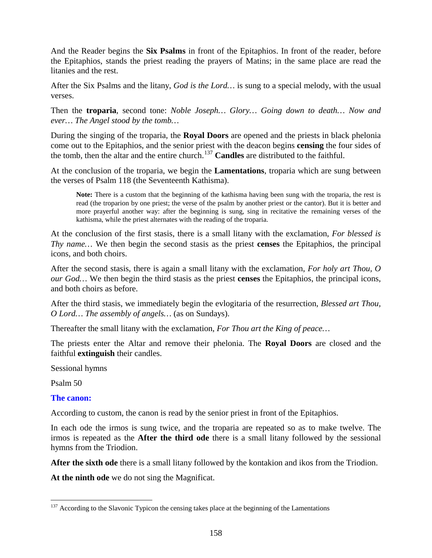And the Reader begins the **Six Psalms** in front of the Epitaphios. In front of the reader, before the Epitaphios, stands the priest reading the prayers of Matins; in the same place are read the litanies and the rest.

After the Six Psalms and the litany, *God is the Lord…* is sung to a special melody, with the usual verses.

Then the **troparia**, second tone: *Noble Joseph… Glory… Going down to death… Now and ever… The Angel stood by the tomb…*

During the singing of the troparia, the **Royal Doors** are opened and the priests in black phelonia come out to the Epitaphios, and the senior priest with the deacon begins **censing** the four sides of the tomb, then the altar and the entire church.<sup>[137](#page-157-0)</sup> Candles are distributed to the faithful.

At the conclusion of the troparia, we begin the **Lamentations**, troparia which are sung between the verses of Psalm 118 (the Seventeenth Kathisma).

**Note:** There is a custom that the beginning of the kathisma having been sung with the troparia, the rest is read (the troparion by one priest; the verse of the psalm by another priest or the cantor). But it is better and more prayerful another way: after the beginning is sung, sing in recitative the remaining verses of the kathisma, while the priest alternates with the reading of the troparia.

At the conclusion of the first stasis, there is a small litany with the exclamation, *For blessed is Thy name…* We then begin the second stasis as the priest **censes** the Epitaphios, the principal icons, and both choirs.

After the second stasis, there is again a small litany with the exclamation, *For holy art Thou, O our God…* We then begin the third stasis as the priest **censes** the Epitaphios, the principal icons, and both choirs as before.

After the third stasis, we immediately begin the evlogitaria of the resurrection, *Blessed art Thou, O Lord… The assembly of angels…* (as on Sundays).

Thereafter the small litany with the exclamation, *For Thou art the King of peace…*

The priests enter the Altar and remove their phelonia. The **Royal Doors** are closed and the faithful **extinguish** their candles.

Sessional hymns

Psalm 50

#### **The canon:**

According to custom, the canon is read by the senior priest in front of the Epitaphios.

In each ode the irmos is sung twice, and the troparia are repeated so as to make twelve. The irmos is repeated as the **After the third ode** there is a small litany followed by the sessional hymns from the Triodion.

**After the sixth ode** there is a small litany followed by the kontakion and ikos from the Triodion.

**At the ninth ode** we do not sing the Magnificat.

<span id="page-157-0"></span> $137$  According to the Slavonic Typicon the censing takes place at the beginning of the Lamentations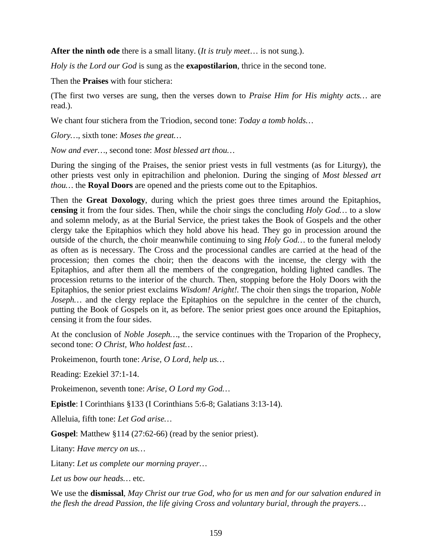**After the ninth ode** there is a small litany. (*It is truly meet*… is not sung.).

*Holy is the Lord our God* is sung as the **exapostilarion**, thrice in the second tone.

Then the **Praises** with four stichera:

(The first two verses are sung, then the verses down to *Praise Him for His mighty acts…* are read.).

We chant four stichera from the Triodion, second tone: *Today a tomb holds…*

*Glory…*, sixth tone: *Moses the great…*

*Now and ever…*, second tone: *Most blessed art thou…*

During the singing of the Praises, the senior priest vests in full vestments (as for Liturgy), the other priests vest only in epitrachilion and phelonion. During the singing of *Most blessed art thou…* the **Royal Doors** are opened and the priests come out to the Epitaphios.

Then the **Great Doxology**, during which the priest goes three times around the Epitaphios, **censing** it from the four sides. Then, while the choir sings the concluding *Holy God…* to a slow and solemn melody, as at the Burial Service, the priest takes the Book of Gospels and the other clergy take the Epitaphios which they hold above his head. They go in procession around the outside of the church, the choir meanwhile continuing to sing *Holy God…* to the funeral melody as often as is necessary. The Cross and the processional candles are carried at the head of the procession; then comes the choir; then the deacons with the incense, the clergy with the Epitaphios, and after them all the members of the congregation, holding lighted candles. The procession returns to the interior of the church. Then, stopping before the Holy Doors with the Epitaphios, the senior priest exclaims *Wisdom! Aright!.* The choir then sings the troparion, *Noble Joseph*... and the clergy replace the Epitaphios on the sepulchre in the center of the church, putting the Book of Gospels on it, as before. The senior priest goes once around the Epitaphios, censing it from the four sides.

At the conclusion of *Noble Joseph…*, the service continues with the Troparion of the Prophecy, second tone: *O Christ, Who holdest fast…*

Prokeimenon, fourth tone: *Arise, O Lord, help us…*

Reading: Ezekiel 37:1-14.

Prokeimenon, seventh tone: *Arise, O Lord my God…*

**Epistle**: I Corinthians §133 (I Corinthians 5:6-8; Galatians 3:13-14).

Alleluia, fifth tone: *Let God arise…*

**Gospel**: Matthew §114 (27:62-66) (read by the senior priest).

Litany: *Have mercy on us…*

Litany: *Let us complete our morning prayer…*

*Let us bow our heads…* etc.

We use the **dismissal**, *May Christ our true God, who for us men and for our salvation endured in the flesh the dread Passion, the life giving Cross and voluntary burial, through the prayers…*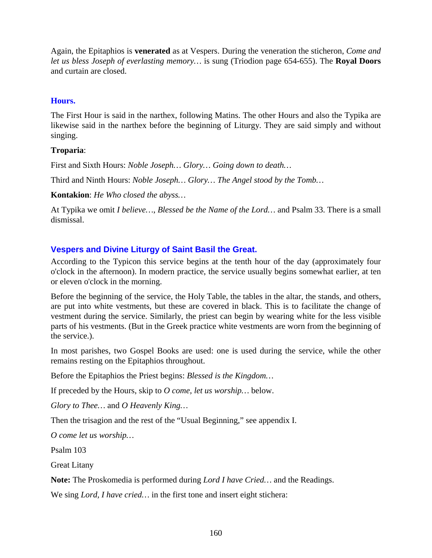Again, the Epitaphios is **venerated** as at Vespers. During the veneration the sticheron, *Come and let us bless Joseph of everlasting memory…* is sung (Triodion page 654-655). The **Royal Doors** and curtain are closed.

## **Hours.**

The First Hour is said in the narthex, following Matins. The other Hours and also the Typika are likewise said in the narthex before the beginning of Liturgy. They are said simply and without singing.

## **Troparia**:

First and Sixth Hours: *Noble Joseph… Glory… Going down to death…*

Third and Ninth Hours: *Noble Joseph… Glory… The Angel stood by the Tomb…*

**Kontakion**: *He Who closed the abyss…*

At Typika we omit *I believe…*, *Blessed be the Name of the Lord…* and Psalm 33. There is a small dismissal.

## **Vespers and Divine Liturgy of Saint Basil the Great.**

According to the Typicon this service begins at the tenth hour of the day (approximately four o'clock in the afternoon). In modern practice, the service usually begins somewhat earlier, at ten or eleven o'clock in the morning.

Before the beginning of the service, the Holy Table, the tables in the altar, the stands, and others, are put into white vestments, but these are covered in black. This is to facilitate the change of vestment during the service. Similarly, the priest can begin by wearing white for the less visible parts of his vestments. (But in the Greek practice white vestments are worn from the beginning of the service.).

In most parishes, two Gospel Books are used: one is used during the service, while the other remains resting on the Epitaphios throughout.

Before the Epitaphios the Priest begins: *Blessed is the Kingdom…*

If preceded by the Hours, skip to *O come, let us worship…* below.

*Glory to Thee…* and *O Heavenly King…*

Then the trisagion and the rest of the "Usual Beginning," see appendix I.

*O come let us worship…*

Psalm 103

Great Litany

**Note:** The Proskomedia is performed during *Lord I have Cried…* and the Readings.

We sing *Lord, I have cried…* in the first tone and insert eight stichera: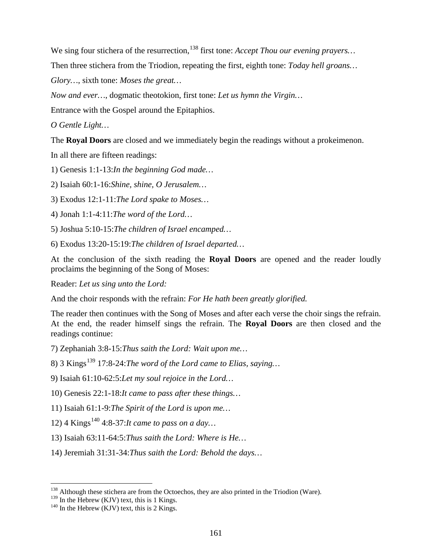We sing four stichera of the resurrection,<sup>[138](#page-160-0)</sup> first tone: *Accept Thou our evening prayers*...

Then three stichera from the Triodion, repeating the first, eighth tone: *Today hell groans…*

*Glory…*, sixth tone: *Moses the great…*

*Now and ever…*, dogmatic theotokion, first tone: *Let us hymn the Virgin…*

Entrance with the Gospel around the Epitaphios.

*O Gentle Light…*

The **Royal Doors** are closed and we immediately begin the readings without a prokeimenon.

In all there are fifteen readings:

1) Genesis 1:1-13:*In the beginning God made…*

2) Isaiah 60:1-16:*Shine, shine, O Jerusalem…*

3) Exodus 12:1-11:*The Lord spake to Moses…*

4) Jonah 1:1-4:11:*The word of the Lord…*

5) Joshua 5:10-15:*The children of Israel encamped…*

6) Exodus 13:20-15:19:*The children of Israel departed…*

At the conclusion of the sixth reading the **Royal Doors** are opened and the reader loudly proclaims the beginning of the Song of Moses:

Reader: *Let us sing unto the Lord:*

And the choir responds with the refrain: *For He hath been greatly glorified.*

The reader then continues with the Song of Moses and after each verse the choir sings the refrain. At the end, the reader himself sings the refrain. The **Royal Doors** are then closed and the readings continue:

7) Zephaniah 3:8-15:*Thus saith the Lord: Wait upon me…*

8) 3 Kings<sup>[139](#page-160-1)</sup> 17:8-24:*The word of the Lord came to Elias, saying...* 

9) Isaiah 61:10-62:5:*Let my soul rejoice in the Lord…*

10) Genesis 22:1-18:*It came to pass after these things…*

11) Isaiah 61:1-9:*The Spirit of the Lord is upon me…*

12) 4 Kings<sup>[140](#page-160-2)</sup> 4:8-37:*It came to pass on a day*...

13) Isaiah 63:11-64:5:*Thus saith the Lord: Where is He…*

14) Jeremiah 31:31-34:*Thus saith the Lord: Behold the days…*

<span id="page-160-0"></span><sup>&</sup>lt;sup>138</sup> Although these stichera are from the Octoechos, they are also printed in the Triodion (Ware).<br><sup>139</sup> In the Hebrew (KJV) text, this is 1 Kings.

<span id="page-160-2"></span><span id="page-160-1"></span> $140$  In the Hebrew (KJV) text, this is 2 Kings.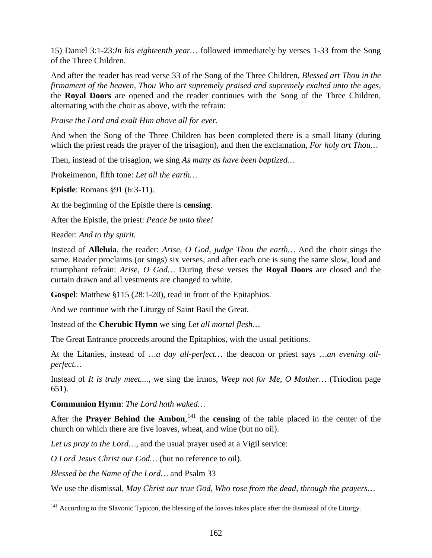15) Daniel 3:1-23:*In his eighteenth year…* followed immediately by verses 1-33 from the Song of the Three Children.

And after the reader has read verse 33 of the Song of the Three Children, *Blessed art Thou in the firmament of the heaven, Thou Who art supremely praised and supremely exalted unto the ages,* the **Royal Doors** are opened and the reader continues with the Song of the Three Children, alternating with the choir as above, with the refrain:

*Praise the Lord and exalt Him above all for ever.*

And when the Song of the Three Children has been completed there is a small litany (during which the priest reads the prayer of the trisagion), and then the exclamation, *For holy art Thou…*

Then, instead of the trisagion, we sing *As many as have been baptized…*

Prokeimenon, fifth tone: *Let all the earth…*

**Epistle**: Romans §91 (6:3-11).

At the beginning of the Epistle there is **censing**.

After the Epistle, the priest: *Peace be unto thee!*

Reader: *And to thy spirit.*

Instead of **Alleluia**, the reader: *Arise, O God, judge Thou the earth…* And the choir sings the same. Reader proclaims (or sings) six verses, and after each one is sung the same slow, loud and triumphant refrain: *Arise, O God…* During these verses the **Royal Doors** are closed and the curtain drawn and all vestments are changed to white.

**Gospel**: Matthew §115 (28:1-20), read in front of the Epitaphios.

And we continue with the Liturgy of Saint Basil the Great.

Instead of the **Cherubic Hymn** we sing *Let all mortal flesh…*

The Great Entrance proceeds around the Epitaphios, with the usual petitions.

At the Litanies, instead of *…a day all-perfect…* the deacon or priest says *…an evening allperfect…*

Instead of *It is truly meet....,* we sing the irmos, *Weep not for Me, O Mother…* (Triodion page 651).

## **Communion Hymn**: *The Lord hath waked…*

After the **Prayer Behind the Ambon**,<sup>[141](#page-161-0)</sup> the **censing** of the table placed in the center of the church on which there are five loaves, wheat, and wine (but no oil).

*Let us pray to the Lord*..., and the usual prayer used at a Vigil service:

*O Lord Jesus Christ our God…* (but no reference to oil).

*Blessed be the Name of the Lord…* and Psalm 33

We use the dismissal, *May Christ our true God, Who rose from the dead, through the prayers…*

<span id="page-161-0"></span><sup>&</sup>lt;sup>141</sup> According to the Slavonic Typicon, the blessing of the loaves takes place after the dismissal of the Liturgy.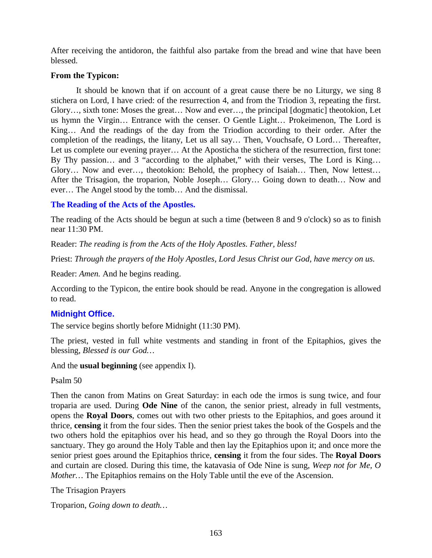After receiving the antidoron, the faithful also partake from the bread and wine that have been blessed.

### **From the Typicon:**

It should be known that if on account of a great cause there be no Liturgy, we sing 8 stichera on Lord, I have cried: of the resurrection 4, and from the Triodion 3, repeating the first. Glory…, sixth tone: Moses the great… Now and ever…, the principal [dogmatic] theotokion, Let us hymn the Virgin… Entrance with the censer. O Gentle Light… Prokeimenon, The Lord is King… And the readings of the day from the Triodion according to their order. After the completion of the readings, the litany, Let us all say… Then, Vouchsafe, O Lord… Thereafter, Let us complete our evening prayer… At the Aposticha the stichera of the resurrection, first tone: By Thy passion… and 3 "according to the alphabet," with their verses, The Lord is King... Glory… Now and ever…, theotokion: Behold, the prophecy of Isaiah… Then, Now lettest… After the Trisagion, the troparion, Noble Joseph… Glory… Going down to death… Now and ever… The Angel stood by the tomb… And the dismissal.

### **The Reading of the Acts of the Apostles.**

The reading of the Acts should be begun at such a time (between 8 and 9 o'clock) so as to finish near 11:30 PM.

Reader: *The reading is from the Acts of the Holy Apostles. Father, bless!*

Priest: *Through the prayers of the Holy Apostles, Lord Jesus Christ our God, have mercy on us.*

Reader: *Amen.* And he begins reading.

According to the Typicon, the entire book should be read. Anyone in the congregation is allowed to read.

## **Midnight Office.**

The service begins shortly before Midnight (11:30 PM).

The priest, vested in full white vestments and standing in front of the Epitaphios, gives the blessing, *Blessed is our God…*

And the **usual beginning** (see appendix I).

Psalm 50

Then the canon from Matins on Great Saturday: in each ode the irmos is sung twice, and four troparia are used. During **Ode Nine** of the canon, the senior priest, already in full vestments, opens the **Royal Doors**, comes out with two other priests to the Epitaphios, and goes around it thrice, **censing** it from the four sides. Then the senior priest takes the book of the Gospels and the two others hold the epitaphios over his head, and so they go through the Royal Doors into the sanctuary. They go around the Holy Table and then lay the Epitaphios upon it; and once more the senior priest goes around the Epitaphios thrice, **censing** it from the four sides. The **Royal Doors** and curtain are closed. During this time, the katavasia of Ode Nine is sung, *Weep not for Me, O Mother...* The Epitaphios remains on the Holy Table until the eve of the Ascension.

The Trisagion Prayers

Troparion, *Going down to death…*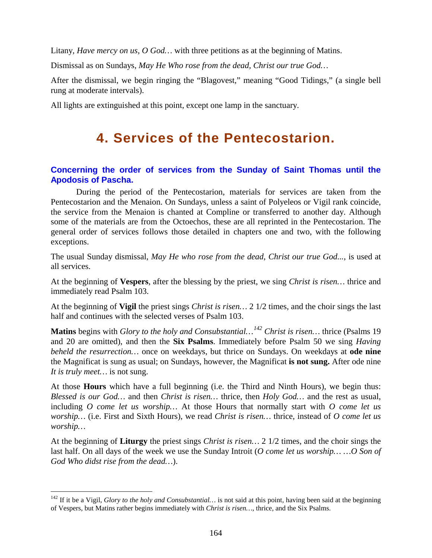Litany, *Have mercy on us, O God…* with three petitions as at the beginning of Matins.

Dismissal as on Sundays, *May He Who rose from the dead, Christ our true God…*

After the dismissal, we begin ringing the "Blagovest," meaning "Good Tidings," (a single bell rung at moderate intervals).

All lights are extinguished at this point, except one lamp in the sanctuary.

# **4. Services of the Pentecostarion.**

## **Concerning the order of services from the Sunday of Saint Thomas until the Apodosis of Pascha.**

During the period of the Pentecostarion, materials for services are taken from the Pentecostarion and the Menaion. On Sundays, unless a saint of Polyeleos or Vigil rank coincide, the service from the Menaion is chanted at Compline or transferred to another day. Although some of the materials are from the Octoechos, these are all reprinted in the Pentecostarion. The general order of services follows those detailed in chapters one and two, with the following exceptions.

The usual Sunday dismissal, *May He who rose from the dead, Christ our true God...*, is used at all services.

At the beginning of **Vespers**, after the blessing by the priest, we sing *Christ is risen…* thrice and immediately read Psalm 103.

At the beginning of **Vigil** the priest sings *Christ is risen…* 2 1/2 times, and the choir sings the last half and continues with the selected verses of Psalm 103.

**Matins** begins with *Glory to the holy and Consubstantial…[142](#page-163-0) Christ is risen…* thrice (Psalms 19 and 20 are omitted), and then the **Six Psalms**. Immediately before Psalm 50 we sing *Having beheld the resurrection…* once on weekdays, but thrice on Sundays. On weekdays at **ode nine** the Magnificat is sung as usual; on Sundays, however, the Magnificat **is not sung.** After ode nine *It is truly meet…* is not sung.

At those **Hours** which have a full beginning (i.e. the Third and Ninth Hours), we begin thus: *Blessed is our God…* and then *Christ is risen…* thrice, then *Holy God…* and the rest as usual, including *O come let us worship…* At those Hours that normally start with *O come let us worship…* (i.e. First and Sixth Hours), we read *Christ is risen…* thrice, instead of *O come let us worship…*

At the beginning of **Liturgy** the priest sings *Christ is risen…* 2 1/2 times, and the choir sings the last half. On all days of the week we use the Sunday Introit (*O come let us worship… …O Son of God Who didst rise from the dead…*).

<span id="page-163-0"></span><sup>&</sup>lt;sup>142</sup> If it be a Vigil, *Glory to the holy and Consubstantial*... is not said at this point, having been said at the beginning of Vespers, but Matins rather begins immediately with *Christ is risen…*, thrice, and the Six Psalms.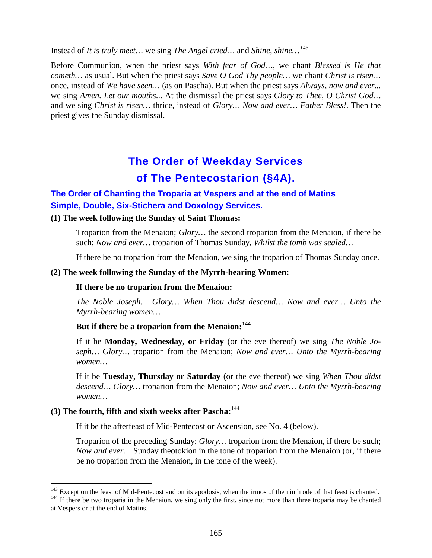Instead of *It is truly meet…* we sing *The Angel cried…* and *Shine, shine…[143](#page-164-0)*

Before Communion, when the priest says *With fear of God…*, we chant *Blessed is He that cometh…* as usual. But when the priest says *Save O God Thy people…* we chant *Christ is risen…* once, instead of *We have seen…* (as on Pascha). But when the priest says *Always, now and ever...*  we sing *Amen. Let our mouths...* At the dismissal the priest says *Glory to Thee, O Christ God…* and we sing *Christ is risen…* thrice, instead of *Glory… Now and ever… Father Bless!*. Then the priest gives the Sunday dismissal.

# **The Order of Weekday Services of The Pentecostarion (§4A).**

## **The Order of Chanting the Troparia at Vespers and at the end of Matins Simple, Double, Six-Stichera and Doxology Services.**

#### **(1) The week following the Sunday of Saint Thomas:**

Troparion from the Menaion; *Glory…* the second troparion from the Menaion, if there be such; *Now and ever…* troparion of Thomas Sunday, *Whilst the tomb was sealed…*

If there be no troparion from the Menaion, we sing the troparion of Thomas Sunday once.

#### **(2) The week following the Sunday of the Myrrh-bearing Women:**

#### **If there be no troparion from the Menaion:**

*The Noble Joseph… Glory… When Thou didst descend… Now and ever… Unto the Myrrh-bearing women…*

## **But if there be a troparion from the Menaion:[144](#page-164-1)**

If it be **Monday, Wednesday, or Friday** (or the eve thereof) we sing *The Noble Joseph… Glory…* troparion from the Menaion; *Now and ever… Unto the Myrrh-bearing women…*

If it be **Tuesday, Thursday or Saturday** (or the eve thereof) we sing *When Thou didst descend… Glory…* troparion from the Menaion; *Now and ever… Unto the Myrrh-bearing women…*

## **(3) The fourth, fifth and sixth weeks after Pascha:**<sup>144</sup>

If it be the afterfeast of Mid-Pentecost or Ascension, see No. 4 (below).

Troparion of the preceding Sunday; *Glory…* troparion from the Menaion, if there be such; *Now and ever…* Sunday theotokion in the tone of troparion from the Menaion (or, if there be no troparion from the Menaion, in the tone of the week).

<span id="page-164-1"></span><span id="page-164-0"></span> $143$  Except on the feast of Mid-Pentecost and on its apodosis, when the irmos of the ninth ode of that feast is chanted.<br><sup>144</sup> If there be two troparia in the Menaion, we sing only the first, since not more than three tr at Vespers or at the end of Matins.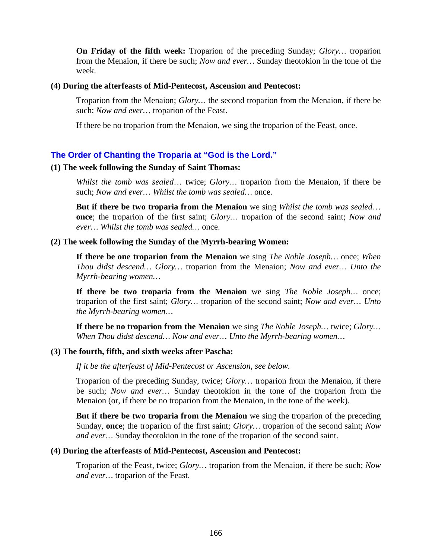**On Friday of the fifth week:** Troparion of the preceding Sunday; *Glory…* troparion from the Menaion, if there be such; *Now and ever…* Sunday theotokion in the tone of the week.

#### **(4) During the afterfeasts of Mid-Pentecost, Ascension and Pentecost:**

Troparion from the Menaion; *Glory…* the second troparion from the Menaion, if there be such; *Now and ever…* troparion of the Feast.

If there be no troparion from the Menaion, we sing the troparion of the Feast, once.

#### **The Order of Chanting the Troparia at "God is the Lord."**

#### **(1) The week following the Sunday of Saint Thomas:**

*Whilst the tomb was sealed*… twice; *Glory…* troparion from the Menaion, if there be such; *Now and ever… Whilst the tomb was sealed…* once.

**But if there be two troparia from the Menaion** we sing *Whilst the tomb was sealed*… **once**; the troparion of the first saint; *Glory…* troparion of the second saint; *Now and ever… Whilst the tomb was sealed…* once.

#### **(2) The week following the Sunday of the Myrrh-bearing Women:**

**If there be one troparion from the Menaion** we sing *The Noble Joseph…* once; *When Thou didst descend… Glory…* troparion from the Menaion; *Now and ever… Unto the Myrrh-bearing women…*

**If there be two troparia from the Menaion** we sing *The Noble Joseph…* once; troparion of the first saint; *Glory…* troparion of the second saint; *Now and ever… Unto the Myrrh-bearing women…*

**If there be no troparion from the Menaion** we sing *The Noble Joseph…* twice; *Glory… When Thou didst descend… Now and ever… Unto the Myrrh-bearing women…*

#### **(3) The fourth, fifth, and sixth weeks after Pascha:**

*If it be the afterfeast of Mid-Pentecost or Ascension, see below.*

Troparion of the preceding Sunday, twice; *Glory…* troparion from the Menaion, if there be such; *Now and ever…* Sunday theotokion in the tone of the troparion from the Menaion (or, if there be no troparion from the Menaion, in the tone of the week).

**But if there be two troparia from the Menaion** we sing the troparion of the preceding Sunday, **once**; the troparion of the first saint; *Glory…* troparion of the second saint; *Now and ever…* Sunday theotokion in the tone of the troparion of the second saint.

#### **(4) During the afterfeasts of Mid-Pentecost, Ascension and Pentecost:**

Troparion of the Feast, twice; *Glory…* troparion from the Menaion, if there be such; *Now and ever…* troparion of the Feast.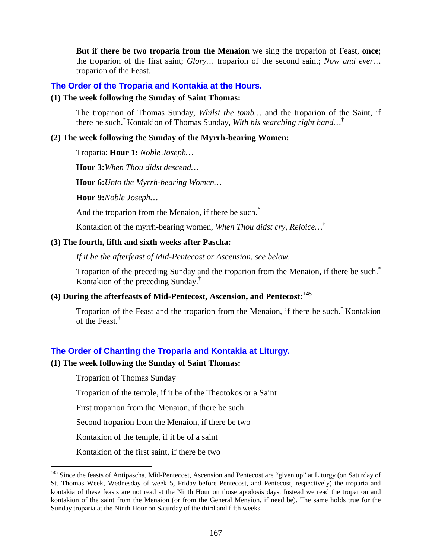**But if there be two troparia from the Menaion** we sing the troparion of Feast, **once**; the troparion of the first saint; *Glory…* troparion of the second saint; *Now and ever…*  troparion of the Feast.

#### **The Order of the Troparia and Kontakia at the Hours.**

#### **(1) The week following the Sunday of Saint Thomas:**

The troparion of Thomas Sunday, *Whilst the tomb…* and the troparion of the Saint, if there be such.\* Kontakion of Thomas Sunday, *With his searching right hand…*†

#### **(2) The week following the Sunday of the Myrrh-bearing Women:**

Troparia: **Hour 1:** *Noble Joseph…*

**Hour 3:***When Thou didst descend…*

**Hour 6:***Unto the Myrrh-bearing Women…*

**Hour 9:***Noble Joseph…*

And the troparion from the Menaion, if there be such.<sup>\*</sup>

Kontakion of the myrrh-bearing women, *When Thou didst cry, Rejoice…*†

#### **(3) The fourth, fifth and sixth weeks after Pascha:**

*If it be the afterfeast of Mid-Pentecost or Ascension, see below.*

Troparion of the preceding Sunday and the troparion from the Menaion, if there be such.<sup>\*</sup> Kontakion of the preceding Sunday.†

## **(4) During the afterfeasts of Mid-Pentecost, Ascension, and Pentecost:[145](#page-166-0)**

Troparion of the Feast and the troparion from the Menaion, if there be such.<sup>\*</sup> Kontakion of the Feast.<sup>†</sup>

#### **The Order of Chanting the Troparia and Kontakia at Liturgy.**

#### **(1) The week following the Sunday of Saint Thomas:**

Troparion of Thomas Sunday

Troparion of the temple, if it be of the Theotokos or a Saint

First troparion from the Menaion, if there be such

Second troparion from the Menaion, if there be two

Kontakion of the temple, if it be of a saint

Kontakion of the first saint, if there be two

<span id="page-166-0"></span><sup>&</sup>lt;sup>145</sup> Since the feasts of Antipascha, Mid-Pentecost, Ascension and Pentecost are "given up" at Liturgy (on Saturday of St. Thomas Week, Wednesday of week 5, Friday before Pentecost, and Pentecost, respectively) the troparia and kontakia of these feasts are not read at the Ninth Hour on those apodosis days. Instead we read the troparion and kontakion of the saint from the Menaion (or from the General Menaion, if need be). The same holds true for the Sunday troparia at the Ninth Hour on Saturday of the third and fifth weeks.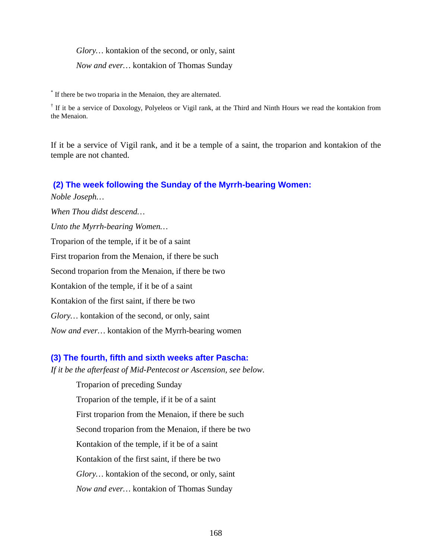*Glory…* kontakion of the second, or only, saint

*Now and ever…* kontakion of Thomas Sunday

\* If there be two troparia in the Menaion, they are alternated.

<sup> $\dagger$ </sup> If it be a service of Doxology, Polyeleos or Vigil rank, at the Third and Ninth Hours we read the kontakion from the Menaion.

If it be a service of Vigil rank, and it be a temple of a saint, the troparion and kontakion of the temple are not chanted.

#### **(2) The week following the Sunday of the Myrrh-bearing Women:**

*Noble Joseph… When Thou didst descend… Unto the Myrrh-bearing Women…* Troparion of the temple, if it be of a saint First troparion from the Menaion, if there be such Second troparion from the Menaion, if there be two Kontakion of the temple, if it be of a saint Kontakion of the first saint, if there be two *Glory…* kontakion of the second, or only, saint *Now and ever…* kontakion of the Myrrh-bearing women

## **(3) The fourth, fifth and sixth weeks after Pascha:**

*If it be the afterfeast of Mid-Pentecost or Ascension, see below.*

Troparion of preceding Sunday Troparion of the temple, if it be of a saint First troparion from the Menaion, if there be such Second troparion from the Menaion, if there be two Kontakion of the temple, if it be of a saint Kontakion of the first saint, if there be two *Glory…* kontakion of the second, or only, saint *Now and ever…* kontakion of Thomas Sunday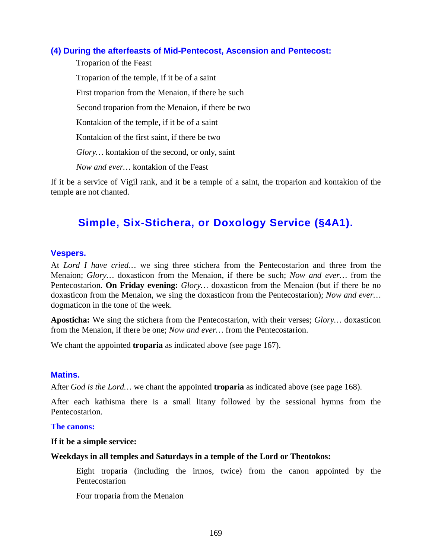## **(4) During the afterfeasts of Mid-Pentecost, Ascension and Pentecost:**

Troparion of the Feast Troparion of the temple, if it be of a saint First troparion from the Menaion, if there be such Second troparion from the Menaion, if there be two Kontakion of the temple, if it be of a saint Kontakion of the first saint, if there be two *Glory…* kontakion of the second, or only, saint *Now and ever…* kontakion of the Feast

If it be a service of Vigil rank, and it be a temple of a saint, the troparion and kontakion of the temple are not chanted.

## **Simple, Six-Stichera, or Doxology Service (§4A1).**

#### **Vespers.**

At *Lord I have cried…* we sing three stichera from the Pentecostarion and three from the Menaion; *Glory…* doxasticon from the Menaion, if there be such; *Now and ever…* from the Pentecostarion. **On Friday evening:** *Glory…* doxasticon from the Menaion (but if there be no doxasticon from the Menaion, we sing the doxasticon from the Pentecostarion); *Now and ever…*  dogmaticon in the tone of the week.

**Aposticha:** We sing the stichera from the Pentecostarion, with their verses; *Glory…* doxasticon from the Menaion, if there be one; *Now and ever…* from the Pentecostarion.

We chant the appointed **troparia** as indicated above (see page 167).

#### **Matins.**

After *God is the Lord…* we chant the appointed **troparia** as indicated above (see page 168).

After each kathisma there is a small litany followed by the sessional hymns from the Pentecostarion.

#### **The canons:**

#### **If it be a simple service:**

#### **Weekdays in all temples and Saturdays in a temple of the Lord or Theotokos:**

Eight troparia (including the irmos, twice) from the canon appointed by the Pentecostarion

Four troparia from the Menaion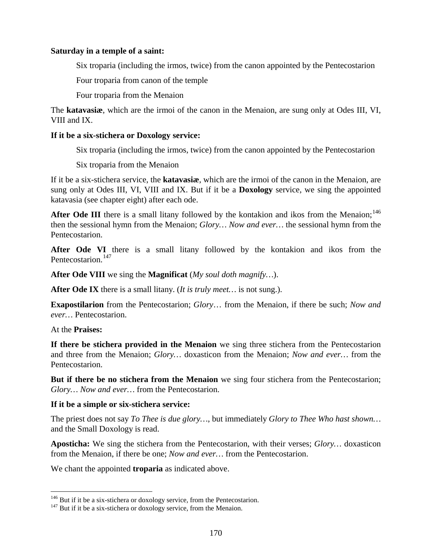#### **Saturday in a temple of a saint:**

Six troparia (including the irmos, twice) from the canon appointed by the Pentecostarion

Four troparia from canon of the temple

Four troparia from the Menaion

The **katavasiæ**, which are the irmoi of the canon in the Menaion, are sung only at Odes III, VI, VIII and IX.

#### **If it be a six-stichera or Doxology service:**

Six troparia (including the irmos, twice) from the canon appointed by the Pentecostarion

Six troparia from the Menaion

If it be a six-stichera service, the **katavasiæ**, which are the irmoi of the canon in the Menaion, are sung only at Odes III, VI, VIII and IX. But if it be a **Doxology** service, we sing the appointed katavasia (see chapter eight) after each ode.

After Ode III there is a small litany followed by the kontakion and ikos from the Menaion;<sup>[146](#page-169-0)</sup> then the sessional hymn from the Menaion; *Glory… Now and ever…* the sessional hymn from the Pentecostarion.

**After Ode VI** there is a small litany followed by the kontakion and ikos from the Pentecostarion.<sup>[147](#page-169-1)</sup>

**After Ode VIII** we sing the **Magnificat** (*My soul doth magnify…*).

**After Ode IX** there is a small litany. (*It is truly meet…* is not sung.).

**Exapostilarion** from the Pentecostarion; *Glory*… from the Menaion, if there be such; *Now and ever…* Pentecostarion.

At the **Praises:**

**If there be stichera provided in the Menaion** we sing three stichera from the Pentecostarion and three from the Menaion; *Glory…* doxasticon from the Menaion; *Now and ever…* from the Pentecostarion.

**But if there be no stichera from the Menaion** we sing four stichera from the Pentecostarion; *Glory… Now and ever…* from the Pentecostarion.

## **If it be a simple or six-stichera service:**

The priest does not say *To Thee is due glory…*, but immediately *Glory to Thee Who hast shown…*  and the Small Doxology is read.

**Aposticha:** We sing the stichera from the Pentecostarion, with their verses; *Glory…* doxasticon from the Menaion, if there be one; *Now and ever…* from the Pentecostarion.

We chant the appointed **troparia** as indicated above.

<span id="page-169-0"></span><sup>&</sup>lt;sup>146</sup> But if it be a six-stichera or doxology service, from the Pentecostarion.  $147$  But if it be a six-stichera or doxology service, from the Menaion.

<span id="page-169-1"></span>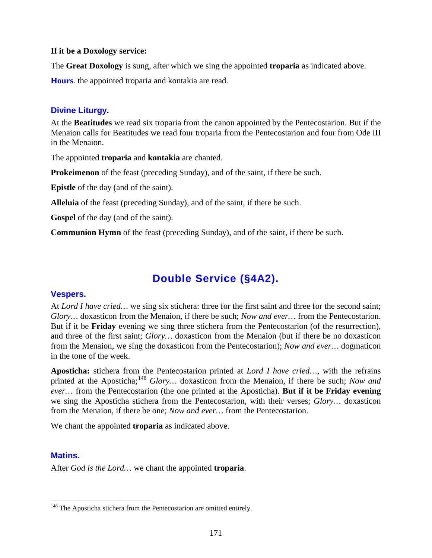#### **If it be a Doxology service:**

The **Great Doxology** is sung, after which we sing the appointed **troparia** as indicated above.

**Hours**. the appointed troparia and kontakia are read.

## **Divine Liturgy.**

At the **Beatitudes** we read six troparia from the canon appointed by the Pentecostarion. But if the Menaion calls for Beatitudes we read four troparia from the Pentecostarion and four from Ode III in the Menaion.

The appointed **troparia** and **kontakia** are chanted.

**Prokeimenon** of the feast (preceding Sunday), and of the saint, if there be such.

**Epistle** of the day (and of the saint).

**Alleluia** of the feast (preceding Sunday), and of the saint, if there be such.

**Gospel** of the day (and of the saint).

**Communion Hymn** of the feast (preceding Sunday), and of the saint, if there be such.

## **Double Service (§4A2).**

## **Vespers.**

At *Lord I have cried…* we sing six stichera: three for the first saint and three for the second saint; *Glory…* doxasticon from the Menaion, if there be such; *Now and ever…* from the Pentecostarion. But if it be **Friday** evening we sing three stichera from the Pentecostarion (of the resurrection), and three of the first saint; *Glory…* doxasticon from the Menaion (but if there be no doxasticon from the Menaion, we sing the doxasticon from the Pentecostarion); *Now and ever…* dogmaticon in the tone of the week.

**Aposticha:** stichera from the Pentecostarion printed at *Lord I have cried…*, with the refrains printed at the Aposticha;<sup>[148](#page-170-0)</sup> Glory... doxasticon from the Menaion, if there be such; *Now and ever…* from the Pentecostarion (the one printed at the Aposticha). **But if it be Friday evening** we sing the Aposticha stichera from the Pentecostarion, with their verses; *Glory…* doxasticon from the Menaion, if there be one; *Now and ever…* from the Pentecostarion.

We chant the appointed **troparia** as indicated above.

## **Matins.**

After *God is the Lord…* we chant the appointed **troparia**.

<span id="page-170-0"></span><sup>&</sup>lt;sup>148</sup> The Aposticha stichera from the Pentecostarion are omitted entirely.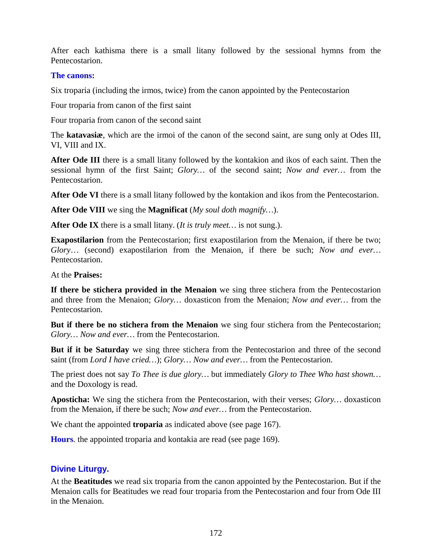After each kathisma there is a small litany followed by the sessional hymns from the Pentecostarion.

### **The canons:**

Six troparia (including the irmos, twice) from the canon appointed by the Pentecostarion

Four troparia from canon of the first saint

Four troparia from canon of the second saint

The **katavasiæ**, which are the irmoi of the canon of the second saint, are sung only at Odes III, VI, VIII and IX.

**After Ode III** there is a small litany followed by the kontakion and ikos of each saint. Then the sessional hymn of the first Saint; *Glory…* of the second saint; *Now and ever…* from the Pentecostarion.

**After Ode VI** there is a small litany followed by the kontakion and ikos from the Pentecostarion.

**After Ode VIII** we sing the **Magnificat** (*My soul doth magnify…*).

**After Ode IX** there is a small litany. (*It is truly meet…* is not sung.).

**Exapostilarion** from the Pentecostarion; first exapostilarion from the Menaion, if there be two; *Glory*… (second) exapostilarion from the Menaion, if there be such; *Now and ever…* Pentecostarion.

At the **Praises:**

**If there be stichera provided in the Menaion** we sing three stichera from the Pentecostarion and three from the Menaion; *Glory…* doxasticon from the Menaion; *Now and ever…* from the Pentecostarion.

**But if there be no stichera from the Menaion** we sing four stichera from the Pentecostarion; *Glory… Now and ever…* from the Pentecostarion.

**But if it be Saturday** we sing three stichera from the Pentecostarion and three of the second saint (from *Lord I have cried…*); *Glory… Now and ever…* from the Pentecostarion.

The priest does not say *To Thee is due glory…* but immediately *Glory to Thee Who hast shown…*  and the Doxology is read.

**Aposticha:** We sing the stichera from the Pentecostarion, with their verses; *Glory…* doxasticon from the Menaion, if there be such; *Now and ever…* from the Pentecostarion.

We chant the appointed **troparia** as indicated above (see page 167).

**Hours**. the appointed troparia and kontakia are read (see page 169).

## **Divine Liturgy.**

At the **Beatitudes** we read six troparia from the canon appointed by the Pentecostarion. But if the Menaion calls for Beatitudes we read four troparia from the Pentecostarion and four from Ode III in the Menaion.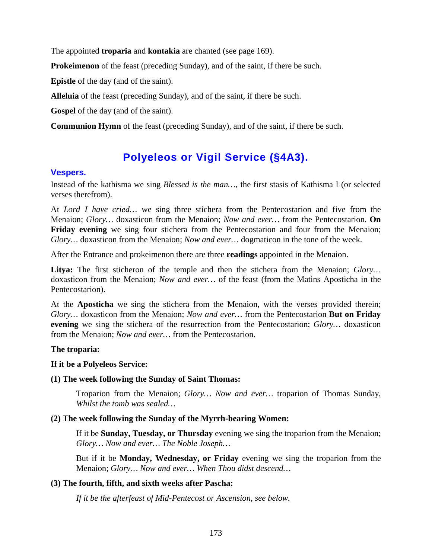The appointed **troparia** and **kontakia** are chanted (see page 169).

**Prokeimenon** of the feast (preceding Sunday), and of the saint, if there be such.

**Epistle** of the day (and of the saint).

**Alleluia** of the feast (preceding Sunday), and of the saint, if there be such.

**Gospel** of the day (and of the saint).

**Communion Hymn** of the feast (preceding Sunday), and of the saint, if there be such.

## **Polyeleos or Vigil Service (§4A3).**

#### **Vespers.**

Instead of the kathisma we sing *Blessed is the man…*, the first stasis of Kathisma I (or selected verses therefrom).

At *Lord I have cried…* we sing three stichera from the Pentecostarion and five from the Menaion; *Glory…* doxasticon from the Menaion; *Now and ever…* from the Pentecostarion. **On Friday evening** we sing four stichera from the Pentecostarion and four from the Menaion; *Glory…* doxasticon from the Menaion; *Now and ever…* dogmaticon in the tone of the week.

After the Entrance and prokeimenon there are three **readings** appointed in the Menaion.

**Litya:** The first sticheron of the temple and then the stichera from the Menaion; *Glory…*  doxasticon from the Menaion; *Now and ever…* of the feast (from the Matins Aposticha in the Pentecostarion).

At the **Aposticha** we sing the stichera from the Menaion, with the verses provided therein; *Glory…* doxasticon from the Menaion; *Now and ever…* from the Pentecostarion **But on Friday evening** we sing the stichera of the resurrection from the Pentecostarion; *Glory…* doxasticon from the Menaion; *Now and ever…* from the Pentecostarion.

#### **The troparia:**

#### **If it be a Polyeleos Service:**

#### **(1) The week following the Sunday of Saint Thomas:**

Troparion from the Menaion; *Glory… Now and ever…* troparion of Thomas Sunday, *Whilst the tomb was sealed…*

#### **(2) The week following the Sunday of the Myrrh-bearing Women:**

If it be **Sunday, Tuesday, or Thursday** evening we sing the troparion from the Menaion; *Glory… Now and ever… The Noble Joseph…*

But if it be **Monday, Wednesday, or Friday** evening we sing the troparion from the Menaion; *Glory… Now and ever… When Thou didst descend…*

#### **(3) The fourth, fifth, and sixth weeks after Pascha:**

*If it be the afterfeast of Mid-Pentecost or Ascension, see below.*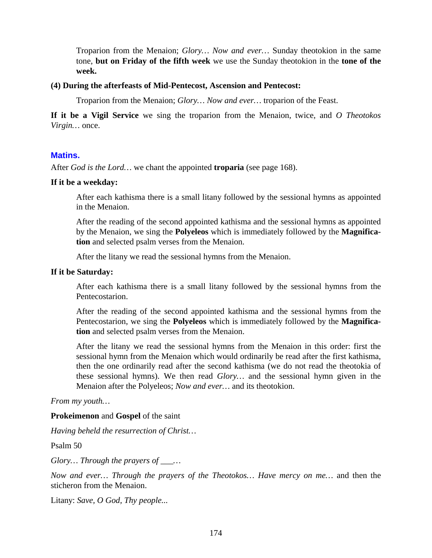Troparion from the Menaion; *Glory… Now and ever…* Sunday theotokion in the same tone, **but on Friday of the fifth week** we use the Sunday theotokion in the **tone of the week.**

#### **(4) During the afterfeasts of Mid-Pentecost, Ascension and Pentecost:**

Troparion from the Menaion; *Glory… Now and ever…* troparion of the Feast.

**If it be a Vigil Service** we sing the troparion from the Menaion, twice, and *O Theotokos Virgin…* once.

#### **Matins.**

After *God is the Lord…* we chant the appointed **troparia** (see page 168).

#### **If it be a weekday:**

After each kathisma there is a small litany followed by the sessional hymns as appointed in the Menaion.

After the reading of the second appointed kathisma and the sessional hymns as appointed by the Menaion, we sing the **Polyeleos** which is immediately followed by the **Magnification** and selected psalm verses from the Menaion.

After the litany we read the sessional hymns from the Menaion.

#### **If it be Saturday:**

After each kathisma there is a small litany followed by the sessional hymns from the Pentecostarion.

After the reading of the second appointed kathisma and the sessional hymns from the Pentecostarion, we sing the **Polyeleos** which is immediately followed by the **Magnification** and selected psalm verses from the Menaion.

After the litany we read the sessional hymns from the Menaion in this order: first the sessional hymn from the Menaion which would ordinarily be read after the first kathisma, then the one ordinarily read after the second kathisma (we do not read the theotokia of these sessional hymns). We then read *Glory…* and the sessional hymn given in the Menaion after the Polyeleos; *Now and ever…* and its theotokion.

#### *From my youth…*

#### **Prokeimenon** and **Gospel** of the saint

*Having beheld the resurrection of Christ…*

Psalm 50

*Glory… Through the prayers of \_\_\_…*

*Now and ever… Through the prayers of the Theotokos… Have mercy on me…* and then the sticheron from the Menaion.

Litany: *Save, O God, Thy people...*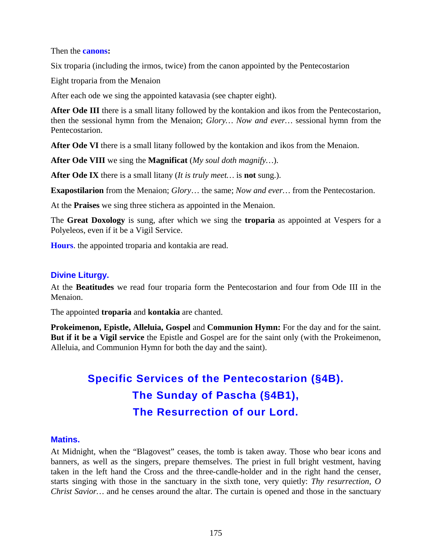Then the **canons:**

Six troparia (including the irmos, twice) from the canon appointed by the Pentecostarion

Eight troparia from the Menaion

After each ode we sing the appointed katavasia (see chapter eight).

**After Ode III** there is a small litany followed by the kontakion and ikos from the Pentecostarion, then the sessional hymn from the Menaion; *Glory… Now and ever…* sessional hymn from the Pentecostarion.

**After Ode VI** there is a small litany followed by the kontakion and ikos from the Menaion.

**After Ode VIII** we sing the **Magnificat** (*My soul doth magnify…*).

**After Ode IX** there is a small litany (*It is truly meet…* is **not** sung.).

**Exapostilarion** from the Menaion; *Glory*… the same; *Now and ever…* from the Pentecostarion.

At the **Praises** we sing three stichera as appointed in the Menaion.

The **Great Doxology** is sung, after which we sing the **troparia** as appointed at Vespers for a Polyeleos, even if it be a Vigil Service.

**Hours**. the appointed troparia and kontakia are read.

### **Divine Liturgy.**

At the **Beatitudes** we read four troparia form the Pentecostarion and four from Ode III in the Menaion.

The appointed **troparia** and **kontakia** are chanted.

**Prokeimenon, Epistle, Alleluia, Gospel** and **Communion Hymn:** For the day and for the saint. **But if it be a Vigil service** the Epistle and Gospel are for the saint only (with the Prokeimenon, Alleluia, and Communion Hymn for both the day and the saint).

# **Specific Services of the Pentecostarion (§4B). The Sunday of Pascha (§4B1), The Resurrection of our Lord.**

#### **Matins.**

At Midnight, when the "Blagovest" ceases, the tomb is taken away. Those who bear icons and banners, as well as the singers, prepare themselves. The priest in full bright vestment, having taken in the left hand the Cross and the three-candle-holder and in the right hand the censer, starts singing with those in the sanctuary in the sixth tone, very quietly: *Thy resurrection, O Christ Savior…* and he censes around the altar. The curtain is opened and those in the sanctuary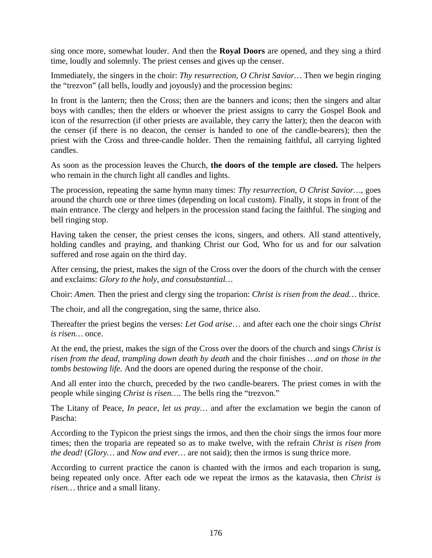sing once more, somewhat louder. And then the **Royal Doors** are opened, and they sing a third time, loudly and solemnly. The priest censes and gives up the censer.

Immediately, the singers in the choir: *Thy resurrection, O Christ Savior…* Then we begin ringing the "trezvon" (all bells, loudly and joyously) and the procession begins:

In front is the lantern; then the Cross; then are the banners and icons; then the singers and altar boys with candles; then the elders or whoever the priest assigns to carry the Gospel Book and icon of the resurrection (if other priests are available, they carry the latter); then the deacon with the censer (if there is no deacon, the censer is handed to one of the candle-bearers); then the priest with the Cross and three-candle holder. Then the remaining faithful, all carrying lighted candles.

As soon as the procession leaves the Church, **the doors of the temple are closed.** The helpers who remain in the church light all candles and lights.

The procession, repeating the same hymn many times: *Thy resurrection, O Christ Savior…*, goes around the church one or three times (depending on local custom). Finally, it stops in front of the main entrance. The clergy and helpers in the procession stand facing the faithful. The singing and bell ringing stop.

Having taken the censer, the priest censes the icons, singers, and others. All stand attentively, holding candles and praying, and thanking Christ our God, Who for us and for our salvation suffered and rose again on the third day.

After censing, the priest, makes the sign of the Cross over the doors of the church with the censer and exclaims: *Glory to the holy, and consubstantial…*

Choir: *Amen.* Then the priest and clergy sing the troparion: *Christ is risen from the dead…* thrice.

The choir, and all the congregation, sing the same, thrice also.

Thereafter the priest begins the verses: *Let God arise*… and after each one the choir sings *Christ is risen…* once.

At the end, the priest, makes the sign of the Cross over the doors of the church and sings *Christ is risen from the dead, trampling down death by death* and the choir finishes *…and on those in the tombs bestowing life.* And the doors are opened during the response of the choir.

And all enter into the church, preceded by the two candle-bearers. The priest comes in with the people while singing *Christ is risen…*. The bells ring the "trezvon."

The Litany of Peace, *In peace, let us pray…* and after the exclamation we begin the canon of Pascha:

According to the Typicon the priest sings the irmos, and then the choir sings the irmos four more times; then the troparia are repeated so as to make twelve, with the refrain *Christ is risen from the dead!* (*Glory…* and *Now and ever…* are not said); then the irmos is sung thrice more.

According to current practice the canon is chanted with the irmos and each troparion is sung, being repeated only once. After each ode we repeat the irmos as the katavasia, then *Christ is risen…* thrice and a small litany.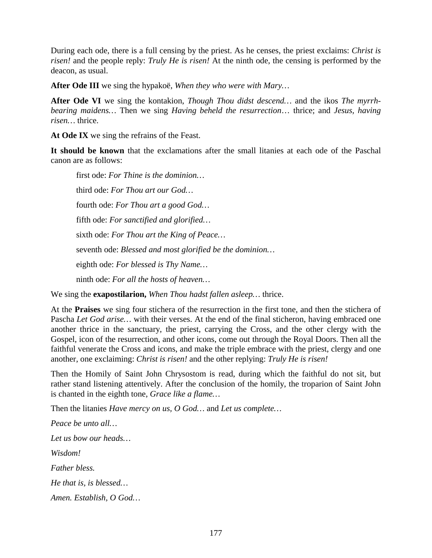During each ode, there is a full censing by the priest. As he censes, the priest exclaims: *Christ is risen!* and the people reply: *Truly He is risen!* At the ninth ode, the censing is performed by the deacon, as usual.

**After Ode III** we sing the hypakoë, *When they who were with Mary…*

**After Ode VI** we sing the kontakion, *Though Thou didst descend…* and the ikos *The myrrhbearing maidens…* Then we sing *Having beheld the resurrection*… thrice; and *Jesus, having risen…* thrice.

**At Ode IX** we sing the refrains of the Feast.

**It should be known** that the exclamations after the small litanies at each ode of the Paschal canon are as follows:

first ode: *For Thine is the dominion…* third ode: *For Thou art our God…* fourth ode: *For Thou art a good God…* fifth ode: *For sanctified and glorified…* sixth ode: *For Thou art the King of Peace…* seventh ode: *Blessed and most glorified be the dominion…* eighth ode: *For blessed is Thy Name…* ninth ode: *For all the hosts of heaven…*

We sing the **exapostilarion,** *When Thou hadst fallen asleep…* thrice.

At the **Praises** we sing four stichera of the resurrection in the first tone, and then the stichera of Pascha *Let God arise…* with their verses. At the end of the final sticheron, having embraced one another thrice in the sanctuary, the priest, carrying the Cross, and the other clergy with the Gospel, icon of the resurrection, and other icons, come out through the Royal Doors. Then all the faithful venerate the Cross and icons, and make the triple embrace with the priest, clergy and one another, one exclaiming: *Christ is risen!* and the other replying: *Truly He is risen!*

Then the Homily of Saint John Chrysostom is read, during which the faithful do not sit, but rather stand listening attentively. After the conclusion of the homily, the troparion of Saint John is chanted in the eighth tone, *Grace like a flame…*

Then the litanies *Have mercy on us, O God…* and *Let us complete…*

*Peace be unto all… Let us bow our heads… Wisdom! Father bless. He that is, is blessed… Amen. Establish, O God…*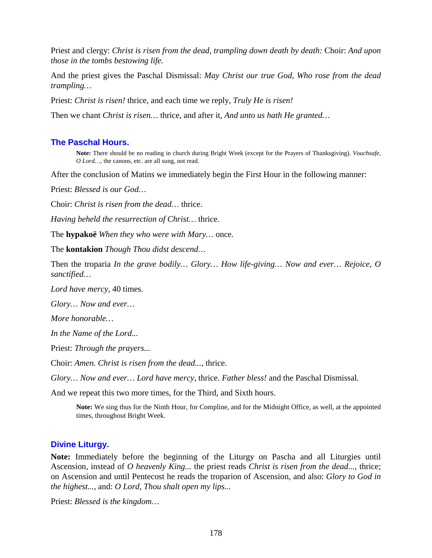Priest and clergy: *Christ is risen from the dead, trampling down death by death:* Choir: *And upon those in the tombs bestowing life.*

And the priest gives the Paschal Dismissal: *May Christ our true God, Who rose from the dead trampling…*

Priest: *Christ is risen!* thrice, and each time we reply, *Truly He is risen!*

Then we chant *Christ is risen…* thrice, and after it, *And unto us hath He granted…*

### **The Paschal Hours.**

**Note:** There should be no reading in church during Bright Week (except for the Prayers of Thanksgiving). *Vouchsafe, O Lord…,* the canons, etc. are all sung, not read.

After the conclusion of Matins we immediately begin the First Hour in the following manner:

Priest: *Blessed is our God…*

Choir: *Christ is risen from the dead…* thrice.

*Having beheld the resurrection of Christ…* thrice*.*

The **hypakoë** *When they who were with Mary…* once*.*

The **kontakion** *Though Thou didst descend…*

Then the troparia *In the grave bodily… Glory… How life-giving… Now and ever… Rejoice, O sanctified…*

*Lord have mercy,* 40 times.

*Glory… Now and ever…*

*More honorable…*

*In the Name of the Lord...*

Priest: *Through the prayers...*

Choir: *Amen. Christ is risen from the dead...,* thrice.

*Glory… Now and ever… Lord have mercy,* thrice. *Father bless!* and the Paschal Dismissal.

And we repeat this two more times, for the Third, and Sixth hours.

**Note:** We sing thus for the Ninth Hour, for Compline, and for the Midnight Office, as well, at the appointed times, throughout Bright Week.

#### **Divine Liturgy.**

**Note:** Immediately before the beginning of the Liturgy on Pascha and all Liturgies until Ascension, instead of *O heavenly King...* the priest reads *Christ is risen from the dead...*, thrice; on Ascension and until Pentecost he reads the troparion of Ascension, and also: *Glory to God in the highest...*, and: *O Lord, Thou shalt open my lips...*

Priest: *Blessed is the kingdom…*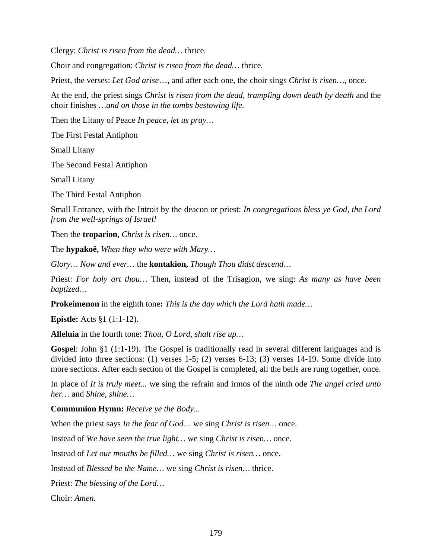Clergy: *Christ is risen from the dead…* thrice*.*

Choir and congregation: *Christ is risen from the dead…* thrice*.*

Priest, the verses: *Let God arise*…, and after each one, the choir sings *Christ is risen…,* once.

At the end, the priest sings *Christ is risen from the dead, trampling down death by death* and the choir finishes *…and on those in the tombs bestowing life.*

Then the Litany of Peace *In peace, let us pray…*

The First Festal Antiphon

Small Litany

The Second Festal Antiphon

Small Litany

The Third Festal Antiphon

Small Entrance, with the Introit by the deacon or priest: *In congregations bless ye God, the Lord from the well-springs of Israel!*

Then the **troparion,** *Christ is risen…* once.

The **hypakoë,** *When they who were with Mary…*

*Glory… Now and ever…* the **kontakion,** *Though Thou didst descend…*

Priest: *For holy art thou…* Then, instead of the Trisagion, we sing: *As many as have been baptized…*

**Prokeimenon** in the eighth tone**:** *This is the day which the Lord hath made…*

**Epistle:** Acts §1 (1:1-12).

**Alleluia** in the fourth tone: *Thou, O Lord, shalt rise up…*

**Gospel**: John §1 (1:1-19). The Gospel is traditionally read in several different languages and is divided into three sections: (1) verses 1-5; (2) verses 6-13; (3) verses 14-19. Some divide into more sections. After each section of the Gospel is completed, all the bells are rung together, once.

In place of *It is truly meet...* we sing the refrain and irmos of the ninth ode *The angel cried unto her…* and *Shine, shine…*

**Communion Hymn:** *Receive ye the Body...*

When the priest says *In the fear of God…* we sing *Christ is risen…* once.

Instead of *We have seen the true light…* we sing *Christ is risen…* once.

Instead of *Let our mouths be filled…* we sing *Christ is risen…* once.

Instead of *Blessed be the Name…* we sing *Christ is risen…* thrice.

Priest: *The blessing of the Lord…*

Choir: *Amen.*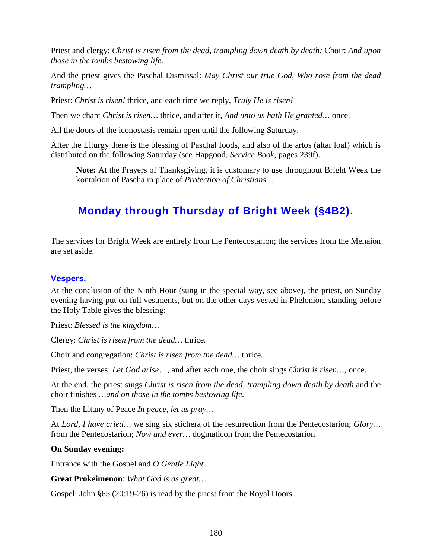Priest and clergy: *Christ is risen from the dead, trampling down death by death:* Choir: *And upon those in the tombs bestowing life.*

And the priest gives the Paschal Dismissal: *May Christ our true God, Who rose from the dead trampling…*

Priest: *Christ is risen!* thrice, and each time we reply, *Truly He is risen!*

Then we chant *Christ is risen…* thrice, and after it, *And unto us hath He granted…* once.

All the doors of the iconostasis remain open until the following Saturday.

After the Liturgy there is the blessing of Paschal foods, and also of the artos (altar loaf) which is distributed on the following Saturday (see Hapgood, *Service Book*, pages 239f).

**Note:** At the Prayers of Thanksgiving, it is customary to use throughout Bright Week the kontakion of Pascha in place of *Protection of Christians…*

## **Monday through Thursday of Bright Week (§4B2).**

The services for Bright Week are entirely from the Pentecostarion; the services from the Menaion are set aside.

## **Vespers.**

At the conclusion of the Ninth Hour (sung in the special way, see above), the priest, on Sunday evening having put on full vestments, but on the other days vested in Phelonion, standing before the Holy Table gives the blessing:

Priest: *Blessed is the kingdom…*

Clergy: *Christ is risen from the dead…* thrice*.*

Choir and congregation: *Christ is risen from the dead…* thrice*.*

Priest, the verses: *Let God arise*…, and after each one, the choir sings *Christ is risen…,* once.

At the end, the priest sings *Christ is risen from the dead, trampling down death by death* and the choir finishes *…and on those in the tombs bestowing life.*

Then the Litany of Peace *In peace, let us pray…*

At *Lord, I have cried…* we sing six stichera of the resurrection from the Pentecostarion; *Glory…*  from the Pentecostarion; *Now and ever…* dogmaticon from the Pentecostarion

#### **On Sunday evening:**

Entrance with the Gospel and *O Gentle Light…*

**Great Prokeimenon**: *What God is as great…*

Gospel: John §65 (20:19-26) is read by the priest from the Royal Doors.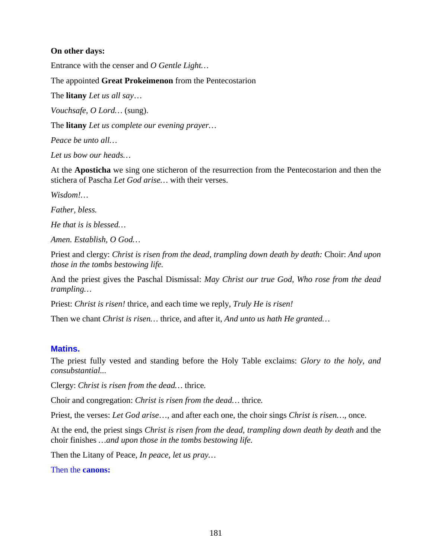### **On other days:**

Entrance with the censer and *O Gentle Light…*

The appointed **Great Prokeimenon** from the Pentecostarion

The **litany** *Let us all say*…

*Vouchsafe, O Lord…* (sung).

The **litany** *Let us complete our evening prayer…*

*Peace be unto all…*

*Let us bow our heads…*

At the **Aposticha** we sing one sticheron of the resurrection from the Pentecostarion and then the stichera of Pascha *Let God arise…* with their verses.

*Wisdom!…*

*Father, bless.*

*He that is is blessed…*

*Amen. Establish, O God…*

Priest and clergy: *Christ is risen from the dead, trampling down death by death:* Choir: *And upon those in the tombs bestowing life.*

And the priest gives the Paschal Dismissal: *May Christ our true God, Who rose from the dead trampling…*

Priest: *Christ is risen!* thrice, and each time we reply, *Truly He is risen!*

Then we chant *Christ is risen…* thrice, and after it, *And unto us hath He granted…*

# **Matins.**

The priest fully vested and standing before the Holy Table exclaims: *Glory to the holy, and consubstantial...*

Clergy: *Christ is risen from the dead…* thrice*.*

Choir and congregation: *Christ is risen from the dead…* thrice*.*

Priest, the verses: *Let God arise*…, and after each one, the choir sings *Christ is risen…,* once.

At the end, the priest sings *Christ is risen from the dead, trampling down death by death* and the choir finishes *…and upon those in the tombs bestowing life.*

Then the Litany of Peace, *In peace, let us pray…*

Then the **canons:**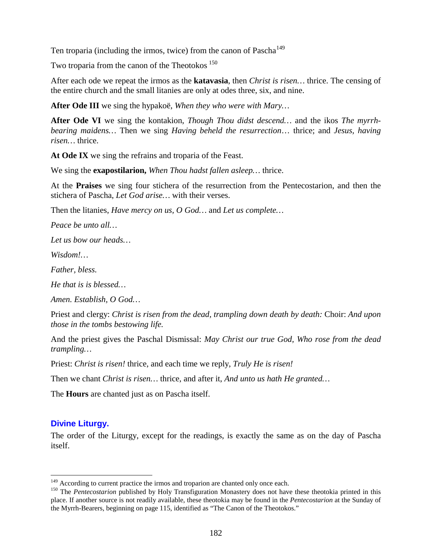Ten troparia (including the irmos, twice) from the canon of  $Pascal<sup>149</sup>$  $Pascal<sup>149</sup>$  $Pascal<sup>149</sup>$ 

Two troparia from the canon of the Theotokos <sup>[150](#page-181-1)</sup>

After each ode we repeat the irmos as the **katavasia**, then *Christ is risen…* thrice. The censing of the entire church and the small litanies are only at odes three, six, and nine.

**After Ode III** we sing the hypakoë, *When they who were with Mary…*

**After Ode VI** we sing the kontakion, *Though Thou didst descend…* and the ikos *The myrrhbearing maidens…* Then we sing *Having beheld the resurrection*… thrice; and *Jesus, having risen…* thrice.

**At Ode IX** we sing the refrains and troparia of the Feast.

We sing the **exapostilarion,** *When Thou hadst fallen asleep…* thrice.

At the **Praises** we sing four stichera of the resurrection from the Pentecostarion, and then the stichera of Pascha, *Let God arise…* with their verses.

Then the litanies, *Have mercy on us, O God…* and *Let us complete…*

*Peace be unto all…*

*Let us bow our heads…*

*Wisdom!…*

*Father, bless.*

*He that is is blessed…*

*Amen. Establish, O God…*

Priest and clergy: *Christ is risen from the dead, trampling down death by death:* Choir: *And upon those in the tombs bestowing life.*

And the priest gives the Paschal Dismissal: *May Christ our true God, Who rose from the dead trampling…*

Priest: *Christ is risen!* thrice, and each time we reply, *Truly He is risen!*

Then we chant *Christ is risen…* thrice, and after it, *And unto us hath He granted…*

The **Hours** are chanted just as on Pascha itself.

# **Divine Liturgy.**

The order of the Liturgy, except for the readings, is exactly the same as on the day of Pascha itself.

<span id="page-181-1"></span><span id="page-181-0"></span><sup>&</sup>lt;sup>149</sup> According to current practice the irmos and troparion are chanted only once each.<br><sup>150</sup> The *Pentecostarion* published by Holy Transfiguration Monastery does not have these theotokia printed in this place. If another source is not readily available, these theotokia may be found in the *Pentecostarion* at the Sunday of the Myrrh-Bearers, beginning on page 115, identified as "The Canon of the Theotokos."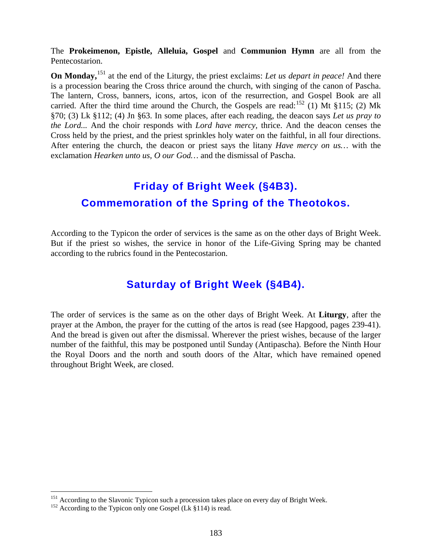The **Prokeimenon, Epistle, Alleluia, Gospel** and **Communion Hymn** are all from the Pentecostarion.

**On Monday,**<sup>[151](#page-182-0)</sup> at the end of the Liturgy, the priest exclaims: Let us depart in peace! And there is a procession bearing the Cross thrice around the church, with singing of the canon of Pascha. The lantern, Cross, banners, icons, artos, icon of the resurrection, and Gospel Book are all carried. After the third time around the Church, the Gospels are read:<sup>[152](#page-182-1)</sup> (1) Mt §115; (2) Mk §70; (3) Lk §112; (4) Jn §63. In some places, after each reading, the deacon says *Let us pray to the Lord...* And the choir responds with *Lord have mercy,* thrice. And the deacon censes the Cross held by the priest, and the priest sprinkles holy water on the faithful, in all four directions. After entering the church, the deacon or priest says the litany *Have mercy on us…* with the exclamation *Hearken unto us, O our God…* and the dismissal of Pascha.

# **Friday of Bright Week (§4B3). Commemoration of the Spring of the Theotokos.**

According to the Typicon the order of services is the same as on the other days of Bright Week. But if the priest so wishes, the service in honor of the Life-Giving Spring may be chanted according to the rubrics found in the Pentecostarion.

# **Saturday of Bright Week (§4B4).**

The order of services is the same as on the other days of Bright Week. At **Liturgy**, after the prayer at the Ambon, the prayer for the cutting of the artos is read (see Hapgood, pages 239-41). And the bread is given out after the dismissal. Wherever the priest wishes, because of the larger number of the faithful, this may be postponed until Sunday (Antipascha). Before the Ninth Hour the Royal Doors and the north and south doors of the Altar, which have remained opened throughout Bright Week, are closed.

<span id="page-182-1"></span><span id="page-182-0"></span><sup>&</sup>lt;sup>151</sup> According to the Slavonic Typicon such a procession takes place on every day of Bright Week. <sup>152</sup> According to the Typicon only one Gospel (Lk §114) is read.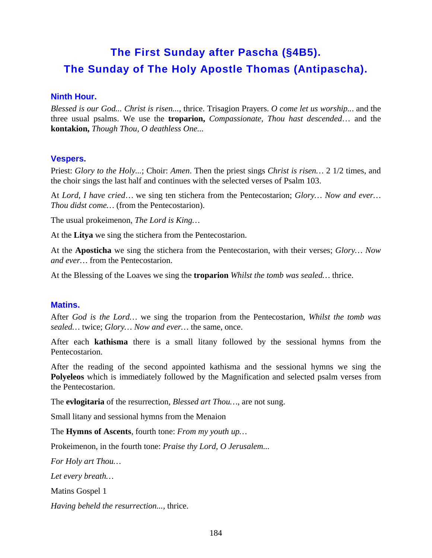# **The First Sunday after Pascha (§4B5). The Sunday of The Holy Apostle Thomas (Antipascha).**

# **Ninth Hour.**

*Blessed is our God... Christ is risen...,* thrice. Trisagion Prayers. *O come let us worship..*. and the three usual psalms. We use the **troparion,** *Compassionate, Thou hast descended*… and the **kontakion,** *Though Thou, O deathless One...*

### **Vespers.**

Priest: *Glory to the Holy...*; Choir: *Amen*. Then the priest sings *Christ is risen…* 2 1/2 times, and the choir sings the last half and continues with the selected verses of Psalm 103.

At *Lord, I have cried*… we sing ten stichera from the Pentecostarion; *Glory… Now and ever… Thou didst come…* (from the Pentecostarion).

The usual prokeimenon, *The Lord is King…*

At the **Litya** we sing the stichera from the Pentecostarion.

At the **Aposticha** we sing the stichera from the Pentecostarion, with their verses; *Glory… Now and ever…* from the Pentecostarion.

At the Blessing of the Loaves we sing the **troparion** *Whilst the tomb was sealed…* thrice.

#### **Matins.**

After *God is the Lord…* we sing the troparion from the Pentecostarion, *Whilst the tomb was sealed…* twice; *Glory… Now and ever…* the same, once.

After each **kathisma** there is a small litany followed by the sessional hymns from the Pentecostarion.

After the reading of the second appointed kathisma and the sessional hymns we sing the **Polyeleos** which is immediately followed by the Magnification and selected psalm verses from the Pentecostarion.

The **evlogitaria** of the resurrection, *Blessed art Thou…*, are not sung.

Small litany and sessional hymns from the Menaion

The **Hymns of Ascents**, fourth tone: *From my youth up…*

Prokeimenon*,* in the fourth tone: *Praise thy Lord, O Jerusalem...*

*For Holy art Thou…*

*Let every breath…*

Matins Gospel 1

*Having beheld the resurrection...,* thrice.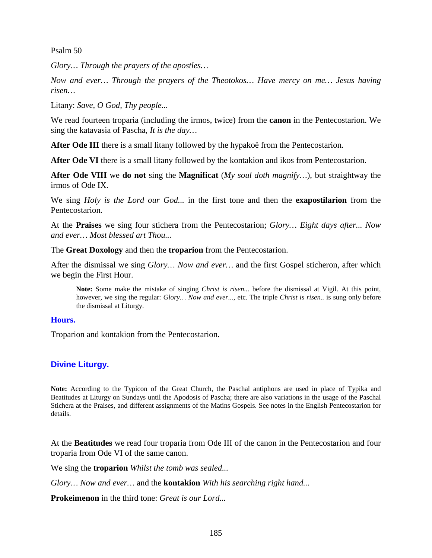Psalm 50

*Glory… Through the prayers of the apostles…*

*Now and ever… Through the prayers of the Theotokos… Have mercy on me… Jesus having risen…*

Litany: *Save, O God, Thy people...*

We read fourteen troparia (including the irmos, twice) from the **canon** in the Pentecostarion. We sing the katavasia of Pascha, *It is the day…*

After Ode III there is a small litany followed by the hypakoë from the Pentecostarion.

After Ode VI there is a small litany followed by the kontakion and ikos from Pentecostarion.

**After Ode VIII** we **do not** sing the **Magnificat** (*My soul doth magnify…*), but straightway the irmos of Ode IX.

We sing *Holy is the Lord our God...* in the first tone and then the **exapostilarion** from the Pentecostarion.

At the **Praises** we sing four stichera from the Pentecostarion; *Glory… Eight days after... Now and ever… Most blessed art Thou...*

The **Great Doxology** and then the **troparion** from the Pentecostarion.

After the dismissal we sing *Glory… Now and ever…* and the first Gospel sticheron, after which we begin the First Hour.

**Note:** Some make the mistake of singing *Christ is risen...* before the dismissal at Vigil. At this point, however, we sing the regular: *Glory… Now and ever...*, etc. The triple *Christ is risen..* is sung only before the dismissal at Liturgy.

#### **Hours.**

Troparion and kontakion from the Pentecostarion.

# **Divine Liturgy.**

**Note:** According to the Typicon of the Great Church, the Paschal antiphons are used in place of Typika and Beatitudes at Liturgy on Sundays until the Apodosis of Pascha; there are also variations in the usage of the Paschal Stichera at the Praises, and different assignments of the Matins Gospels. See notes in the English Pentecostarion for details.

At the **Beatitudes** we read four troparia from Ode III of the canon in the Pentecostarion and four troparia from Ode VI of the same canon.

We sing the **troparion** *Whilst the tomb was sealed...*

*Glory… Now and ever…* and the **kontakion** *With his searching right hand...*

**Prokeimenon** in the third tone: *Great is our Lord...*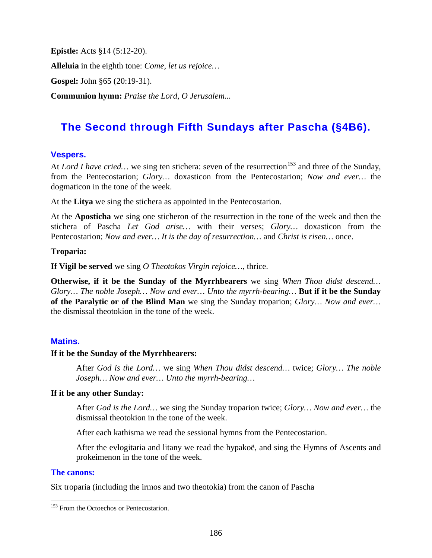**Epistle:** Acts §14 (5:12-20). **Alleluia** in the eighth tone: *Come, let us rejoice…* **Gospel:** John §65 (20:19-31).

**Communion hymn:** *Praise the Lord, O Jerusalem...*

# **The Second through Fifth Sundays after Pascha (§4B6).**

# **Vespers.**

At *Lord I have cried...* we sing ten stichera: seven of the resurrection<sup>[153](#page-185-0)</sup> and three of the Sunday, from the Pentecostarion; *Glory…* doxasticon from the Pentecostarion; *Now and ever…* the dogmaticon in the tone of the week.

At the **Litya** we sing the stichera as appointed in the Pentecostarion.

At the **Aposticha** we sing one sticheron of the resurrection in the tone of the week and then the stichera of Pascha *Let God arise…* with their verses; *Glory…* doxasticon from the Pentecostarion; *Now and ever… It is the day of resurrection…* and *Christ is risen…* once.

# **Troparia:**

**If Vigil be served** we sing *O Theotokos Virgin rejoice…*, thrice.

**Otherwise, if it be the Sunday of the Myrrhbearers** we sing *When Thou didst descend… Glory… The noble Joseph… Now and ever… Unto the myrrh-bearing…* **But if it be the Sunday of the Paralytic or of the Blind Man** we sing the Sunday troparion; *Glory… Now and ever…*  the dismissal theotokion in the tone of the week.

# **Matins.**

#### **If it be the Sunday of the Myrrhbearers:**

After *God is the Lord…* we sing *When Thou didst descend…* twice; *Glory… The noble Joseph… Now and ever… Unto the myrrh-bearing…*

# **If it be any other Sunday:**

After *God is the Lord…* we sing the Sunday troparion twice; *Glory… Now and ever…* the dismissal theotokion in the tone of the week.

After each kathisma we read the sessional hymns from the Pentecostarion.

After the evlogitaria and litany we read the hypakoë, and sing the Hymns of Ascents and prokeimenon in the tone of the week.

# **The canons:**

Six troparia (including the irmos and two theotokia) from the canon of Pascha

<span id="page-185-0"></span><sup>&</sup>lt;sup>153</sup> From the Octoechos or Pentecostarion.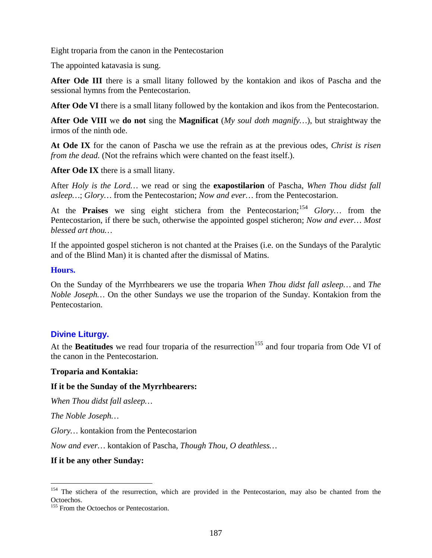Eight troparia from the canon in the Pentecostarion

The appointed katavasia is sung.

**After Ode III** there is a small litany followed by the kontakion and ikos of Pascha and the sessional hymns from the Pentecostarion.

**After Ode VI** there is a small litany followed by the kontakion and ikos from the Pentecostarion.

**After Ode VIII** we **do not** sing the **Magnificat** (*My soul doth magnify…*), but straightway the irmos of the ninth ode.

**At Ode IX** for the canon of Pascha we use the refrain as at the previous odes, *Christ is risen from the dead.* (Not the refrains which were chanted on the feast itself.).

**After Ode IX** there is a small litany.

After *Holy is the Lord…* we read or sing the **exapostilarion** of Pascha, *When Thou didst fall asleep…*; *Glory…* from the Pentecostarion; *Now and ever…* from the Pentecostarion.

At the **Praises** we sing eight stichera from the Pentecostarion;<sup>[154](#page-186-0)</sup> Glory... from the Pentecostarion, if there be such, otherwise the appointed gospel sticheron; *Now and ever… Most blessed art thou…*

If the appointed gospel sticheron is not chanted at the Praises (i.e. on the Sundays of the Paralytic and of the Blind Man) it is chanted after the dismissal of Matins.

#### **Hours.**

On the Sunday of the Myrrhbearers we use the troparia *When Thou didst fall asleep…* and *The Noble Joseph…* On the other Sundays we use the troparion of the Sunday. Kontakion from the Pentecostarion.

# **Divine Liturgy.**

At the **Beatitudes** we read four troparia of the resurrection<sup>[155](#page-186-1)</sup> and four troparia from Ode VI of the canon in the Pentecostarion.

#### **Troparia and Kontakia:**

#### **If it be the Sunday of the Myrrhbearers:**

*When Thou didst fall asleep…*

*The Noble Joseph…*

*Glory…* kontakion from the Pentecostarion

*Now and ever…* kontakion of Pascha, *Though Thou, O deathless…*

#### **If it be any other Sunday:**

<span id="page-186-0"></span><sup>&</sup>lt;sup>154</sup> The stichera of the resurrection, which are provided in the Pentecostarion, may also be chanted from the Octoechos.

<span id="page-186-1"></span><sup>&</sup>lt;sup>155</sup> From the Octoechos or Pentecostarion.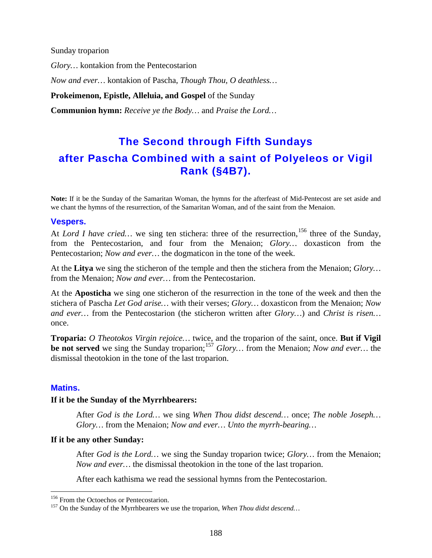Sunday troparion *Glory…* kontakion from the Pentecostarion *Now and ever…* kontakion of Pascha, *Though Thou, O deathless…* **Prokeimenon, Epistle, Alleluia, and Gospel** of the Sunday **Communion hymn:** *Receive ye the Body…* and *Praise the Lord…*

# **The Second through Fifth Sundays after Pascha Combined with a saint of Polyeleos or Vigil Rank (§4B7).**

**Note:** If it be the Sunday of the Samaritan Woman, the hymns for the afterfeast of Mid-Pentecost are set aside and we chant the hymns of the resurrection, of the Samaritan Woman, and of the saint from the Menaion.

#### **Vespers.**

At *Lord I have cried...* we sing ten stichera: three of the resurrection, <sup>[156](#page-187-0)</sup> three of the Sunday, from the Pentecostarion, and four from the Menaion; *Glory…* doxasticon from the Pentecostarion; *Now and ever…* the dogmaticon in the tone of the week.

At the **Litya** we sing the sticheron of the temple and then the stichera from the Menaion; *Glory…* from the Menaion; *Now and ever…* from the Pentecostarion.

At the **Aposticha** we sing one sticheron of the resurrection in the tone of the week and then the stichera of Pascha *Let God arise…* with their verses; *Glory…* doxasticon from the Menaion; *Now and ever…* from the Pentecostarion (the sticheron written after *Glory…*) and *Christ is risen…*  once.

**Troparia:** *O Theotokos Virgin rejoice…* twice, and the troparion of the saint, once. **But if Vigil be not served** we sing the Sunday troparion;<sup>[157](#page-187-1)</sup> *Glory*... from the Menaion; *Now and ever*... the dismissal theotokion in the tone of the last troparion.

#### **Matins.**

#### **If it be the Sunday of the Myrrhbearers:**

After *God is the Lord…* we sing *When Thou didst descend…* once; *The noble Joseph… Glory…* from the Menaion; *Now and ever… Unto the myrrh-bearing…*

#### **If it be any other Sunday:**

After *God is the Lord…* we sing the Sunday troparion twice; *Glory…* from the Menaion; *Now and ever…* the dismissal theotokion in the tone of the last troparion.

After each kathisma we read the sessional hymns from the Pentecostarion.

<span id="page-187-1"></span><span id="page-187-0"></span><sup>&</sup>lt;sup>156</sup> From the Octoechos or Pentecostarion.<br><sup>157</sup> On the Sunday of the Myrrhbearers we use the troparion, *When Thou didst descend*...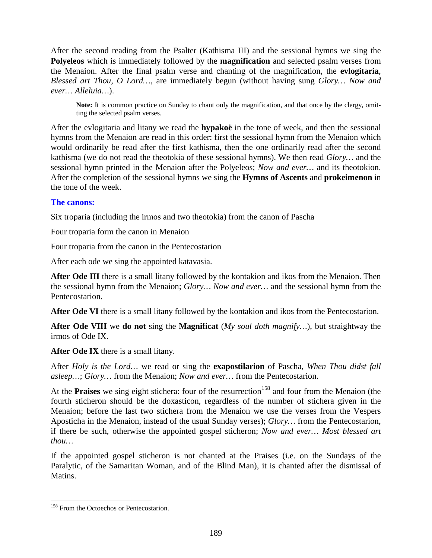After the second reading from the Psalter (Kathisma III) and the sessional hymns we sing the **Polyeleos** which is immediately followed by the **magnification** and selected psalm verses from the Menaion. After the final psalm verse and chanting of the magnification, the **evlogitaria**, *Blessed art Thou, O Lord…,* are immediately begun (without having sung *Glory… Now and ever… Alleluia…*).

Note: It is common practice on Sunday to chant only the magnification, and that once by the clergy, omitting the selected psalm verses.

After the evlogitaria and litany we read the **hypakoë** in the tone of week, and then the sessional hymns from the Menaion are read in this order: first the sessional hymn from the Menaion which would ordinarily be read after the first kathisma, then the one ordinarily read after the second kathisma (we do not read the theotokia of these sessional hymns). We then read *Glory…* and the sessional hymn printed in the Menaion after the Polyeleos; *Now and ever…* and its theotokion. After the completion of the sessional hymns we sing the **Hymns of Ascents** and **prokeimenon** in the tone of the week.

# **The canons:**

Six troparia (including the irmos and two theotokia) from the canon of Pascha

Four troparia form the canon in Menaion

Four troparia from the canon in the Pentecostarion

After each ode we sing the appointed katavasia.

**After Ode III** there is a small litany followed by the kontakion and ikos from the Menaion. Then the sessional hymn from the Menaion; *Glory… Now and ever…* and the sessional hymn from the Pentecostarion.

**After Ode VI** there is a small litany followed by the kontakion and ikos from the Pentecostarion.

**After Ode VIII** we **do not** sing the **Magnificat** (*My soul doth magnify…*), but straightway the irmos of Ode IX.

**After Ode IX** there is a small litany.

After *Holy is the Lord…* we read or sing the **exapostilarion** of Pascha, *When Thou didst fall asleep…*; *Glory…* from the Menaion; *Now and ever…* from the Pentecostarion.

At the **Praises** we sing eight stichera: four of the resurrection<sup>[158](#page-188-0)</sup> and four from the Menaion (the fourth sticheron should be the doxasticon, regardless of the number of stichera given in the Menaion; before the last two stichera from the Menaion we use the verses from the Vespers Aposticha in the Menaion, instead of the usual Sunday verses); *Glory…* from the Pentecostarion, if there be such, otherwise the appointed gospel sticheron; *Now and ever… Most blessed art thou…*

If the appointed gospel sticheron is not chanted at the Praises (i.e. on the Sundays of the Paralytic, of the Samaritan Woman, and of the Blind Man), it is chanted after the dismissal of Matins.

<span id="page-188-0"></span><sup>&</sup>lt;sup>158</sup> From the Octoechos or Pentecostarion.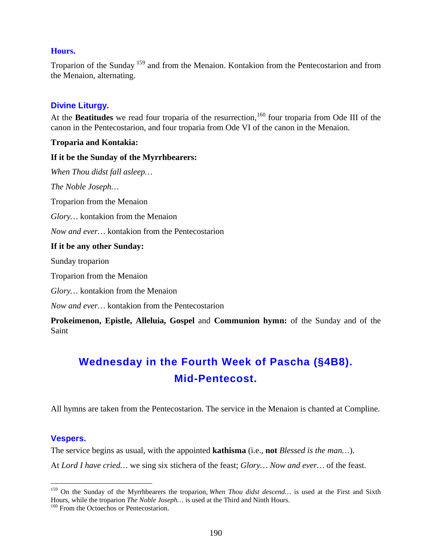#### **Hours.**

Troparion of the Sunday [159](#page-189-0) and from the Menaion. Kontakion from the Pentecostarion and from the Menaion, alternating.

#### **Divine Liturgy.**

At the **Beatitudes** we read four troparia of the resurrection, <sup>[160](#page-189-1)</sup> four troparia from Ode III of the canon in the Pentecostarion, and four troparia from Ode VI of the canon in the Menaion.

#### **Troparia and Kontakia:**

#### **If it be the Sunday of the Myrrhbearers:**

*When Thou didst fall asleep… The Noble Joseph…* Troparion from the Menaion *Glory…* kontakion from the Menaion *Now and ever…* kontakion from the Pentecostarion **If it be any other Sunday:** Sunday troparion Troparion from the Menaion *Glory…* kontakion from the Menaion *Now and ever…* kontakion from the Pentecostarion

**Prokeimenon, Epistle, Alleluia, Gospel** and **Communion hymn:** of the Sunday and of the Saint

# **Wednesday in the Fourth Week of Pascha (§4B8). Mid-Pentecost.**

All hymns are taken from the Pentecostarion. The service in the Menaion is chanted at Compline.

#### **Vespers.**

The service begins as usual, with the appointed **kathisma** (i.e., **not** *Blessed is the man…*). At *Lord I have cried…* we sing six stichera of the feast; *Glory… Now and ever…* of the feast.

<span id="page-189-0"></span><sup>&</sup>lt;sup>159</sup> On the Sunday of the Myrrhbearers the troparion, *When Thou didst descend...* is used at the First and Sixth Hours, while the troparion *The Noble Joseph*... is used at the Third and Ninth Hours. <sup>160</sup> From the Octoechos or Pentecostarion.

<span id="page-189-1"></span>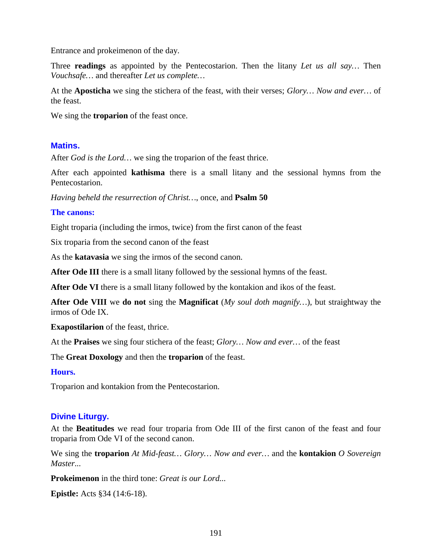Entrance and prokeimenon of the day.

Three **readings** as appointed by the Pentecostarion. Then the litany *Let us all say…* Then *Vouchsafe…* and thereafter *Let us complete…*

At the **Aposticha** we sing the stichera of the feast, with their verses; *Glory… Now and ever…* of the feast.

We sing the **troparion** of the feast once.

#### **Matins.**

After *God is the Lord…* we sing the troparion of the feast thrice.

After each appointed **kathisma** there is a small litany and the sessional hymns from the Pentecostarion.

*Having beheld the resurrection of Christ…*, once, and **Psalm 50**

#### **The canons:**

Eight troparia (including the irmos, twice) from the first canon of the feast

Six troparia from the second canon of the feast

As the **katavasia** we sing the irmos of the second canon.

**After Ode III** there is a small litany followed by the sessional hymns of the feast.

**After Ode VI** there is a small litany followed by the kontakion and ikos of the feast.

**After Ode VIII** we **do not** sing the **Magnificat** (*My soul doth magnify…*), but straightway the irmos of Ode IX.

**Exapostilarion** of the feast, thrice.

At the **Praises** we sing four stichera of the feast; *Glory… Now and ever…* of the feast

The **Great Doxology** and then the **troparion** of the feast.

#### **Hours.**

Troparion and kontakion from the Pentecostarion.

#### **Divine Liturgy.**

At the **Beatitudes** we read four troparia from Ode III of the first canon of the feast and four troparia from Ode VI of the second canon.

We sing the **troparion** *At Mid-feast… Glory… Now and ever…* and the **kontakion** *O Sovereign Master...*

**Prokeimenon** in the third tone: *Great is our Lord...*

**Epistle:** Acts §34 (14:6-18).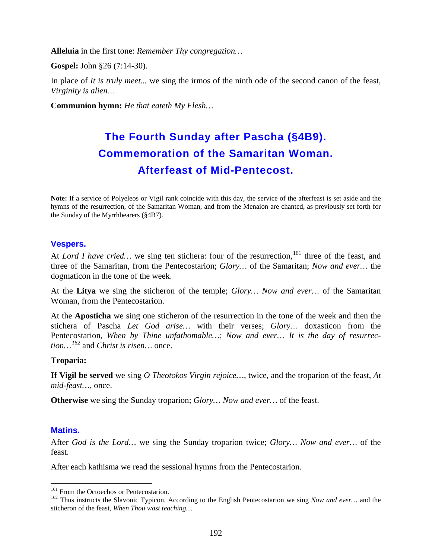**Alleluia** in the first tone: *Remember Thy congregation…*

**Gospel:** John §26 (7:14-30).

In place of *It is truly meet...* we sing the irmos of the ninth ode of the second canon of the feast, *Virginity is alien…*

**Communion hymn:** *He that eateth My Flesh…*

# **The Fourth Sunday after Pascha (§4B9). Commemoration of the Samaritan Woman. Afterfeast of Mid-Pentecost.**

**Note:** If a service of Polyeleos or Vigil rank coincide with this day, the service of the afterfeast is set aside and the hymns of the resurrection, of the Samaritan Woman, and from the Menaion are chanted, as previously set forth for the Sunday of the Myrrhbearers (§4B7).

### **Vespers.**

At *Lord I have cried...* we sing ten stichera: four of the resurrection, <sup>[161](#page-191-0)</sup> three of the feast, and three of the Samaritan, from the Pentecostarion; *Glory…* of the Samaritan; *Now and ever…* the dogmaticon in the tone of the week.

At the **Litya** we sing the sticheron of the temple; *Glory… Now and ever…* of the Samaritan Woman, from the Pentecostarion.

At the **Aposticha** we sing one sticheron of the resurrection in the tone of the week and then the stichera of Pascha *Let God arise…* with their verses; *Glory…* doxasticon from the Pentecostarion, *When by Thine unfathomable…*; *Now and ever… It is the day of resurrection…[162](#page-191-1)* and *Christ is risen…* once.

#### **Troparia:**

**If Vigil be served** we sing *O Theotokos Virgin rejoice…*, twice, and the troparion of the feast, *At mid-feast…*, once.

**Otherwise** we sing the Sunday troparion; *Glory… Now and ever…* of the feast.

#### **Matins.**

After *God is the Lord…* we sing the Sunday troparion twice; *Glory… Now and ever…* of the feast.

After each kathisma we read the sessional hymns from the Pentecostarion.

<span id="page-191-1"></span><span id="page-191-0"></span><sup>&</sup>lt;sup>161</sup> From the Octoechos or Pentecostarion.<br><sup>162</sup> Thus instructs the Slavonic Typicon. According to the English Pentecostarion we sing *Now and ever*… and the sticheron of the feast, *When Thou wast teaching…*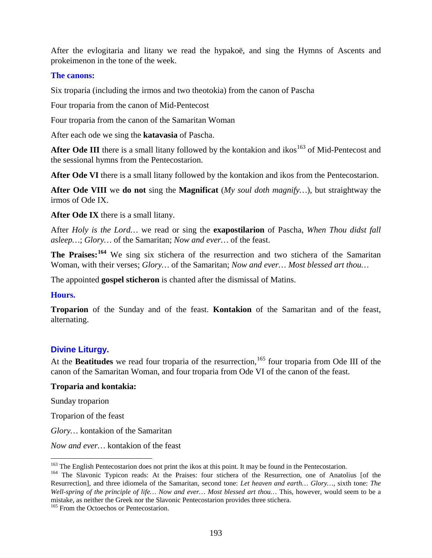After the evlogitaria and litany we read the hypakoë, and sing the Hymns of Ascents and prokeimenon in the tone of the week.

#### **The canons:**

Six troparia (including the irmos and two theotokia) from the canon of Pascha

Four troparia from the canon of Mid-Pentecost

Four troparia from the canon of the Samaritan Woman

After each ode we sing the **katavasia** of Pascha.

After Ode III there is a small litany followed by the kontakion and ikos<sup>[163](#page-192-0)</sup> of Mid-Pentecost and the sessional hymns from the Pentecostarion.

**After Ode VI** there is a small litany followed by the kontakion and ikos from the Pentecostarion.

**After Ode VIII** we **do not** sing the **Magnificat** (*My soul doth magnify…*), but straightway the irmos of Ode IX.

**After Ode IX** there is a small litany.

After *Holy is the Lord…* we read or sing the **exapostilarion** of Pascha, *When Thou didst fall asleep…*; *Glory…* of the Samaritan; *Now and ever…* of the feast.

**The Praises:[164](#page-192-1)** We sing six stichera of the resurrection and two stichera of the Samaritan Woman, with their verses; *Glory…* of the Samaritan; *Now and ever… Most blessed art thou…*

The appointed **gospel sticheron** is chanted after the dismissal of Matins.

#### **Hours.**

**Troparion** of the Sunday and of the feast. **Kontakion** of the Samaritan and of the feast, alternating.

# **Divine Liturgy.**

At the **Beatitudes** we read four troparia of the resurrection, <sup>[165](#page-192-2)</sup> four troparia from Ode III of the canon of the Samaritan Woman, and four troparia from Ode VI of the canon of the feast.

#### **Troparia and kontakia:**

Sunday troparion

Troparion of the feast

*Glory…* kontakion of the Samaritan

*Now and ever…* kontakion of the feast

<span id="page-192-2"></span><sup>165</sup> From the Octoechos or Pentecostarion.

<span id="page-192-1"></span><span id="page-192-0"></span><sup>&</sup>lt;sup>163</sup> The English Pentecostarion does not print the ikos at this point. It may be found in the Pentecostarion.<br><sup>164</sup> The Slavonic Typicon reads: At the Praises: four stichera of the Resurrection, one of Anatolius [of the Resurrection], and three idiomela of the Samaritan, second tone: *Let heaven and earth… Glory…*, sixth tone: *The Well-spring of the principle of life… Now and ever… Most blessed art thou…* This, however, would seem to be a mistake, as neither the Greek nor the Slavonic Pentecostarion provides three stichera.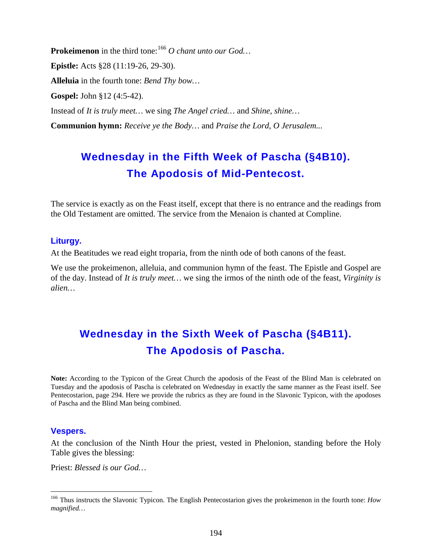Prokeimenon in the third tone:<sup>[166](#page-193-0)</sup> O chant unto our God... **Epistle:** Acts §28 (11:19-26, 29-30). **Alleluia** in the fourth tone: *Bend Thy bow…* **Gospel:** John §12 (4:5-42). Instead of *It is truly meet…* we sing *The Angel cried…* and *Shine, shine…* **Communion hymn:** *Receive ye the Body…* and *Praise the Lord, O Jerusalem...*

# **Wednesday in the Fifth Week of Pascha (§4B10). The Apodosis of Mid-Pentecost.**

The service is exactly as on the Feast itself, except that there is no entrance and the readings from the Old Testament are omitted. The service from the Menaion is chanted at Compline.

#### **Liturgy.**

At the Beatitudes we read eight troparia, from the ninth ode of both canons of the feast.

We use the prokeimenon, alleluia, and communion hymn of the feast. The Epistle and Gospel are of the day. Instead of *It is truly meet…* we sing the irmos of the ninth ode of the feast, *Virginity is alien…*

# **Wednesday in the Sixth Week of Pascha (§4B11). The Apodosis of Pascha.**

**Note:** According to the Typicon of the Great Church the apodosis of the Feast of the Blind Man is celebrated on Tuesday and the apodosis of Pascha is celebrated on Wednesday in exactly the same manner as the Feast itself. See Pentecostarion, page 294. Here we provide the rubrics as they are found in the Slavonic Typicon, with the apodoses of Pascha and the Blind Man being combined.

#### **Vespers.**

At the conclusion of the Ninth Hour the priest, vested in Phelonion, standing before the Holy Table gives the blessing:

Priest: *Blessed is our God…*

<span id="page-193-0"></span> <sup>166</sup> Thus instructs the Slavonic Typicon. The English Pentecostarion gives the prokeimenon in the fourth tone: *How magnified…*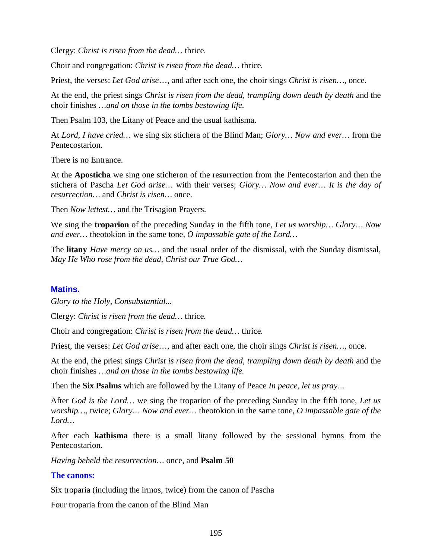Clergy: *Christ is risen from the dead…* thrice*.*

Choir and congregation: *Christ is risen from the dead…* thrice*.*

Priest, the verses: *Let God arise*…, and after each one, the choir sings *Christ is risen…,* once.

At the end, the priest sings *Christ is risen from the dead, trampling down death by death* and the choir finishes *…and on those in the tombs bestowing life.*

Then Psalm 103, the Litany of Peace and the usual kathisma.

At *Lord, I have cried…* we sing six stichera of the Blind Man; *Glory… Now and ever…* from the Pentecostarion.

There is no Entrance.

At the **Aposticha** we sing one sticheron of the resurrection from the Pentecostarion and then the stichera of Pascha *Let God arise…* with their verses; *Glory… Now and ever… It is the day of resurrection…* and *Christ is risen…* once.

Then *Now lettest…* and the Trisagion Prayers.

We sing the **troparion** of the preceding Sunday in the fifth tone, *Let us worship… Glory… Now and ever…* theotokion in the same tone, *O impassable gate of the Lord…*

The **litany** *Have mercy on us…* and the usual order of the dismissal, with the Sunday dismissal, *May He Who rose from the dead, Christ our True God…*

#### **Matins.**

*Glory to the Holy, Consubstantial...*

Clergy: *Christ is risen from the dead…* thrice*.*

Choir and congregation: *Christ is risen from the dead…* thrice*.*

Priest, the verses: *Let God arise*…, and after each one, the choir sings *Christ is risen…,* once.

At the end, the priest sings *Christ is risen from the dead, trampling down death by death* and the choir finishes *…and on those in the tombs bestowing life.*

Then the **Six Psalms** which are followed by the Litany of Peace *In peace, let us pray…*

After *God is the Lord…* we sing the troparion of the preceding Sunday in the fifth tone, *Let us worship…*, twice; *Glory… Now and ever…* theotokion in the same tone, *O impassable gate of the Lord…*

After each **kathisma** there is a small litany followed by the sessional hymns from the Pentecostarion.

*Having beheld the resurrection…* once, and **Psalm 50**

#### **The canons:**

Six troparia (including the irmos, twice) from the canon of Pascha

Four troparia from the canon of the Blind Man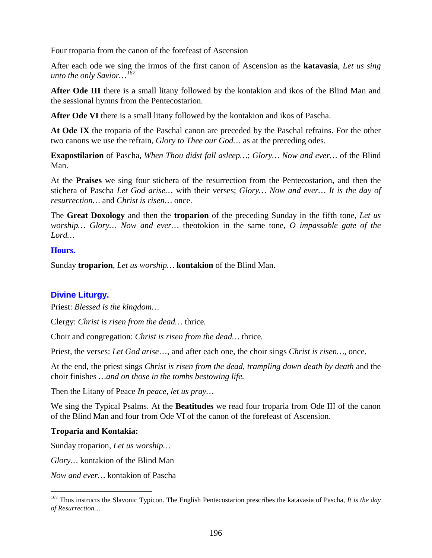Four troparia from the canon of the forefeast of Ascension

After each ode we sing the irmos of the first canon of Ascension as the **katavasia**, *Let us sing unto the only Savior…[167](#page-195-0)*

**After Ode III** there is a small litany followed by the kontakion and ikos of the Blind Man and the sessional hymns from the Pentecostarion.

**After Ode VI** there is a small litany followed by the kontakion and ikos of Pascha.

**At Ode IX** the troparia of the Paschal canon are preceded by the Paschal refrains. For the other two canons we use the refrain, *Glory to Thee our God…* as at the preceding odes.

**Exapostilarion** of Pascha, *When Thou didst fall asleep…*; *Glory… Now and ever…* of the Blind Man.

At the **Praises** we sing four stichera of the resurrection from the Pentecostarion, and then the stichera of Pascha *Let God arise…* with their verses; *Glory… Now and ever… It is the day of resurrection…* and *Christ is risen…* once.

The **Great Doxology** and then the **troparion** of the preceding Sunday in the fifth tone, *Let us worship… Glory… Now and ever…* theotokion in the same tone, *O impassable gate of the Lord…*

#### **Hours.**

Sunday **troparion**, *Let us worship…* **kontakion** of the Blind Man.

#### **Divine Liturgy.**

Priest: *Blessed is the kingdom…*

Clergy: *Christ is risen from the dead…* thrice*.*

Choir and congregation: *Christ is risen from the dead…* thrice*.*

Priest, the verses: *Let God arise*…, and after each one, the choir sings *Christ is risen…,* once.

At the end, the priest sings *Christ is risen from the dead, trampling down death by death* and the choir finishes *…and on those in the tombs bestowing life.*

Then the Litany of Peace *In peace, let us pray…*

We sing the Typical Psalms. At the **Beatitudes** we read four troparia from Ode III of the canon of the Blind Man and four from Ode VI of the canon of the forefeast of Ascension.

#### **Troparia and Kontakia:**

Sunday troparion, *Let us worship…*

*Glory…* kontakion of the Blind Man

*Now and ever…* kontakion of Pascha

<span id="page-195-0"></span> <sup>167</sup> Thus instructs the Slavonic Typicon. The English Pentecostarion prescribes the katavasia of Pascha, *It is the day of Resurrection…*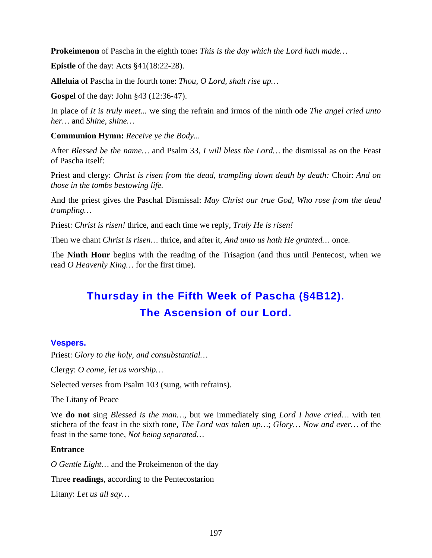**Prokeimenon** of Pascha in the eighth tone**:** *This is the day which the Lord hath made…*

**Epistle** of the day: Acts  $§41(18:22-28)$ .

**Alleluia** of Pascha in the fourth tone: *Thou, O Lord, shalt rise up…*

**Gospel** of the day: John §43 (12:36-47).

In place of *It is truly meet...* we sing the refrain and irmos of the ninth ode *The angel cried unto her…* and *Shine, shine…*

**Communion Hymn:** *Receive ye the Body...*

After *Blessed be the name…* and Psalm 33, *I will bless the Lord…* the dismissal as on the Feast of Pascha itself:

Priest and clergy: *Christ is risen from the dead, trampling down death by death:* Choir: *And on those in the tombs bestowing life.*

And the priest gives the Paschal Dismissal: *May Christ our true God, Who rose from the dead trampling…*

Priest: *Christ is risen!* thrice, and each time we reply, *Truly He is risen!*

Then we chant *Christ is risen…* thrice, and after it, *And unto us hath He granted…* once.

The **Ninth Hour** begins with the reading of the Trisagion (and thus until Pentecost, when we read *O Heavenly King…* for the first time).

# **Thursday in the Fifth Week of Pascha (§4B12). The Ascension of our Lord.**

# **Vespers.**

Priest: *Glory to the holy, and consubstantial…*

Clergy: *O come, let us worship…*

Selected verses from Psalm 103 (sung, with refrains).

The Litany of Peace

We **do not** sing *Blessed is the man…*, but we immediately sing *Lord I have cried…* with ten stichera of the feast in the sixth tone, *The Lord was taken up…*; *Glory… Now and ever…* of the feast in the same tone, *Not being separated…*

# **Entrance**

*O Gentle Light…* and the Prokeimenon of the day

Three **readings**, according to the Pentecostarion

Litany: *Let us all say…*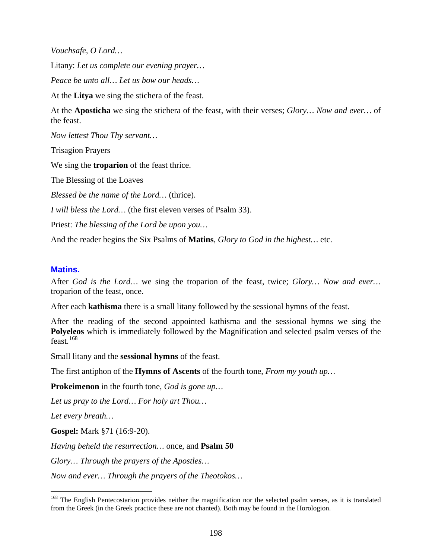*Vouchsafe, O Lord…*

Litany: *Let us complete our evening prayer…*

*Peace be unto all… Let us bow our heads…*

At the **Litya** we sing the stichera of the feast.

At the **Aposticha** we sing the stichera of the feast, with their verses; *Glory… Now and ever…* of the feast.

*Now lettest Thou Thy servant…*

Trisagion Prayers

We sing the **troparion** of the feast thrice.

The Blessing of the Loaves

*Blessed be the name of the Lord…* (thrice).

*I will bless the Lord…* (the first eleven verses of Psalm 33).

Priest: *The blessing of the Lord be upon you…*

And the reader begins the Six Psalms of **Matins**, *Glory to God in the highest…* etc.

#### **Matins.**

After *God is the Lord…* we sing the troparion of the feast, twice; *Glory… Now and ever…*  troparion of the feast, once.

After each **kathisma** there is a small litany followed by the sessional hymns of the feast.

After the reading of the second appointed kathisma and the sessional hymns we sing the **Polyeleos** which is immediately followed by the Magnification and selected psalm verses of the  $f$ east.<sup>[168](#page-197-0)</sup>

Small litany and the **sessional hymns** of the feast.

The first antiphon of the **Hymns of Ascents** of the fourth tone, *From my youth up…*

**Prokeimenon** in the fourth tone, *God is gone up…*

*Let us pray to the Lord… For holy art Thou…*

*Let every breath…*

**Gospel:** Mark §71 (16:9-20).

*Having beheld the resurrection…* once, and **Psalm 50**

*Glory… Through the prayers of the Apostles…*

*Now and ever… Through the prayers of the Theotokos…*

<span id="page-197-0"></span><sup>&</sup>lt;sup>168</sup> The English Pentecostarion provides neither the magnification nor the selected psalm verses, as it is translated from the Greek (in the Greek practice these are not chanted). Both may be found in the Horologion.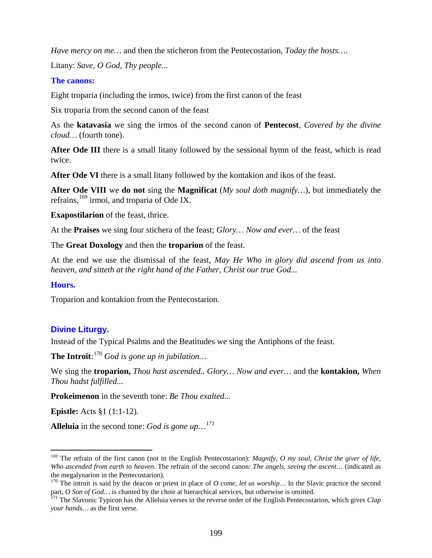*Have mercy on me…* and then the sticheron from the Pentecostarion, *Today the hosts…*.

Litany: *Save, O God, Thy people...*

#### **The canons:**

Eight troparia (including the irmos, twice) from the first canon of the feast

Six troparia from the second canon of the feast

As the **katavasia** we sing the irmos of the second canon of **Pentecost**, *Covered by the divine cloud…* (fourth tone).

After Ode III there is a small litany followed by the sessional hymn of the feast, which is read twice.

**After Ode VI** there is a small litany followed by the kontakion and ikos of the feast.

**After Ode VIII** we **do not** sing the **Magnificat** (*My soul doth magnify…*), but immediately the refrains, <sup>[169](#page-198-0)</sup> irmoi, and troparia of Ode IX.

**Exapostilarion** of the feast, thrice.

At the **Praises** we sing four stichera of the feast; *Glory… Now and ever…* of the feast

The **Great Doxology** and then the **troparion** of the feast.

At the end we use the dismissal of the feast, *May He Who in glory did ascend from us into heaven, and sitteth at the right hand of the Father, Christ our true God...*

#### **Hours.**

Troparion and kontakion from the Pentecostarion.

# **Divine Liturgy.**

Instead of the Typical Psalms and the Beatitudes we sing the Antiphons of the feast.

**The Introit**: [170](#page-198-1) *God is gone up in jubilation…*

We sing the **troparion,** *Thou hast ascended.. Glory… Now and ever…* and the **kontakion,** *When Thou hadst fulfilled...*

**Prokeimenon** in the seventh tone: *Be Thou exalted...*

**Epistle:** Acts §1 (1:1-12).

**Alleluia** in the second tone: *God is gone up…[171](#page-198-2)*

<span id="page-198-0"></span> <sup>169</sup> The refrain of the first canon (not in the English Pentecostarion): *Magnify, O my soul, Christ the giver of life, Who ascended from earth to heaven.* The refrain of the second canon: *The angels, seeing the ascent…* (indicated as the megalynarion in the Pentecostarion).

<span id="page-198-1"></span><sup>&</sup>lt;sup>170</sup> The introit is said by the deacon or priest in place of *O come, let us worship...* In the Slavic practice the second part, O Son of God... is chanted by the choir at hierarchical services, but otherwise is omitted.<br><sup>171</sup> The Slavonic Typicon has the Alleluia verses in the reverse order of the English Pentecostarion, which gives Clap

<span id="page-198-2"></span>*your hands…* as the first verse.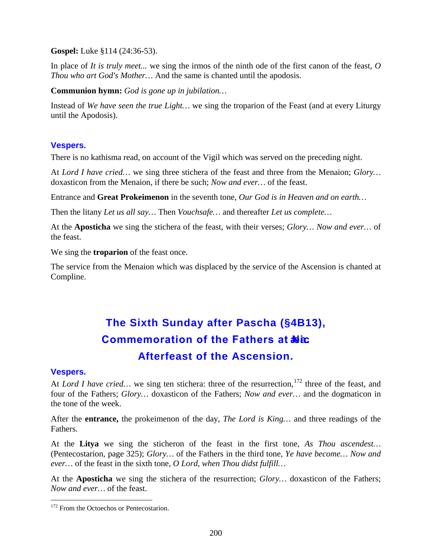**Gospel:** Luke §114 (24:36-53).

In place of *It is truly meet...* we sing the irmos of the ninth ode of the first canon of the feast, *O Thou who art God's Mother…* And the same is chanted until the apodosis.

**Communion hymn:** *God is gone up in jubilation…*

Instead of *We have seen the true Light…* we sing the troparion of the Feast (and at every Liturgy until the Apodosis).

# **Vespers.**

There is no kathisma read, on account of the Vigil which was served on the preceding night.

At *Lord I have cried…* we sing three stichera of the feast and three from the Menaion; *Glory…*  doxasticon from the Menaion, if there be such; *Now and ever…* of the feast.

Entrance and **Great Prokeimenon** in the seventh tone, *Our God is in Heaven and on earth…*

Then the litany *Let us all say…* Then *Vouchsafe…* and thereafter *Let us complete…*

At the **Aposticha** we sing the stichera of the feast, with their verses; *Glory… Now and ever…* of the feast.

We sing the **troparion** of the feast once.

The service from the Menaion which was displaced by the service of the Ascension is chanted at Compline.

# **The Sixth Sunday after Pascha (§4B13), Commemoration of the Fathers at Niα. Afterfeast of the Ascension.**

# **Vespers.**

At *Lord I have cried...* we sing ten stichera: three of the resurrection, <sup>[172](#page-199-0)</sup> three of the feast, and four of the Fathers; *Glory…* doxasticon of the Fathers; *Now and ever…* and the dogmaticon in the tone of the week.

After the **entrance,** the prokeimenon of the day, *The Lord is King…* and three readings of the Fathers.

At the **Litya** we sing the sticheron of the feast in the first tone, *As Thou ascendest…*  (Pentecostarion, page 325); *Glory…* of the Fathers in the third tone, *Ye have become… Now and ever…* of the feast in the sixth tone, *O Lord, when Thou didst fulfill…*

At the **Aposticha** we sing the stichera of the resurrection; *Glory…* doxasticon of the Fathers; *Now and ever…* of the feast.

<span id="page-199-0"></span><sup>&</sup>lt;sup>172</sup> From the Octoechos or Pentecostarion.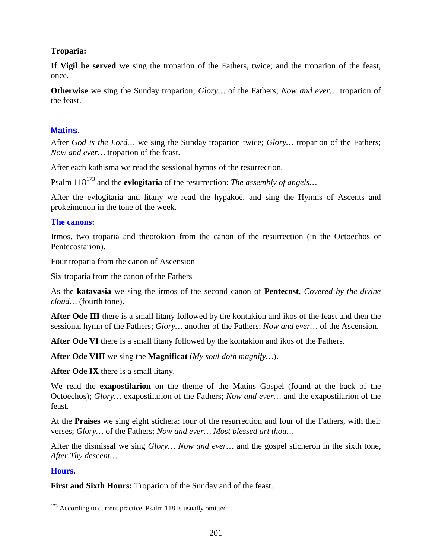### **Troparia:**

**If Vigil be served** we sing the troparion of the Fathers, twice; and the troparion of the feast, once.

**Otherwise** we sing the Sunday troparion; *Glory…* of the Fathers; *Now and ever…* troparion of the feast.

### **Matins.**

After *God is the Lord…* we sing the Sunday troparion twice; *Glory…* troparion of the Fathers; *Now and ever…* troparion of the feast.

After each kathisma we read the sessional hymns of the resurrection.

Psalm 118<sup>[173](#page-200-0)</sup> and the **evlogitaria** of the resurrection: *The assembly of angels*...

After the evlogitaria and litany we read the hypakoë, and sing the Hymns of Ascents and prokeimenon in the tone of the week.

#### **The canons:**

Irmos, two troparia and theotokion from the canon of the resurrection (in the Octoechos or Pentecostarion).

Four troparia from the canon of Ascension

Six troparia from the canon of the Fathers

As the **katavasia** we sing the irmos of the second canon of **Pentecost**, *Covered by the divine cloud…* (fourth tone).

**After Ode III** there is a small litany followed by the kontakion and ikos of the feast and then the sessional hymn of the Fathers; *Glory…* another of the Fathers; *Now and ever…* of the Ascension.

**After Ode VI** there is a small litany followed by the kontakion and ikos of the Fathers.

**After Ode VIII** we sing the **Magnificat** (*My soul doth magnify…*).

**After Ode IX** there is a small litany.

We read the **exapostilarion** on the theme of the Matins Gospel (found at the back of the Octoechos); *Glory…* exapostilarion of the Fathers; *Now and ever…* and the exapostilarion of the feast.

At the **Praises** we sing eight stichera: four of the resurrection and four of the Fathers, with their verses; *Glory…* of the Fathers; *Now and ever… Most blessed art thou…*

After the dismissal we sing *Glory… Now and ever…* and the gospel sticheron in the sixth tone, *After Thy descent…*

#### **Hours.**

**First and Sixth Hours:** Troparion of the Sunday and of the feast.

<span id="page-200-0"></span><sup>&</sup>lt;sup>173</sup> According to current practice, Psalm 118 is usually omitted.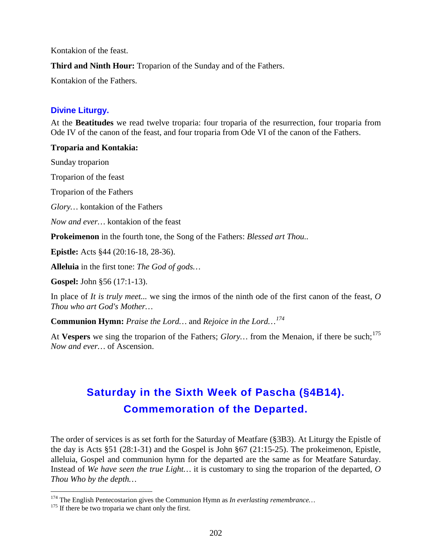Kontakion of the feast.

**Third and Ninth Hour:** Troparion of the Sunday and of the Fathers.

Kontakion of the Fathers.

# **Divine Liturgy.**

At the **Beatitudes** we read twelve troparia: four troparia of the resurrection, four troparia from Ode IV of the canon of the feast, and four troparia from Ode VI of the canon of the Fathers.

#### **Troparia and Kontakia:**

Sunday troparion

Troparion of the feast

Troparion of the Fathers

*Glory…* kontakion of the Fathers

*Now and ever…* kontakion of the feast

**Prokeimenon** in the fourth tone, the Song of the Fathers: *Blessed art Thou..*

**Epistle:** Acts §44 (20:16-18, 28-36).

**Alleluia** in the first tone: *The God of gods…*

**Gospel:** John §56 (17:1-13).

In place of *It is truly meet...* we sing the irmos of the ninth ode of the first canon of the feast, *O Thou who art God's Mother…*

**Communion Hymn:** *Praise the Lord…* and *Rejoice in the Lord…[174](#page-201-0)*

At Vespers we sing the troparion of the Fathers; *Glory*... from the Menaion, if there be such:<sup>[175](#page-201-1)</sup> *Now and ever…* of Ascension.

# **Saturday in the Sixth Week of Pascha (§4B14). Commemoration of the Departed.**

The order of services is as set forth for the Saturday of Meatfare (§3B3). At Liturgy the Epistle of the day is Acts §51 (28:1-31) and the Gospel is John §67 (21:15-25). The prokeimenon, Epistle, alleluia, Gospel and communion hymn for the departed are the same as for Meatfare Saturday. Instead of *We have seen the true Light…* it is customary to sing the troparion of the departed, *O Thou Who by the depth…*

<span id="page-201-1"></span><span id="page-201-0"></span><sup>&</sup>lt;sup>174</sup> The English Pentecostarion gives the Communion Hymn as *In everlasting remembrance*...<sup>175</sup> If there be two troparia we chant only the first.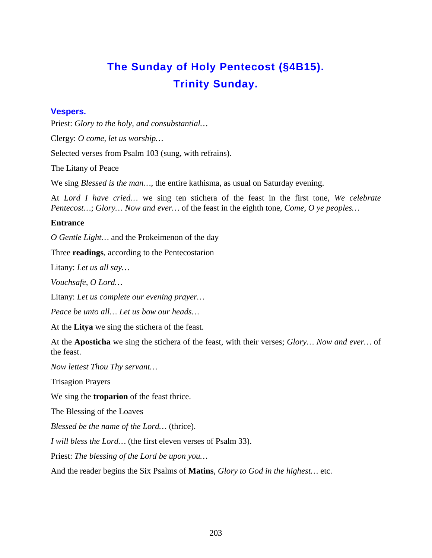# **The Sunday of Holy Pentecost (§4B15). Trinity Sunday.**

### **Vespers.**

Priest: *Glory to the holy, and consubstantial…*

Clergy: *O come, let us worship…*

Selected verses from Psalm 103 (sung, with refrains).

The Litany of Peace

We sing *Blessed is the man…*, the entire kathisma, as usual on Saturday evening.

At *Lord I have cried…* we sing ten stichera of the feast in the first tone, *We celebrate Pentecost…*; *Glory… Now and ever…* of the feast in the eighth tone, *Come, O ye peoples…*

#### **Entrance**

*O Gentle Light…* and the Prokeimenon of the day

Three **readings**, according to the Pentecostarion

Litany: *Let us all say…*

*Vouchsafe, O Lord…*

Litany: *Let us complete our evening prayer…*

*Peace be unto all… Let us bow our heads…*

At the **Litya** we sing the stichera of the feast.

At the **Aposticha** we sing the stichera of the feast, with their verses; *Glory… Now and ever…* of the feast.

*Now lettest Thou Thy servant…*

Trisagion Prayers

We sing the **troparion** of the feast thrice.

The Blessing of the Loaves

*Blessed be the name of the Lord…* (thrice).

*I will bless the Lord…* (the first eleven verses of Psalm 33).

Priest: *The blessing of the Lord be upon you…*

And the reader begins the Six Psalms of **Matins**, *Glory to God in the highest…* etc.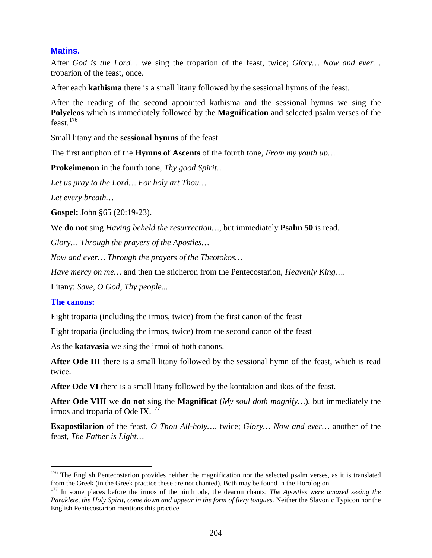### **Matins.**

After *God is the Lord…* we sing the troparion of the feast, twice; *Glory… Now and ever…*  troparion of the feast, once.

After each **kathisma** there is a small litany followed by the sessional hymns of the feast.

After the reading of the second appointed kathisma and the sessional hymns we sing the **Polyeleos** which is immediately followed by the **Magnification** and selected psalm verses of the feast.[176](#page-203-0)

Small litany and the **sessional hymns** of the feast.

The first antiphon of the **Hymns of Ascents** of the fourth tone, *From my youth up…*

**Prokeimenon** in the fourth tone, *Thy good Spirit…*

*Let us pray to the Lord… For holy art Thou…*

*Let every breath…*

**Gospel:** John §65 (20:19-23).

We **do not** sing *Having beheld the resurrection…*, but immediately **Psalm 50** is read.

*Glory… Through the prayers of the Apostles…*

*Now and ever… Through the prayers of the Theotokos…*

*Have mercy on me…* and then the sticheron from the Pentecostarion, *Heavenly King…*.

Litany: *Save, O God, Thy people...*

#### **The canons:**

Eight troparia (including the irmos, twice) from the first canon of the feast

Eight troparia (including the irmos, twice) from the second canon of the feast

As the **katavasia** we sing the irmoi of both canons.

**After Ode III** there is a small litany followed by the sessional hymn of the feast, which is read twice.

**After Ode VI** there is a small litany followed by the kontakion and ikos of the feast.

**After Ode VIII** we **do not** sing the **Magnificat** (*My soul doth magnify…*), but immediately the irmos and troparia of Ode IX. $^{177}$  $^{177}$  $^{177}$ 

**Exapostilarion** of the feast, *O Thou All-holy…*, twice; *Glory… Now and ever…* another of the feast, *The Father is Light…*

<span id="page-203-0"></span> $176$  The English Pentecostarion provides neither the magnification nor the selected psalm verses, as it is translated from the Greek (in the Greek practice these are not chanted). Both may be found in the Horologion.

<span id="page-203-1"></span><sup>177</sup> In some places before the irmos of the ninth ode, the deacon chants: *The Apostles were amazed seeing the Paraklete, the Holy Spirit, come down and appear in the form of fiery tongues.* Neither the Slavonic Typicon nor the English Pentecostarion mentions this practice.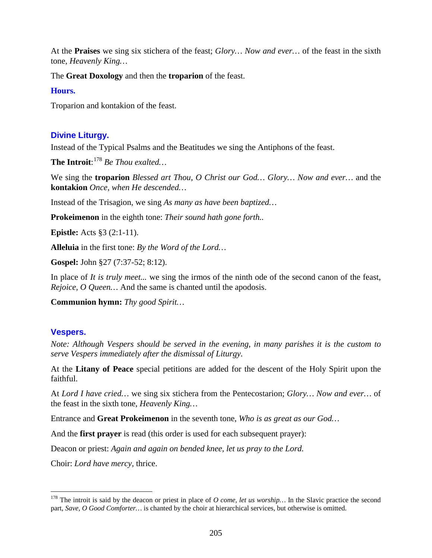At the **Praises** we sing six stichera of the feast; *Glory… Now and ever…* of the feast in the sixth tone, *Heavenly King…*

The **Great Doxology** and then the **troparion** of the feast.

### **Hours.**

Troparion and kontakion of the feast.

# **Divine Liturgy.**

Instead of the Typical Psalms and the Beatitudes we sing the Antiphons of the feast.

**The Introit**: [178](#page-204-0) *Be Thou exalted…*

We sing the **troparion** *Blessed art Thou, O Christ our God… Glory… Now and ever…* and the **kontakion** *Once, when He descended…*

Instead of the Trisagion, we sing *As many as have been baptized…*

**Prokeimenon** in the eighth tone: *Their sound hath gone forth..*

**Epistle:** Acts §3 (2:1-11).

**Alleluia** in the first tone: *By the Word of the Lord…*

**Gospel:** John §27 (7:37-52; 8:12).

In place of *It is truly meet...* we sing the irmos of the ninth ode of the second canon of the feast, *Rejoice, O Queen…* And the same is chanted until the apodosis.

**Communion hymn:** *Thy good Spirit…*

# **Vespers.**

*Note: Although Vespers should be served in the evening, in many parishes it is the custom to serve Vespers immediately after the dismissal of Liturgy.*

At the **Litany of Peace** special petitions are added for the descent of the Holy Spirit upon the faithful.

At *Lord I have cried…* we sing six stichera from the Pentecostarion; *Glory… Now and ever…* of the feast in the sixth tone, *Heavenly King…*

Entrance and **Great Prokeimenon** in the seventh tone, *Who is as great as our God…*

And the **first prayer** is read (this order is used for each subsequent prayer):

Deacon or priest: *Again and again on bended knee, let us pray to the Lord.*

Choir: *Lord have mercy,* thrice.

<span id="page-204-0"></span><sup>&</sup>lt;sup>178</sup> The introit is said by the deacon or priest in place of *O come, let us worship...* In the Slavic practice the second part, *Save, O Good Comforter…* is chanted by the choir at hierarchical services, but otherwise is omitted.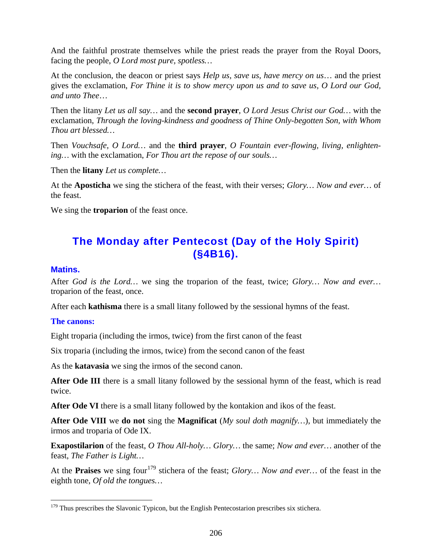And the faithful prostrate themselves while the priest reads the prayer from the Royal Doors, facing the people, *O Lord most pure, spotless…*

At the conclusion, the deacon or priest says *Help us, save us, have mercy on us*… and the priest gives the exclamation, *For Thine it is to show mercy upon us and to save us, O Lord our God, and unto Thee*…

Then the litany *Let us all say…* and the **second prayer**, *O Lord Jesus Christ our God…* with the exclamation, *Through the loving-kindness and goodness of Thine Only-begotten Son, with Whom Thou art blessed…*

Then *Vouchsafe, O Lord…* and the **third prayer**, *O Fountain ever-flowing, living, enlightening…* with the exclamation, *For Thou art the repose of our souls…*

Then the **litany** *Let us complete…*

At the **Aposticha** we sing the stichera of the feast, with their verses; *Glory… Now and ever…* of the feast.

We sing the **troparion** of the feast once.

# **The Monday after Pentecost (Day of the Holy Spirit) (§4B16).**

#### **Matins.**

After *God is the Lord…* we sing the troparion of the feast, twice; *Glory… Now and ever…*  troparion of the feast, once.

After each **kathisma** there is a small litany followed by the sessional hymns of the feast.

#### **The canons:**

Eight troparia (including the irmos, twice) from the first canon of the feast

Six troparia (including the irmos, twice) from the second canon of the feast

As the **katavasia** we sing the irmos of the second canon.

**After Ode III** there is a small litany followed by the sessional hymn of the feast, which is read twice.

**After Ode VI** there is a small litany followed by the kontakion and ikos of the feast.

**After Ode VIII** we **do not** sing the **Magnificat** (*My soul doth magnify…*), but immediately the irmos and troparia of Ode IX.

**Exapostilarion** of the feast, *O Thou All-holy… Glory…* the same; *Now and ever…* another of the feast, *The Father is Light…*

At the **Praises** we sing four<sup>[179](#page-205-0)</sup> stichera of the feast; *Glory... Now and ever...* of the feast in the eighth tone, *Of old the tongues…*

<span id="page-205-0"></span><sup>&</sup>lt;sup>179</sup> Thus prescribes the Slavonic Typicon, but the English Pentecostarion prescribes six stichera.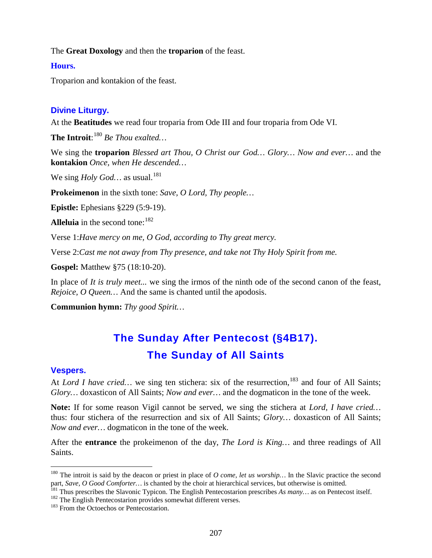The **Great Doxology** and then the **troparion** of the feast.

#### **Hours.**

Troparion and kontakion of the feast.

### **Divine Liturgy.**

At the **Beatitudes** we read four troparia from Ode III and four troparia from Ode VI.

**The Introit**: [180](#page-206-0) *Be Thou exalted…*

We sing the **troparion** *Blessed art Thou, O Christ our God… Glory… Now and ever…* and the **kontakion** *Once, when He descended…*

We sing *Holy God*... as usual.<sup>[181](#page-206-1)</sup>

**Prokeimenon** in the sixth tone: *Save, O Lord, Thy people…*

**Epistle:** Ephesians §229 (5:9-19).

**Alleluia** in the second tone: <sup>[182](#page-206-2)</sup>

Verse 1:*Have mercy on me, O God, according to Thy great mercy.*

Verse 2:*Cast me not away from Thy presence, and take not Thy Holy Spirit from me.*

**Gospel:** Matthew §75 (18:10-20).

In place of *It is truly meet...* we sing the irmos of the ninth ode of the second canon of the feast, *Rejoice, O Queen…* And the same is chanted until the apodosis.

**Communion hymn:** *Thy good Spirit…*

# **The Sunday After Pentecost (§4B17). The Sunday of All Saints**

#### **Vespers.**

At *Lord I have cried...* we sing ten stichera: six of the resurrection,<sup>[183](#page-206-3)</sup> and four of All Saints; *Glory…* doxasticon of All Saints; *Now and ever…* and the dogmaticon in the tone of the week.

**Note:** If for some reason Vigil cannot be served, we sing the stichera at *Lord, I have cried…*  thus: four stichera of the resurrection and six of All Saints; *Glory…* doxasticon of All Saints; *Now and ever…* dogmaticon in the tone of the week.

After the **entrance** the prokeimenon of the day, *The Lord is King…* and three readings of All Saints.

<span id="page-206-0"></span><sup>&</sup>lt;sup>180</sup> The introit is said by the deacon or priest in place of *O come, let us worship*... In the Slavic practice the second part, *Save, O Good Comforter*... is chanted by the choir at hierarchical services, but otherwise

<span id="page-206-1"></span><sup>&</sup>lt;sup>181</sup> Thus prescribes the Slavonic Typicon. The English Pentecostarion prescribes *As many*... as on Pentecost itself.<br><sup>182</sup> The English Pentecostarion provides somewhat different verses.<br><sup>183</sup> From the Octoechos or Pente

<span id="page-206-2"></span>

<span id="page-206-3"></span>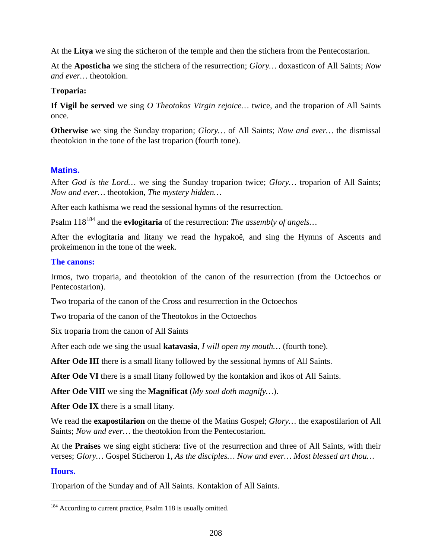At the **Litya** we sing the sticheron of the temple and then the stichera from the Pentecostarion.

At the **Aposticha** we sing the stichera of the resurrection; *Glory…* doxasticon of All Saints; *Now and ever…* theotokion.

### **Troparia:**

**If Vigil be served** we sing *O Theotokos Virgin rejoice…* twice, and the troparion of All Saints once.

**Otherwise** we sing the Sunday troparion; *Glory…* of All Saints; *Now and ever…* the dismissal theotokion in the tone of the last troparion (fourth tone).

# **Matins.**

After *God is the Lord…* we sing the Sunday troparion twice; *Glory…* troparion of All Saints; *Now and ever…* theotokion, *The mystery hidden…*

After each kathisma we read the sessional hymns of the resurrection.

Psalm 118<sup>[184](#page-207-0)</sup> and the **evlogitaria** of the resurrection: *The assembly of angels*...

After the evlogitaria and litany we read the hypakoë, and sing the Hymns of Ascents and prokeimenon in the tone of the week.

#### **The canons:**

Irmos, two troparia, and theotokion of the canon of the resurrection (from the Octoechos or Pentecostarion).

Two troparia of the canon of the Cross and resurrection in the Octoechos

Two troparia of the canon of the Theotokos in the Octoechos

Six troparia from the canon of All Saints

After each ode we sing the usual **katavasia**, *I will open my mouth…* (fourth tone).

**After Ode III** there is a small litany followed by the sessional hymns of All Saints.

**After Ode VI** there is a small litany followed by the kontakion and ikos of All Saints.

**After Ode VIII** we sing the **Magnificat** (*My soul doth magnify…*).

**After Ode IX** there is a small litany.

We read the **exapostilarion** on the theme of the Matins Gospel; *Glory…* the exapostilarion of All Saints; *Now and ever…* the theotokion from the Pentecostarion.

At the **Praises** we sing eight stichera: five of the resurrection and three of All Saints, with their verses; *Glory…* Gospel Sticheron 1, *As the disciples… Now and ever… Most blessed art thou…*

#### **Hours.**

Troparion of the Sunday and of All Saints. Kontakion of All Saints.

<span id="page-207-0"></span><sup>&</sup>lt;sup>184</sup> According to current practice, Psalm 118 is usually omitted.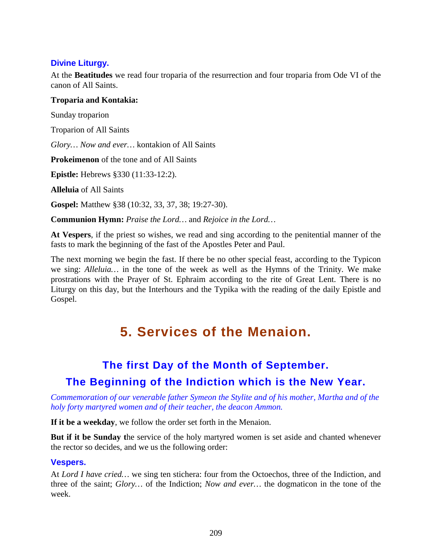# **Divine Liturgy.**

At the **Beatitudes** we read four troparia of the resurrection and four troparia from Ode VI of the canon of All Saints.

### **Troparia and Kontakia:**

Sunday troparion

Troparion of All Saints

*Glory… Now and ever…* kontakion of All Saints

**Prokeimenon** of the tone and of All Saints

**Epistle:** Hebrews §330 (11:33-12:2).

**Alleluia** of All Saints

**Gospel:** Matthew §38 (10:32, 33, 37, 38; 19:27-30).

**Communion Hymn:** *Praise the Lord…* and *Rejoice in the Lord…*

**At Vespers**, if the priest so wishes, we read and sing according to the penitential manner of the fasts to mark the beginning of the fast of the Apostles Peter and Paul.

The next morning we begin the fast. If there be no other special feast, according to the Typicon we sing: *Alleluia…* in the tone of the week as well as the Hymns of the Trinity. We make prostrations with the Prayer of St. Ephraim according to the rite of Great Lent. There is no Liturgy on this day, but the Interhours and the Typika with the reading of the daily Epistle and Gospel.

# **5. Services of the Menaion.**

# **The first Day of the Month of September. The Beginning of the Indiction which is the New Year.**

*Commemoration of our venerable father Symeon the Stylite and of his mother, Martha and of the holy forty martyred women and of their teacher, the deacon Ammon.*

**If it be a weekday**, we follow the order set forth in the Menaion.

**But if it be Sunday t**he service of the holy martyred women is set aside and chanted whenever the rector so decides, and we us the following order:

# **Vespers.**

At *Lord I have cried…* we sing ten stichera: four from the Octoechos, three of the Indiction, and three of the saint; *Glory…* of the Indiction; *Now and ever…* the dogmaticon in the tone of the week.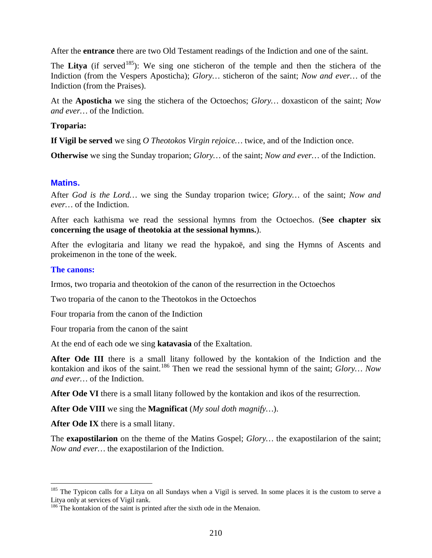After the **entrance** there are two Old Testament readings of the Indiction and one of the saint.

The Litya (if served<sup>[185](#page-209-0)</sup>): We sing one sticheron of the temple and then the stichera of the Indiction (from the Vespers Aposticha); *Glory…* sticheron of the saint; *Now and ever…* of the Indiction (from the Praises).

At the **Aposticha** we sing the stichera of the Octoechos; *Glory…* doxasticon of the saint; *Now and ever…* of the Indiction.

### **Troparia:**

**If Vigil be served** we sing *O Theotokos Virgin rejoice…* twice, and of the Indiction once.

**Otherwise** we sing the Sunday troparion; *Glory…* of the saint; *Now and ever…* of the Indiction.

### **Matins.**

After *God is the Lord…* we sing the Sunday troparion twice; *Glory…* of the saint; *Now and ever…* of the Indiction.

After each kathisma we read the sessional hymns from the Octoechos. (**See chapter six concerning the usage of theotokia at the sessional hymns.**).

After the evlogitaria and litany we read the hypakoë, and sing the Hymns of Ascents and prokeimenon in the tone of the week.

### **The canons:**

Irmos, two troparia and theotokion of the canon of the resurrection in the Octoechos

Two troparia of the canon to the Theotokos in the Octoechos

Four troparia from the canon of the Indiction

Four troparia from the canon of the saint

At the end of each ode we sing **katavasia** of the Exaltation.

**After Ode III** there is a small litany followed by the kontakion of the Indiction and the kontakion and ikos of the saint.[186](#page-209-1) Then we read the sessional hymn of the saint; *Glory… Now and ever…* of the Indiction.

After Ode VI there is a small litany followed by the kontakion and ikos of the resurrection.

**After Ode VIII** we sing the **Magnificat** (*My soul doth magnify…*).

**After Ode IX** there is a small litany.

The **exapostilarion** on the theme of the Matins Gospel; *Glory…* the exapostilarion of the saint; *Now and ever…* the exapostilarion of the Indiction.

<span id="page-209-0"></span><sup>&</sup>lt;sup>185</sup> The Typicon calls for a Litya on all Sundays when a Vigil is served. In some places it is the custom to serve a Litya only at services of Vigil rank.

<span id="page-209-1"></span><sup>&</sup>lt;sup>186</sup> The kontakion of the saint is printed after the sixth ode in the Menaion.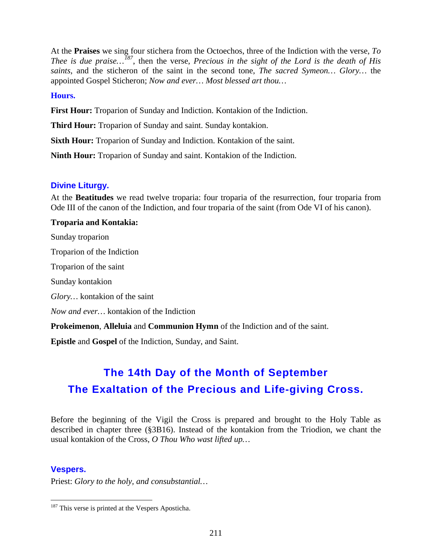At the **Praises** we sing four stichera from the Octoechos, three of the Indiction with the verse, *To Thee is due praise…[187](#page-210-0)* , then the verse, *Precious in the sight of the Lord is the death of His saints*, and the sticheron of the saint in the second tone, *The sacred Symeon… Glory…* the appointed Gospel Sticheron; *Now and ever… Most blessed art thou…*

#### **Hours.**

**First Hour:** Troparion of Sunday and Indiction. Kontakion of the Indiction.

**Third Hour:** Troparion of Sunday and saint. Sunday kontakion.

**Sixth Hour:** Troparion of Sunday and Indiction. Kontakion of the saint.

**Ninth Hour:** Troparion of Sunday and saint. Kontakion of the Indiction.

# **Divine Liturgy.**

At the **Beatitudes** we read twelve troparia: four troparia of the resurrection, four troparia from Ode III of the canon of the Indiction, and four troparia of the saint (from Ode VI of his canon).

### **Troparia and Kontakia:**

Sunday troparion Troparion of the Indiction Troparion of the saint Sunday kontakion *Glory…* kontakion of the saint *Now and ever…* kontakion of the Indiction **Prokeimenon**, **Alleluia** and **Communion Hymn** of the Indiction and of the saint.

**Epistle** and **Gospel** of the Indiction, Sunday, and Saint.

# **The 14th Day of the Month of September The Exaltation of the Precious and Life-giving Cross.**

Before the beginning of the Vigil the Cross is prepared and brought to the Holy Table as described in chapter three (§3B16). Instead of the kontakion from the Triodion, we chant the usual kontakion of the Cross, *O Thou Who wast lifted up…*

# **Vespers.**

Priest: *Glory to the holy, and consubstantial…*

<span id="page-210-0"></span><sup>&</sup>lt;sup>187</sup> This verse is printed at the Vespers Aposticha.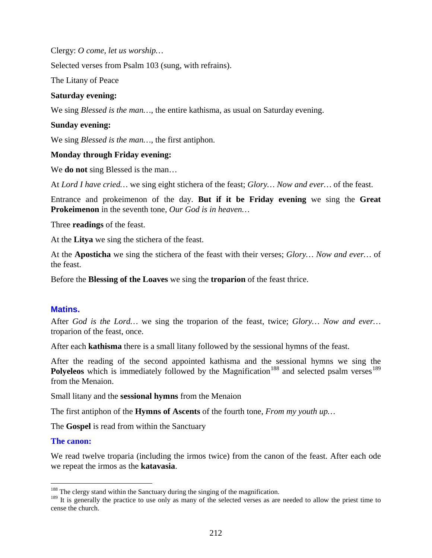Clergy: *O come, let us worship…*

Selected verses from Psalm 103 (sung, with refrains).

The Litany of Peace

#### **Saturday evening:**

We sing *Blessed is the man…*, the entire kathisma, as usual on Saturday evening.

#### **Sunday evening:**

We sing *Blessed is the man…*, the first antiphon.

#### **Monday through Friday evening:**

We **do not** sing Blessed is the man…

At *Lord I have cried…* we sing eight stichera of the feast; *Glory… Now and ever…* of the feast.

Entrance and prokeimenon of the day. **But if it be Friday evening** we sing the **Great Prokeimenon** in the seventh tone, *Our God is in heaven…*

Three **readings** of the feast.

At the **Litya** we sing the stichera of the feast.

At the **Aposticha** we sing the stichera of the feast with their verses; *Glory… Now and ever…* of the feast.

Before the **Blessing of the Loaves** we sing the **troparion** of the feast thrice.

#### **Matins.**

After *God is the Lord…* we sing the troparion of the feast, twice; *Glory… Now and ever…*  troparion of the feast, once.

After each **kathisma** there is a small litany followed by the sessional hymns of the feast.

After the reading of the second appointed kathisma and the sessional hymns we sing the **Polyeleos** which is immediately followed by the Magnification<sup>[188](#page-211-0)</sup> and selected psalm verses<sup>[189](#page-211-1)</sup> from the Menaion.

Small litany and the **sessional hymns** from the Menaion

The first antiphon of the **Hymns of Ascents** of the fourth tone, *From my youth up…*

The **Gospel** is read from within the Sanctuary

#### **The canon:**

We read twelve troparia (including the irmos twice) from the canon of the feast. After each ode we repeat the irmos as the **katavasia**.

<span id="page-211-0"></span><sup>&</sup>lt;sup>188</sup> The clergy stand within the Sanctuary during the singing of the magnification.

<span id="page-211-1"></span><sup>&</sup>lt;sup>189</sup> It is generally the practice to use only as many of the selected verses as are needed to allow the priest time to cense the church.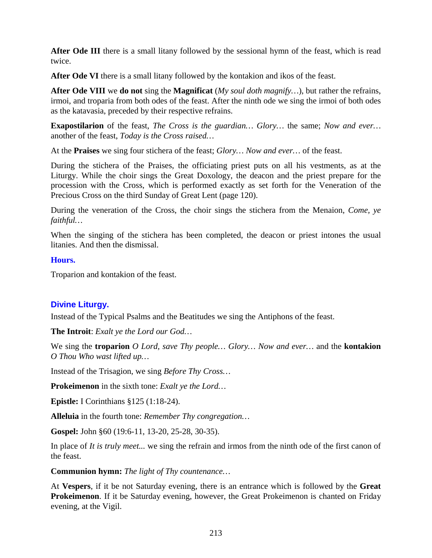After Ode III there is a small litany followed by the sessional hymn of the feast, which is read twice.

**After Ode VI** there is a small litany followed by the kontakion and ikos of the feast.

**After Ode VIII** we **do not** sing the **Magnificat** (*My soul doth magnify…*), but rather the refrains, irmoi, and troparia from both odes of the feast. After the ninth ode we sing the irmoi of both odes as the katavasia, preceded by their respective refrains.

**Exapostilarion** of the feast, *The Cross is the guardian… Glory…* the same; *Now and ever…* another of the feast, *Today is the Cross raised…*

At the **Praises** we sing four stichera of the feast; *Glory… Now and ever…* of the feast.

During the stichera of the Praises, the officiating priest puts on all his vestments, as at the Liturgy. While the choir sings the Great Doxology, the deacon and the priest prepare for the procession with the Cross, which is performed exactly as set forth for the Veneration of the Precious Cross on the third Sunday of Great Lent (page 120).

During the veneration of the Cross, the choir sings the stichera from the Menaion, *Come, ye faithful…*

When the singing of the stichera has been completed, the deacon or priest intones the usual litanies. And then the dismissal.

#### **Hours.**

Troparion and kontakion of the feast.

# **Divine Liturgy.**

Instead of the Typical Psalms and the Beatitudes we sing the Antiphons of the feast.

**The Introit**: *Exalt ye the Lord our God…*

We sing the **troparion** *O Lord, save Thy people… Glory… Now and ever…* and the **kontakion** *O Thou Who wast lifted up…*

Instead of the Trisagion, we sing *Before Thy Cross…*

**Prokeimenon** in the sixth tone: *Exalt ye the Lord…*

**Epistle:** I Corinthians §125 (1:18-24).

**Alleluia** in the fourth tone: *Remember Thy congregation…*

**Gospel:** John §60 (19:6-11, 13-20, 25-28, 30-35).

In place of *It is truly meet...* we sing the refrain and irmos from the ninth ode of the first canon of the feast.

**Communion hymn:** *The light of Thy countenance…*

At **Vespers**, if it be not Saturday evening, there is an entrance which is followed by the **Great Prokeimenon**. If it be Saturday evening, however, the Great Prokeimenon is chanted on Friday evening, at the Vigil.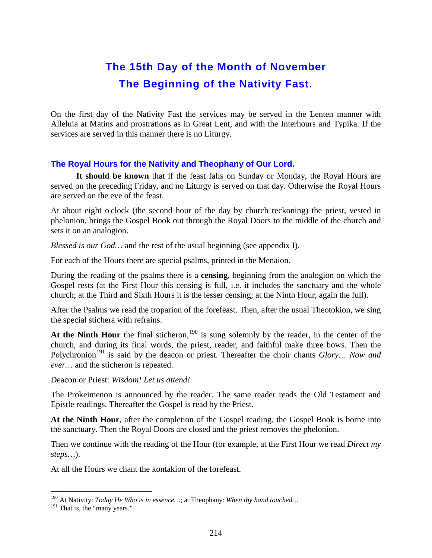# **The 15th Day of the Month of November The Beginning of the Nativity Fast.**

On the first day of the Nativity Fast the services may be served in the Lenten manner with Alleluia at Matins and prostrations as in Great Lent, and with the Interhours and Typika. If the services are served in this manner there is no Liturgy.

# **The Royal Hours for the Nativity and Theophany of Our Lord.**

**It should be known** that if the feast falls on Sunday or Monday, the Royal Hours are served on the preceding Friday, and no Liturgy is served on that day. Otherwise the Royal Hours are served on the eve of the feast.

At about eight o'clock (the second hour of the day by church reckoning) the priest, vested in phelonion, brings the Gospel Book out through the Royal Doors to the middle of the church and sets it on an analogion.

*Blessed is our God…* and the rest of the usual beginning (see appendix I).

For each of the Hours there are special psalms, printed in the Menaion.

During the reading of the psalms there is a **censing**, beginning from the analogion on which the Gospel rests (at the First Hour this censing is full, i.e. it includes the sanctuary and the whole church; at the Third and Sixth Hours it is the lesser censing; at the Ninth Hour, again the full).

After the Psalms we read the troparion of the forefeast. Then, after the usual Theotokion, we sing the special stichera with refrains.

At the Ninth Hour the final sticheron,<sup>[190](#page-213-0)</sup> is sung solemnly by the reader, in the center of the church, and during its final words, the priest, reader, and faithful make three bows. Then the Polychronion<sup>[191](#page-213-1)</sup> is said by the deacon or priest. Thereafter the choir chants *Glory*... Now and *ever…* and the sticheron is repeated.

Deacon or Priest: *Wisdom! Let us attend!*

The Prokeimenon is announced by the reader. The same reader reads the Old Testament and Epistle readings. Thereafter the Gospel is read by the Priest.

**At the Ninth Hour**, after the completion of the Gospel reading, the Gospel Book is borne into the sanctuary. Then the Royal Doors are closed and the priest removes the phelonion.

Then we continue with the reading of the Hour (for example, at the First Hour we read *Direct my steps…*).

At all the Hours we chant the kontakion of the forefeast.

<span id="page-213-0"></span> <sup>190</sup> At Nativity: *Today He Who is in essence…*; at Theophany: *When thy hand touched…*

<span id="page-213-1"></span><sup>&</sup>lt;sup>191</sup> That is, the "many years."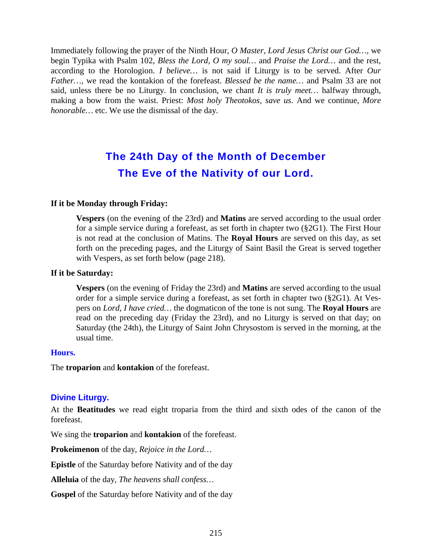Immediately following the prayer of the Ninth Hour, *O Master, Lord Jesus Christ our God…,* we begin Typika with Psalm 102, *Bless the Lord, O my soul…* and *Praise the Lord…* and the rest, according to the Horologion. *I believe…* is not said if Liturgy is to be served. After *Our Father…,* we read the kontakion of the forefeast. *Blessed be the name…* and Psalm 33 are not said, unless there be no Liturgy. In conclusion, we chant *It is truly meet…* halfway through, making a bow from the waist. Priest: *Most holy Theotokos, save us.* And we continue, *More honorable…* etc. We use the dismissal of the day.

# **The 24th Day of the Month of December The Eve of the Nativity of our Lord.**

#### **If it be Monday through Friday:**

**Vespers** (on the evening of the 23rd) and **Matins** are served according to the usual order for a simple service during a forefeast, as set forth in chapter two (§2G1). The First Hour is not read at the conclusion of Matins. The **Royal Hours** are served on this day, as set forth on the preceding pages, and the Liturgy of Saint Basil the Great is served together with Vespers, as set forth below (page 218).

#### **If it be Saturday:**

**Vespers** (on the evening of Friday the 23rd) and **Matins** are served according to the usual order for a simple service during a forefeast, as set forth in chapter two (§2G1). At Vespers on *Lord, I have cried…* the dogmaticon of the tone is not sung. The **Royal Hours** are read on the preceding day (Friday the 23rd), and no Liturgy is served on that day; on Saturday (the 24th), the Liturgy of Saint John Chrysostom is served in the morning, at the usual time.

#### **Hours.**

The **troparion** and **kontakion** of the forefeast.

#### **Divine Liturgy.**

At the **Beatitudes** we read eight troparia from the third and sixth odes of the canon of the forefeast.

We sing the **troparion** and **kontakion** of the forefeast.

**Prokeimenon** of the day, *Rejoice in the Lord…*

**Epistle** of the Saturday before Nativity and of the day

**Alleluia** of the day, *The heavens shall confess…*

**Gospel** of the Saturday before Nativity and of the day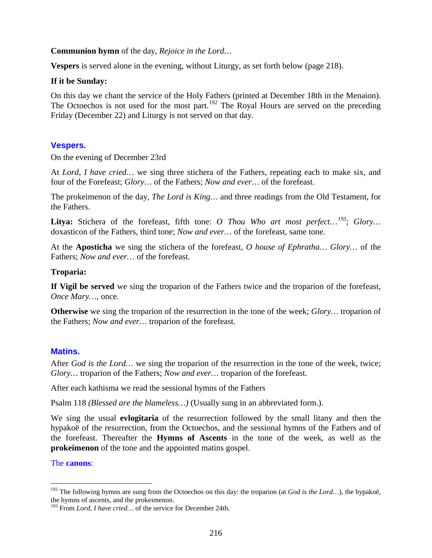**Communion hymn** of the day, *Rejoice in the Lord…*

**Vespers** is served alone in the evening, without Liturgy, as set forth below (page 218).

#### **If it be Sunday:**

On this day we chant the service of the Holy Fathers (printed at December 18th in the Menaion). The Octoechos is not used for the most part.<sup>[192](#page-215-0)</sup> The Royal Hours are served on the preceding Friday (December 22) and Liturgy is not served on that day.

# **Vespers.**

On the evening of December 23rd

At *Lord, I have cried…* we sing three stichera of the Fathers, repeating each to make six, and four of the Forefeast; *Glory…* of the Fathers; *Now and ever…* of the forefeast.

The prokeimenon of the day, *The Lord is King…* and three readings from the Old Testament, for the Fathers.

**Litya:** Stichera of the forefeast, fifth tone: *O Thou Who art most perfect…[193](#page-215-1)* ; *Glory…*  doxasticon of the Fathers, third tone; *Now and ever…* of the forefeast, same tone.

At the **Aposticha** we sing the stichera of the forefeast, *O house of Ephratha… Glory…* of the Fathers; *Now and ever…* of the forefeast.

### **Troparia:**

**If Vigil be served** we sing the troparion of the Fathers twice and the troparion of the forefeast, *Once Mary…*, once.

**Otherwise** we sing the troparion of the resurrection in the tone of the week; *Glory…* troparion of the Fathers; *Now and ever…* troparion of the forefeast.

# **Matins.**

After *God is the Lord…* we sing the troparion of the resurrection in the tone of the week, twice; *Glory…* troparion of the Fathers; *Now and ever…* troparion of the forefeast.

After each kathisma we read the sessional hymns of the Fathers

Psalm 118 *(Blessed are the blameless…)* (Usually sung in an abbreviated form.).

We sing the usual **evlogitaria** of the resurrection followed by the small litany and then the hypakoë of the resurrection, from the Octoechos, and the sessional hymns of the Fathers and of the forefeast. Thereafter the **Hymns of Ascents** in the tone of the week, as well as the **prokeimenon** of the tone and the appointed matins gospel.

#### The **canons**:

<span id="page-215-0"></span><sup>&</sup>lt;sup>192</sup> The following hymns are sung from the Octoechos on this day: the troparion (at *God is the Lord*...), the hypakoë, the hymns of ascents, and the prokeimenon.

<span id="page-215-1"></span><sup>193</sup> From *Lord, I have cried…* of the service for December 24th.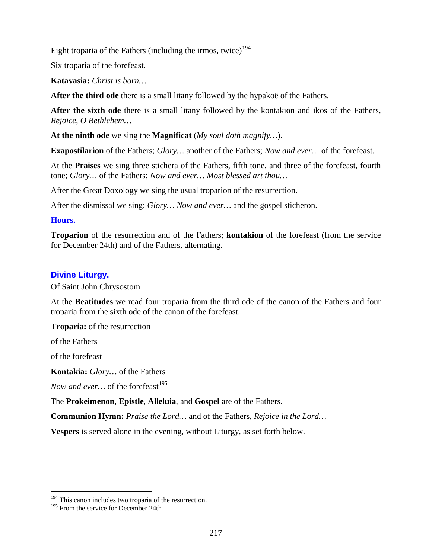Eight troparia of the Fathers (including the irmos, twice)<sup>[194](#page-216-0)</sup>

Six troparia of the forefeast.

**Katavasia:** *Christ is born…*

**After the third ode** there is a small litany followed by the hypakoë of the Fathers.

**After the sixth ode** there is a small litany followed by the kontakion and ikos of the Fathers, *Rejoice, O Bethlehem…*

**At the ninth ode** we sing the **Magnificat** (*My soul doth magnify…*).

**Exapostilarion** of the Fathers; *Glory…* another of the Fathers; *Now and ever…* of the forefeast.

At the **Praises** we sing three stichera of the Fathers, fifth tone, and three of the forefeast, fourth tone; *Glory…* of the Fathers; *Now and ever… Most blessed art thou…*

After the Great Doxology we sing the usual troparion of the resurrection.

After the dismissal we sing: *Glory… Now and ever…* and the gospel sticheron.

#### **Hours.**

**Troparion** of the resurrection and of the Fathers; **kontakion** of the forefeast (from the service for December 24th) and of the Fathers, alternating.

# **Divine Liturgy.**

Of Saint John Chrysostom

At the **Beatitudes** we read four troparia from the third ode of the canon of the Fathers and four troparia from the sixth ode of the canon of the forefeast.

**Troparia:** of the resurrection

of the Fathers

of the forefeast

**Kontakia:** *Glory…* of the Fathers

*Now and ever...* of the forefeast<sup>[195](#page-216-1)</sup>

The **Prokeimenon**, **Epistle**, **Alleluia**, and **Gospel** are of the Fathers.

**Communion Hymn:** *Praise the Lord…* and of the Fathers, *Rejoice in the Lord…*

**Vespers** is served alone in the evening, without Liturgy, as set forth below.

<span id="page-216-0"></span><sup>&</sup>lt;sup>194</sup> This canon includes two troparia of the resurrection.

<span id="page-216-1"></span><sup>&</sup>lt;sup>195</sup> From the service for December 24th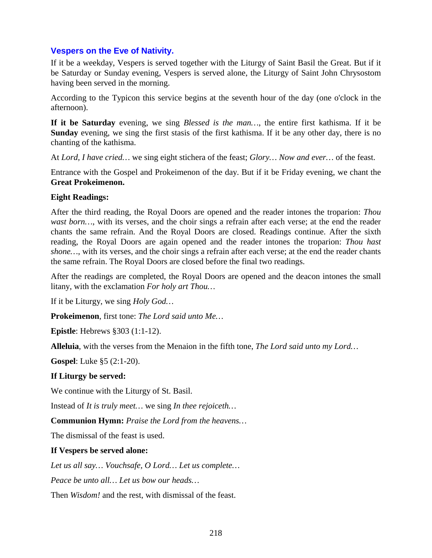# **Vespers on the Eve of Nativity.**

If it be a weekday, Vespers is served together with the Liturgy of Saint Basil the Great. But if it be Saturday or Sunday evening, Vespers is served alone, the Liturgy of Saint John Chrysostom having been served in the morning.

According to the Typicon this service begins at the seventh hour of the day (one o'clock in the afternoon).

**If it be Saturday** evening, we sing *Blessed is the man…*, the entire first kathisma. If it be **Sunday** evening, we sing the first stasis of the first kathisma. If it be any other day, there is no chanting of the kathisma.

At *Lord, I have cried…* we sing eight stichera of the feast; *Glory… Now and ever…* of the feast.

Entrance with the Gospel and Prokeimenon of the day. But if it be Friday evening, we chant the **Great Prokeimenon.**

#### **Eight Readings:**

After the third reading, the Royal Doors are opened and the reader intones the troparion: *Thou wast born*…, with its verses, and the choir sings a refrain after each verse; at the end the reader chants the same refrain. And the Royal Doors are closed. Readings continue. After the sixth reading, the Royal Doors are again opened and the reader intones the troparion: *Thou hast shone…*, with its verses, and the choir sings a refrain after each verse; at the end the reader chants the same refrain. The Royal Doors are closed before the final two readings.

After the readings are completed, the Royal Doors are opened and the deacon intones the small litany, with the exclamation *For holy art Thou…*

If it be Liturgy, we sing *Holy God…*

**Prokeimenon**, first tone: *The Lord said unto Me…*

**Epistle**: Hebrews §303 (1:1-12).

**Alleluia**, with the verses from the Menaion in the fifth tone, *The Lord said unto my Lord…*

**Gospel**: Luke §5 (2:1-20).

## **If Liturgy be served:**

We continue with the Liturgy of St. Basil.

Instead of *It is truly meet…* we sing *In thee rejoiceth…*

**Communion Hymn:** *Praise the Lord from the heavens…*

The dismissal of the feast is used.

## **If Vespers be served alone:**

*Let us all say… Vouchsafe, O Lord… Let us complete…*

*Peace be unto all… Let us bow our heads…*

Then *Wisdom!* and the rest, with dismissal of the feast.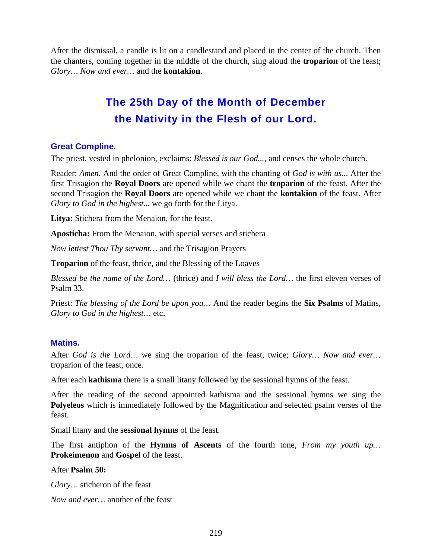After the dismissal, a candle is lit on a candlestand and placed in the center of the church. Then the chanters, coming together in the middle of the church, sing aloud the **troparion** of the feast; *Glory… Now and ever…* and the **kontakion**.

# **The 25th Day of the Month of December the Nativity in the Flesh of our Lord.**

# **Great Compline.**

The priest, vested in phelonion, exclaims: *Blessed is our God...*, and censes the whole church.

Reader: *Amen.* And the order of Great Compline, with the chanting of *God is with us..*. After the first Trisagion the **Royal Doors** are opened while we chant the **troparion** of the feast. After the second Trisagion the **Royal Doors** are opened while we chant the **kontakion** of the feast. After *Glory to God in the highest...* we go forth for the Litya.

**Litya:** Stichera from the Menaion, for the feast.

**Aposticha:** From the Menaion, with special verses and stichera

*Now lettest Thou Thy servant…* and the Trisagion Prayers

**Troparion** of the feast, thrice, and the Blessing of the Loaves

*Blessed be the name of the Lord…* (thrice) and *I will bless the Lord…* the first eleven verses of Psalm 33.

Priest: *The blessing of the Lord be upon you…* And the reader begins the **Six Psalms** of Matins, *Glory to God in the highest…* etc.

## **Matins.**

After *God is the Lord…* we sing the troparion of the feast, twice; *Glory… Now and ever…*  troparion of the feast, once.

After each **kathisma** there is a small litany followed by the sessional hymns of the feast.

After the reading of the second appointed kathisma and the sessional hymns we sing the **Polyeleos** which is immediately followed by the Magnification and selected psalm verses of the feast.

Small litany and the **sessional hymns** of the feast.

The first antiphon of the **Hymns of Ascents** of the fourth tone, *From my youth up…*  **Prokeimenon** and **Gospel** of the feast.

#### After **Psalm 50:**

*Glory…* sticheron of the feast

*Now and ever…* another of the feast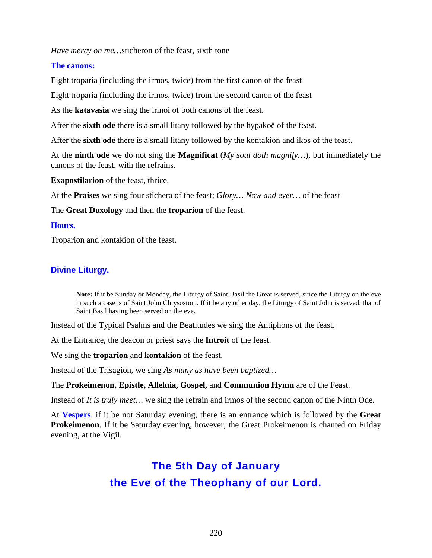*Have mercy on me…*sticheron of the feast, sixth tone

#### **The canons:**

Eight troparia (including the irmos, twice) from the first canon of the feast

Eight troparia (including the irmos, twice) from the second canon of the feast

As the **katavasia** we sing the irmoi of both canons of the feast.

After the **sixth ode** there is a small litany followed by the hypakoë of the feast.

After the **sixth ode** there is a small litany followed by the kontakion and ikos of the feast.

At the **ninth ode** we do not sing the **Magnificat** (*My soul doth magnify…*), but immediately the canons of the feast, with the refrains.

**Exapostilarion** of the feast, thrice.

At the **Praises** we sing four stichera of the feast; *Glory… Now and ever…* of the feast

The **Great Doxology** and then the **troparion** of the feast.

#### **Hours.**

Troparion and kontakion of the feast.

# **Divine Liturgy.**

**Note:** If it be Sunday or Monday, the Liturgy of Saint Basil the Great is served, since the Liturgy on the eve in such a case is of Saint John Chrysostom. If it be any other day, the Liturgy of Saint John is served, that of Saint Basil having been served on the eve.

Instead of the Typical Psalms and the Beatitudes we sing the Antiphons of the feast.

At the Entrance, the deacon or priest says the **Introit** of the feast.

We sing the **troparion** and **kontakion** of the feast.

Instead of the Trisagion, we sing *As many as have been baptized…*

#### The **Prokeimenon, Epistle, Alleluia, Gospel,** and **Communion Hymn** are of the Feast.

Instead of *It is truly meet...* we sing the refrain and irmos of the second canon of the Ninth Ode.

At **Vespers**, if it be not Saturday evening, there is an entrance which is followed by the **Great Prokeimenon**. If it be Saturday evening, however, the Great Prokeimenon is chanted on Friday evening, at the Vigil.

# **The 5th Day of January the Eve of the Theophany of our Lord.**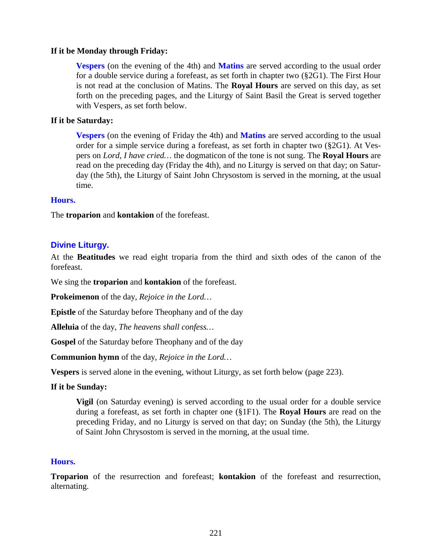#### **If it be Monday through Friday:**

**Vespers** (on the evening of the 4th) and **Matins** are served according to the usual order for a double service during a forefeast, as set forth in chapter two (§2G1). The First Hour is not read at the conclusion of Matins. The **Royal Hours** are served on this day, as set forth on the preceding pages, and the Liturgy of Saint Basil the Great is served together with Vespers, as set forth below.

#### **If it be Saturday:**

**Vespers** (on the evening of Friday the 4th) and **Matins** are served according to the usual order for a simple service during a forefeast, as set forth in chapter two (§2G1). At Vespers on *Lord, I have cried…* the dogmaticon of the tone is not sung. The **Royal Hours** are read on the preceding day (Friday the 4th), and no Liturgy is served on that day; on Saturday (the 5th), the Liturgy of Saint John Chrysostom is served in the morning, at the usual time.

#### **Hours.**

The **troparion** and **kontakion** of the forefeast.

#### **Divine Liturgy.**

At the **Beatitudes** we read eight troparia from the third and sixth odes of the canon of the forefeast.

We sing the **troparion** and **kontakion** of the forefeast.

**Prokeimenon** of the day, *Rejoice in the Lord…*

**Epistle** of the Saturday before Theophany and of the day

**Alleluia** of the day, *The heavens shall confess…*

**Gospel** of the Saturday before Theophany and of the day

**Communion hymn** of the day, *Rejoice in the Lord…*

**Vespers** is served alone in the evening, without Liturgy, as set forth below (page 223).

#### **If it be Sunday:**

**Vigil** (on Saturday evening) is served according to the usual order for a double service during a forefeast, as set forth in chapter one (§1F1). The **Royal Hours** are read on the preceding Friday, and no Liturgy is served on that day; on Sunday (the 5th), the Liturgy of Saint John Chrysostom is served in the morning, at the usual time.

#### **Hours.**

**Troparion** of the resurrection and forefeast; **kontakion** of the forefeast and resurrection, alternating.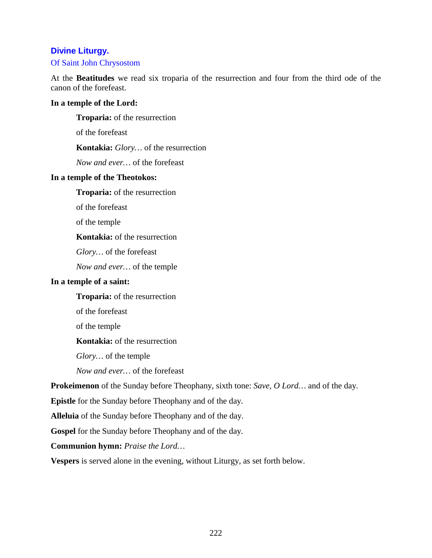## **Divine Liturgy.**

#### Of Saint John Chrysostom

At the **Beatitudes** we read six troparia of the resurrection and four from the third ode of the canon of the forefeast.

#### **In a temple of the Lord:**

**Troparia:** of the resurrection

of the forefeast

**Kontakia:** *Glory…* of the resurrection

*Now and ever…* of the forefeast

#### **In a temple of the Theotokos:**

**Troparia:** of the resurrection

of the forefeast

of the temple

#### **Kontakia:** of the resurrection

*Glory…* of the forefeast

*Now and ever…* of the temple

#### **In a temple of a saint:**

**Troparia:** of the resurrection

of the forefeast

of the temple

**Kontakia:** of the resurrection

*Glory…* of the temple

*Now and ever…* of the forefeast

**Prokeimenon** of the Sunday before Theophany, sixth tone: *Save, O Lord…* and of the day.

**Epistle** for the Sunday before Theophany and of the day.

**Alleluia** of the Sunday before Theophany and of the day.

**Gospel** for the Sunday before Theophany and of the day.

**Communion hymn:** *Praise the Lord…*

**Vespers** is served alone in the evening, without Liturgy, as set forth below.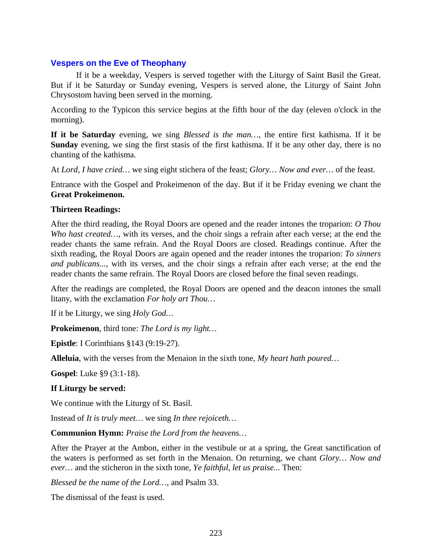#### **Vespers on the Eve of Theophany**

If it be a weekday, Vespers is served together with the Liturgy of Saint Basil the Great. But if it be Saturday or Sunday evening, Vespers is served alone, the Liturgy of Saint John Chrysostom having been served in the morning.

According to the Typicon this service begins at the fifth hour of the day (eleven o'clock in the morning).

**If it be Saturday** evening, we sing *Blessed is the man…*, the entire first kathisma. If it be **Sunday** evening, we sing the first stasis of the first kathisma. If it be any other day, there is no chanting of the kathisma.

At *Lord, I have cried…* we sing eight stichera of the feast; *Glory… Now and ever…* of the feast.

Entrance with the Gospel and Prokeimenon of the day. But if it be Friday evening we chant the **Great Prokeimenon.**

#### **Thirteen Readings:**

After the third reading, the Royal Doors are opened and the reader intones the troparion: *O Thou Who hast created…,* with its verses, and the choir sings a refrain after each verse; at the end the reader chants the same refrain. And the Royal Doors are closed. Readings continue. After the sixth reading, the Royal Doors are again opened and the reader intones the troparion: *To sinners and publicans...*, with its verses, and the choir sings a refrain after each verse; at the end the reader chants the same refrain. The Royal Doors are closed before the final seven readings.

After the readings are completed, the Royal Doors are opened and the deacon intones the small litany, with the exclamation *For holy art Thou…*

If it be Liturgy, we sing *Holy God…*

**Prokeimenon**, third tone: *The Lord is my light…*

**Epistle**: I Corinthians §143 (9:19-27).

**Alleluia**, with the verses from the Menaion in the sixth tone, *My heart hath poured…*

**Gospel**: Luke §9 (3:1-18).

#### **If Liturgy be served:**

We continue with the Liturgy of St. Basil.

Instead of *It is truly meet…* we sing *In thee rejoiceth…*

**Communion Hymn:** *Praise the Lord from the heavens…*

After the Prayer at the Ambon, either in the vestibule or at a spring, the Great sanctification of the waters is performed as set forth in the Menaion. On returning, we chant *Glory… Now and ever…* and the sticheron in the sixth tone, *Ye faithful, let us praise...* Then:

*Blessed be the name of the Lord…*, and Psalm 33.

The dismissal of the feast is used.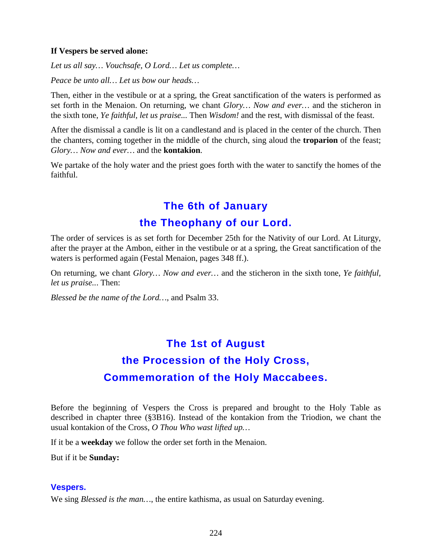#### **If Vespers be served alone:**

*Let us all say… Vouchsafe, O Lord… Let us complete…*

*Peace be unto all… Let us bow our heads…*

Then, either in the vestibule or at a spring, the Great sanctification of the waters is performed as set forth in the Menaion. On returning, we chant *Glory… Now and ever…* and the sticheron in the sixth tone, *Ye faithful, let us praise...* Then *Wisdom!* and the rest, with dismissal of the feast.

After the dismissal a candle is lit on a candlestand and is placed in the center of the church. Then the chanters, coming together in the middle of the church, sing aloud the **troparion** of the feast; *Glory… Now and ever…* and the **kontakion**.

We partake of the holy water and the priest goes forth with the water to sanctify the homes of the faithful.

# **The 6th of January the Theophany of our Lord.**

The order of services is as set forth for December 25th for the Nativity of our Lord. At Liturgy, after the prayer at the Ambon, either in the vestibule or at a spring, the Great sanctification of the waters is performed again (Festal Menaion, pages 348 ff.).

On returning, we chant *Glory… Now and ever…* and the sticheron in the sixth tone, *Ye faithful, let us praise..*. Then:

*Blessed be the name of the Lord…*, and Psalm 33.

# **The 1st of August the Procession of the Holy Cross, Commemoration of the Holy Maccabees.**

Before the beginning of Vespers the Cross is prepared and brought to the Holy Table as described in chapter three (§3B16). Instead of the kontakion from the Triodion, we chant the usual kontakion of the Cross, *O Thou Who wast lifted up…*

If it be a **weekday** we follow the order set forth in the Menaion.

But if it be **Sunday:**

#### **Vespers.**

We sing *Blessed is the man…*, the entire kathisma, as usual on Saturday evening.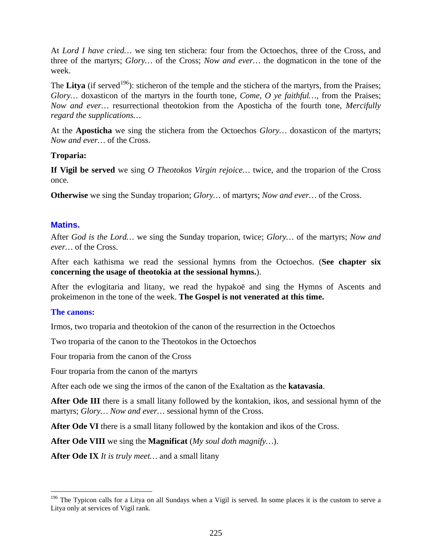At *Lord I have cried…* we sing ten stichera: four from the Octoechos, three of the Cross, and three of the martyrs; *Glory…* of the Cross; *Now and ever…* the dogmaticon in the tone of the week.

The **Litya** (if served<sup>[196](#page-224-0)</sup>): sticheron of the temple and the stichera of the martyrs, from the Praises; *Glory…* doxasticon of the martyrs in the fourth tone, *Come, O ye faithful…*, from the Praises; *Now and ever…* resurrectional theotokion from the Aposticha of the fourth tone, *Mercifully regard the supplications…*

At the **Aposticha** we sing the stichera from the Octoechos *Glory…* doxasticon of the martyrs; *Now and ever…* of the Cross.

#### **Troparia:**

**If Vigil be served** we sing *O Theotokos Virgin rejoice…* twice, and the troparion of the Cross once.

**Otherwise** we sing the Sunday troparion; *Glory…* of martyrs; *Now and ever…* of the Cross.

#### **Matins.**

After *God is the Lord…* we sing the Sunday troparion, twice; *Glory…* of the martyrs; *Now and ever…* of the Cross.

After each kathisma we read the sessional hymns from the Octoechos. (**See chapter six concerning the usage of theotokia at the sessional hymns.**).

After the evlogitaria and litany, we read the hypakoë and sing the Hymns of Ascents and prokeimenon in the tone of the week. **The Gospel is not venerated at this time.**

#### **The canons:**

Irmos, two troparia and theotokion of the canon of the resurrection in the Octoechos

Two troparia of the canon to the Theotokos in the Octoechos

Four troparia from the canon of the Cross

Four troparia from the canon of the martyrs

After each ode we sing the irmos of the canon of the Exaltation as the **katavasia**.

**After Ode III** there is a small litany followed by the kontakion, ikos, and sessional hymn of the martyrs; *Glory… Now and ever…* sessional hymn of the Cross.

After Ode VI there is a small litany followed by the kontakion and ikos of the Cross.

**After Ode VIII** we sing the **Magnificat** (*My soul doth magnify…*).

**After Ode IX** *It is truly meet…* and a small litany

<span id="page-224-0"></span><sup>&</sup>lt;sup>196</sup> The Typicon calls for a Litya on all Sundays when a Vigil is served. In some places it is the custom to serve a Litya only at services of Vigil rank.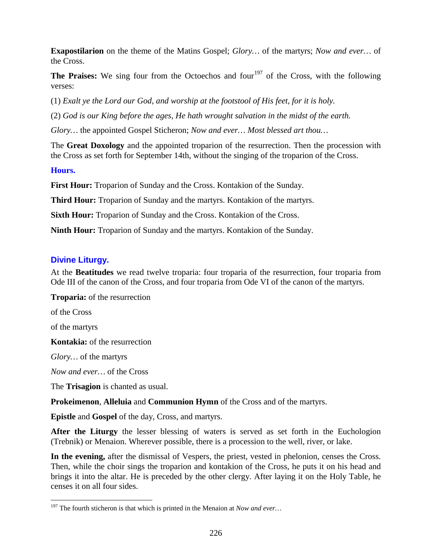**Exapostilarion** on the theme of the Matins Gospel; *Glory…* of the martyrs; *Now and ever…* of the Cross.

The Praises: We sing four from the Octoechos and four<sup>[197](#page-225-0)</sup> of the Cross, with the following verses:

(1) *Exalt ye the Lord our God, and worship at the footstool of His feet, for it is holy.*

(2) *God is our King before the ages, He hath wrought salvation in the midst of the earth.*

*Glory…* the appointed Gospel Sticheron; *Now and ever… Most blessed art thou…*

The **Great Doxology** and the appointed troparion of the resurrection. Then the procession with the Cross as set forth for September 14th, without the singing of the troparion of the Cross.

#### **Hours.**

First Hour: Troparion of Sunday and the Cross. Kontakion of the Sunday.

**Third Hour:** Troparion of Sunday and the martyrs. Kontakion of the martyrs.

**Sixth Hour:** Troparion of Sunday and the Cross. Kontakion of the Cross.

**Ninth Hour:** Troparion of Sunday and the martyrs. Kontakion of the Sunday.

## **Divine Liturgy.**

At the **Beatitudes** we read twelve troparia: four troparia of the resurrection, four troparia from Ode III of the canon of the Cross, and four troparia from Ode VI of the canon of the martyrs.

**Troparia:** of the resurrection

of the Cross

of the martyrs

**Kontakia:** of the resurrection

*Glory…* of the martyrs

*Now and ever…* of the Cross

The **Trisagion** is chanted as usual.

**Prokeimenon**, **Alleluia** and **Communion Hymn** of the Cross and of the martyrs.

**Epistle** and **Gospel** of the day, Cross, and martyrs.

**After the Liturgy** the lesser blessing of waters is served as set forth in the Euchologion (Trebnik) or Menaion. Wherever possible, there is a procession to the well, river, or lake.

**In the evening,** after the dismissal of Vespers, the priest, vested in phelonion, censes the Cross. Then, while the choir sings the troparion and kontakion of the Cross, he puts it on his head and brings it into the altar. He is preceded by the other clergy. After laying it on the Holy Table, he censes it on all four sides.

<span id="page-225-0"></span> <sup>197</sup> The fourth sticheron is that which is printed in the Menaion at *Now and ever…*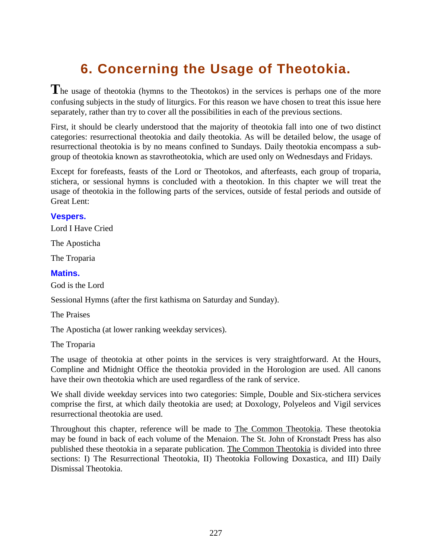# **6. Concerning the Usage of Theotokia.**

**T**he usage of theotokia (hymns to the Theotokos) in the services is perhaps one of the more confusing subjects in the study of liturgics. For this reason we have chosen to treat this issue here separately, rather than try to cover all the possibilities in each of the previous sections.

First, it should be clearly understood that the majority of theotokia fall into one of two distinct categories: resurrectional theotokia and daily theotokia. As will be detailed below, the usage of resurrectional theotokia is by no means confined to Sundays. Daily theotokia encompass a subgroup of theotokia known as stavrotheotokia, which are used only on Wednesdays and Fridays.

Except for forefeasts, feasts of the Lord or Theotokos, and afterfeasts, each group of troparia, stichera, or sessional hymns is concluded with a theotokion. In this chapter we will treat the usage of theotokia in the following parts of the services, outside of festal periods and outside of Great Lent:

#### **Vespers.**

Lord I Have Cried

The Aposticha

The Troparia

#### **Matins.**

God is the Lord

Sessional Hymns (after the first kathisma on Saturday and Sunday).

The Praises

The Aposticha (at lower ranking weekday services).

The Troparia

The usage of theotokia at other points in the services is very straightforward. At the Hours, Compline and Midnight Office the theotokia provided in the Horologion are used. All canons have their own theotokia which are used regardless of the rank of service.

We shall divide weekday services into two categories: Simple, Double and Six-stichera services comprise the first, at which daily theotokia are used; at Doxology, Polyeleos and Vigil services resurrectional theotokia are used.

Throughout this chapter, reference will be made to The Common Theotokia. These theotokia may be found in back of each volume of the Menaion. The St. John of Kronstadt Press has also published these theotokia in a separate publication. The Common Theotokia is divided into three sections: I) The Resurrectional Theotokia, II) Theotokia Following Doxastica, and III) Daily Dismissal Theotokia.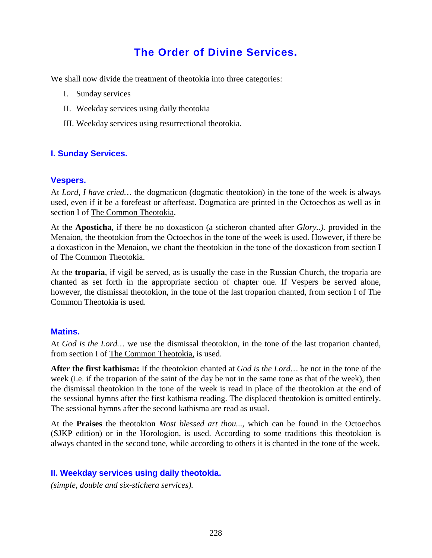# **The Order of Divine Services.**

We shall now divide the treatment of theotokia into three categories:

- I. Sunday services
- II. Weekday services using daily theotokia
- III. Weekday services using resurrectional theotokia.

#### **I. Sunday Services.**

#### **Vespers.**

At *Lord, I have cried…* the dogmaticon (dogmatic theotokion) in the tone of the week is always used, even if it be a forefeast or afterfeast. Dogmatica are printed in the Octoechos as well as in section I of The Common Theotokia.

At the **Aposticha**, if there be no doxasticon (a sticheron chanted after *Glory..).* provided in the Menaion, the theotokion from the Octoechos in the tone of the week is used. However, if there be a doxasticon in the Menaion, we chant the theotokion in the tone of the doxasticon from section I of **The Common Theotokia**.

At the **troparia**, if vigil be served, as is usually the case in the Russian Church, the troparia are chanted as set forth in the appropriate section of chapter one. If Vespers be served alone, however, the dismissal theotokion, in the tone of the last troparion chanted, from section I of The Common Theotokia is used.

#### **Matins.**

At *God is the Lord…* we use the dismissal theotokion, in the tone of the last troparion chanted, from section I of The Common Theotokia, is used.

**After the first kathisma:** If the theotokion chanted at *God is the Lord…* be not in the tone of the week (i.e. if the troparion of the saint of the day be not in the same tone as that of the week), then the dismissal theotokion in the tone of the week is read in place of the theotokion at the end of the sessional hymns after the first kathisma reading. The displaced theotokion is omitted entirely. The sessional hymns after the second kathisma are read as usual.

At the **Praises** the theotokion *Most blessed art thou...,* which can be found in the Octoechos (SJKP edition) or in the Horologion, is used. According to some traditions this theotokion is always chanted in the second tone, while according to others it is chanted in the tone of the week.

#### **II. Weekday services using daily theotokia.**

*(simple, double and six-stichera services).*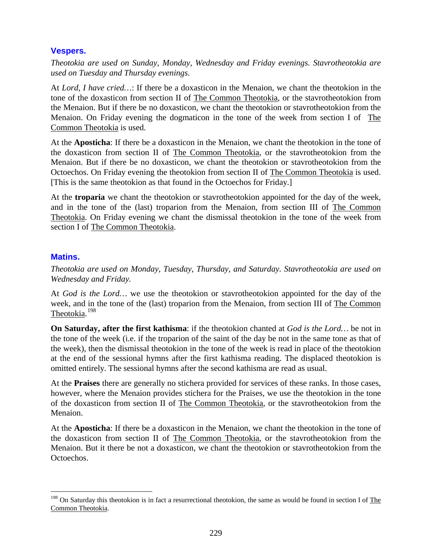# **Vespers.**

*Theotokia are used on Sunday, Monday, Wednesday and Friday evenings. Stavrotheotokia are used on Tuesday and Thursday evenings.*

At *Lord, I have cried…*: If there be a doxasticon in the Menaion, we chant the theotokion in the tone of the doxasticon from section II of The Common Theotokia, or the stavrotheotokion from the Menaion. But if there be no doxasticon, we chant the theotokion or stavrotheotokion from the Menaion. On Friday evening the dogmaticon in the tone of the week from section I of The Common Theotokia is used.

At the **Aposticha**: If there be a doxasticon in the Menaion, we chant the theotokion in the tone of the doxasticon from section II of The Common Theotokia, or the stavrotheotokion from the Menaion. But if there be no doxasticon, we chant the theotokion or stavrotheotokion from the Octoechos. On Friday evening the theotokion from section II of **The Common Theotokia** is used. [This is the same theotokion as that found in the Octoechos for Friday.]

At the **troparia** we chant the theotokion or stavrotheotokion appointed for the day of the week, and in the tone of the (last) troparion from the Menaion, from section III of The Common Theotokia. On Friday evening we chant the dismissal theotokion in the tone of the week from section I of The Common Theotokia.

# **Matins.**

*Theotokia are used on Monday, Tuesday, Thursday, and Saturday. Stavrotheotokia are used on Wednesday and Friday.*

At *God is the Lord…* we use the theotokion or stavrotheotokion appointed for the day of the week, and in the tone of the (last) troparion from the Menaion, from section III of The Common Theotokia. [198](#page-228-0)

**On Saturday, after the first kathisma**: if the theotokion chanted at *God is the Lord…* be not in the tone of the week (i.e. if the troparion of the saint of the day be not in the same tone as that of the week), then the dismissal theotokion in the tone of the week is read in place of the theotokion at the end of the sessional hymns after the first kathisma reading. The displaced theotokion is omitted entirely. The sessional hymns after the second kathisma are read as usual.

At the **Praises** there are generally no stichera provided for services of these ranks. In those cases, however, where the Menaion provides stichera for the Praises, we use the theotokion in the tone of the doxasticon from section II of **The Common Theotokia**, or the stavrotheotokion from the Menaion.

At the **Aposticha**: If there be a doxasticon in the Menaion, we chant the theotokion in the tone of the doxasticon from section II of The Common Theotokia, or the stavrotheotokion from the Menaion. But it there be not a doxasticon, we chant the theotokion or stavrotheotokion from the Octoechos.

<span id="page-228-0"></span> $198$  On Saturday this theotokion is in fact a resurrectional theotokion, the same as would be found in section I of The Common Theotokia.